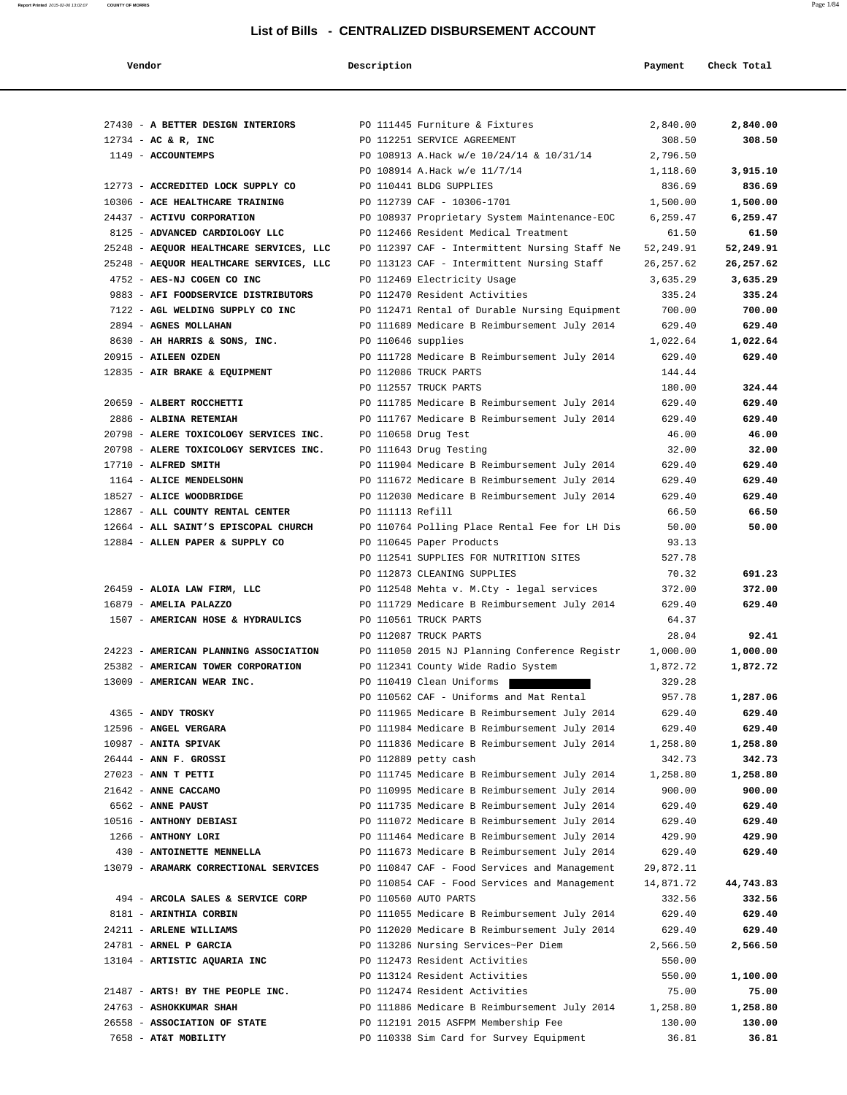| Vendor                                                            | Description        |                                                                      | Payment            | Check Total        |
|-------------------------------------------------------------------|--------------------|----------------------------------------------------------------------|--------------------|--------------------|
|                                                                   |                    |                                                                      |                    |                    |
| 27430 - A BETTER DESIGN INTERIORS                                 |                    | PO 111445 Furniture & Fixtures                                       | 2,840.00           | 2,840.00           |
| $12734$ - AC & R, INC                                             |                    | PO 112251 SERVICE AGREEMENT                                          | 308.50             | 308.50             |
| 1149 - ACCOUNTEMPS                                                |                    | PO 108913 A.Hack w/e 10/24/14 & 10/31/14                             | 2,796.50           |                    |
|                                                                   |                    | PO 108914 A.Hack w/e 11/7/14                                         | 1,118.60           | 3,915.10           |
| 12773 - ACCREDITED LOCK SUPPLY CO                                 |                    | PO 110441 BLDG SUPPLIES                                              | 836.69             | 836.69             |
| 10306 - ACE HEALTHCARE TRAINING                                   |                    | PO 112739 CAF - 10306-1701                                           | 1,500.00           | 1,500.00           |
| 24437 - ACTIVU CORPORATION                                        |                    | PO 108937 Proprietary System Maintenance-EOC                         | 6,259.47           | 6,259.47           |
| 8125 - ADVANCED CARDIOLOGY LLC                                    |                    | PO 112466 Resident Medical Treatment                                 | 61.50              | 61.50              |
| 25248 - AEQUOR HEALTHCARE SERVICES, LLC                           |                    | PO 112397 CAF - Intermittent Nursing Staff Ne                        | 52,249.91          | 52,249.91          |
| 25248 - AEQUOR HEALTHCARE SERVICES, LLC                           |                    | PO 113123 CAF - Intermittent Nursing Staff                           | 26,257.62          | 26,257.62          |
| 4752 - AES-NJ COGEN CO INC<br>9883 - AFI FOODSERVICE DISTRIBUTORS |                    | PO 112469 Electricity Usage<br>PO 112470 Resident Activities         | 3,635.29<br>335.24 | 3,635.29<br>335.24 |
| 7122 - AGL WELDING SUPPLY CO INC                                  |                    | PO 112471 Rental of Durable Nursing Equipment                        | 700.00             | 700.00             |
| 2894 - AGNES MOLLAHAN                                             |                    | PO 111689 Medicare B Reimbursement July 2014                         | 629.40             | 629.40             |
| 8630 - AH HARRIS & SONS, INC.                                     | PO 110646 supplies |                                                                      | 1,022.64           | 1,022.64           |
| 20915 - AILEEN OZDEN                                              |                    | PO 111728 Medicare B Reimbursement July 2014                         | 629.40             | 629.40             |
| 12835 - AIR BRAKE & EQUIPMENT                                     |                    | PO 112086 TRUCK PARTS                                                | 144.44             |                    |
|                                                                   |                    | PO 112557 TRUCK PARTS                                                | 180.00             | 324.44             |
| 20659 - ALBERT ROCCHETTI                                          |                    | PO 111785 Medicare B Reimbursement July 2014                         | 629.40             | 629.40             |
| 2886 - ALBINA RETEMIAH                                            |                    | PO 111767 Medicare B Reimbursement July 2014                         | 629.40             | 629.40             |
| 20798 - ALERE TOXICOLOGY SERVICES INC.                            |                    | PO 110658 Drug Test                                                  | 46.00              | 46.00              |
| 20798 - ALERE TOXICOLOGY SERVICES INC.                            |                    | PO 111643 Drug Testing                                               | 32.00              | 32.00              |
| 17710 - ALFRED SMITH                                              |                    | PO 111904 Medicare B Reimbursement July 2014                         | 629.40             | 629.40             |
| 1164 - ALICE MENDELSOHN                                           |                    | PO 111672 Medicare B Reimbursement July 2014                         | 629.40             | 629.40             |
| 18527 - ALICE WOODBRIDGE                                          |                    | PO 112030 Medicare B Reimbursement July 2014                         | 629.40             | 629.40             |
| 12867 - ALL COUNTY RENTAL CENTER                                  | PO 111113 Refill   |                                                                      | 66.50              | 66.50              |
| 12664 - ALL SAINT'S EPISCOPAL CHURCH                              |                    | PO 110764 Polling Place Rental Fee for LH Dis                        | 50.00              | 50.00              |
| 12884 - ALLEN PAPER & SUPPLY CO                                   |                    | PO 110645 Paper Products                                             | 93.13              |                    |
|                                                                   |                    | PO 112541 SUPPLIES FOR NUTRITION SITES                               | 527.78             |                    |
|                                                                   |                    | PO 112873 CLEANING SUPPLIES                                          | 70.32              | 691.23             |
| 26459 - ALOIA LAW FIRM, LLC                                       |                    | PO 112548 Mehta v. M.Cty - legal services                            | 372.00             | 372.00             |
| 16879 - AMELIA PALAZZO                                            |                    | PO 111729 Medicare B Reimbursement July 2014                         | 629.40             | 629.40             |
| 1507 - AMERICAN HOSE & HYDRAULICS                                 |                    | PO 110561 TRUCK PARTS                                                | 64.37              |                    |
|                                                                   |                    | PO 112087 TRUCK PARTS                                                | 28.04              | 92.41              |
| 24223 - AMERICAN PLANNING ASSOCIATION                             |                    | PO 111050 2015 NJ Planning Conference Registr                        | 1,000.00           | 1,000.00           |
| 25382 - AMERICAN TOWER CORPORATION                                |                    | PO 112341 County Wide Radio System                                   | 1,872.72           | 1,872.72           |
| 13009 - AMERICAN WEAR INC.                                        |                    | PO 110419 Clean Uniforms                                             | 329.28             |                    |
|                                                                   |                    | PO 110562 CAF - Uniforms and Mat Rental                              | 957.78             | 1,287.06           |
| 4365 - ANDY TROSKY                                                |                    | PO 111965 Medicare B Reimbursement July 2014                         | 629.40             | 629.40             |
| 12596 - ANGEL VERGARA                                             |                    | PO 111984 Medicare B Reimbursement July 2014                         | 629.40             | 629.40             |
| 10987 - ANITA SPIVAK<br>26444 - ANN F. GROSSI                     |                    | PO 111836 Medicare B Reimbursement July 2014<br>PO 112889 petty cash | 1,258.80           | 1,258.80<br>342.73 |
| $27023$ - ANN T PETTI                                             |                    | PO 111745 Medicare B Reimbursement July 2014                         | 342.73<br>1,258.80 | 1,258.80           |
| 21642 - ANNE CACCAMO                                              |                    | PO 110995 Medicare B Reimbursement July 2014                         | 900.00             | 900.00             |
| 6562 - ANNE PAUST                                                 |                    | PO 111735 Medicare B Reimbursement July 2014                         | 629.40             | 629.40             |
| 10516 - ANTHONY DEBIASI                                           |                    | PO 111072 Medicare B Reimbursement July 2014                         | 629.40             | 629.40             |
| 1266 - ANTHONY LORI                                               |                    | PO 111464 Medicare B Reimbursement July 2014                         | 429.90             | 429.90             |
| 430 - ANTOINETTE MENNELLA                                         |                    | PO 111673 Medicare B Reimbursement July 2014                         | 629.40             | 629.40             |
| 13079 - ARAMARK CORRECTIONAL SERVICES                             |                    | PO 110847 CAF - Food Services and Management                         | 29,872.11          |                    |
|                                                                   |                    | PO 110854 CAF - Food Services and Management                         | 14,871.72          | 44,743.83          |
| 494 - ARCOLA SALES & SERVICE CORP                                 |                    | PO 110560 AUTO PARTS                                                 | 332.56             | 332.56             |
| 8181 - ARINTHIA CORBIN                                            |                    | PO 111055 Medicare B Reimbursement July 2014                         | 629.40             | 629.40             |
| 24211 - ARLENE WILLIAMS                                           |                    | PO 112020 Medicare B Reimbursement July 2014                         | 629.40             | 629.40             |
| 24781 - ARNEL P GARCIA                                            |                    | PO 113286 Nursing Services~Per Diem                                  | 2,566.50           | 2,566.50           |
| 13104 - ARTISTIC AQUARIA INC                                      |                    | PO 112473 Resident Activities                                        | 550.00             |                    |
|                                                                   |                    | PO 113124 Resident Activities                                        | 550.00             | 1,100.00           |
| 21487 - ARTS! BY THE PEOPLE INC.                                  |                    | PO 112474 Resident Activities                                        | 75.00              | 75.00              |
| 24763 - ASHOKKUMAR SHAH                                           |                    | PO 111886 Medicare B Reimbursement July 2014                         | 1,258.80           | 1,258.80           |
| 26558 - ASSOCIATION OF STATE                                      |                    | PO 112191 2015 ASFPM Membership Fee                                  | 130.00             | 130.00             |
| 7658 - AT&T MOBILITY                                              |                    | PO 110338 Sim Card for Survey Equipment                              | 36.81              | 36.81              |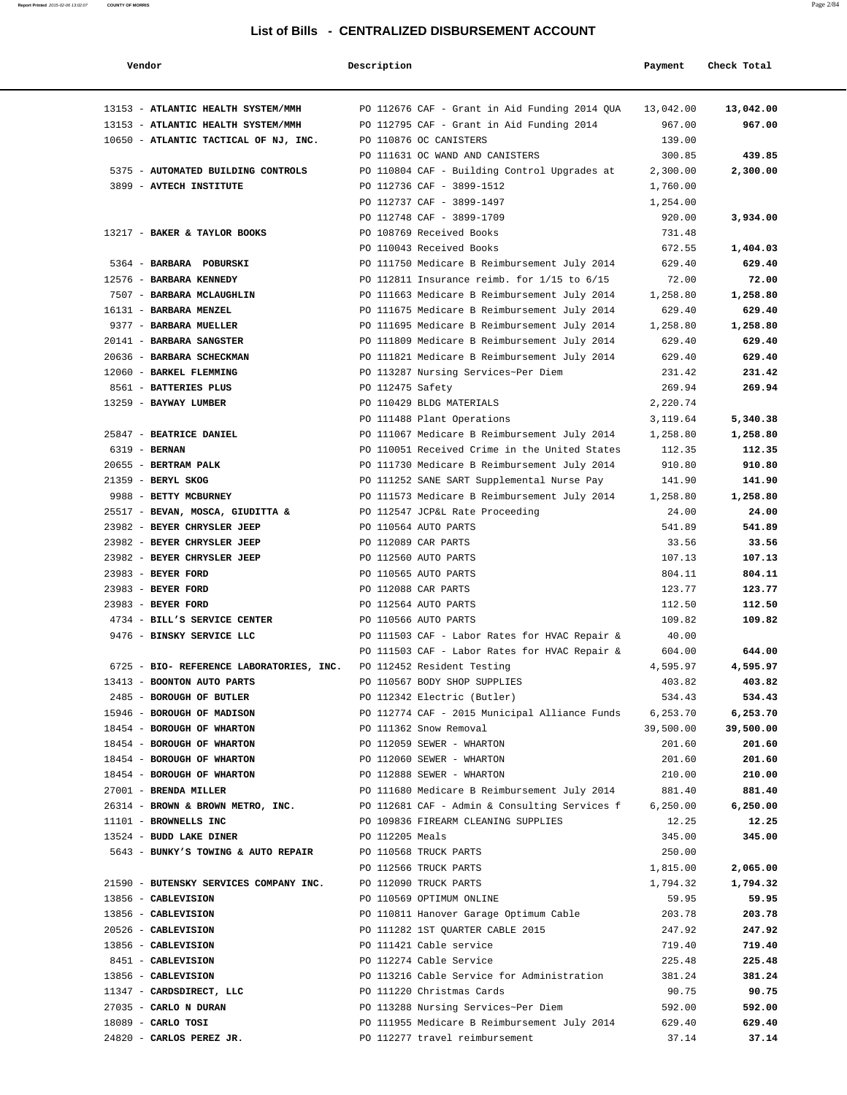| Vendor                                   | Description      |                                               | Payment   | Check Total |
|------------------------------------------|------------------|-----------------------------------------------|-----------|-------------|
| 13153 - ATLANTIC HEALTH SYSTEM/MMH       |                  | PO 112676 CAF - Grant in Aid Funding 2014 QUA | 13,042.00 | 13,042.00   |
| 13153 - ATLANTIC HEALTH SYSTEM/MMH       |                  | PO 112795 CAF - Grant in Aid Funding 2014     | 967.00    | 967.00      |
| 10650 - ATLANTIC TACTICAL OF NJ, INC.    |                  | PO 110876 OC CANISTERS                        | 139.00    |             |
|                                          |                  | PO 111631 OC WAND AND CANISTERS               | 300.85    | 439.85      |
| 5375 - AUTOMATED BUILDING CONTROLS       |                  | PO 110804 CAF - Building Control Upgrades at  | 2,300.00  | 2,300.00    |
| 3899 - AVTECH INSTITUTE                  |                  | PO 112736 CAF - 3899-1512                     | 1,760.00  |             |
|                                          |                  | PO 112737 CAF - 3899-1497                     | 1,254.00  |             |
|                                          |                  | PO 112748 CAF - 3899-1709                     | 920.00    | 3,934.00    |
| 13217 - BAKER & TAYLOR BOOKS             |                  | PO 108769 Received Books                      | 731.48    |             |
|                                          |                  | PO 110043 Received Books                      | 672.55    | 1,404.03    |
| 5364 - BARBARA POBURSKI                  |                  | PO 111750 Medicare B Reimbursement July 2014  | 629.40    | 629.40      |
| 12576 - BARBARA KENNEDY                  |                  | PO 112811 Insurance reimb. for 1/15 to 6/15   | 72.00     | 72.00       |
| 7507 - BARBARA MCLAUGHLIN                |                  | PO 111663 Medicare B Reimbursement July 2014  | 1,258.80  | 1,258.80    |
| 16131 - BARBARA MENZEL                   |                  | PO 111675 Medicare B Reimbursement July 2014  | 629.40    | 629.40      |
| 9377 - BARBARA MUELLER                   |                  | PO 111695 Medicare B Reimbursement July 2014  | 1,258.80  | 1,258.80    |
| 20141 - BARBARA SANGSTER                 |                  | PO 111809 Medicare B Reimbursement July 2014  | 629.40    | 629.40      |
| 20636 - BARBARA SCHECKMAN                |                  | PO 111821 Medicare B Reimbursement July 2014  | 629.40    | 629.40      |
| 12060 - BARKEL FLEMMING                  |                  | PO 113287 Nursing Services~Per Diem           | 231.42    | 231.42      |
| 8561 - BATTERIES PLUS                    | PO 112475 Safety |                                               | 269.94    | 269.94      |
| 13259 - BAYWAY LUMBER                    |                  | PO 110429 BLDG MATERIALS                      | 2,220.74  |             |
|                                          |                  | PO 111488 Plant Operations                    | 3,119.64  | 5,340.38    |
| 25847 - BEATRICE DANIEL                  |                  | PO 111067 Medicare B Reimbursement July 2014  | 1,258.80  | 1,258.80    |
| 6319 - <b>BERNAN</b>                     |                  | PO 110051 Received Crime in the United States | 112.35    | 112.35      |
| 20655 - BERTRAM PALK                     |                  | PO 111730 Medicare B Reimbursement July 2014  | 910.80    | 910.80      |
| 21359 - BERYL SKOG                       |                  | PO 111252 SANE SART Supplemental Nurse Pay    | 141.90    | 141.90      |
| 9988 - BETTY MCBURNEY                    |                  | PO 111573 Medicare B Reimbursement July 2014  | 1,258.80  | 1,258.80    |
| 25517 - BEVAN, MOSCA, GIUDITTA &         |                  | PO 112547 JCP&L Rate Proceeding               | 24.00     | 24.00       |
| 23982 - BEYER CHRYSLER JEEP              |                  | PO 110564 AUTO PARTS                          | 541.89    | 541.89      |
| 23982 - BEYER CHRYSLER JEEP              |                  | PO 112089 CAR PARTS                           | 33.56     | 33.56       |
| 23982 - BEYER CHRYSLER JEEP              |                  | PO 112560 AUTO PARTS                          | 107.13    | 107.13      |
| 23983 - BEYER FORD                       |                  | PO 110565 AUTO PARTS                          | 804.11    | 804.11      |
| 23983 - BEYER FORD                       |                  | PO 112088 CAR PARTS                           | 123.77    | 123.77      |
| 23983 - BEYER FORD                       |                  | PO 112564 AUTO PARTS                          | 112.50    | 112.50      |
| 4734 - BILL'S SERVICE CENTER             |                  | PO 110566 AUTO PARTS                          | 109.82    | 109.82      |
| 9476 - BINSKY SERVICE LLC                |                  | PO 111503 CAF - Labor Rates for HVAC Repair & | 40.00     |             |
|                                          |                  | PO 111503 CAF - Labor Rates for HVAC Repair & | 604.00    | 644.00      |
| 6725 - BIO- REFERENCE LABORATORIES, INC. |                  | PO 112452 Resident Testing                    | 4.595.97  | 4,595.97    |
| 13413 - BOONTON AUTO PARTS               |                  | PO 110567 BODY SHOP SUPPLIES                  | 403.82    | 403.82      |
| 2485 - BOROUGH OF BUTLER                 |                  | PO 112342 Electric (Butler)                   | 534.43    | 534.43      |
| 15946 - BOROUGH OF MADISON               |                  | PO 112774 CAF - 2015 Municipal Alliance Funds | 6,253.70  | 6,253.70    |
| 18454 - BOROUGH OF WHARTON               |                  | PO 111362 Snow Removal                        | 39,500.00 | 39,500.00   |
| 18454 - BOROUGH OF WHARTON               |                  | PO 112059 SEWER - WHARTON                     | 201.60    | 201.60      |
| 18454 - BOROUGH OF WHARTON               |                  | PO 112060 SEWER - WHARTON                     | 201.60    | 201.60      |
| 18454 - BOROUGH OF WHARTON               |                  | PO 112888 SEWER - WHARTON                     | 210.00    | 210.00      |
| 27001 - BRENDA MILLER                    |                  | PO 111680 Medicare B Reimbursement July 2014  | 881.40    | 881.40      |
| 26314 - BROWN & BROWN METRO, INC.        |                  | PO 112681 CAF - Admin & Consulting Services f | 6, 250.00 | 6,250.00    |
| 11101 - BROWNELLS INC                    |                  | PO 109836 FIREARM CLEANING SUPPLIES           | 12.25     | 12.25       |
| 13524 - BUDD LAKE DINER                  | PO 112205 Meals  |                                               | 345.00    | 345.00      |
| 5643 - BUNKY'S TOWING & AUTO REPAIR      |                  | PO 110568 TRUCK PARTS                         | 250.00    |             |
|                                          |                  | PO 112566 TRUCK PARTS                         | 1,815.00  | 2,065.00    |
| 21590 - BUTENSKY SERVICES COMPANY INC.   |                  | PO 112090 TRUCK PARTS                         | 1,794.32  | 1,794.32    |
| 13856 - CABLEVISION                      |                  | PO 110569 OPTIMUM ONLINE                      | 59.95     | 59.95       |
| 13856 - CABLEVISION                      |                  | PO 110811 Hanover Garage Optimum Cable        | 203.78    | 203.78      |
| 20526 - CABLEVISION                      |                  | PO 111282 1ST QUARTER CABLE 2015              | 247.92    | 247.92      |
| 13856 - CABLEVISION                      |                  | PO 111421 Cable service                       | 719.40    | 719.40      |
| 8451 - CABLEVISION                       |                  | PO 112274 Cable Service                       | 225.48    | 225.48      |
| 13856 - CABLEVISION                      |                  | PO 113216 Cable Service for Administration    | 381.24    | 381.24      |
| 11347 - CARDSDIRECT, LLC                 |                  | PO 111220 Christmas Cards                     | 90.75     | 90.75       |
| 27035 - CARLO N DURAN                    |                  | PO 113288 Nursing Services~Per Diem           | 592.00    | 592.00      |
| $18089$ - CARLO TOSI                     |                  | PO 111955 Medicare B Reimbursement July 2014  | 629.40    | 629.40      |
| 24820 - CARLOS PEREZ JR.                 |                  | PO 112277 travel reimbursement                | 37.14     | 37.14       |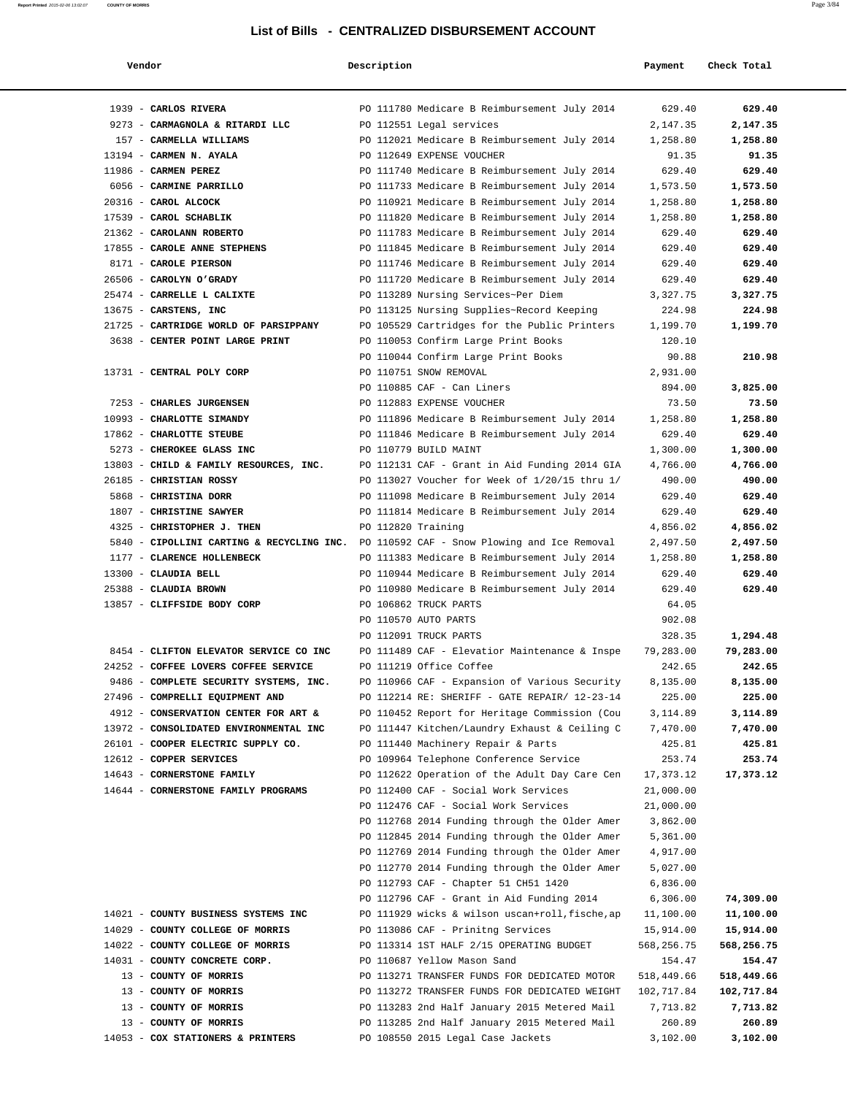| Vendor                                                                                 | Description        |                                                 | Payment    | Check Total |
|----------------------------------------------------------------------------------------|--------------------|-------------------------------------------------|------------|-------------|
|                                                                                        |                    |                                                 |            |             |
| 1939 - CARLOS RIVERA                                                                   |                    | PO 111780 Medicare B Reimbursement July 2014    | 629.40     | 629.40      |
| 9273 - CARMAGNOLA & RITARDI LLC                                                        |                    | PO 112551 Legal services                        | 2,147.35   | 2,147.35    |
| 157 - CARMELLA WILLIAMS                                                                |                    | PO 112021 Medicare B Reimbursement July 2014    | 1,258.80   | 1,258.80    |
| 13194 - CARMEN N. AYALA                                                                |                    | PO 112649 EXPENSE VOUCHER                       | 91.35      | 91.35       |
| 11986 - CARMEN PEREZ                                                                   |                    | PO 111740 Medicare B Reimbursement July 2014    | 629.40     | 629.40      |
| 6056 - CARMINE PARRILLO                                                                |                    | PO 111733 Medicare B Reimbursement July 2014    | 1,573.50   | 1,573.50    |
| 20316 - CAROL ALCOCK                                                                   |                    | PO 110921 Medicare B Reimbursement July 2014    | 1,258.80   | 1,258.80    |
| 17539 - CAROL SCHABLIK                                                                 |                    | PO 111820 Medicare B Reimbursement July 2014    | 1,258.80   | 1,258.80    |
| 21362 - CAROLANN ROBERTO                                                               |                    | PO 111783 Medicare B Reimbursement July 2014    | 629.40     | 629.40      |
| 17855 - CAROLE ANNE STEPHENS                                                           |                    | PO 111845 Medicare B Reimbursement July 2014    | 629.40     | 629.40      |
| 8171 - CAROLE PIERSON                                                                  |                    | PO 111746 Medicare B Reimbursement July 2014    | 629.40     | 629.40      |
| 26506 - CAROLYN O'GRADY                                                                |                    | PO 111720 Medicare B Reimbursement July 2014    | 629.40     | 629.40      |
| 25474 - CARRELLE L CALIXTE                                                             |                    | PO 113289 Nursing Services~Per Diem             | 3,327.75   | 3,327.75    |
| 13675 - CARSTENS, INC                                                                  |                    | PO 113125 Nursing Supplies~Record Keeping       | 224.98     | 224.98      |
| 21725 - CARTRIDGE WORLD OF PARSIPPANY                                                  |                    | PO 105529 Cartridges for the Public Printers    | 1,199.70   | 1,199.70    |
| 3638 - CENTER POINT LARGE PRINT                                                        |                    | PO 110053 Confirm Large Print Books             | 120.10     |             |
|                                                                                        |                    | PO 110044 Confirm Large Print Books             | 90.88      | 210.98      |
| 13731 - CENTRAL POLY CORP                                                              |                    | PO 110751 SNOW REMOVAL                          | 2,931.00   |             |
|                                                                                        |                    | PO 110885 CAF - Can Liners                      | 894.00     | 3,825.00    |
| 7253 - CHARLES JURGENSEN                                                               |                    | PO 112883 EXPENSE VOUCHER                       | 73.50      | 73.50       |
| 10993 - CHARLOTTE SIMANDY                                                              |                    | PO 111896 Medicare B Reimbursement July 2014    | 1,258.80   | 1,258.80    |
| 17862 - CHARLOTTE STEUBE                                                               |                    | PO 111846 Medicare B Reimbursement July 2014    | 629.40     | 629.40      |
| 5273 - CHEROKEE GLASS INC                                                              |                    | PO 110779 BUILD MAINT                           | 1,300.00   | 1,300.00    |
| 13803 - CHILD & FAMILY RESOURCES, INC.                                                 |                    | PO 112131 CAF - Grant in Aid Funding 2014 GIA   | 4,766.00   | 4,766.00    |
| 26185 - CHRISTIAN ROSSY                                                                |                    | PO 113027 Voucher for Week of 1/20/15 thru 1/   | 490.00     | 490.00      |
| 5868 - CHRISTINA DORR                                                                  |                    | PO 111098 Medicare B Reimbursement July 2014    | 629.40     | 629.40      |
| 1807 - CHRISTINE SAWYER                                                                |                    | PO 111814 Medicare B Reimbursement July 2014    | 629.40     | 629.40      |
| 4325 - CHRISTOPHER J. THEN                                                             | PO 112820 Training |                                                 | 4,856.02   | 4,856.02    |
| 5840 - CIPOLLINI CARTING & RECYCLING INC. PO 110592 CAF - Snow Plowing and Ice Removal |                    |                                                 | 2,497.50   | 2,497.50    |
| 1177 - CLARENCE HOLLENBECK                                                             |                    | PO 111383 Medicare B Reimbursement July 2014    | 1,258.80   | 1,258.80    |
| 13300 - CLAUDIA BELL                                                                   |                    | PO 110944 Medicare B Reimbursement July 2014    | 629.40     | 629.40      |
| 25388 - CLAUDIA BROWN                                                                  |                    | PO 110980 Medicare B Reimbursement July 2014    | 629.40     | 629.40      |
| 13857 - CLIFFSIDE BODY CORP                                                            |                    | PO 106862 TRUCK PARTS                           | 64.05      |             |
|                                                                                        |                    | PO 110570 AUTO PARTS                            | 902.08     |             |
|                                                                                        |                    | PO 112091 TRUCK PARTS                           | 328.35     | 1,294.48    |
| 8454 - CLIFTON ELEVATOR SERVICE CO INC                                                 |                    | PO 111489 CAF - Elevatior Maintenance & Inspe   | 79,283.00  | 79,283.00   |
| 24252 - COFFEE LOVERS COFFEE SERVICE                                                   |                    | PO 111219 Office Coffee                         | 242.65     | 242.65      |
| 9486 - COMPLETE SECURITY SYSTEMS, INC.                                                 |                    | PO 110966 CAF - Expansion of Various Security   | 8,135.00   | 8,135.00    |
| 27496 - COMPRELLI EQUIPMENT AND                                                        |                    | PO 112214 RE: SHERIFF - GATE REPAIR/ 12-23-14   | 225.00     | 225.00      |
| 4912 - CONSERVATION CENTER FOR ART &                                                   |                    | PO 110452 Report for Heritage Commission (Cou   | 3,114.89   | 3,114.89    |
| 13972 - CONSOLIDATED ENVIRONMENTAL INC                                                 |                    | PO 111447 Kitchen/Laundry Exhaust & Ceiling C   | 7,470.00   | 7,470.00    |
| 26101 - COOPER ELECTRIC SUPPLY CO.                                                     |                    | PO 111440 Machinery Repair & Parts              | 425.81     | 425.81      |
| 12612 - COPPER SERVICES                                                                |                    | PO 109964 Telephone Conference Service          | 253.74     | 253.74      |
| 14643 - CORNERSTONE FAMILY                                                             |                    | PO 112622 Operation of the Adult Day Care Cen   | 17,373.12  | 17,373.12   |
| 14644 - CORNERSTONE FAMILY PROGRAMS                                                    |                    | PO 112400 CAF - Social Work Services            | 21,000.00  |             |
|                                                                                        |                    | PO 112476 CAF - Social Work Services            | 21,000.00  |             |
|                                                                                        |                    | PO 112768 2014 Funding through the Older Amer   | 3,862.00   |             |
|                                                                                        |                    | PO 112845 2014 Funding through the Older Amer   | 5,361.00   |             |
|                                                                                        |                    | PO 112769 2014 Funding through the Older Amer   | 4,917.00   |             |
|                                                                                        |                    | PO 112770 2014 Funding through the Older Amer   | 5,027.00   |             |
|                                                                                        |                    | PO 112793 CAF - Chapter 51 CH51 1420            | 6,836.00   |             |
|                                                                                        |                    | PO 112796 CAF - Grant in Aid Funding 2014       | 6,306.00   | 74,309.00   |
| 14021 - COUNTY BUSINESS SYSTEMS INC                                                    |                    | PO 111929 wicks & wilson uscan+roll, fische, ap | 11,100.00  | 11,100.00   |
| 14029 - COUNTY COLLEGE OF MORRIS                                                       |                    | PO 113086 CAF - Prinitng Services               | 15,914.00  | 15,914.00   |
| 14022 - COUNTY COLLEGE OF MORRIS                                                       |                    | PO 113314 1ST HALF 2/15 OPERATING BUDGET        | 568,256.75 | 568,256.75  |
| 14031 - COUNTY CONCRETE CORP.                                                          |                    | PO 110687 Yellow Mason Sand                     | 154.47     | 154.47      |
| 13 - COUNTY OF MORRIS                                                                  |                    | PO 113271 TRANSFER FUNDS FOR DEDICATED MOTOR    | 518,449.66 | 518,449.66  |
| 13 - COUNTY OF MORRIS                                                                  |                    | PO 113272 TRANSFER FUNDS FOR DEDICATED WEIGHT   | 102,717.84 | 102,717.84  |
| 13 - COUNTY OF MORRIS                                                                  |                    | PO 113283 2nd Half January 2015 Metered Mail    | 7,713.82   | 7,713.82    |
| 13 - COUNTY OF MORRIS                                                                  |                    | PO 113285 2nd Half January 2015 Metered Mail    | 260.89     | 260.89      |
| 14053 - COX STATIONERS & PRINTERS                                                      |                    | PO 108550 2015 Legal Case Jackets               | 3,102.00   | 3,102.00    |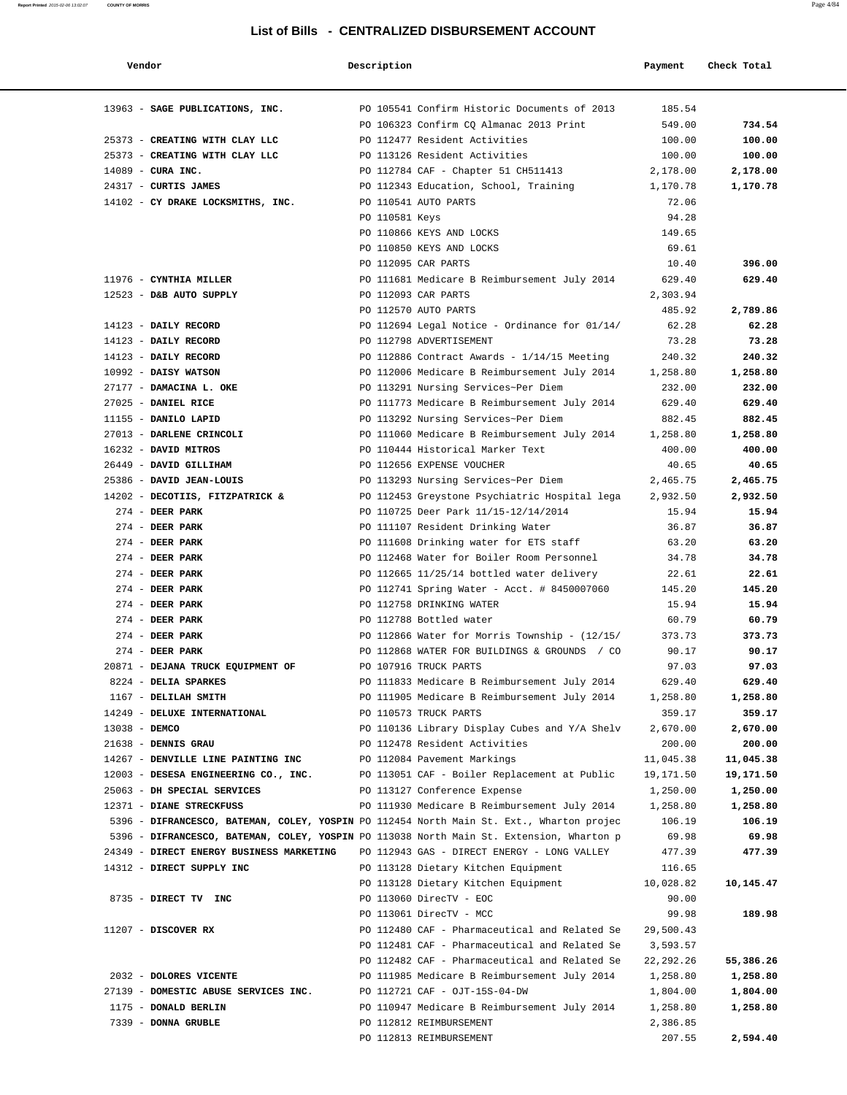| Vendor        |                                                                                          | Description    |                                                                         | Payment         | Check Total |
|---------------|------------------------------------------------------------------------------------------|----------------|-------------------------------------------------------------------------|-----------------|-------------|
|               | 13963 - SAGE PUBLICATIONS, INC.                                                          |                | PO 105541 Confirm Historic Documents of 2013                            | 185.54          |             |
|               |                                                                                          |                | PO 106323 Confirm CQ Almanac 2013 Print                                 | 549.00          | 734.54      |
|               | 25373 - CREATING WITH CLAY LLC                                                           |                | PO 112477 Resident Activities                                           | 100.00          | 100.00      |
|               | 25373 - CREATING WITH CLAY LLC                                                           |                | PO 113126 Resident Activities                                           | 100.00          | 100.00      |
|               | 14089 - CURA INC.                                                                        |                | PO 112784 CAF - Chapter 51 CH511413                                     | 2,178.00        | 2,178.00    |
|               | 24317 - CURTIS JAMES                                                                     |                | PO 112343 Education, School, Training                                   | 1,170.78        | 1,170.78    |
|               | 14102 - CY DRAKE LOCKSMITHS, INC.                                                        |                | PO 110541 AUTO PARTS                                                    | 72.06           |             |
|               |                                                                                          | PO 110581 Keys |                                                                         | 94.28           |             |
|               |                                                                                          |                | PO 110866 KEYS AND LOCKS                                                | 149.65          |             |
|               |                                                                                          |                | PO 110850 KEYS AND LOCKS                                                | 69.61           |             |
|               |                                                                                          |                | PO 112095 CAR PARTS                                                     | 10.40           | 396.00      |
|               | 11976 - CYNTHIA MILLER                                                                   |                | PO 111681 Medicare B Reimbursement July 2014                            | 629.40          | 629.40      |
|               | 12523 - D&B AUTO SUPPLY                                                                  |                | PO 112093 CAR PARTS                                                     | 2,303.94        |             |
|               |                                                                                          |                | PO 112570 AUTO PARTS                                                    | 485.92          | 2,789.86    |
|               | 14123 - DAILY RECORD                                                                     |                | PO 112694 Legal Notice - Ordinance for 01/14/                           | 62.28           | 62.28       |
|               | 14123 - DAILY RECORD                                                                     |                | PO 112798 ADVERTISEMENT                                                 | 73.28           | 73.28       |
|               | 14123 - DAILY RECORD                                                                     |                | PO 112886 Contract Awards - $1/14/15$ Meeting                           | 240.32          | 240.32      |
|               | 10992 - DAISY WATSON                                                                     |                | PO 112006 Medicare B Reimbursement July 2014                            | 1,258.80        | 1,258.80    |
|               | 27177 - DAMACINA L. OKE                                                                  |                | PO 113291 Nursing Services~Per Diem                                     | 232.00          | 232.00      |
|               | 27025 - DANIEL RICE                                                                      |                | PO 111773 Medicare B Reimbursement July 2014                            | 629.40          | 629.40      |
|               | 11155 - DANILO LAPID                                                                     |                | PO 113292 Nursing Services~Per Diem                                     | 882.45          | 882.45      |
|               | 27013 - DARLENE CRINCOLI                                                                 |                | PO 111060 Medicare B Reimbursement July 2014                            | 1,258.80        | 1,258.80    |
|               | 16232 - DAVID MITROS                                                                     |                | PO 110444 Historical Marker Text                                        | 400.00          | 400.00      |
|               | 26449 - DAVID GILLIHAM                                                                   |                | PO 112656 EXPENSE VOUCHER                                               | 40.65           | 40.65       |
|               | 25386 - DAVID JEAN-LOUIS                                                                 |                | PO 113293 Nursing Services~Per Diem                                     | 2,465.75        | 2,465.75    |
|               | 14202 - DECOTIIS, FITZPATRICK &                                                          |                | PO 112453 Greystone Psychiatric Hospital lega                           | 2,932.50        | 2,932.50    |
|               | $274$ - DEER PARK                                                                        |                | PO 110725 Deer Park 11/15-12/14/2014                                    | 15.94           | 15.94       |
|               | $274$ - DEER PARK                                                                        |                | PO 111107 Resident Drinking Water                                       | 36.87           | 36.87       |
|               | $274$ - DEER PARK                                                                        |                | PO 111608 Drinking water for ETS staff                                  | 63.20           | 63.20       |
|               | $274$ - DEER PARK                                                                        |                | PO 112468 Water for Boiler Room Personnel                               | 34.78           | 34.78       |
|               | $274$ - DEER PARK                                                                        |                |                                                                         |                 | 22.61       |
|               | $274$ - DEER PARK                                                                        |                | PO 112665 11/25/14 bottled water delivery                               | 22.61<br>145.20 | 145.20      |
|               | $274$ - DEER PARK                                                                        |                | PO 112741 Spring Water - Acct. # 8450007060<br>PO 112758 DRINKING WATER | 15.94           | 15.94       |
|               | $274$ - DEER PARK                                                                        |                | PO 112788 Bottled water                                                 |                 | 60.79       |
|               |                                                                                          |                |                                                                         | 60.79           |             |
|               | $274$ - DEER PARK                                                                        |                | PO 112866 Water for Morris Township - (12/15/                           | 373.73          | 373.73      |
|               | $274$ - DEER PARK                                                                        |                | PO 112868 WATER FOR BUILDINGS & GROUNDS / CO                            | 90.17           | 90.17       |
|               | 20871 - DEJANA TRUCK EQUIPMENT OF                                                        |                | PO 107916 TRUCK PARTS                                                   | 97.03           | 97.03       |
|               | 8224 - DELIA SPARKES                                                                     |                | PO 111833 Medicare B Reimbursement July 2014                            | 629.40          | 629.40      |
|               | 1167 - DELILAH SMITH                                                                     |                | PO 111905 Medicare B Reimbursement July 2014                            | 1,258.80        | 1,258.80    |
|               | 14249 - DELUXE INTERNATIONAL                                                             |                | PO 110573 TRUCK PARTS                                                   | 359.17          | 359.17      |
| 13038 - DEMCO |                                                                                          |                | PO 110136 Library Display Cubes and Y/A Shelv                           | 2,670.00        | 2,670.00    |
|               | 21638 - DENNIS GRAU                                                                      |                | PO 112478 Resident Activities                                           | 200.00          | 200.00      |
|               | 14267 - DENVILLE LINE PAINTING INC                                                       |                | PO 112084 Pavement Markings                                             | 11,045.38       | 11,045.38   |
|               | 12003 - DESESA ENGINEERING CO., INC.                                                     |                | PO 113051 CAF - Boiler Replacement at Public                            | 19,171.50       | 19,171.50   |
|               | 25063 - DH SPECIAL SERVICES                                                              |                | PO 113127 Conference Expense                                            | 1,250.00        | 1,250.00    |
|               | 12371 - DIANE STRECKFUSS                                                                 |                | PO 111930 Medicare B Reimbursement July 2014                            | 1,258.80        | 1,258.80    |
|               | 5396 - DIFRANCESCO, BATEMAN, COLEY, YOSPIN PO 112454 North Main St. Ext., Wharton projec |                |                                                                         | 106.19          | 106.19      |
|               | 5396 - DIFRANCESCO, BATEMAN, COLEY, YOSPIN PO 113038 North Main St. Extension, Wharton p |                |                                                                         | 69.98           | 69.98       |
|               | 24349 - DIRECT ENERGY BUSINESS MARKETING                                                 |                | PO 112943 GAS - DIRECT ENERGY - LONG VALLEY                             | 477.39          | 477.39      |
|               | 14312 - DIRECT SUPPLY INC                                                                |                | PO 113128 Dietary Kitchen Equipment                                     | 116.65          |             |
|               |                                                                                          |                | PO 113128 Dietary Kitchen Equipment                                     | 10,028.82       | 10,145.47   |
|               | 8735 - DIRECT TV INC                                                                     |                | PO 113060 DirecTV - EOC                                                 | 90.00           |             |
|               |                                                                                          |                | PO 113061 DirecTV - MCC                                                 | 99.98           | 189.98      |
|               | 11207 - DISCOVER RX                                                                      |                | PO 112480 CAF - Pharmaceutical and Related Se                           | 29,500.43       |             |
|               |                                                                                          |                | PO 112481 CAF - Pharmaceutical and Related Se                           | 3,593.57        |             |
|               |                                                                                          |                | PO 112482 CAF - Pharmaceutical and Related Se                           | 22, 292. 26     | 55,386.26   |
|               | 2032 - DOLORES VICENTE                                                                   |                | PO 111985 Medicare B Reimbursement July 2014                            | 1,258.80        | 1,258.80    |
|               | 27139 - DOMESTIC ABUSE SERVICES INC.                                                     |                | PO 112721 CAF - OJT-15S-04-DW                                           | 1,804.00        | 1,804.00    |
|               | 1175 - DONALD BERLIN                                                                     |                | PO 110947 Medicare B Reimbursement July 2014                            | 1,258.80        | 1,258.80    |
|               | 7339 - DONNA GRUBLE                                                                      |                | PO 112812 REIMBURSEMENT                                                 | 2,386.85        |             |
|               |                                                                                          |                | PO 112813 REIMBURSEMENT                                                 | 207.55          | 2,594.40    |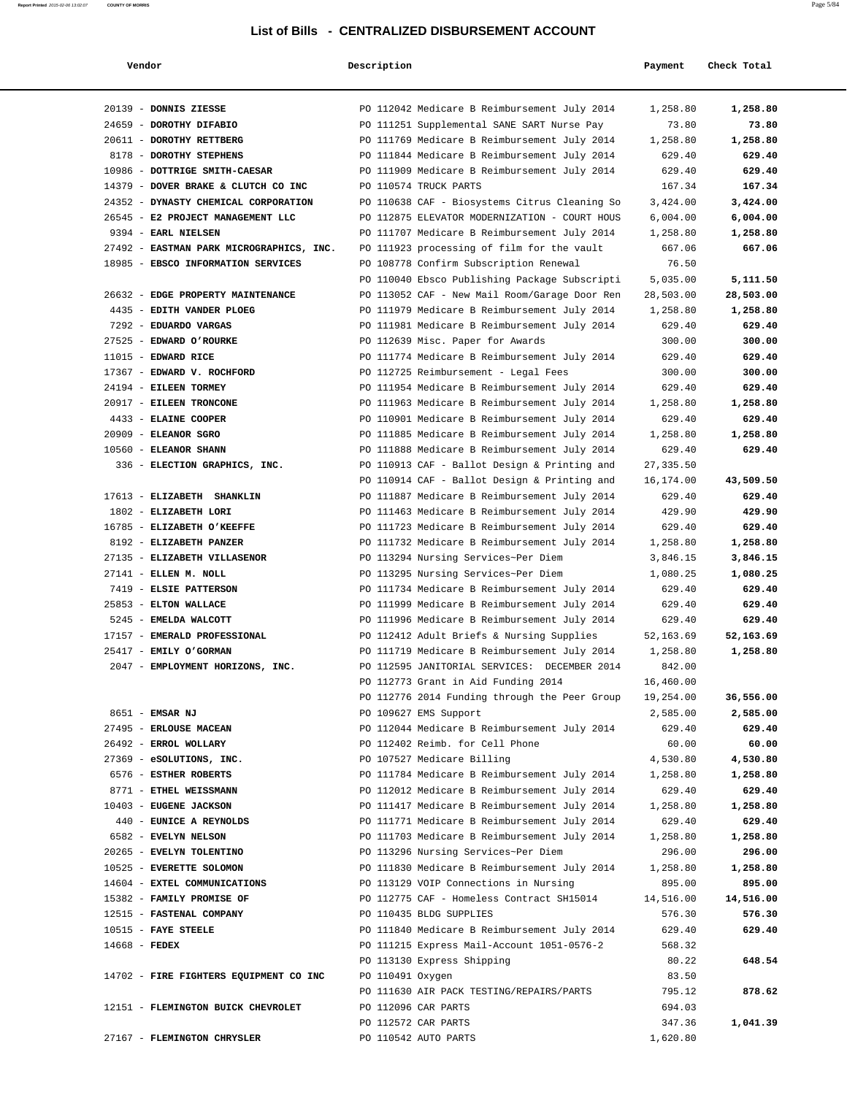| Vendor                                          | Description      |                                                                                              | Payment          | Check Total        |
|-------------------------------------------------|------------------|----------------------------------------------------------------------------------------------|------------------|--------------------|
|                                                 |                  |                                                                                              |                  |                    |
| 20139 - DONNIS ZIESSE                           |                  | PO 112042 Medicare B Reimbursement July 2014                                                 | 1,258.80         | 1,258.80           |
| 24659 - DOROTHY DIFABIO                         |                  | PO 111251 Supplemental SANE SART Nurse Pay                                                   | 73.80            | 73.80              |
| 20611 - DOROTHY RETTBERG                        |                  | PO 111769 Medicare B Reimbursement July 2014                                                 | 1,258.80         | 1,258.80           |
| 8178 - DOROTHY STEPHENS                         |                  | PO 111844 Medicare B Reimbursement July 2014                                                 | 629.40           | 629.40             |
| 10986 - DOTTRIGE SMITH-CAESAR                   |                  | PO 111909 Medicare B Reimbursement July 2014                                                 | 629.40           | 629.40             |
| 14379 - DOVER BRAKE & CLUTCH CO INC             |                  | PO 110574 TRUCK PARTS                                                                        | 167.34           | 167.34             |
| 24352 - DYNASTY CHEMICAL CORPORATION            |                  | PO 110638 CAF - Biosystems Citrus Cleaning So                                                | 3,424.00         | 3,424.00           |
| 26545 - E2 PROJECT MANAGEMENT LLC               |                  | PO 112875 ELEVATOR MODERNIZATION - COURT HOUS                                                | 6,004.00         | 6,004.00           |
| 9394 - EARL NIELSEN                             |                  | PO 111707 Medicare B Reimbursement July 2014                                                 | 1,258.80         | 1,258.80           |
| 27492 - EASTMAN PARK MICROGRAPHICS, INC.        |                  | PO 111923 processing of film for the vault                                                   | 667.06           | 667.06             |
| 18985 - EBSCO INFORMATION SERVICES              |                  | PO 108778 Confirm Subscription Renewal                                                       | 76.50            |                    |
|                                                 |                  | PO 110040 Ebsco Publishing Package Subscripti                                                | 5,035.00         | 5,111.50           |
| 26632 - EDGE PROPERTY MAINTENANCE               |                  | PO 113052 CAF - New Mail Room/Garage Door Ren                                                | 28,503.00        | 28,503.00          |
| 4435 - EDITH VANDER PLOEG                       |                  | PO 111979 Medicare B Reimbursement July 2014                                                 | 1,258.80         | 1,258.80           |
| 7292 - EDUARDO VARGAS                           |                  | PO 111981 Medicare B Reimbursement July 2014                                                 | 629.40           | 629.40             |
| 27525 - EDWARD O'ROURKE                         |                  | PO 112639 Misc. Paper for Awards                                                             | 300.00           | 300.00             |
| $11015$ - EDWARD RICE                           |                  | PO 111774 Medicare B Reimbursement July 2014                                                 | 629.40           | 629.40             |
| 17367 - EDWARD V. ROCHFORD                      |                  | PO 112725 Reimbursement - Legal Fees                                                         | 300.00           | 300.00             |
| 24194 - EILEEN TORMEY                           |                  | PO 111954 Medicare B Reimbursement July 2014                                                 | 629.40           | 629.40             |
| 20917 - EILEEN TRONCONE                         |                  | PO 111963 Medicare B Reimbursement July 2014                                                 | 1,258.80         | 1,258.80           |
| 4433 - ELAINE COOPER                            |                  | PO 110901 Medicare B Reimbursement July 2014                                                 | 629.40           | 629.40             |
| $20909$ - ELEANOR SGRO                          |                  | PO 111885 Medicare B Reimbursement July 2014                                                 | 1,258.80         | 1,258.80           |
| 10560 - ELEANOR SHANN                           |                  | PO 111888 Medicare B Reimbursement July 2014                                                 | 629.40           | 629.40             |
| 336 - ELECTION GRAPHICS, INC.                   |                  | PO 110913 CAF - Ballot Design & Printing and                                                 | 27, 335.50       |                    |
|                                                 |                  | PO 110914 CAF - Ballot Design & Printing and                                                 | 16,174.00        | 43,509.50          |
| 17613 - ELIZABETH SHANKLIN                      |                  | PO 111887 Medicare B Reimbursement July 2014                                                 | 629.40           | 629.40             |
| 1802 - ELIZABETH LORI                           |                  | PO 111463 Medicare B Reimbursement July 2014                                                 | 429.90           | 429.90             |
| 16785 - ELIZABETH O'KEEFFE                      |                  | PO 111723 Medicare B Reimbursement July 2014                                                 | 629.40           | 629.40             |
| 8192 - ELIZABETH PANZER                         |                  | PO 111732 Medicare B Reimbursement July 2014                                                 | 1,258.80         | 1,258.80           |
| 27135 - ELIZABETH VILLASENOR                    |                  | PO 113294 Nursing Services~Per Diem                                                          | 3,846.15         | 3,846.15           |
| 27141 - ELLEN M. NOLL                           |                  | PO 113295 Nursing Services~Per Diem                                                          | 1,080.25         | 1,080.25<br>629.40 |
| 7419 - ELSIE PATTERSON<br>25853 - ELTON WALLACE |                  | PO 111734 Medicare B Reimbursement July 2014                                                 | 629.40<br>629.40 | 629.40             |
| 5245 - EMELDA WALCOTT                           |                  | PO 111999 Medicare B Reimbursement July 2014<br>PO 111996 Medicare B Reimbursement July 2014 | 629.40           | 629.40             |
| 17157 - EMERALD PROFESSIONAL                    |                  | PO 112412 Adult Briefs & Nursing Supplies                                                    | 52,163.69        | 52,163.69          |
| 25417 - EMILY O'GORMAN                          |                  | PO 111719 Medicare B Reimbursement July 2014                                                 | 1,258.80         | 1,258.80           |
| 2047 - EMPLOYMENT HORIZONS, INC.                |                  | PO 112595 JANITORIAL SERVICES: DECEMBER 2014                                                 | 842.00           |                    |
|                                                 |                  | PO 112773 Grant in Aid Funding 2014                                                          | 16,460.00        |                    |
|                                                 |                  | PO 112776 2014 Funding through the Peer Group                                                | 19,254.00        | 36,556.00          |
| 8651 - EMSAR NJ                                 |                  | PO 109627 EMS Support                                                                        | 2,585.00         | 2,585.00           |
| 27495 - ERLOUSE MACEAN                          |                  | PO 112044 Medicare B Reimbursement July 2014                                                 | 629.40           | 629.40             |
| 26492 - ERROL WOLLARY                           |                  | PO 112402 Reimb. for Cell Phone                                                              | 60.00            | 60.00              |
| 27369 - eSOLUTIONS, INC.                        |                  | PO 107527 Medicare Billing                                                                   | 4,530.80         | 4,530.80           |
| 6576 - ESTHER ROBERTS                           |                  | PO 111784 Medicare B Reimbursement July 2014                                                 | 1,258.80         | 1,258.80           |
| 8771 - ETHEL WEISSMANN                          |                  | PO 112012 Medicare B Reimbursement July 2014                                                 | 629.40           | 629.40             |
| 10403 - EUGENE JACKSON                          |                  | PO 111417 Medicare B Reimbursement July 2014                                                 | 1,258.80         | 1,258.80           |
| 440 - EUNICE A REYNOLDS                         |                  | PO 111771 Medicare B Reimbursement July 2014                                                 | 629.40           | 629.40             |
| 6582 - EVELYN NELSON                            |                  | PO 111703 Medicare B Reimbursement July 2014                                                 | 1,258.80         | 1,258.80           |
| 20265 - EVELYN TOLENTINO                        |                  | PO 113296 Nursing Services~Per Diem                                                          | 296.00           | 296.00             |
| 10525 - EVERETTE SOLOMON                        |                  | PO 111830 Medicare B Reimbursement July 2014                                                 | 1,258.80         | 1,258.80           |
| 14604 - EXTEL COMMUNICATIONS                    |                  | PO 113129 VOIP Connections in Nursing                                                        | 895.00           | 895.00             |
| 15382 - FAMILY PROMISE OF                       |                  | PO 112775 CAF - Homeless Contract SH15014                                                    | 14,516.00        | 14,516.00          |
| 12515 - FASTENAL COMPANY                        |                  | PO 110435 BLDG SUPPLIES                                                                      | 576.30           | 576.30             |
| $10515$ - FAYE STEELE                           |                  | PO 111840 Medicare B Reimbursement July 2014                                                 | 629.40           | 629.40             |
| $14668$ - FEDEX                                 |                  | PO 111215 Express Mail-Account 1051-0576-2                                                   | 568.32           |                    |
|                                                 |                  | PO 113130 Express Shipping                                                                   | 80.22            | 648.54             |
| 14702 - FIRE FIGHTERS EQUIPMENT CO INC          | PO 110491 Oxygen |                                                                                              | 83.50            |                    |
|                                                 |                  | PO 111630 AIR PACK TESTING/REPAIRS/PARTS                                                     | 795.12           | 878.62             |
| 12151 - FLEMINGTON BUICK CHEVROLET              |                  | PO 112096 CAR PARTS                                                                          | 694.03           |                    |
|                                                 |                  | PO 112572 CAR PARTS                                                                          | 347.36           | 1,041.39           |
| 27167 - FLEMINGTON CHRYSLER                     |                  | PO 110542 AUTO PARTS                                                                         | 1,620.80         |                    |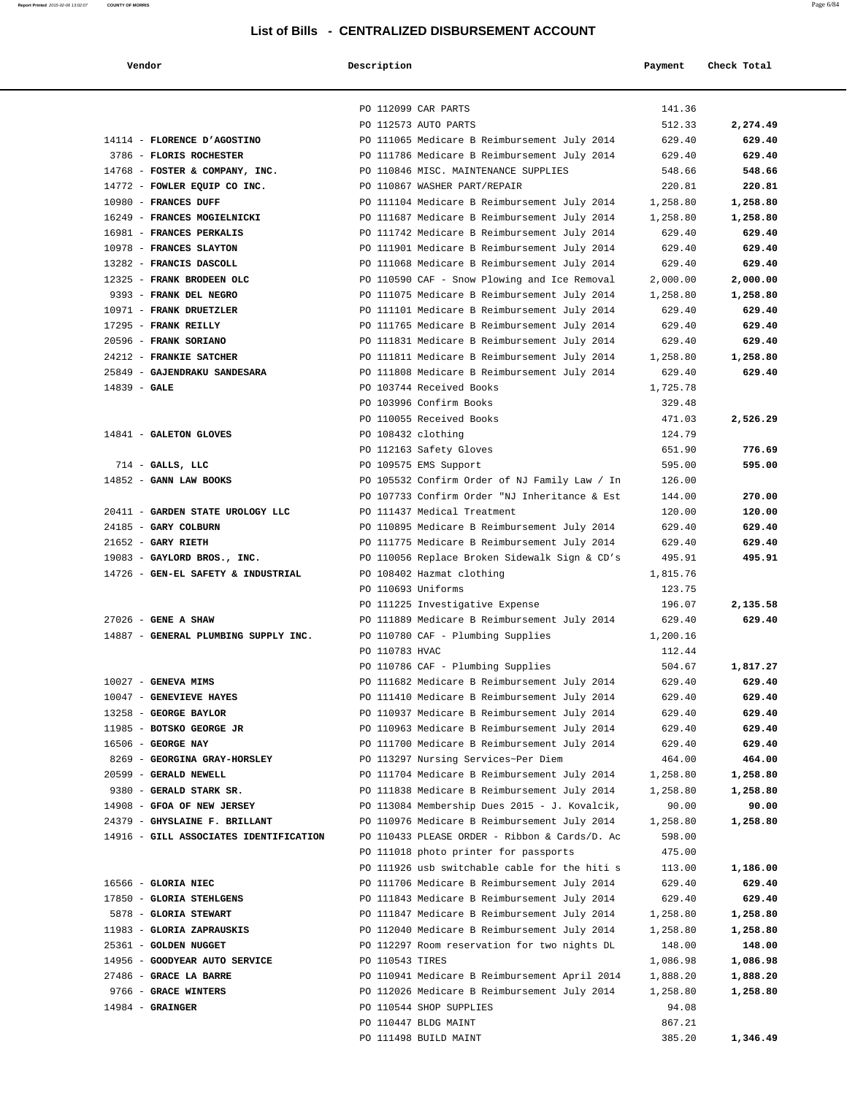| Vendor                                                            | Description        |                                                                            | Payment            | Check Total |
|-------------------------------------------------------------------|--------------------|----------------------------------------------------------------------------|--------------------|-------------|
|                                                                   |                    |                                                                            |                    |             |
|                                                                   |                    | PO 112099 CAR PARTS                                                        | 141.36             |             |
|                                                                   |                    | PO 112573 AUTO PARTS                                                       | 512.33             | 2,274.49    |
| 14114 - FLORENCE D'AGOSTINO                                       |                    | PO 111065 Medicare B Reimbursement July 2014                               | 629.40             | 629.40      |
| 3786 - FLORIS ROCHESTER                                           |                    | PO 111786 Medicare B Reimbursement July 2014                               | 629.40             | 629.40      |
| 14768 - FOSTER & COMPANY, INC.                                    |                    | PO 110846 MISC. MAINTENANCE SUPPLIES                                       | 548.66             | 548.66      |
| 14772 - FOWLER EQUIP CO INC.                                      |                    | PO 110867 WASHER PART/REPAIR                                               | 220.81             | 220.81      |
| 10980 - FRANCES DUFF                                              |                    | PO 111104 Medicare B Reimbursement July 2014                               | 1,258.80           | 1,258.80    |
| 16249 - FRANCES MOGIELNICKI                                       |                    | PO 111687 Medicare B Reimbursement July 2014                               | 1,258.80           | 1,258.80    |
| 16981 - FRANCES PERKALIS                                          |                    | PO 111742 Medicare B Reimbursement July 2014                               | 629.40             | 629.40      |
| 10978 - FRANCES SLAYTON                                           |                    | PO 111901 Medicare B Reimbursement July 2014                               | 629.40             | 629.40      |
| 13282 - FRANCIS DASCOLL                                           |                    | PO 111068 Medicare B Reimbursement July 2014                               | 629.40             | 629.40      |
| 12325 - FRANK BRODEEN OLC                                         |                    | PO 110590 CAF - Snow Plowing and Ice Removal                               | 2,000.00           | 2,000.00    |
| 9393 - FRANK DEL NEGRO                                            |                    | PO 111075 Medicare B Reimbursement July 2014                               | 1,258.80           | 1,258.80    |
| 10971 - FRANK DRUETZLER                                           |                    | PO 111101 Medicare B Reimbursement July 2014                               | 629.40             | 629.40      |
| 17295 - FRANK REILLY                                              |                    | PO 111765 Medicare B Reimbursement July 2014                               | 629.40             | 629.40      |
| 20596 - FRANK SORIANO                                             |                    | PO 111831 Medicare B Reimbursement July 2014                               | 629.40             | 629.40      |
| 24212 - FRANKIE SATCHER                                           |                    | PO 111811 Medicare B Reimbursement July 2014                               | 1,258.80           | 1,258.80    |
| 25849 - GAJENDRAKU SANDESARA                                      |                    | PO 111808 Medicare B Reimbursement July 2014                               | 629.40             | 629.40      |
| 14839 - GALE                                                      |                    | PO 103744 Received Books                                                   | 1,725.78           |             |
|                                                                   |                    | PO 103996 Confirm Books                                                    | 329.48             |             |
|                                                                   |                    | PO 110055 Received Books                                                   | 471.03             | 2,526.29    |
| 14841 - GALETON GLOVES                                            | PO 108432 clothing |                                                                            | 124.79             |             |
|                                                                   |                    | PO 112163 Safety Gloves                                                    | 651.90             | 776.69      |
| $714$ - GALLS, LLC                                                |                    | PO 109575 EMS Support                                                      | 595.00             | 595.00      |
| 14852 - GANN LAW BOOKS                                            |                    | PO 105532 Confirm Order of NJ Family Law / In                              | 126.00             |             |
|                                                                   |                    | PO 107733 Confirm Order "NJ Inheritance & Est                              | 144.00             | 270.00      |
| 20411 - GARDEN STATE UROLOGY LLC                                  |                    | PO 111437 Medical Treatment                                                | 120.00             | 120.00      |
| 24185 - GARY COLBURN                                              |                    | PO 110895 Medicare B Reimbursement July 2014                               | 629.40             | 629.40      |
| $21652$ - GARY RIETH                                              |                    | PO 111775 Medicare B Reimbursement July 2014                               | 629.40             | 629.40      |
| 19083 - GAYLORD BROS., INC.<br>14726 - GEN-EL SAFETY & INDUSTRIAL |                    | PO 110056 Replace Broken Sidewalk Sign & CD's<br>PO 108402 Hazmat clothing | 495.91<br>1,815.76 | 495.91      |
|                                                                   | PO 110693 Uniforms |                                                                            | 123.75             |             |
|                                                                   |                    | PO 111225 Investigative Expense                                            | 196.07             | 2,135.58    |
| 27026 - GENE A SHAW                                               |                    | PO 111889 Medicare B Reimbursement July 2014                               | 629.40             | 629.40      |
| 14887 - GENERAL PLUMBING SUPPLY INC.                              |                    | PO 110780 CAF - Plumbing Supplies                                          | 1,200.16           |             |
|                                                                   | PO 110783 HVAC     |                                                                            | 112.44             |             |
|                                                                   |                    | PO 110786 CAF - Plumbing Supplies                                          | 504.67             | 1,817.27    |
| 10027 - GENEVA MIMS                                               |                    | PO 111682 Medicare B Reimbursement July 2014                               | 629.40             | 629.40      |
| 10047 - GENEVIEVE HAYES                                           |                    | PO 111410 Medicare B Reimbursement July 2014                               | 629.40             | 629.40      |
| 13258 - GEORGE BAYLOR                                             |                    | PO 110937 Medicare B Reimbursement July 2014                               | 629.40             | 629.40      |
| 11985 - BOTSKO GEORGE JR                                          |                    | PO 110963 Medicare B Reimbursement July 2014                               | 629.40             | 629.40      |
| 16506 - GEORGE NAY                                                |                    | PO 111700 Medicare B Reimbursement July 2014                               | 629.40             | 629.40      |
| 8269 - GEORGINA GRAY-HORSLEY                                      |                    | PO 113297 Nursing Services~Per Diem                                        | 464.00             | 464.00      |
| 20599 - GERALD NEWELL                                             |                    | PO 111704 Medicare B Reimbursement July 2014                               | 1,258.80           | 1,258.80    |
| 9380 - GERALD STARK SR.                                           |                    | PO 111838 Medicare B Reimbursement July 2014                               | 1,258.80           | 1,258.80    |
| 14908 - GFOA OF NEW JERSEY                                        |                    | PO 113084 Membership Dues 2015 - J. Kovalcik,                              | 90.00              | 90.00       |
| 24379 - GHYSLAINE F. BRILLANT                                     |                    | PO 110976 Medicare B Reimbursement July 2014                               | 1,258.80           | 1,258.80    |
| 14916 - GILL ASSOCIATES IDENTIFICATION                            |                    | PO 110433 PLEASE ORDER - Ribbon & Cards/D. Ac                              | 598.00             |             |
|                                                                   |                    | PO 111018 photo printer for passports                                      | 475.00             |             |
|                                                                   |                    | PO 111926 usb switchable cable for the hiti s                              | 113.00             | 1,186.00    |
| 16566 - GLORIA NIEC                                               |                    | PO 111706 Medicare B Reimbursement July 2014                               | 629.40             | 629.40      |
| 17850 - GLORIA STEHLGENS                                          |                    | PO 111843 Medicare B Reimbursement July 2014                               | 629.40             | 629.40      |
| 5878 - GLORIA STEWART                                             |                    | PO 111847 Medicare B Reimbursement July 2014                               | 1,258.80           | 1,258.80    |
| 11983 - GLORIA ZAPRAUSKIS                                         |                    | PO 112040 Medicare B Reimbursement July 2014                               | 1,258.80           | 1,258.80    |
| 25361 - GOLDEN NUGGET                                             |                    | PO 112297 Room reservation for two nights DL                               | 148.00             | 148.00      |
| 14956 - GOODYEAR AUTO SERVICE                                     | PO 110543 TIRES    |                                                                            | 1,086.98           | 1,086.98    |
| 27486 - GRACE LA BARRE                                            |                    | PO 110941 Medicare B Reimbursement April 2014                              | 1,888.20           | 1,888.20    |
| 9766 - GRACE WINTERS                                              |                    | PO 112026 Medicare B Reimbursement July 2014                               | 1,258.80           | 1,258.80    |
| $14984$ - GRAINGER                                                |                    | PO 110544 SHOP SUPPLIES                                                    | 94.08              |             |
|                                                                   |                    | PO 110447 BLDG MAINT                                                       | 867.21             |             |
|                                                                   |                    | PO 111498 BUILD MAINT                                                      | 385.20             | 1,346.49    |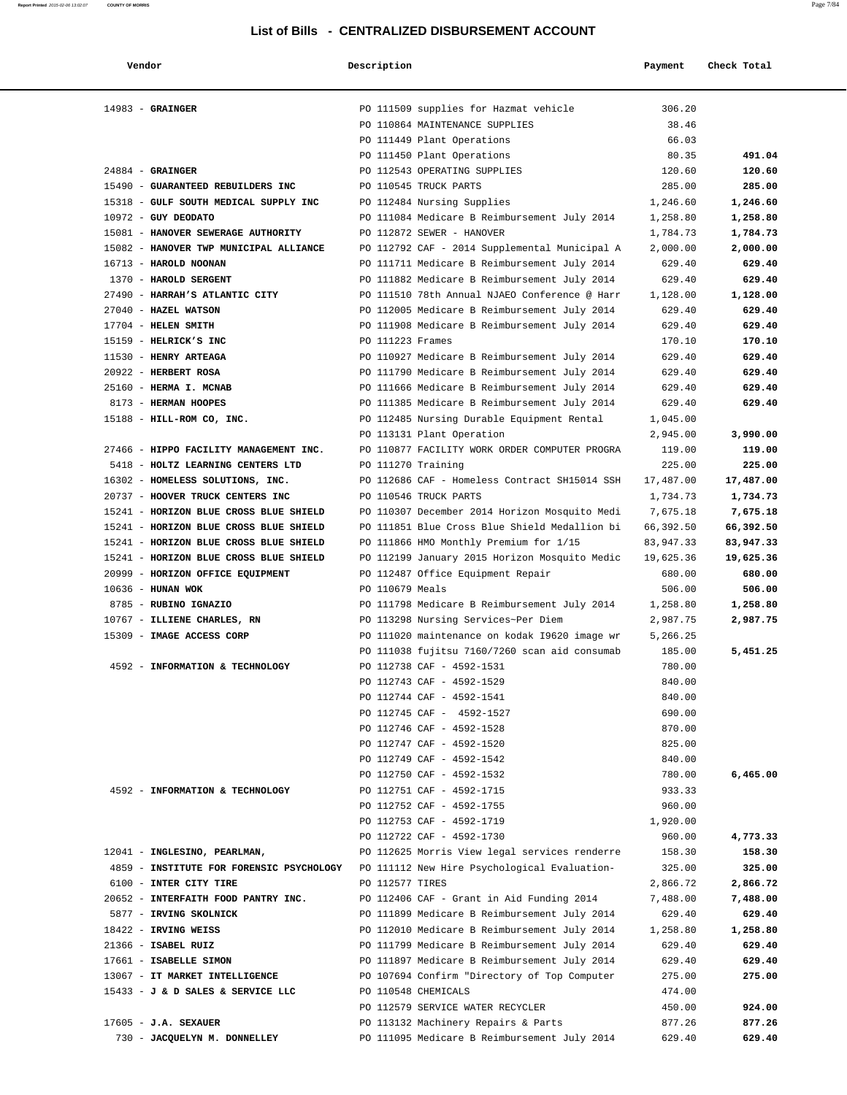| Vendor                                                                                | Description                                                         | Payment          | Check Total      |
|---------------------------------------------------------------------------------------|---------------------------------------------------------------------|------------------|------------------|
| $14983$ - GRAINGER                                                                    | PO 111509 supplies for Hazmat vehicle                               | 306.20           |                  |
|                                                                                       | PO 110864 MAINTENANCE SUPPLIES                                      | 38.46            |                  |
|                                                                                       | PO 111449 Plant Operations                                          | 66.03            |                  |
|                                                                                       | PO 111450 Plant Operations                                          | 80.35            | 491.04           |
| $24884$ - GRAINGER                                                                    | PO 112543 OPERATING SUPPLIES                                        | 120.60           | 120.60           |
| 15490 - GUARANTEED REBUILDERS INC                                                     | PO 110545 TRUCK PARTS                                               | 285.00           | 285.00           |
| 15318 - GULF SOUTH MEDICAL SUPPLY INC                                                 | PO 112484 Nursing Supplies                                          | 1,246.60         | 1,246.60         |
| $10972$ - GUY DEODATO                                                                 | PO 111084 Medicare B Reimbursement July 2014                        | 1,258.80         | 1,258.80         |
| 15081 - HANOVER SEWERAGE AUTHORITY                                                    | PO 112872 SEWER - HANOVER                                           | 1,784.73         | 1,784.73         |
| 15082 - HANOVER TWP MUNICIPAL ALLIANCE                                                | PO 112792 CAF - 2014 Supplemental Municipal A                       | 2,000.00         | 2,000.00         |
| 16713 - HAROLD NOONAN                                                                 | PO 111711 Medicare B Reimbursement July 2014                        | 629.40           | 629.40           |
| 1370 - HAROLD SERGENT                                                                 | PO 111882 Medicare B Reimbursement July 2014                        | 629.40           | 629.40           |
| 27490 - HARRAH'S ATLANTIC CITY                                                        | PO 111510 78th Annual NJAEO Conference @ Harr                       | 1,128.00         | 1,128.00         |
| 27040 - HAZEL WATSON                                                                  | PO 112005 Medicare B Reimbursement July 2014                        | 629.40           | 629.40           |
| $17704$ - HELEN SMITH                                                                 | PO 111908 Medicare B Reimbursement July 2014                        | 629.40           | 629.40           |
| 15159 - HELRICK'S INC                                                                 | PO 111223 Frames                                                    | 170.10           | 170.10           |
| 11530 - HENRY ARTEAGA                                                                 | PO 110927 Medicare B Reimbursement July 2014                        | 629.40           | 629.40           |
| 20922 - HERBERT ROSA                                                                  | PO 111790 Medicare B Reimbursement July 2014                        | 629.40           | 629.40           |
| 25160 - HERMA I. MCNAB                                                                | PO 111666 Medicare B Reimbursement July 2014                        | 629.40           | 629.40           |
| 8173 - HERMAN HOOPES                                                                  | PO 111385 Medicare B Reimbursement July 2014                        | 629.40           | 629.40           |
| 15188 - HILL-ROM CO, INC.                                                             | PO 112485 Nursing Durable Equipment Rental                          | 1,045.00         |                  |
|                                                                                       | PO 113131 Plant Operation                                           | 2,945.00         | 3,990.00         |
| 27466 - HIPPO FACILITY MANAGEMENT INC.<br>5418 - HOLTZ LEARNING CENTERS LTD           | PO 110877 FACILITY WORK ORDER COMPUTER PROGRA                       | 119.00<br>225.00 | 119.00<br>225.00 |
| 16302 - HOMELESS SOLUTIONS, INC.                                                      | PO 111270 Training<br>PO 112686 CAF - Homeless Contract SH15014 SSH | 17,487.00        | 17,487.00        |
| 20737 - HOOVER TRUCK CENTERS INC                                                      | PO 110546 TRUCK PARTS                                               | 1,734.73         | 1,734.73         |
| 15241 - HORIZON BLUE CROSS BLUE SHIELD                                                | PO 110307 December 2014 Horizon Mosquito Medi                       | 7,675.18         | 7,675.18         |
| 15241 - HORIZON BLUE CROSS BLUE SHIELD                                                | PO 111851 Blue Cross Blue Shield Medallion bi                       | 66,392.50        | 66,392.50        |
| 15241 - HORIZON BLUE CROSS BLUE SHIELD                                                | PO 111866 HMO Monthly Premium for 1/15                              | 83,947.33        | 83,947.33        |
| 15241 - HORIZON BLUE CROSS BLUE SHIELD                                                | PO 112199 January 2015 Horizon Mosquito Medic                       | 19,625.36        | 19,625.36        |
| 20999 - HORIZON OFFICE EQUIPMENT                                                      | PO 112487 Office Equipment Repair                                   | 680.00           | 680.00           |
| 10636 - HUNAN WOK                                                                     | PO 110679 Meals                                                     | 506.00           | 506.00           |
| 8785 - RUBINO IGNAZIO                                                                 | PO 111798 Medicare B Reimbursement July 2014                        | 1,258.80         | 1,258.80         |
| 10767 - ILLIENE CHARLES, RN                                                           | PO 113298 Nursing Services~Per Diem                                 | 2,987.75         | 2,987.75         |
| 15309 - IMAGE ACCESS CORP                                                             | PO 111020 maintenance on kodak 19620 image wr                       | 5,266.25         |                  |
|                                                                                       | PO 111038 fujitsu 7160/7260 scan aid consumab                       | 185.00           | 5,451.25         |
| 4592 - INFORMATION & TECHNOLOGY                                                       | PO 112738 CAF - 4592-1531                                           | 780.00           |                  |
|                                                                                       | PO 112743 CAF - 4592-1529                                           | 840.00           |                  |
|                                                                                       | PO 112744 CAF - 4592-1541                                           | 840.00           |                  |
|                                                                                       | PO 112745 CAF - 4592-1527                                           | 690.00           |                  |
|                                                                                       | PO 112746 CAF - 4592-1528                                           | 870.00           |                  |
|                                                                                       | PO 112747 CAF - 4592-1520                                           | 825.00           |                  |
|                                                                                       | PO 112749 CAF - 4592-1542                                           | 840.00           |                  |
|                                                                                       | PO 112750 CAF - 4592-1532                                           | 780.00           | 6,465.00         |
| 4592 - INFORMATION & TECHNOLOGY                                                       | PO 112751 CAF - 4592-1715                                           | 933.33           |                  |
|                                                                                       | PO 112752 CAF - 4592-1755                                           | 960.00           |                  |
|                                                                                       | PO 112753 CAF - 4592-1719                                           | 1,920.00         | 4,773.33         |
| 12041 - INGLESINO, PEARLMAN,                                                          | PO 112722 CAF - 4592-1730                                           | 960.00<br>158.30 | 158.30           |
| 4859 - INSTITUTE FOR FORENSIC PSYCHOLOGY PO 111112 New Hire Psychological Evaluation- | PO 112625 Morris View legal services renderre                       | 325.00           | 325.00           |
| 6100 - INTER CITY TIRE                                                                | PO 112577 TIRES                                                     | 2,866.72         | 2,866.72         |
| 20652 - INTERFAITH FOOD PANTRY INC.                                                   | PO 112406 CAF - Grant in Aid Funding 2014                           | 7,488.00         | 7,488.00         |
| 5877 - IRVING SKOLNICK                                                                | PO 111899 Medicare B Reimbursement July 2014                        | 629.40           | 629.40           |
| 18422 - IRVING WEISS                                                                  | PO 112010 Medicare B Reimbursement July 2014                        | 1,258.80         | 1,258.80         |
| 21366 - ISABEL RUIZ                                                                   | PO 111799 Medicare B Reimbursement July 2014                        | 629.40           | 629.40           |
| 17661 - ISABELLE SIMON                                                                | PO 111897 Medicare B Reimbursement July 2014                        | 629.40           | 629.40           |
| 13067 - IT MARKET INTELLIGENCE                                                        | PO 107694 Confirm "Directory of Top Computer                        | 275.00           | 275.00           |
| 15433 - J & D SALES & SERVICE LLC                                                     | PO 110548 CHEMICALS                                                 | 474.00           |                  |
|                                                                                       | PO 112579 SERVICE WATER RECYCLER                                    | 450.00           | 924.00           |
| $17605 - J.A.$ SEXAUER                                                                | PO 113132 Machinery Repairs & Parts                                 | 877.26           | 877.26           |
| 730 - JACQUELYN M. DONNELLEY                                                          | PO 111095 Medicare B Reimbursement July 2014                        | 629.40           | 629.40           |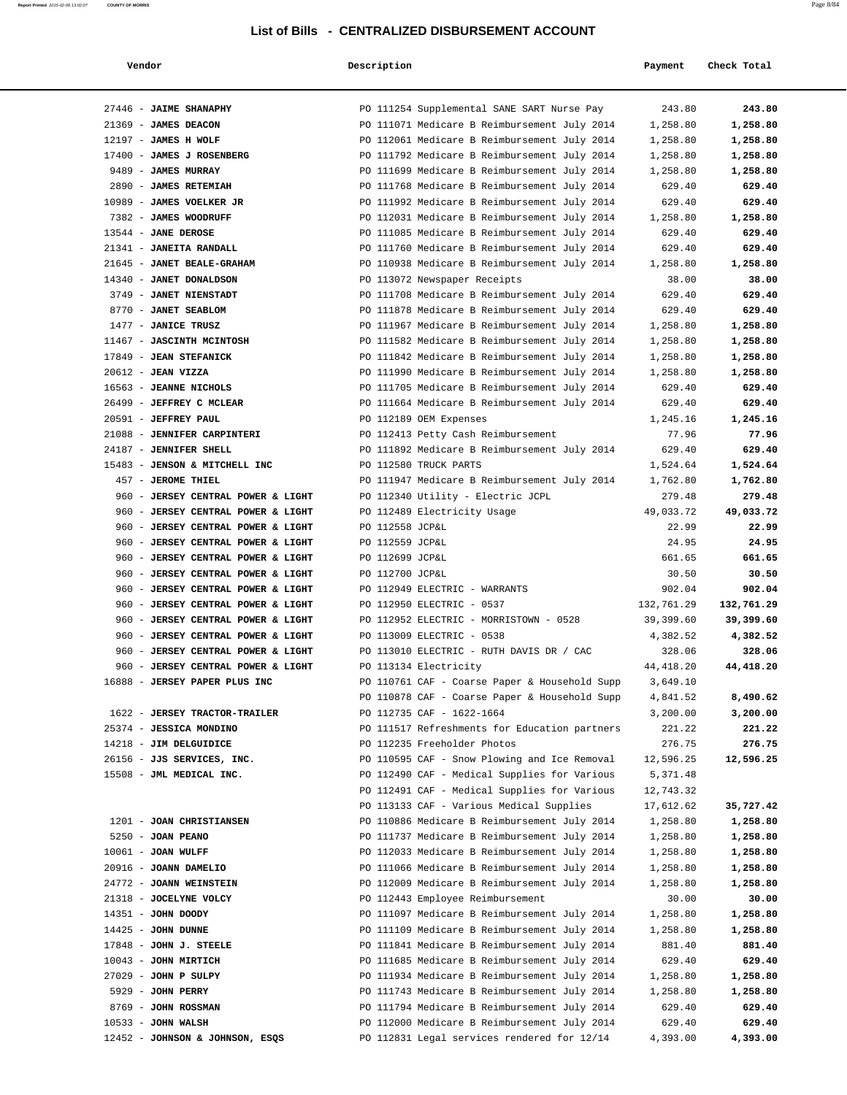| Vendor                                                | Description                                                                  | Payment           | Check Total       |
|-------------------------------------------------------|------------------------------------------------------------------------------|-------------------|-------------------|
|                                                       |                                                                              |                   |                   |
| 27446 - JAIME SHANAPHY                                | PO 111254 Supplemental SANE SART Nurse Pay                                   | 243.80            | 243.80            |
| 21369 - JAMES DEACON                                  | PO 111071 Medicare B Reimbursement July 2014                                 | 1,258.80          | 1,258.80          |
| 12197 - JAMES H WOLF                                  | PO 112061 Medicare B Reimbursement July 2014                                 | 1,258.80          | 1,258.80          |
| 17400 - JAMES J ROSENBERG                             | PO 111792 Medicare B Reimbursement July 2014                                 | 1,258.80          | 1,258.80          |
| 9489 - JAMES MURRAY                                   | PO 111699 Medicare B Reimbursement July 2014                                 | 1,258.80          | 1,258.80          |
| 2890 - JAMES RETEMIAH                                 | PO 111768 Medicare B Reimbursement July 2014                                 | 629.40            | 629.40            |
| 10989 - JAMES VOELKER JR                              | PO 111992 Medicare B Reimbursement July 2014                                 | 629.40            | 629.40            |
| 7382 - JAMES WOODRUFF                                 | PO 112031 Medicare B Reimbursement July 2014                                 | 1,258.80          | 1,258.80          |
| 13544 - JANE DEROSE                                   | PO 111085 Medicare B Reimbursement July 2014                                 | 629.40            | 629.40            |
| 21341 - JANEITA RANDALL                               | PO 111760 Medicare B Reimbursement July 2014                                 | 629.40            | 629.40            |
| 21645 - JANET BEALE-GRAHAM<br>14340 - JANET DONALDSON | PO 110938 Medicare B Reimbursement July 2014                                 | 1,258.80<br>38.00 | 1,258.80<br>38.00 |
| 3749 - JANET NIENSTADT                                | PO 113072 Newspaper Receipts<br>PO 111708 Medicare B Reimbursement July 2014 | 629.40            | 629.40            |
| 8770 - JANET SEABLOM                                  | PO 111878 Medicare B Reimbursement July 2014                                 | 629.40            | 629.40            |
| 1477 - JANICE TRUSZ                                   | PO 111967 Medicare B Reimbursement July 2014                                 | 1,258.80          | 1,258.80          |
| 11467 - JASCINTH MCINTOSH                             | PO 111582 Medicare B Reimbursement July 2014                                 | 1,258.80          | 1,258.80          |
| 17849 - JEAN STEFANICK                                | PO 111842 Medicare B Reimbursement July 2014                                 | 1,258.80          | 1,258.80          |
| 20612 - JEAN VIZZA                                    | PO 111990 Medicare B Reimbursement July 2014                                 | 1,258.80          | 1,258.80          |
| 16563 - JEANNE NICHOLS                                | PO 111705 Medicare B Reimbursement July 2014                                 | 629.40            | 629.40            |
| 26499 - JEFFREY C MCLEAR                              | PO 111664 Medicare B Reimbursement July 2014                                 | 629.40            | 629.40            |
| 20591 - JEFFREY PAUL                                  | PO 112189 OEM Expenses                                                       | 1,245.16          | 1,245.16          |
| 21088 - JENNIFER CARPINTERI                           | PO 112413 Petty Cash Reimbursement                                           | 77.96             | 77.96             |
| 24187 - JENNIFER SHELL                                | PO 111892 Medicare B Reimbursement July 2014                                 | 629.40            | 629.40            |
| 15483 - JENSON & MITCHELL INC                         | PO 112580 TRUCK PARTS                                                        | 1,524.64          | 1,524.64          |
| 457 - JEROME THIEL                                    | PO 111947 Medicare B Reimbursement July 2014                                 | 1,762.80          | 1,762.80          |
| 960 - JERSEY CENTRAL POWER & LIGHT                    | PO 112340 Utility - Electric JCPL                                            | 279.48            | 279.48            |
| 960 - JERSEY CENTRAL POWER & LIGHT                    | PO 112489 Electricity Usage                                                  | 49,033.72         | 49,033.72         |
| 960 - JERSEY CENTRAL POWER & LIGHT                    | PO 112558 JCP&L                                                              | 22.99             | 22.99             |
| 960 - JERSEY CENTRAL POWER & LIGHT                    | PO 112559 JCP&L                                                              | 24.95             | 24.95             |
| 960 - JERSEY CENTRAL POWER & LIGHT                    | PO 112699 JCP&L                                                              | 661.65            | 661.65            |
| 960 - JERSEY CENTRAL POWER & LIGHT                    | PO 112700 JCP&L                                                              | 30.50             | 30.50             |
| 960 - JERSEY CENTRAL POWER & LIGHT                    | PO 112949 ELECTRIC - WARRANTS                                                | 902.04            | 902.04            |
| 960 - JERSEY CENTRAL POWER & LIGHT                    | PO 112950 ELECTRIC - 0537                                                    | 132,761.29        | 132,761.29        |
| 960 - JERSEY CENTRAL POWER & LIGHT                    | PO 112952 ELECTRIC - MORRISTOWN - 0528                                       | 39,399.60         | 39,399.60         |
| 960 - JERSEY CENTRAL POWER & LIGHT                    | PO 113009 ELECTRIC - 0538                                                    | 4,382.52          | 4,382.52          |
| 960 - JERSEY CENTRAL POWER & LIGHT                    | PO 113010 ELECTRIC - RUTH DAVIS DR / CAC                                     | 328.06            | 328.06            |
| 960 - JERSEY CENTRAL POWER & LIGHT                    | PO 113134 Electricity                                                        | 44, 418.20        | 44,418.20         |
| 16888 - JERSEY PAPER PLUS INC                         | PO 110761 CAF - Coarse Paper & Household Supp                                | 3,649.10          |                   |
|                                                       | PO 110878 CAF - Coarse Paper & Household Supp                                | 4,841.52          | 8,490.62          |
| 1622 - JERSEY TRACTOR-TRAILER                         | PO 112735 CAF - 1622-1664                                                    | 3,200.00          | 3,200.00          |
| 25374 - JESSICA MONDINO                               | PO 111517 Refreshments for Education partners                                | 221.22            | 221.22            |
| 14218 - JIM DELGUIDICE                                | PO 112235 Freeholder Photos                                                  | 276.75            | 276.75            |
| 26156 - JJS SERVICES, INC.                            | PO 110595 CAF - Snow Plowing and Ice Removal                                 | 12,596.25         | 12,596.25         |
| 15508 - JML MEDICAL INC.                              | PO 112490 CAF - Medical Supplies for Various                                 | 5,371.48          |                   |
|                                                       | PO 112491 CAF - Medical Supplies for Various                                 | 12,743.32         |                   |
|                                                       | PO 113133 CAF - Various Medical Supplies                                     | 17,612.62         | 35,727.42         |
| 1201 - JOAN CHRISTIANSEN                              | PO 110886 Medicare B Reimbursement July 2014                                 | 1,258.80          | 1,258.80          |
| 5250 - JOAN PEANO                                     | PO 111737 Medicare B Reimbursement July 2014                                 | 1,258.80          | 1,258.80          |
| 10061 - JOAN WULFF                                    | PO 112033 Medicare B Reimbursement July 2014                                 | 1,258.80          | 1,258.80          |
| 20916 - JOANN DAMELIO                                 | PO 111066 Medicare B Reimbursement July 2014                                 | 1,258.80          | 1,258.80          |
| 24772 - JOANN WEINSTEIN                               | PO 112009 Medicare B Reimbursement July 2014                                 | 1,258.80          | 1,258.80          |
| 21318 - JOCELYNE VOLCY                                | PO 112443 Employee Reimbursement                                             | 30.00             | 30.00             |
| 14351 - JOHN DOODY                                    | PO 111097 Medicare B Reimbursement July 2014                                 | 1,258.80          | 1,258.80          |
| $14425$ - JOHN DUNNE                                  | PO 111109 Medicare B Reimbursement July 2014                                 | 1,258.80          | 1,258.80          |
| 17848 - JOHN J. STEELE                                | PO 111841 Medicare B Reimbursement July 2014                                 | 881.40            | 881.40            |
| 10043 - JOHN MIRTICH                                  | PO 111685 Medicare B Reimbursement July 2014                                 | 629.40            | 629.40            |
| 27029 - JOHN P SULPY                                  | PO 111934 Medicare B Reimbursement July 2014                                 | 1,258.80          | 1,258.80          |
| 5929 - JOHN PERRY                                     | PO 111743 Medicare B Reimbursement July 2014                                 | 1,258.80          | 1,258.80          |
| 8769 - JOHN ROSSMAN                                   | PO 111794 Medicare B Reimbursement July 2014                                 | 629.40            | 629.40            |
| $10533 - JOHN WALSH$                                  | PO 112000 Medicare B Reimbursement July 2014                                 | 629.40            | 629.40            |
| 12452 - JOHNSON & JOHNSON, ESQS                       | PO 112831 Legal services rendered for 12/14                                  | 4,393.00          | 4,393.00          |

**Report Printed** 2015-02-06 13:02:07 **COUNTY OF MORRIS** Page 8/84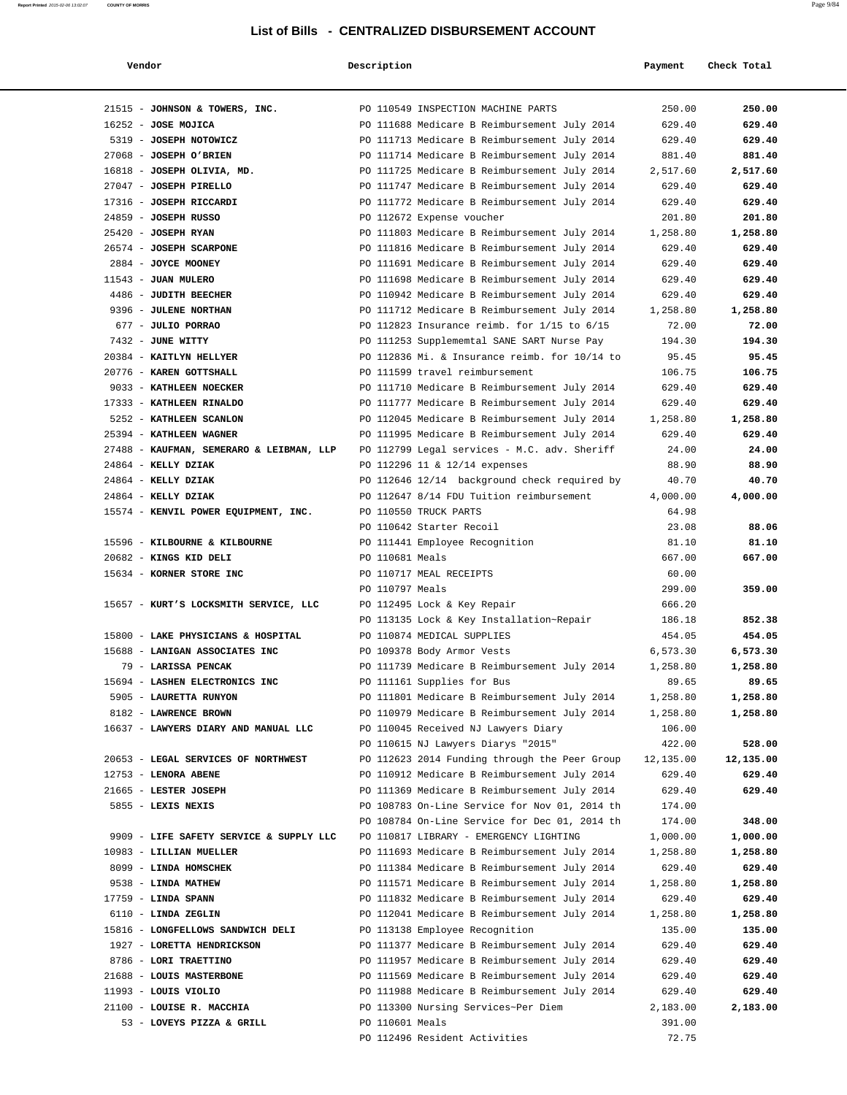| Vendor                                   | Description     |                                                 | Payment   | Check Total |
|------------------------------------------|-----------------|-------------------------------------------------|-----------|-------------|
|                                          |                 |                                                 |           |             |
| 21515 - JOHNSON & TOWERS, INC.           |                 | PO 110549 INSPECTION MACHINE PARTS              | 250.00    | 250.00      |
| $16252$ - JOSE MOJICA                    |                 | PO 111688 Medicare B Reimbursement July 2014    | 629.40    | 629.40      |
| 5319 - JOSEPH NOTOWICZ                   |                 | PO 111713 Medicare B Reimbursement July 2014    | 629.40    | 629.40      |
| 27068 - JOSEPH O'BRIEN                   |                 | PO 111714 Medicare B Reimbursement July 2014    | 881.40    | 881.40      |
| 16818 - JOSEPH OLIVIA, MD.               |                 | PO 111725 Medicare B Reimbursement July 2014    | 2,517.60  | 2,517.60    |
| 27047 - JOSEPH PIRELLO                   |                 | PO 111747 Medicare B Reimbursement July 2014    | 629.40    | 629.40      |
| 17316 - JOSEPH RICCARDI                  |                 | PO 111772 Medicare B Reimbursement July 2014    | 629.40    | 629.40      |
| 24859 - JOSEPH RUSSO                     |                 | PO 112672 Expense voucher                       | 201.80    | 201.80      |
| 25420 - JOSEPH RYAN                      |                 | PO 111803 Medicare B Reimbursement July 2014    | 1,258.80  | 1,258.80    |
| 26574 - JOSEPH SCARPONE                  |                 | PO 111816 Medicare B Reimbursement July 2014    | 629.40    | 629.40      |
| 2884 - JOYCE MOONEY                      |                 | PO 111691 Medicare B Reimbursement July 2014    | 629.40    | 629.40      |
| 11543 - JUAN MULERO                      |                 | PO 111698 Medicare B Reimbursement July 2014    | 629.40    | 629.40      |
| 4486 - JUDITH BEECHER                    |                 | PO 110942 Medicare B Reimbursement July 2014    | 629.40    | 629.40      |
| 9396 - JULENE NORTHAN                    |                 | PO 111712 Medicare B Reimbursement July 2014    | 1,258.80  | 1,258.80    |
| 677 - JULIO PORRAO                       |                 | PO 112823 Insurance reimb. for $1/15$ to $6/15$ | 72.00     | 72.00       |
| 7432 - JUNE WITTY                        |                 | PO 111253 Supplememtal SANE SART Nurse Pay      | 194.30    | 194.30      |
| 20384 - KAITLYN HELLYER                  |                 | PO 112836 Mi. & Insurance reimb. for 10/14 to   | 95.45     | 95.45       |
| 20776 - KAREN GOTTSHALL                  |                 | PO 111599 travel reimbursement                  | 106.75    | 106.75      |
| 9033 - KATHLEEN NOECKER                  |                 | PO 111710 Medicare B Reimbursement July 2014    | 629.40    | 629.40      |
| 17333 - KATHLEEN RINALDO                 |                 | PO 111777 Medicare B Reimbursement July 2014    | 629.40    | 629.40      |
| 5252 - KATHLEEN SCANLON                  |                 | PO 112045 Medicare B Reimbursement July 2014    | 1,258.80  | 1,258.80    |
| 25394 - KATHLEEN WAGNER                  |                 | PO 111995 Medicare B Reimbursement July 2014    | 629.40    | 629.40      |
| 27488 - KAUFMAN, SEMERARO & LEIBMAN, LLP |                 | PO 112799 Legal services - M.C. adv. Sheriff    | 24.00     | 24.00       |
| 24864 - KELLY DZIAK                      |                 | PO 112296 11 & 12/14 expenses                   | 88.90     | 88.90       |
| 24864 - KELLY DZIAK                      |                 | PO 112646 12/14 background check required by    | 40.70     | 40.70       |
| 24864 - KELLY DZIAK                      |                 | PO 112647 8/14 FDU Tuition reimbursement        | 4,000.00  | 4,000.00    |
| 15574 - KENVIL POWER EQUIPMENT, INC.     |                 | PO 110550 TRUCK PARTS                           | 64.98     |             |
|                                          |                 | PO 110642 Starter Recoil                        | 23.08     | 88.06       |
| 15596 - KILBOURNE & KILBOURNE            |                 | PO 111441 Employee Recognition                  | 81.10     | 81.10       |
| 20682 - KINGS KID DELI                   | PO 110681 Meals |                                                 | 667.00    | 667.00      |
| 15634 - KORNER STORE INC                 |                 | PO 110717 MEAL RECEIPTS                         | 60.00     |             |
|                                          | PO 110797 Meals |                                                 | 299.00    | 359.00      |
| 15657 - KURT'S LOCKSMITH SERVICE, LLC    |                 | PO 112495 Lock & Key Repair                     | 666.20    |             |
|                                          |                 | PO 113135 Lock & Key Installation~Repair        | 186.18    | 852.38      |
| 15800 - LAKE PHYSICIANS & HOSPITAL       |                 | PO 110874 MEDICAL SUPPLIES                      | 454.05    | 454.05      |
| 15688 - LANIGAN ASSOCIATES INC           |                 | PO 109378 Body Armor Vests                      | 6,573.30  | 6,573.30    |
| 79 - LARISSA PENCAK                      |                 | PO 111739 Medicare B Reimbursement July 2014    | 1,258.80  | 1,258.80    |
| 15694 - LASHEN ELECTRONICS INC           |                 | PO 111161 Supplies for Bus                      | 89.65     | 89.65       |
| 5905 - LAURETTA RUNYON                   |                 | PO 111801 Medicare B Reimbursement July 2014    | 1,258.80  | 1,258.80    |
| 8182 - LAWRENCE BROWN                    |                 | PO 110979 Medicare B Reimbursement July 2014    | 1,258.80  | 1,258.80    |
| 16637 - LAWYERS DIARY AND MANUAL LLC     |                 | PO 110045 Received NJ Lawyers Diary             | 106.00    |             |
|                                          |                 | PO 110615 NJ Lawyers Diarys "2015"              | 422.00    | 528.00      |
| 20653 - LEGAL SERVICES OF NORTHWEST      |                 | PO 112623 2014 Funding through the Peer Group   | 12,135.00 | 12,135.00   |
| 12753 - LENORA ABENE                     |                 | PO 110912 Medicare B Reimbursement July 2014    | 629.40    | 629.40      |
| 21665 - LESTER JOSEPH                    |                 | PO 111369 Medicare B Reimbursement July 2014    | 629.40    | 629.40      |
| 5855 - LEXIS NEXIS                       |                 | PO 108783 On-Line Service for Nov 01, 2014 th   | 174.00    |             |
|                                          |                 | PO 108784 On-Line Service for Dec 01, 2014 th   | 174.00    | 348.00      |
| 9909 - LIFE SAFETY SERVICE & SUPPLY LLC  |                 | PO 110817 LIBRARY - EMERGENCY LIGHTING          | 1,000.00  | 1,000.00    |
| 10983 - LILLIAN MUELLER                  |                 | PO 111693 Medicare B Reimbursement July 2014    | 1,258.80  | 1,258.80    |
| 8099 - LINDA HOMSCHEK                    |                 | PO 111384 Medicare B Reimbursement July 2014    | 629.40    | 629.40      |
| 9538 - LINDA MATHEW                      |                 | PO 111571 Medicare B Reimbursement July 2014    | 1,258.80  | 1,258.80    |
| $17759$ - LINDA SPANN                    |                 | PO 111832 Medicare B Reimbursement July 2014    | 629.40    | 629.40      |
| 6110 - LINDA ZEGLIN                      |                 | PO 112041 Medicare B Reimbursement July 2014    | 1,258.80  | 1,258.80    |
| 15816 - LONGFELLOWS SANDWICH DELI        |                 | PO 113138 Employee Recognition                  | 135.00    | 135.00      |
| 1927 - LORETTA HENDRICKSON               |                 | PO 111377 Medicare B Reimbursement July 2014    | 629.40    | 629.40      |
| 8786 - LORI TRAETTINO                    |                 | PO 111957 Medicare B Reimbursement July 2014    | 629.40    | 629.40      |
| 21688 - LOUIS MASTERBONE                 |                 | PO 111569 Medicare B Reimbursement July 2014    | 629.40    | 629.40      |
| 11993 - LOUIS VIOLIO                     |                 | PO 111988 Medicare B Reimbursement July 2014    | 629.40    | 629.40      |
| 21100 - LOUISE R. MACCHIA                |                 | PO 113300 Nursing Services~Per Diem             | 2,183.00  | 2,183.00    |
| 53 - LOVEYS PIZZA & GRILL                | PO 110601 Meals |                                                 | 391.00    |             |
|                                          |                 | PO 112496 Resident Activities                   | 72.75     |             |
|                                          |                 |                                                 |           |             |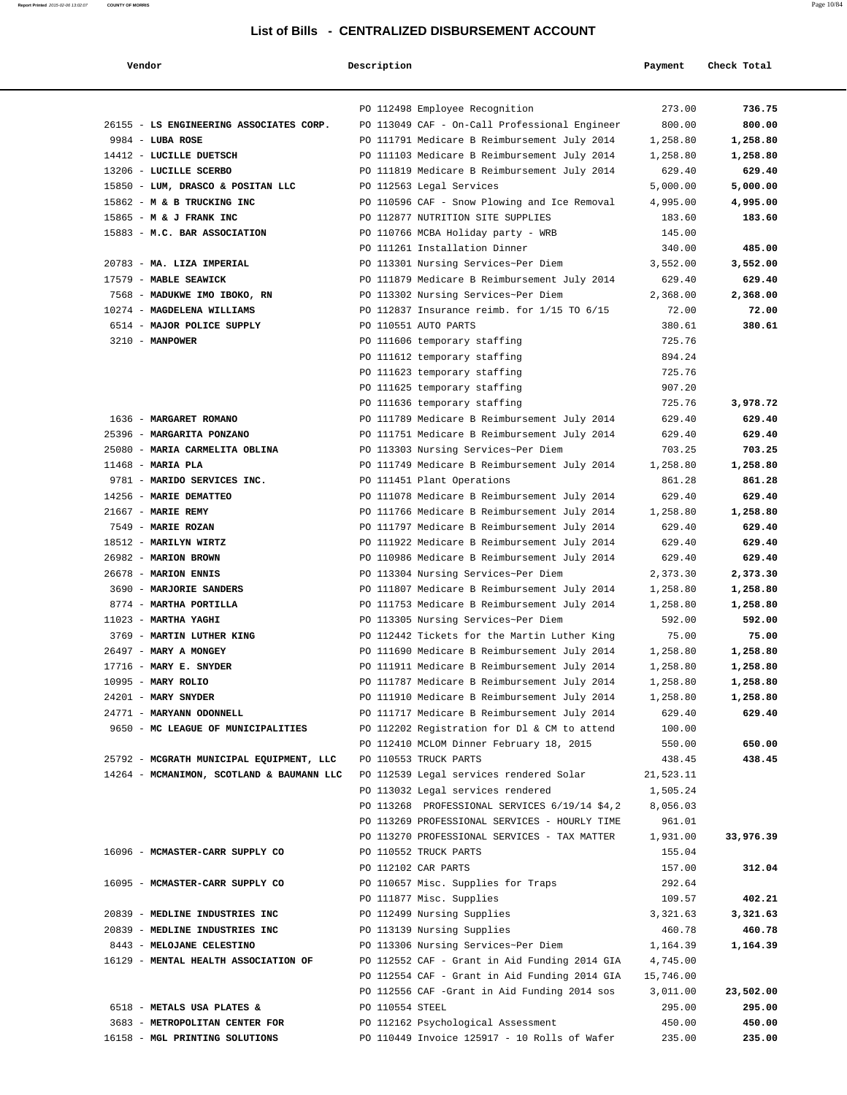| Vendor                                                | Description     |                                                                                               | Payment               | Check Total      |
|-------------------------------------------------------|-----------------|-----------------------------------------------------------------------------------------------|-----------------------|------------------|
|                                                       |                 | PO 112498 Employee Recognition                                                                | 273.00                | 736.75           |
| 26155 - LS ENGINEERING ASSOCIATES CORP.               |                 | PO 113049 CAF - On-Call Professional Engineer                                                 | 800.00                | 800.00           |
| $9984$ - LUBA ROSE                                    |                 | PO 111791 Medicare B Reimbursement July 2014                                                  | 1,258.80              | 1,258.80         |
| 14412 - LUCILLE DUETSCH                               |                 | PO 111103 Medicare B Reimbursement July 2014                                                  | 1,258.80              | 1,258.80         |
| 13206 - LUCILLE SCERBO                                |                 | PO 111819 Medicare B Reimbursement July 2014                                                  | 629.40                | 629.40           |
| 15850 - LUM, DRASCO & POSITAN LLC                     |                 | PO 112563 Legal Services                                                                      | 5,000.00              | 5,000.00         |
| 15862 - M & B TRUCKING INC                            |                 | PO 110596 CAF - Snow Plowing and Ice Removal                                                  | 4,995.00              | 4,995.00         |
| 15865 - M & J FRANK INC                               |                 | PO 112877 NUTRITION SITE SUPPLIES                                                             | 183.60                | 183.60           |
| 15883 - M.C. BAR ASSOCIATION                          |                 | PO 110766 MCBA Holiday party - WRB                                                            | 145.00                |                  |
|                                                       |                 | PO 111261 Installation Dinner                                                                 | 340.00                | 485.00           |
| 20783 - MA. LIZA IMPERIAL                             |                 | PO 113301 Nursing Services~Per Diem                                                           | 3,552.00              | 3,552.00         |
| 17579 - MABLE SEAWICK                                 |                 | PO 111879 Medicare B Reimbursement July 2014                                                  | 629.40                | 629.40           |
| 7568 - MADUKWE IMO IBOKO, RN                          |                 | PO 113302 Nursing Services~Per Diem                                                           | 2,368.00              | 2,368.00         |
| 10274 - MAGDELENA WILLIAMS                            |                 | PO 112837 Insurance reimb. for 1/15 TO 6/15                                                   | 72.00                 | 72.00            |
| 6514 - MAJOR POLICE SUPPLY                            |                 | PO 110551 AUTO PARTS                                                                          | 380.61                | 380.61           |
| $3210 - MANPOWER$                                     |                 | PO 111606 temporary staffing                                                                  | 725.76                |                  |
|                                                       |                 | PO 111612 temporary staffing                                                                  | 894.24                |                  |
|                                                       |                 | PO 111623 temporary staffing                                                                  | 725.76                |                  |
|                                                       |                 | PO 111625 temporary staffing                                                                  | 907.20                |                  |
|                                                       |                 | PO 111636 temporary staffing                                                                  | 725.76                | 3,978.72         |
| 1636 - MARGARET ROMANO                                |                 | PO 111789 Medicare B Reimbursement July 2014                                                  | 629.40                | 629.40           |
| 25396 - MARGARITA PONZANO                             |                 | PO 111751 Medicare B Reimbursement July 2014                                                  | 629.40                | 629.40           |
| 25080 - MARIA CARMELITA OBLINA                        |                 | PO 113303 Nursing Services~Per Diem                                                           | 703.25                | 703.25           |
| $11468$ - MARIA PLA                                   |                 | PO 111749 Medicare B Reimbursement July 2014                                                  | 1,258.80              | 1,258.80         |
| 9781 - MARIDO SERVICES INC.<br>14256 - MARIE DEMATTEO |                 | PO 111451 Plant Operations                                                                    | 861.28                | 861.28<br>629.40 |
| 21667 - MARIE REMY                                    |                 | PO 111078 Medicare B Reimbursement July 2014<br>PO 111766 Medicare B Reimbursement July 2014  | 629.40<br>1,258.80    | 1,258.80         |
| 7549 - MARIE ROZAN                                    |                 | PO 111797 Medicare B Reimbursement July 2014                                                  | 629.40                | 629.40           |
| 18512 - MARILYN WIRTZ                                 |                 | PO 111922 Medicare B Reimbursement July 2014                                                  | 629.40                | 629.40           |
| 26982 - MARION BROWN                                  |                 | PO 110986 Medicare B Reimbursement July 2014                                                  | 629.40                | 629.40           |
| 26678 - MARION ENNIS                                  |                 | PO 113304 Nursing Services~Per Diem                                                           | 2,373.30              | 2,373.30         |
| 3690 - MARJORIE SANDERS                               |                 | PO 111807 Medicare B Reimbursement July 2014                                                  | 1,258.80              | 1,258.80         |
| 8774 - MARTHA PORTILLA                                |                 | PO 111753 Medicare B Reimbursement July 2014                                                  | 1,258.80              | 1,258.80         |
| $11023$ - MARTHA YAGHI                                |                 | PO 113305 Nursing Services~Per Diem                                                           | 592.00                | 592.00           |
| 3769 - MARTIN LUTHER KING                             |                 | PO 112442 Tickets for the Martin Luther King                                                  | 75.00                 | 75.00            |
| 26497 - MARY A MONGEY                                 |                 | PO 111690 Medicare B Reimbursement July 2014                                                  | 1,258.80              | 1,258.80         |
| 17716 - MARY E. SNYDER                                |                 | PO 111911 Medicare B Reimbursement July 2014                                                  | 1,258.80              | 1,258.80         |
| 10995 - MARY ROLIO                                    |                 | PO 111787 Medicare B Reimbursement July 2014                                                  | 1,258.80              | 1,258.80         |
| 24201 - MARY SNYDER                                   |                 | PO 111910 Medicare B Reimbursement July 2014                                                  | 1,258.80              | 1,258.80         |
| 24771 - MARYANN ODONNELL                              |                 | PO 111717 Medicare B Reimbursement July 2014                                                  | 629.40                | 629.40           |
| 9650 - MC LEAGUE OF MUNICIPALITIES                    |                 | PO 112202 Registration for Dl & CM to attend                                                  | 100.00                |                  |
|                                                       |                 | PO 112410 MCLOM Dinner February 18, 2015                                                      | 550.00                | 650.00           |
| 25792 - MCGRATH MUNICIPAL EQUIPMENT, LLC              |                 | PO 110553 TRUCK PARTS                                                                         | 438.45                | 438.45           |
| 14264 - MCMANIMON, SCOTLAND & BAUMANN LLC             |                 | PO 112539 Legal services rendered Solar                                                       | 21,523.11             |                  |
|                                                       |                 | PO 113032 Legal services rendered                                                             | 1,505.24              |                  |
|                                                       |                 | PO 113268 PROFESSIONAL SERVICES 6/19/14 \$4,2                                                 | 8,056.03              |                  |
|                                                       |                 | PO 113269 PROFESSIONAL SERVICES - HOURLY TIME                                                 | 961.01                |                  |
|                                                       |                 | PO 113270 PROFESSIONAL SERVICES - TAX MATTER                                                  | 1,931.00              | 33,976.39        |
| 16096 - MCMASTER-CARR SUPPLY CO                       |                 | PO 110552 TRUCK PARTS                                                                         | 155.04                |                  |
|                                                       |                 | PO 112102 CAR PARTS                                                                           | 157.00                | 312.04           |
| 16095 - MCMASTER-CARR SUPPLY CO                       |                 | PO 110657 Misc. Supplies for Traps                                                            | 292.64                |                  |
|                                                       |                 | PO 111877 Misc. Supplies                                                                      | 109.57                | 402.21           |
| 20839 - MEDLINE INDUSTRIES INC                        |                 | PO 112499 Nursing Supplies                                                                    | 3,321.63              | 3,321.63         |
| 20839 - MEDLINE INDUSTRIES INC                        |                 | PO 113139 Nursing Supplies                                                                    | 460.78                | 460.78           |
| 8443 - MELOJANE CELESTINO                             |                 | PO 113306 Nursing Services~Per Diem                                                           | 1,164.39              | 1,164.39         |
| 16129 - MENTAL HEALTH ASSOCIATION OF                  |                 | PO 112552 CAF - Grant in Aid Funding 2014 GIA                                                 | 4,745.00              |                  |
|                                                       |                 | PO 112554 CAF - Grant in Aid Funding 2014 GIA<br>PO 112556 CAF -Grant in Aid Funding 2014 sos | 15,746.00<br>3,011.00 | 23,502.00        |
| 6518 - METALS USA PLATES &                            | PO 110554 STEEL |                                                                                               | 295.00                | 295.00           |
| 3683 - METROPOLITAN CENTER FOR                        |                 | PO 112162 Psychological Assessment                                                            | 450.00                | 450.00           |
| 16158 - MGL PRINTING SOLUTIONS                        |                 | PO 110449 Invoice 125917 - 10 Rolls of Wafer                                                  | 235.00                | 235.00           |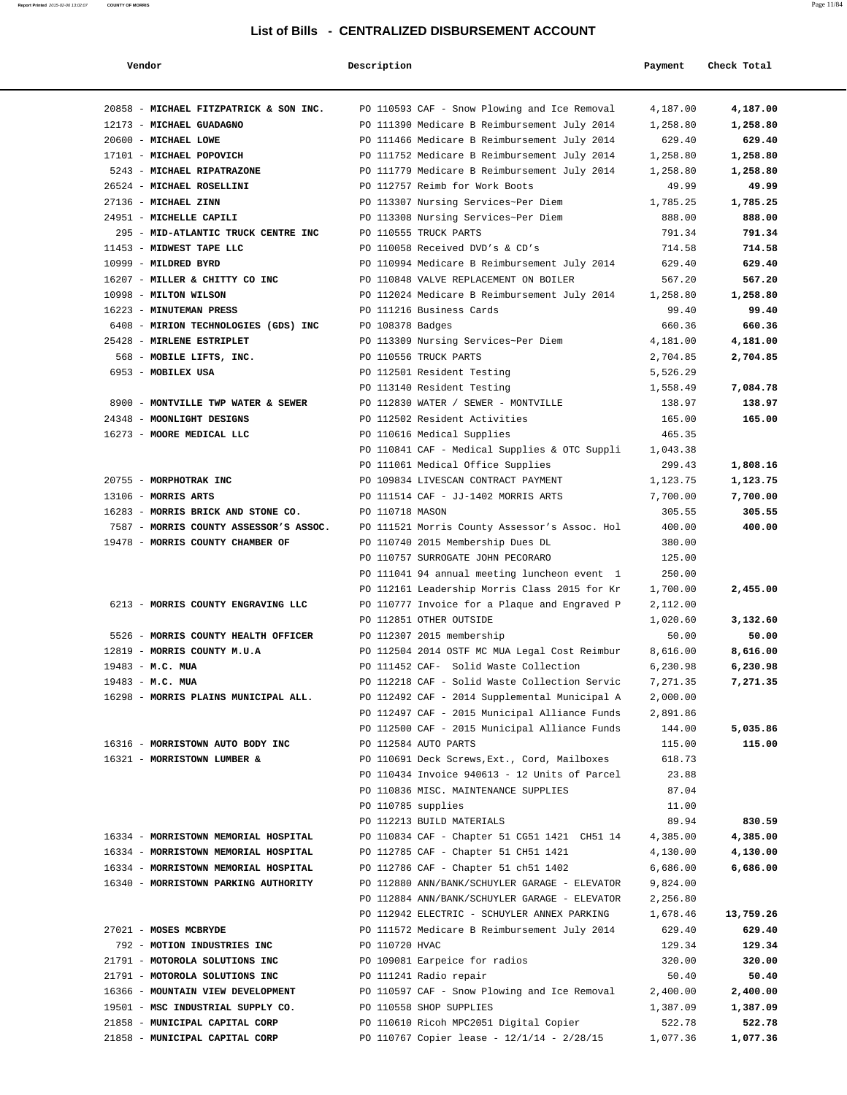| Vendor                                 | Description                                   | Payment  | Check Total |
|----------------------------------------|-----------------------------------------------|----------|-------------|
| 20858 - MICHAEL FITZPATRICK & SON INC. | PO 110593 CAF - Snow Plowing and Ice Removal  | 4,187.00 | 4,187.00    |
| 12173 - MICHAEL GUADAGNO               | PO 111390 Medicare B Reimbursement July 2014  | 1,258.80 | 1,258.80    |
| 20600 - MICHAEL LOWE                   | PO 111466 Medicare B Reimbursement July 2014  | 629.40   | 629.40      |
| 17101 - MICHAEL POPOVICH               | PO 111752 Medicare B Reimbursement July 2014  | 1,258.80 | 1,258.80    |
| 5243 - MICHAEL RIPATRAZONE             | PO 111779 Medicare B Reimbursement July 2014  | 1,258.80 | 1,258.80    |
| 26524 - MICHAEL ROSELLINI              | PO 112757 Reimb for Work Boots                | 49.99    | 49.99       |
| 27136 - MICHAEL ZINN                   | PO 113307 Nursing Services~Per Diem           | 1,785.25 | 1,785.25    |
| 24951 - MICHELLE CAPILI                | PO 113308 Nursing Services~Per Diem           | 888.00   | 888.00      |
| 295 - MID-ATLANTIC TRUCK CENTRE INC    | PO 110555 TRUCK PARTS                         | 791.34   | 791.34      |
| 11453 - MIDWEST TAPE LLC               | PO 110058 Received DVD's & CD's               | 714.58   | 714.58      |
| 10999 - MILDRED BYRD                   | PO 110994 Medicare B Reimbursement July 2014  | 629.40   | 629.40      |
| 16207 - MILLER & CHITTY CO INC         | PO 110848 VALVE REPLACEMENT ON BOILER         | 567.20   | 567.20      |
| 10998 - MILTON WILSON                  | PO 112024 Medicare B Reimbursement July 2014  | 1,258.80 | 1,258.80    |
| 16223 - MINUTEMAN PRESS                | PO 111216 Business Cards                      | 99.40    | 99.40       |
| 6408 - MIRION TECHNOLOGIES (GDS) INC   | PO 108378 Badges                              | 660.36   | 660.36      |
| 25428 - MIRLENE ESTRIPLET              | PO 113309 Nursing Services~Per Diem           | 4,181.00 | 4,181.00    |
| 568 - MOBILE LIFTS, INC.               | PO 110556 TRUCK PARTS                         | 2,704.85 | 2,704.85    |
| 6953 - MOBILEX USA                     | PO 112501 Resident Testing                    | 5,526.29 |             |
|                                        | PO 113140 Resident Testing                    | 1,558.49 | 7,084.78    |
| 8900 - MONTVILLE TWP WATER & SEWER     | PO 112830 WATER / SEWER - MONTVILLE           | 138.97   | 138.97      |
| 24348 - MOONLIGHT DESIGNS              | PO 112502 Resident Activities                 | 165.00   | 165.00      |
| 16273 - MOORE MEDICAL LLC              | PO 110616 Medical Supplies                    | 465.35   |             |
|                                        | PO 110841 CAF - Medical Supplies & OTC Suppli | 1,043.38 |             |
|                                        | PO 111061 Medical Office Supplies             | 299.43   | 1,808.16    |
| 20755 - MORPHOTRAK INC                 | PO 109834 LIVESCAN CONTRACT PAYMENT           | 1,123.75 | 1,123.75    |
| $13106$ - MORRIS ARTS                  | PO 111514 CAF - JJ-1402 MORRIS ARTS           | 7,700.00 | 7,700.00    |
| 16283 - MORRIS BRICK AND STONE CO.     | PO 110718 MASON                               | 305.55   | 305.55      |
| 7587 - MORRIS COUNTY ASSESSOR'S ASSOC. | PO 111521 Morris County Assessor's Assoc. Hol | 400.00   | 400.00      |
| 19478 - MORRIS COUNTY CHAMBER OF       | PO 110740 2015 Membership Dues DL             | 380.00   |             |
|                                        | PO 110757 SURROGATE JOHN PECORARO             | 125.00   |             |
|                                        | PO 111041 94 annual meeting luncheon event 1  | 250.00   |             |
|                                        | PO 112161 Leadership Morris Class 2015 for Kr | 1,700.00 | 2,455.00    |
| 6213 - MORRIS COUNTY ENGRAVING LLC     | PO 110777 Invoice for a Plaque and Engraved P | 2,112.00 |             |
|                                        | PO 112851 OTHER OUTSIDE                       | 1,020.60 | 3,132.60    |
| 5526 - MORRIS COUNTY HEALTH OFFICER    | PO 112307 2015 membership                     | 50.00    | 50.00       |
| 12819 - MORRIS COUNTY M.U.A            | PO 112504 2014 OSTF MC MUA Legal Cost Reimbur | 8,616.00 | 8,616.00    |
| 19483 - M.C. MUA                       | PO 111452 CAF- Solid Waste Collection         | 6,230.98 | 6,230.98    |
| 19483 - M.C. MUA                       | PO 112218 CAF - Solid Waste Collection Servic | 7,271.35 | 7,271.35    |
| 16298 - MORRIS PLAINS MUNICIPAL ALL.   | PO 112492 CAF - 2014 Supplemental Municipal A | 2,000.00 |             |
|                                        | PO 112497 CAF - 2015 Municipal Alliance Funds | 2,891.86 |             |
|                                        | PO 112500 CAF - 2015 Municipal Alliance Funds | 144.00   | 5,035.86    |
| 16316 - MORRISTOWN AUTO BODY INC       | PO 112584 AUTO PARTS                          | 115.00   | 115.00      |
| 16321 - MORRISTOWN LUMBER &            | PO 110691 Deck Screws, Ext., Cord, Mailboxes  | 618.73   |             |
|                                        | PO 110434 Invoice 940613 - 12 Units of Parcel | 23.88    |             |
|                                        | PO 110836 MISC. MAINTENANCE SUPPLIES          | 87.04    |             |
|                                        | PO 110785 supplies                            | 11.00    |             |
|                                        | PO 112213 BUILD MATERIALS                     | 89.94    | 830.59      |
| 16334 - MORRISTOWN MEMORIAL HOSPITAL   | PO 110834 CAF - Chapter 51 CG51 1421 CH51 14  | 4,385.00 | 4,385.00    |
| 16334 - MORRISTOWN MEMORIAL HOSPITAL   | PO 112785 CAF - Chapter 51 CH51 1421          | 4,130.00 | 4,130.00    |
| 16334 - MORRISTOWN MEMORIAL HOSPITAL   | PO 112786 CAF - Chapter 51 ch51 1402          | 6,686.00 | 6,686.00    |
| 16340 - MORRISTOWN PARKING AUTHORITY   | PO 112880 ANN/BANK/SCHUYLER GARAGE - ELEVATOR | 9,824.00 |             |
|                                        | PO 112884 ANN/BANK/SCHUYLER GARAGE - ELEVATOR | 2,256.80 |             |
|                                        | PO 112942 ELECTRIC - SCHUYLER ANNEX PARKING   | 1,678.46 | 13,759.26   |
| 27021 - MOSES MCBRYDE                  | PO 111572 Medicare B Reimbursement July 2014  | 629.40   | 629.40      |
| 792 - MOTION INDUSTRIES INC            | PO 110720 HVAC                                | 129.34   | 129.34      |
| 21791 - MOTOROLA SOLUTIONS INC         | PO 109081 Earpeice for radios                 | 320.00   | 320.00      |
| 21791 - MOTOROLA SOLUTIONS INC         | PO 111241 Radio repair                        | 50.40    | 50.40       |
| 16366 - MOUNTAIN VIEW DEVELOPMENT      | PO 110597 CAF - Snow Plowing and Ice Removal  | 2,400.00 | 2,400.00    |
| 19501 - MSC INDUSTRIAL SUPPLY CO.      | PO 110558 SHOP SUPPLIES                       | 1,387.09 | 1,387.09    |
| 21858 - MUNICIPAL CAPITAL CORP         | PO 110610 Ricoh MPC2051 Digital Copier        | 522.78   | 522.78      |
| 21858 - MUNICIPAL CAPITAL CORP         | PO 110767 Copier lease - 12/1/14 - 2/28/15    | 1,077.36 | 1,077.36    |
|                                        |                                               |          |             |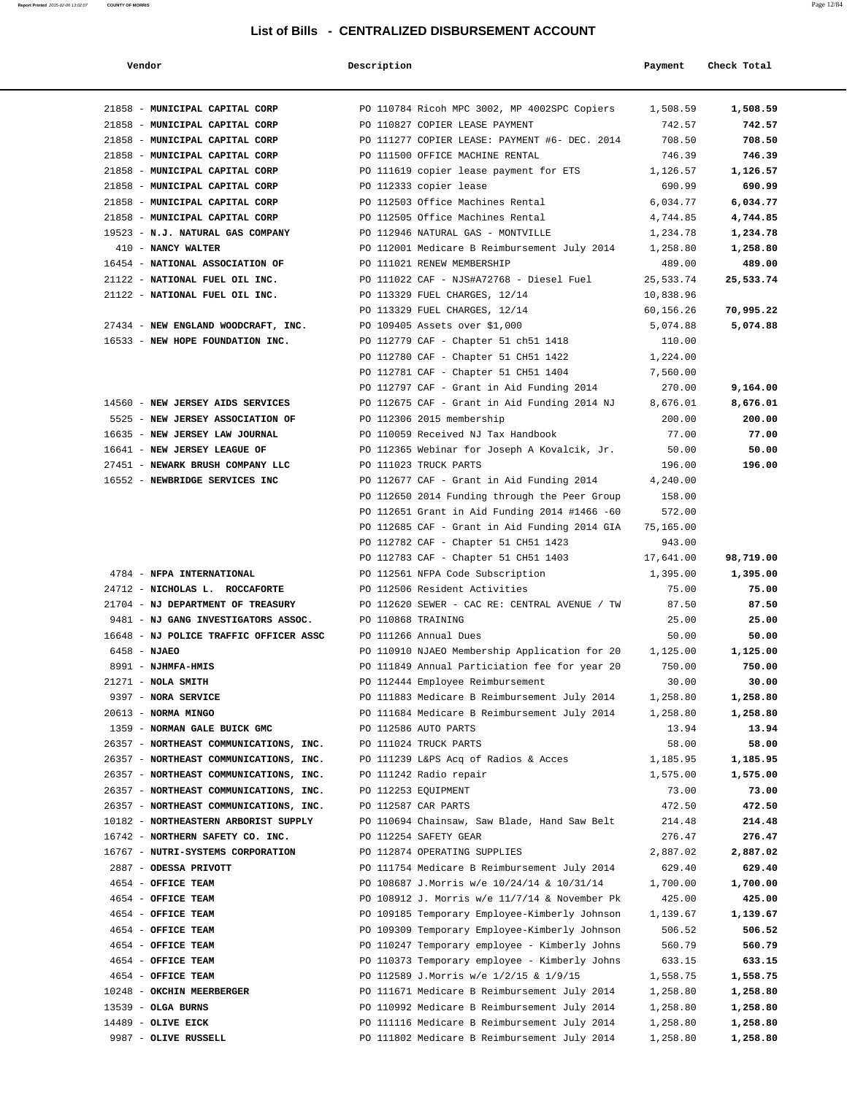| Vendor                                                             | Description        |                                                                                                | Payment            | Check Total        |
|--------------------------------------------------------------------|--------------------|------------------------------------------------------------------------------------------------|--------------------|--------------------|
| 21858 - MUNICIPAL CAPITAL CORP                                     |                    | PO 110784 Ricoh MPC 3002, MP 4002SPC Copiers                                                   | 1,508.59           | 1,508.59           |
| 21858 - MUNICIPAL CAPITAL CORP                                     |                    | PO 110827 COPIER LEASE PAYMENT                                                                 | 742.57             | 742.57             |
| 21858 - MUNICIPAL CAPITAL CORP                                     |                    | PO 111277 COPIER LEASE: PAYMENT #6- DEC. 2014                                                  | 708.50             | 708.50             |
| 21858 - MUNICIPAL CAPITAL CORP                                     |                    | PO 111500 OFFICE MACHINE RENTAL                                                                | 746.39             | 746.39             |
| 21858 - MUNICIPAL CAPITAL CORP                                     |                    | PO 111619 copier lease payment for ETS                                                         | 1,126.57           | 1,126.57           |
| 21858 - MUNICIPAL CAPITAL CORP                                     |                    | PO 112333 copier lease                                                                         | 690.99             | 690.99             |
| 21858 - MUNICIPAL CAPITAL CORP                                     |                    | PO 112503 Office Machines Rental                                                               | 6,034.77           | 6,034.77           |
| 21858 - MUNICIPAL CAPITAL CORP                                     |                    | PO 112505 Office Machines Rental                                                               | 4,744.85           | 4,744.85           |
| 19523 - N.J. NATURAL GAS COMPANY                                   |                    | PO 112946 NATURAL GAS - MONTVILLE                                                              | 1,234.78           | 1,234.78           |
| 410 - NANCY WALTER                                                 |                    | PO 112001 Medicare B Reimbursement July 2014                                                   | 1,258.80           | 1,258.80           |
| 16454 - NATIONAL ASSOCIATION OF                                    |                    | PO 111021 RENEW MEMBERSHIP                                                                     | 489.00             | 489.00             |
| 21122 - NATIONAL FUEL OIL INC.                                     |                    | PO 111022 CAF - NJS#A72768 - Diesel Fuel                                                       | 25,533.74          | 25,533.74          |
| 21122 - NATIONAL FUEL OIL INC.                                     |                    | PO 113329 FUEL CHARGES, 12/14                                                                  | 10,838.96          |                    |
|                                                                    |                    | PO 113329 FUEL CHARGES, 12/14                                                                  | 60,156.26          | 70,995.22          |
| 27434 - NEW ENGLAND WOODCRAFT, INC.                                |                    | PO 109405 Assets over \$1,000                                                                  | 5,074.88           | 5,074.88           |
| 16533 - NEW HOPE FOUNDATION INC.                                   |                    | PO 112779 CAF - Chapter 51 ch51 1418                                                           | 110.00             |                    |
|                                                                    |                    | PO 112780 CAF - Chapter 51 CH51 1422                                                           | 1,224.00           |                    |
|                                                                    |                    | PO 112781 CAF - Chapter 51 CH51 1404                                                           | 7,560.00           |                    |
|                                                                    |                    | PO 112797 CAF - Grant in Aid Funding 2014                                                      | 270.00             | 9,164.00           |
| 14560 - NEW JERSEY AIDS SERVICES                                   |                    | PO 112675 CAF - Grant in Aid Funding 2014 NJ                                                   | 8,676.01           | 8,676.01           |
| 5525 - NEW JERSEY ASSOCIATION OF<br>16635 - NEW JERSEY LAW JOURNAL |                    | PO 112306 2015 membership                                                                      | 200.00             | 200.00             |
| 16641 - NEW JERSEY LEAGUE OF                                       |                    | PO 110059 Received NJ Tax Handbook                                                             | 77.00<br>50.00     | 77.00<br>50.00     |
| 27451 - NEWARK BRUSH COMPANY LLC                                   |                    | PO 112365 Webinar for Joseph A Kovalcik, Jr.<br>PO 111023 TRUCK PARTS                          | 196.00             | 196.00             |
| 16552 - NEWBRIDGE SERVICES INC                                     |                    | PO 112677 CAF - Grant in Aid Funding 2014                                                      | 4,240.00           |                    |
|                                                                    |                    | PO 112650 2014 Funding through the Peer Group                                                  | 158.00             |                    |
|                                                                    |                    | PO 112651 Grant in Aid Funding 2014 #1466 -60                                                  | 572.00             |                    |
|                                                                    |                    | PO 112685 CAF - Grant in Aid Funding 2014 GIA                                                  | 75,165.00          |                    |
|                                                                    |                    | PO 112782 CAF - Chapter 51 CH51 1423                                                           | 943.00             |                    |
|                                                                    |                    | PO 112783 CAF - Chapter 51 CH51 1403                                                           | 17,641.00          | 98,719.00          |
| 4784 - NFPA INTERNATIONAL                                          |                    | PO 112561 NFPA Code Subscription                                                               | 1,395.00           | 1,395.00           |
| 24712 - NICHOLAS L. ROCCAFORTE                                     |                    | PO 112506 Resident Activities                                                                  | 75.00              | 75.00              |
| 21704 - NJ DEPARTMENT OF TREASURY                                  |                    | PO 112620 SEWER - CAC RE: CENTRAL AVENUE / TW                                                  | 87.50              | 87.50              |
| 9481 - NJ GANG INVESTIGATORS ASSOC.                                | PO 110868 TRAINING |                                                                                                | 25.00              | 25.00              |
| 16648 - NJ POLICE TRAFFIC OFFICER ASSC                             |                    | PO 111266 Annual Dues                                                                          | 50.00              | 50.00              |
| $6458 - NJABO$                                                     |                    | PO 110910 NJAEO Membership Application for 20                                                  | 1,125.00           | 1,125.00           |
| 8991 - NJHMFA-HMIS                                                 |                    | PO 111849 Annual Particiation fee for year 20                                                  | 750.00             | 750.00             |
| $21271 - NOLA SMITH$                                               |                    | PO 112444 Employee Reimbursement                                                               | 30.00              | 30.00              |
| 9397 - NORA SERVICE                                                |                    | PO 111883 Medicare B Reimbursement July 2014                                                   | 1,258.80           | 1,258.80           |
| 20613 - NORMA MINGO                                                |                    | PO 111684 Medicare B Reimbursement July 2014                                                   | 1,258.80           | 1,258.80           |
| 1359 - NORMAN GALE BUICK GMC                                       |                    | PO 112586 AUTO PARTS                                                                           | 13.94              | 13.94              |
| 26357 - NORTHEAST COMMUNICATIONS, INC.                             |                    | PO 111024 TRUCK PARTS                                                                          | 58.00              | 58.00              |
| 26357 - NORTHEAST COMMUNICATIONS, INC.                             |                    | PO 111239 L&PS Acq of Radios & Acces                                                           | 1,185.95           | 1,185.95           |
| 26357 - NORTHEAST COMMUNICATIONS, INC.                             |                    | PO 111242 Radio repair                                                                         | 1,575.00           | 1,575.00           |
| 26357 - NORTHEAST COMMUNICATIONS, INC.                             |                    | PO 112253 EQUIPMENT                                                                            | 73.00              | 73.00              |
| 26357 - NORTHEAST COMMUNICATIONS, INC.                             |                    | PO 112587 CAR PARTS                                                                            | 472.50             | 472.50             |
| 10182 - NORTHEASTERN ARBORIST SUPPLY                               |                    | PO 110694 Chainsaw, Saw Blade, Hand Saw Belt                                                   | 214.48             | 214.48             |
| 16742 - NORTHERN SAFETY CO. INC.                                   |                    | PO 112254 SAFETY GEAR                                                                          | 276.47             | 276.47             |
| 16767 - NUTRI-SYSTEMS CORPORATION                                  |                    | PO 112874 OPERATING SUPPLIES                                                                   | 2,887.02           | 2,887.02           |
| 2887 - ODESSA PRIVOTT                                              |                    | PO 111754 Medicare B Reimbursement July 2014                                                   | 629.40             | 629.40             |
| 4654 - OFFICE TEAM                                                 |                    | PO 108687 J.Morris w/e 10/24/14 & 10/31/14                                                     | 1,700.00           | 1,700.00           |
| 4654 - OFFICE TEAM<br>4654 - OFFICE TEAM                           |                    | PO 108912 J. Morris w/e 11/7/14 & November Pk                                                  | 425.00             | 425.00             |
| 4654 - OFFICE TEAM                                                 |                    | PO 109185 Temporary Employee-Kimberly Johnson<br>PO 109309 Temporary Employee-Kimberly Johnson | 1,139.67<br>506.52 | 1,139.67<br>506.52 |
| 4654 - OFFICE TEAM                                                 |                    | PO 110247 Temporary employee - Kimberly Johns                                                  | 560.79             | 560.79             |
| 4654 - OFFICE TEAM                                                 |                    | PO 110373 Temporary employee - Kimberly Johns                                                  | 633.15             | 633.15             |
| 4654 - OFFICE TEAM                                                 |                    | PO 112589 J.Morris w/e 1/2/15 & 1/9/15                                                         | 1,558.75           | 1,558.75           |
| 10248 - OKCHIN MEERBERGER                                          |                    | PO 111671 Medicare B Reimbursement July 2014                                                   | 1,258.80           | 1,258.80           |
| $13539$ - OLGA BURNS                                               |                    | PO 110992 Medicare B Reimbursement July 2014                                                   | 1,258.80           | 1,258.80           |
| 14489 - OLIVE EICK                                                 |                    | PO 111116 Medicare B Reimbursement July 2014                                                   | 1,258.80           | 1,258.80           |
| 9987 - OLIVE RUSSELL                                               |                    | PO 111802 Medicare B Reimbursement July 2014                                                   | 1,258.80           | 1,258.80           |
|                                                                    |                    |                                                                                                |                    |                    |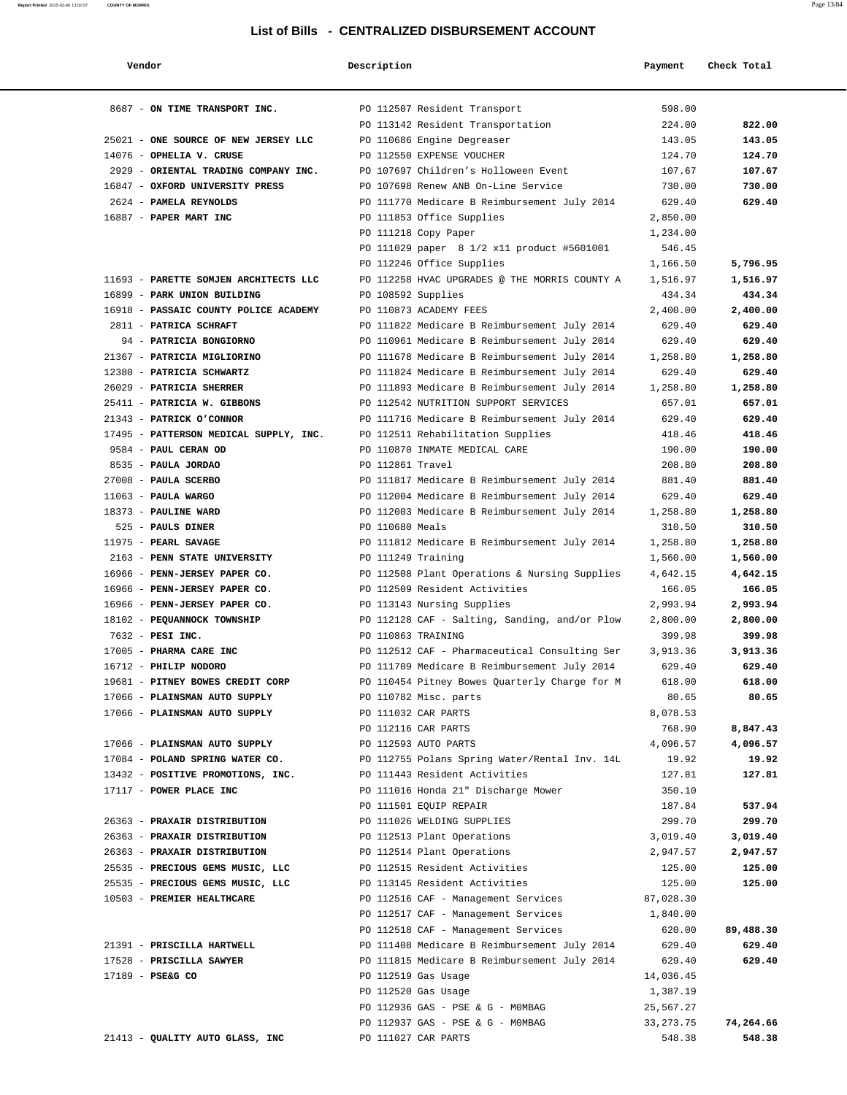| Vendor                                 | Description                                   | Payment     | Check Total |
|----------------------------------------|-----------------------------------------------|-------------|-------------|
| 8687 - ON TIME TRANSPORT INC.          | PO 112507 Resident Transport                  | 598.00      |             |
|                                        | PO 113142 Resident Transportation             | 224.00      | 822.00      |
| 25021 - ONE SOURCE OF NEW JERSEY LLC   | PO 110686 Engine Degreaser                    | 143.05      | 143.05      |
| 14076 - OPHELIA V. CRUSE               | PO 112550 EXPENSE VOUCHER                     | 124.70      | 124.70      |
| 2929 - ORIENTAL TRADING COMPANY INC.   | PO 107697 Children's Holloween Event          | 107.67      | 107.67      |
| 16847 - OXFORD UNIVERSITY PRESS        | PO 107698 Renew ANB On-Line Service           | 730.00      | 730.00      |
| 2624 - PAMELA REYNOLDS                 | PO 111770 Medicare B Reimbursement July 2014  | 629.40      | 629.40      |
| 16887 - PAPER MART INC                 | PO 111853 Office Supplies                     | 2,850.00    |             |
|                                        | PO 111218 Copy Paper                          | 1,234.00    |             |
|                                        | PO 111029 paper 8 1/2 x11 product #5601001    | 546.45      |             |
|                                        | PO 112246 Office Supplies                     | 1,166.50    | 5,796.95    |
| 11693 - PARETTE SOMJEN ARCHITECTS LLC  | PO 112258 HVAC UPGRADES @ THE MORRIS COUNTY A | 1,516.97    | 1,516.97    |
| 16899 - PARK UNION BUILDING            | PO 108592 Supplies                            | 434.34      | 434.34      |
| 16918 - PASSAIC COUNTY POLICE ACADEMY  | PO 110873 ACADEMY FEES                        | 2,400.00    | 2,400.00    |
| 2811 - PATRICA SCHRAFT                 | PO 111822 Medicare B Reimbursement July 2014  | 629.40      | 629.40      |
| 94 - PATRICIA BONGIORNO                | PO 110961 Medicare B Reimbursement July 2014  | 629.40      | 629.40      |
| 21367 - PATRICIA MIGLIORINO            | PO 111678 Medicare B Reimbursement July 2014  | 1,258.80    | 1,258.80    |
| 12380 - PATRICIA SCHWARTZ              | PO 111824 Medicare B Reimbursement July 2014  | 629.40      | 629.40      |
| 26029 - PATRICIA SHERRER               | PO 111893 Medicare B Reimbursement July 2014  | 1,258.80    | 1,258.80    |
| 25411 - PATRICIA W. GIBBONS            | PO 112542 NUTRITION SUPPORT SERVICES          | 657.01      | 657.01      |
| 21343 - PATRICK O'CONNOR               | PO 111716 Medicare B Reimbursement July 2014  | 629.40      | 629.40      |
| 17495 - PATTERSON MEDICAL SUPPLY, INC. | PO 112511 Rehabilitation Supplies             | 418.46      | 418.46      |
| 9584 - PAUL CERAN OD                   | PO 110870 INMATE MEDICAL CARE                 | 190.00      | 190.00      |
| 8535 - PAULA JORDAO                    | PO 112861 Travel                              | 208.80      | 208.80      |
| 27008 - PAULA SCERBO                   | PO 111817 Medicare B Reimbursement July 2014  | 881.40      | 881.40      |
| $11063$ - PAULA WARGO                  | PO 112004 Medicare B Reimbursement July 2014  | 629.40      | 629.40      |
| 18373 - PAULINE WARD                   | PO 112003 Medicare B Reimbursement July 2014  | 1,258.80    | 1,258.80    |
| 525 - PAULS DINER                      | PO 110680 Meals                               | 310.50      | 310.50      |
| 11975 - PEARL SAVAGE                   | PO 111812 Medicare B Reimbursement July 2014  | 1,258.80    | 1,258.80    |
| 2163 - PENN STATE UNIVERSITY           | PO 111249 Training                            | 1,560.00    | 1,560.00    |
| 16966 - PENN-JERSEY PAPER CO.          | PO 112508 Plant Operations & Nursing Supplies | 4,642.15    | 4,642.15    |
| 16966 - PENN-JERSEY PAPER CO.          | PO 112509 Resident Activities                 | 166.05      | 166.05      |
| 16966 - PENN-JERSEY PAPER CO.          | PO 113143 Nursing Supplies                    | 2,993.94    | 2,993.94    |
| 18102 - PEQUANNOCK TOWNSHIP            | PO 112128 CAF - Salting, Sanding, and/or Plow | 2,800.00    | 2,800.00    |
| 7632 - PESI INC.                       | PO 110863 TRAINING                            | 399.98      | 399.98      |
| 17005 - PHARMA CARE INC                | PO 112512 CAF - Pharmaceutical Consulting Ser | 3,913.36    | 3,913.36    |
| 16712 - PHILIP NODORO                  | PO 111709 Medicare B Reimbursement July 2014  | 629.40      | 629.40      |
| 19681 - PITNEY BOWES CREDIT CORP       | PO 110454 Pitney Bowes Quarterly Charge for M | 618.00      | 618.00      |
| 17066 - PLAINSMAN AUTO SUPPLY          | PO 110782 Misc. parts                         | 80.65       | 80.65       |
| 17066 - PLAINSMAN AUTO SUPPLY          | PO 111032 CAR PARTS                           | 8,078.53    |             |
|                                        | PO 112116 CAR PARTS                           | 768.90      | 8,847.43    |
| 17066 - PLAINSMAN AUTO SUPPLY          | PO 112593 AUTO PARTS                          | 4,096.57    | 4,096.57    |
| 17084 - POLAND SPRING WATER CO.        | PO 112755 Polans Spring Water/Rental Inv. 14L | 19.92       | 19.92       |
| 13432 - POSITIVE PROMOTIONS, INC.      | PO 111443 Resident Activities                 | 127.81      | 127.81      |
| 17117 - POWER PLACE INC                | PO 111016 Honda 21" Discharge Mower           | 350.10      |             |
|                                        | PO 111501 EQUIP REPAIR                        | 187.84      | 537.94      |
| 26363 - PRAXAIR DISTRIBUTION           | PO 111026 WELDING SUPPLIES                    | 299.70      | 299.70      |
| 26363 - PRAXAIR DISTRIBUTION           | PO 112513 Plant Operations                    | 3,019.40    | 3,019.40    |
| 26363 - PRAXAIR DISTRIBUTION           | PO 112514 Plant Operations                    | 2,947.57    | 2,947.57    |
| 25535 - PRECIOUS GEMS MUSIC, LLC       | PO 112515 Resident Activities                 | 125.00      | 125.00      |
| 25535 - PRECIOUS GEMS MUSIC, LLC       | PO 113145 Resident Activities                 | 125.00      | 125.00      |
| 10503 - PREMIER HEALTHCARE             | PO 112516 CAF - Management Services           | 87,028.30   |             |
|                                        | PO 112517 CAF - Management Services           | 1,840.00    |             |
|                                        | PO 112518 CAF - Management Services           | 620.00      | 89,488.30   |
| 21391 - PRISCILLA HARTWELL             | PO 111408 Medicare B Reimbursement July 2014  | 629.40      | 629.40      |
| 17528 - PRISCILLA SAWYER               | PO 111815 Medicare B Reimbursement July 2014  | 629.40      | 629.40      |
| 17189 - PSE&G CO                       | PO 112519 Gas Usage                           | 14,036.45   |             |
|                                        | PO 112520 Gas Usage                           | 1,387.19    |             |
|                                        | PO 112936 GAS - PSE & G - MOMBAG              | 25,567.27   |             |
|                                        | PO 112937 GAS - PSE & G - MOMBAG              | 33, 273. 75 | 74,264.66   |
| 21413 - QUALITY AUTO GLASS, INC        | PO 111027 CAR PARTS                           | 548.38      | 548.38      |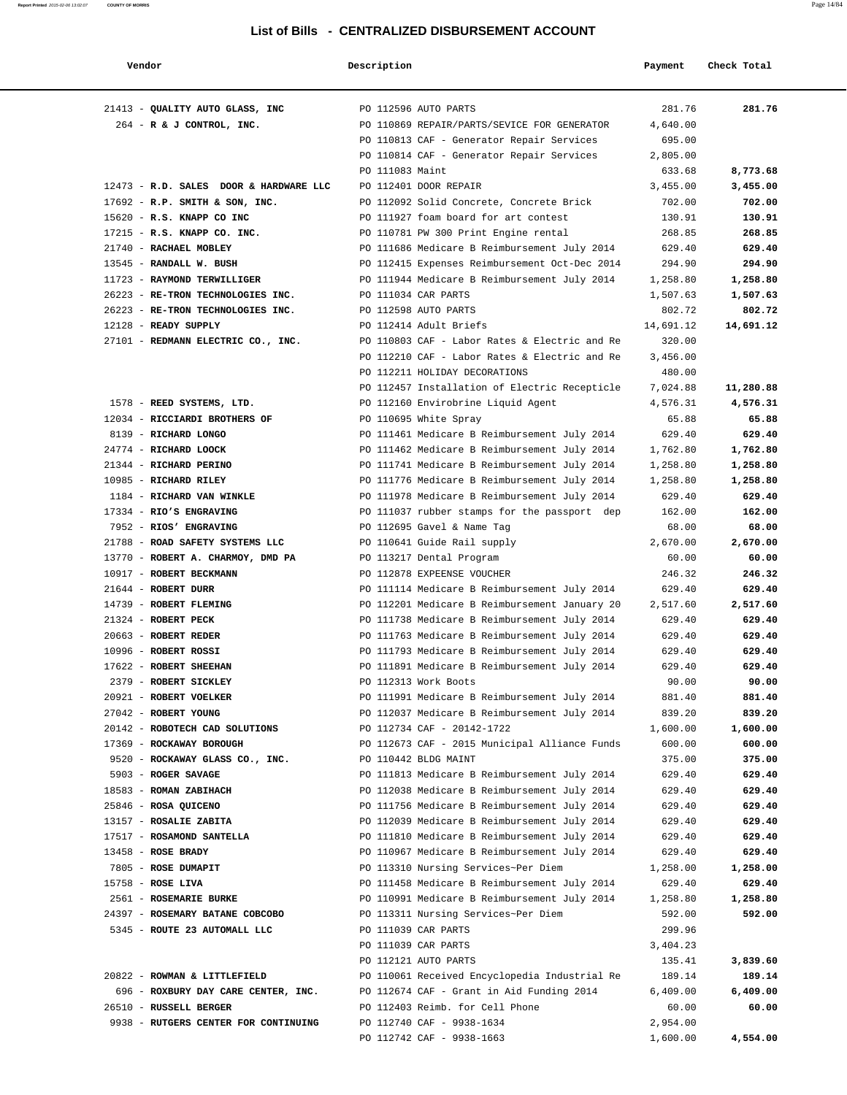| Vendor                                                    | Description     |                                                                                     | Payment            | Check Total        |
|-----------------------------------------------------------|-----------------|-------------------------------------------------------------------------------------|--------------------|--------------------|
| 21413 - QUALITY AUTO GLASS, INC                           |                 | PO 112596 AUTO PARTS                                                                | 281.76             | 281.76             |
| 264 - R & J CONTROL, INC.                                 |                 | PO 110869 REPAIR/PARTS/SEVICE FOR GENERATOR                                         | 4,640.00           |                    |
|                                                           |                 | PO 110813 CAF - Generator Repair Services                                           | 695.00             |                    |
|                                                           |                 | PO 110814 CAF - Generator Repair Services                                           | 2,805.00           |                    |
|                                                           | PO 111083 Maint |                                                                                     | 633.68             | 8,773.68           |
| 12473 - R.D. SALES DOOR & HARDWARE LLC                    |                 | PO 112401 DOOR REPAIR                                                               | 3,455.00           | 3,455.00           |
| 17692 - R.P. SMITH & SON, INC.                            |                 | PO 112092 Solid Concrete, Concrete Brick                                            | 702.00             | 702.00             |
| 15620 - R.S. KNAPP CO INC                                 |                 | PO 111927 foam board for art contest                                                | 130.91             | 130.91             |
| 17215 - R.S. KNAPP CO. INC.                               |                 | PO 110781 PW 300 Print Engine rental                                                | 268.85             | 268.85             |
| 21740 - RACHAEL MOBLEY                                    |                 | PO 111686 Medicare B Reimbursement July 2014                                        | 629.40             | 629.40             |
| 13545 - RANDALL W. BUSH                                   |                 | PO 112415 Expenses Reimbursement Oct-Dec 2014                                       | 294.90             | 294.90             |
| 11723 - RAYMOND TERWILLIGER                               |                 | PO 111944 Medicare B Reimbursement July 2014                                        | 1,258.80           | 1,258.80           |
| 26223 - RE-TRON TECHNOLOGIES INC.                         |                 | PO 111034 CAR PARTS                                                                 | 1,507.63           | 1,507.63           |
| 26223 - RE-TRON TECHNOLOGIES INC.                         |                 | PO 112598 AUTO PARTS                                                                | 802.72             | 802.72             |
| 12128 - READY SUPPLY                                      |                 | PO 112414 Adult Briefs                                                              | 14,691.12          | 14,691.12          |
| 27101 - REDMANN ELECTRIC CO., INC.                        |                 | PO 110803 CAF - Labor Rates & Electric and Re                                       | 320.00             |                    |
|                                                           |                 | PO 112210 CAF - Labor Rates & Electric and Re                                       | 3,456.00           |                    |
|                                                           |                 | PO 112211 HOLIDAY DECORATIONS                                                       | 480.00             |                    |
|                                                           |                 | PO 112457 Installation of Electric Recepticle                                       | 7,024.88           | 11,280.88          |
| 1578 - REED SYSTEMS, LTD.                                 |                 | PO 112160 Envirobrine Liquid Agent                                                  | 4,576.31           | 4,576.31           |
| 12034 - RICCIARDI BROTHERS OF                             |                 | PO 110695 White Spray                                                               | 65.88              | 65.88              |
| 8139 - RICHARD LONGO                                      |                 | PO 111461 Medicare B Reimbursement July 2014                                        | 629.40             | 629.40             |
| 24774 - RICHARD LOOCK                                     |                 | PO 111462 Medicare B Reimbursement July 2014                                        | 1,762.80           | 1,762.80           |
| 21344 - RICHARD PERINO                                    |                 | PO 111741 Medicare B Reimbursement July 2014                                        | 1,258.80           | 1,258.80           |
| 10985 - RICHARD RILEY                                     |                 | PO 111776 Medicare B Reimbursement July 2014                                        | 1,258.80           | 1,258.80           |
| 1184 - RICHARD VAN WINKLE                                 |                 | PO 111978 Medicare B Reimbursement July 2014                                        | 629.40             | 629.40             |
| 17334 - RIO'S ENGRAVING                                   |                 | PO 111037 rubber stamps for the passport dep                                        | 162.00             | 162.00             |
| 7952 - RIOS' ENGRAVING                                    |                 | PO 112695 Gavel & Name Tag                                                          | 68.00              | 68.00              |
| 21788 - ROAD SAFETY SYSTEMS LLC                           |                 | PO 110641 Guide Rail supply                                                         | 2,670.00           | 2,670.00           |
| 13770 - ROBERT A. CHARMOY, DMD PA                         |                 | PO 113217 Dental Program                                                            | 60.00              | 60.00              |
| 10917 - ROBERT BECKMANN                                   |                 | PO 112878 EXPEENSE VOUCHER                                                          | 246.32             | 246.32             |
| 21644 - ROBERT DURR                                       |                 | PO 111114 Medicare B Reimbursement July 2014                                        | 629.40             | 629.40             |
| 14739 - ROBERT FLEMING                                    |                 | PO 112201 Medicare B Reimbursement January 20                                       | 2,517.60           | 2,517.60           |
| 21324 - ROBERT PECK                                       |                 | PO 111738 Medicare B Reimbursement July 2014                                        | 629.40             | 629.40             |
| 20663 - ROBERT REDER                                      |                 | PO 111763 Medicare B Reimbursement July 2014                                        | 629.40             | 629.40             |
| 10996 - ROBERT ROSSI                                      |                 | PO 111793 Medicare B Reimbursement July 2014                                        | 629.40             | 629.40             |
| 17622 - ROBERT SHEEHAN                                    |                 | PO 111891 Medicare B Reimbursement July 2014                                        | 629.40             | 629.40             |
| 2379 - ROBERT SICKLEY                                     |                 | PO 112313 Work Boots                                                                | 90.00              | 90.00              |
| 20921 - ROBERT VOELKER                                    |                 | PO 111991 Medicare B Reimbursement July 2014                                        | 881.40             | 881.40             |
| 27042 - ROBERT YOUNG                                      |                 | PO 112037 Medicare B Reimbursement July 2014                                        | 839.20             | 839.20             |
| 20142 - ROBOTECH CAD SOLUTIONS                            |                 | PO 112734 CAF - 20142-1722                                                          | 1,600.00           | 1,600.00           |
| 17369 - ROCKAWAY BOROUGH                                  |                 | PO 112673 CAF - 2015 Municipal Alliance Funds                                       | 600.00             | 600.00             |
| 9520 - ROCKAWAY GLASS CO., INC.                           |                 | PO 110442 BLDG MAINT                                                                | 375.00             | 375.00             |
| 5903 - ROGER SAVAGE                                       |                 | PO 111813 Medicare B Reimbursement July 2014                                        | 629.40             | 629.40             |
| 18583 - ROMAN ZABIHACH                                    |                 | PO 112038 Medicare B Reimbursement July 2014                                        | 629.40             | 629.40             |
| 25846 - ROSA QUICENO                                      |                 | PO 111756 Medicare B Reimbursement July 2014                                        | 629.40             | 629.40             |
| 13157 - ROSALIE ZABITA                                    |                 | PO 112039 Medicare B Reimbursement July 2014                                        | 629.40             | 629.40             |
| 17517 - ROSAMOND SANTELLA                                 |                 | PO 111810 Medicare B Reimbursement July 2014                                        | 629.40             | 629.40             |
| $13458$ - ROSE BRADY                                      |                 | PO 110967 Medicare B Reimbursement July 2014                                        | 629.40             | 629.40             |
| 7805 - ROSE DUMAPIT                                       |                 | PO 113310 Nursing Services~Per Diem                                                 | 1,258.00           | 1,258.00           |
| $15758$ - ROSE LIVA                                       |                 | PO 111458 Medicare B Reimbursement July 2014                                        | 629.40             | 629.40             |
| 2561 - ROSEMARIE BURKE<br>24397 - ROSEMARY BATANE COBCOBO |                 | PO 110991 Medicare B Reimbursement July 2014<br>PO 113311 Nursing Services~Per Diem | 1,258.80<br>592.00 | 1,258.80<br>592.00 |
| 5345 - ROUTE 23 AUTOMALL LLC                              |                 | PO 111039 CAR PARTS                                                                 | 299.96             |                    |
|                                                           |                 | PO 111039 CAR PARTS                                                                 | 3,404.23           |                    |
|                                                           |                 | PO 112121 AUTO PARTS                                                                | 135.41             | 3,839.60           |
| 20822 - ROWMAN & LITTLEFIELD                              |                 | PO 110061 Received Encyclopedia Industrial Re                                       | 189.14             | 189.14             |
| 696 - ROXBURY DAY CARE CENTER, INC.                       |                 | PO 112674 CAF - Grant in Aid Funding 2014                                           | 6,409.00           | 6,409.00           |
| 26510 - RUSSELL BERGER                                    |                 | PO 112403 Reimb. for Cell Phone                                                     | 60.00              | 60.00              |
| 9938 - RUTGERS CENTER FOR CONTINUING                      |                 | PO 112740 CAF - 9938-1634                                                           | 2,954.00           |                    |
|                                                           |                 | PO 112742 CAF - 9938-1663                                                           | 1,600.00           | 4,554.00           |
|                                                           |                 |                                                                                     |                    |                    |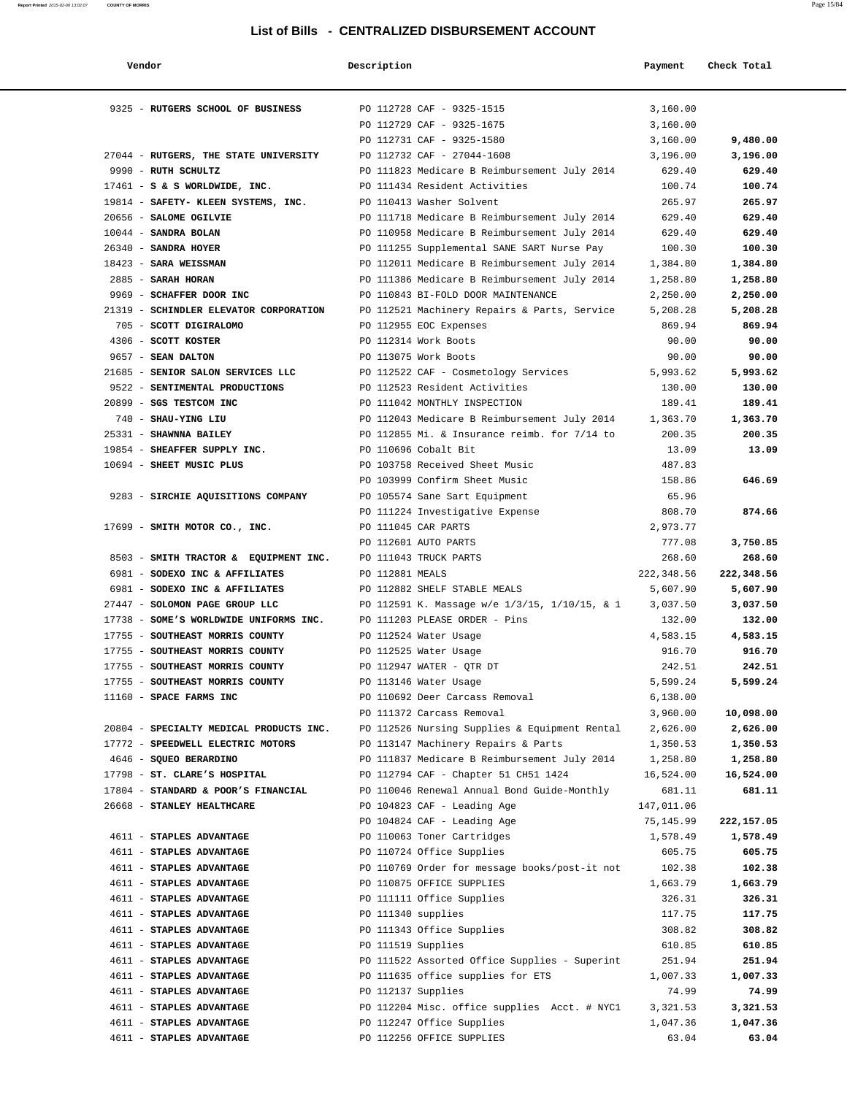| Vendor                                  | Description        |                                               | Payment    | Check Total |
|-----------------------------------------|--------------------|-----------------------------------------------|------------|-------------|
|                                         |                    |                                               |            |             |
| 9325 - RUTGERS SCHOOL OF BUSINESS       |                    | PO 112728 CAF - 9325-1515                     | 3,160.00   |             |
|                                         |                    | PO 112729 CAF - 9325-1675                     | 3,160.00   |             |
|                                         |                    | PO 112731 CAF - 9325-1580                     | 3,160.00   | 9,480.00    |
| 27044 - RUTGERS, THE STATE UNIVERSITY   |                    | PO 112732 CAF - 27044-1608                    | 3,196.00   | 3,196.00    |
| 9990 - RUTH SCHULTZ                     |                    | PO 111823 Medicare B Reimbursement July 2014  | 629.40     | 629.40      |
| $17461 - S$ & S WORLDWIDE, INC.         |                    | PO 111434 Resident Activities                 | 100.74     | 100.74      |
| 19814 - SAFETY- KLEEN SYSTEMS, INC.     |                    | PO 110413 Washer Solvent                      | 265.97     | 265.97      |
| 20656 - SALOME OGILVIE                  |                    | PO 111718 Medicare B Reimbursement July 2014  | 629.40     | 629.40      |
| 10044 - SANDRA BOLAN                    |                    | PO 110958 Medicare B Reimbursement July 2014  | 629.40     | 629.40      |
| 26340 - SANDRA HOYER                    |                    | PO 111255 Supplemental SANE SART Nurse Pay    | 100.30     | 100.30      |
| $18423$ - SARA WEISSMAN                 |                    | PO 112011 Medicare B Reimbursement July 2014  | 1,384.80   | 1,384.80    |
| 2885 - SARAH HORAN                      |                    | PO 111386 Medicare B Reimbursement July 2014  | 1,258.80   | 1,258.80    |
| 9969 - SCHAFFER DOOR INC                |                    | PO 110843 BI-FOLD DOOR MAINTENANCE            | 2,250.00   | 2,250.00    |
| 21319 - SCHINDLER ELEVATOR CORPORATION  |                    | PO 112521 Machinery Repairs & Parts, Service  | 5,208.28   | 5,208.28    |
| 705 - SCOTT DIGIRALOMO                  |                    | PO 112955 EOC Expenses                        | 869.94     | 869.94      |
| 4306 - SCOTT KOSTER                     |                    | PO 112314 Work Boots                          | 90.00      | 90.00       |
| 9657 - SEAN DALTON                      |                    | PO 113075 Work Boots                          | 90.00      | 90.00       |
| 21685 - SENIOR SALON SERVICES LLC       |                    | PO 112522 CAF - Cosmetology Services          | 5,993.62   | 5,993.62    |
| 9522 - SENTIMENTAL PRODUCTIONS          |                    | PO 112523 Resident Activities                 | 130.00     | 130.00      |
| 20899 - SGS TESTCOM INC                 |                    | PO 111042 MONTHLY INSPECTION                  | 189.41     | 189.41      |
| 740 - SHAU-YING LIU                     |                    | PO 112043 Medicare B Reimbursement July 2014  | 1,363.70   | 1,363.70    |
| 25331 - SHAWNNA BAILEY                  |                    | PO 112855 Mi. & Insurance reimb. for 7/14 to  | 200.35     | 200.35      |
| 19854 - SHEAFFER SUPPLY INC.            |                    | PO 110696 Cobalt Bit                          | 13.09      | 13.09       |
| 10694 - SHEET MUSIC PLUS                |                    | PO 103758 Received Sheet Music                | 487.83     |             |
|                                         |                    | PO 103999 Confirm Sheet Music                 | 158.86     | 646.69      |
| 9283 - SIRCHIE AQUISITIONS COMPANY      |                    | PO 105574 Sane Sart Equipment                 | 65.96      |             |
|                                         |                    | PO 111224 Investigative Expense               | 808.70     | 874.66      |
| 17699 - SMITH MOTOR CO., INC.           |                    | PO 111045 CAR PARTS                           | 2,973.77   |             |
|                                         |                    | PO 112601 AUTO PARTS                          | 777.08     | 3,750.85    |
| 8503 - SMITH TRACTOR & EQUIPMENT INC.   |                    | PO 111043 TRUCK PARTS                         | 268.60     | 268.60      |
| 6981 - SODEXO INC & AFFILIATES          | PO 112881 MEALS    |                                               | 222,348.56 | 222,348.56  |
| 6981 - SODEXO INC & AFFILIATES          |                    | PO 112882 SHELF STABLE MEALS                  | 5,607.90   | 5,607.90    |
| 27447 - SOLOMON PAGE GROUP LLC          |                    | PO 112591 K. Massage w/e 1/3/15, 1/10/15, & 1 | 3,037.50   | 3,037.50    |
| 17738 - SOME'S WORLDWIDE UNIFORMS INC.  |                    | PO 111203 PLEASE ORDER - Pins                 | 132.00     | 132.00      |
| 17755 - SOUTHEAST MORRIS COUNTY         |                    | PO 112524 Water Usage                         | 4,583.15   | 4,583.15    |
| 17755 - SOUTHEAST MORRIS COUNTY         |                    | PO 112525 Water Usage                         | 916.70     | 916.70      |
| 17755 - SOUTHEAST MORRIS COUNTY         |                    | PO 112947 WATER - OTR DT                      | 242.51     | 242.51      |
| 17755 - SOUTHEAST MORRIS COUNTY         |                    | PO 113146 Water Usage                         | 5,599.24   | 5,599.24    |
| 11160 - SPACE FARMS INC                 |                    | PO 110692 Deer Carcass Removal                | 6,138.00   |             |
|                                         |                    | PO 111372 Carcass Removal                     | 3,960.00   | 10,098.00   |
| 20804 - SPECIALTY MEDICAL PRODUCTS INC. |                    | PO 112526 Nursing Supplies & Equipment Rental | 2,626.00   | 2,626.00    |
| 17772 - SPEEDWELL ELECTRIC MOTORS       |                    | PO 113147 Machinery Repairs & Parts           | 1,350.53   | 1,350.53    |
| 4646 - SQUEO BERARDINO                  |                    | PO 111837 Medicare B Reimbursement July 2014  | 1,258.80   | 1,258.80    |
| 17798 - ST. CLARE'S HOSPITAL            |                    | PO 112794 CAF - Chapter 51 CH51 1424          | 16,524.00  | 16,524.00   |
| 17804 - STANDARD & POOR'S FINANCIAL     |                    | PO 110046 Renewal Annual Bond Guide-Monthly   | 681.11     | 681.11      |
| 26668 - STANLEY HEALTHCARE              |                    | PO 104823 CAF - Leading Age                   | 147,011.06 |             |
|                                         |                    | PO 104824 CAF - Leading Age                   | 75,145.99  | 222,157.05  |
| 4611 - STAPLES ADVANTAGE                |                    | PO 110063 Toner Cartridges                    | 1,578.49   | 1,578.49    |
| 4611 - STAPLES ADVANTAGE                |                    | PO 110724 Office Supplies                     | 605.75     | 605.75      |
| 4611 - STAPLES ADVANTAGE                |                    | PO 110769 Order for message books/post-it not | 102.38     | 102.38      |
| 4611 - STAPLES ADVANTAGE                |                    | PO 110875 OFFICE SUPPLIES                     | 1,663.79   | 1,663.79    |
| 4611 - STAPLES ADVANTAGE                |                    | PO 111111 Office Supplies                     | 326.31     | 326.31      |
| 4611 - STAPLES ADVANTAGE                | PO 111340 supplies |                                               | 117.75     | 117.75      |
| 4611 - STAPLES ADVANTAGE                |                    | PO 111343 Office Supplies                     | 308.82     | 308.82      |
| 4611 - STAPLES ADVANTAGE                | PO 111519 Supplies |                                               | 610.85     | 610.85      |
| 4611 - STAPLES ADVANTAGE                |                    | PO 111522 Assorted Office Supplies - Superint | 251.94     | 251.94      |
| 4611 - STAPLES ADVANTAGE                |                    | PO 111635 office supplies for ETS             | 1,007.33   | 1,007.33    |
| 4611 - STAPLES ADVANTAGE                | PO 112137 Supplies |                                               | 74.99      | 74.99       |
| 4611 - STAPLES ADVANTAGE                |                    | PO 112204 Misc. office supplies Acct. # NYC1  | 3,321.53   | 3,321.53    |
| 4611 - STAPLES ADVANTAGE                |                    | PO 112247 Office Supplies                     | 1,047.36   | 1,047.36    |
| 4611 - STAPLES ADVANTAGE                |                    | PO 112256 OFFICE SUPPLIES                     | 63.04      | 63.04       |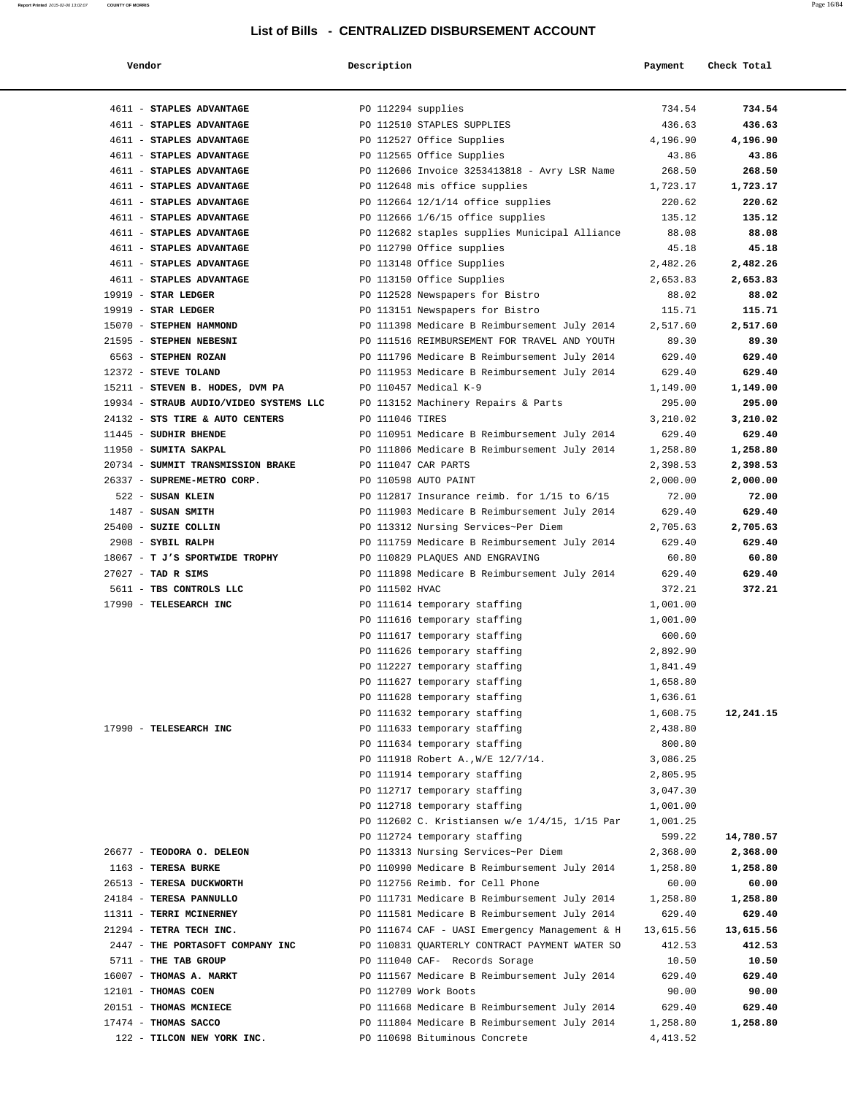| Vendor                                             | Description        |                                                                                              | Payment            | Check Total       |
|----------------------------------------------------|--------------------|----------------------------------------------------------------------------------------------|--------------------|-------------------|
| 4611 - STAPLES ADVANTAGE                           | PO 112294 supplies |                                                                                              | 734.54             | 734.54            |
| 4611 - STAPLES ADVANTAGE                           |                    | PO 112510 STAPLES SUPPLIES                                                                   | 436.63             | 436.63            |
| 4611 - STAPLES ADVANTAGE                           |                    | PO 112527 Office Supplies                                                                    | 4,196.90           | 4,196.90          |
| 4611 - STAPLES ADVANTAGE                           |                    | PO 112565 Office Supplies                                                                    | 43.86              | 43.86             |
| 4611 - STAPLES ADVANTAGE                           |                    | PO 112606 Invoice 3253413818 - Avry LSR Name                                                 | 268.50             | 268.50            |
| 4611 - STAPLES ADVANTAGE                           |                    | PO 112648 mis office supplies                                                                | 1,723.17           | 1,723.17          |
| 4611 - STAPLES ADVANTAGE                           |                    | PO 112664 12/1/14 office supplies                                                            | 220.62             | 220.62            |
| 4611 - STAPLES ADVANTAGE                           |                    | PO 112666 $1/6/15$ office supplies                                                           | 135.12             | 135.12            |
| 4611 - STAPLES ADVANTAGE                           |                    | PO 112682 staples supplies Municipal Alliance                                                | 88.08              | 88.08             |
| 4611 - STAPLES ADVANTAGE                           |                    | PO 112790 Office supplies                                                                    | 45.18              | 45.18             |
| 4611 - STAPLES ADVANTAGE                           |                    | PO 113148 Office Supplies                                                                    | 2,482.26           | 2,482.26          |
| 4611 - STAPLES ADVANTAGE                           |                    | PO 113150 Office Supplies                                                                    | 2,653.83           | 2,653.83          |
| $19919$ - STAR LEDGER                              |                    | PO 112528 Newspapers for Bistro                                                              | 88.02              | 88.02             |
| 19919 - STAR LEDGER                                |                    | PO 113151 Newspapers for Bistro                                                              | 115.71             | 115.71            |
| 15070 - STEPHEN HAMMOND<br>21595 - STEPHEN NEBESNI |                    | PO 111398 Medicare B Reimbursement July 2014                                                 | 2,517.60           | 2,517.60<br>89.30 |
| 6563 - STEPHEN ROZAN                               |                    | PO 111516 REIMBURSEMENT FOR TRAVEL AND YOUTH<br>PO 111796 Medicare B Reimbursement July 2014 | 89.30<br>629.40    | 629.40            |
| 12372 - STEVE TOLAND                               |                    | PO 111953 Medicare B Reimbursement July 2014                                                 | 629.40             | 629.40            |
| 15211 - STEVEN B. HODES, DVM PA                    |                    | PO 110457 Medical K-9                                                                        | 1,149.00           | 1,149.00          |
| 19934 - STRAUB AUDIO/VIDEO SYSTEMS LLC             |                    | PO 113152 Machinery Repairs & Parts                                                          | 295.00             | 295.00            |
| 24132 - STS TIRE & AUTO CENTERS                    | PO 111046 TIRES    |                                                                                              | 3,210.02           | 3,210.02          |
| 11445 - SUDHIR BHENDE                              |                    | PO 110951 Medicare B Reimbursement July 2014                                                 | 629.40             | 629.40            |
| 11950 - SUMITA SAKPAL                              |                    | PO 111806 Medicare B Reimbursement July 2014                                                 | 1,258.80           | 1,258.80          |
| 20734 - SUMMIT TRANSMISSION BRAKE                  |                    | PO 111047 CAR PARTS                                                                          | 2,398.53           | 2,398.53          |
| 26337 - SUPREME-METRO CORP.                        |                    | PO 110598 AUTO PAINT                                                                         | 2,000.00           | 2,000.00          |
| 522 - SUSAN KLEIN                                  |                    | PO 112817 Insurance reimb. for $1/15$ to $6/15$                                              | 72.00              | 72.00             |
| $1487$ - SUSAN SMITH                               |                    | PO 111903 Medicare B Reimbursement July 2014                                                 | 629.40             | 629.40            |
| 25400 - SUZIE COLLIN                               |                    | PO 113312 Nursing Services~Per Diem                                                          | 2,705.63           | 2,705.63          |
| 2908 - SYBIL RALPH                                 |                    | PO 111759 Medicare B Reimbursement July 2014                                                 | 629.40             | 629.40            |
| 18067 - T J'S SPORTWIDE TROPHY                     |                    | PO 110829 PLAQUES AND ENGRAVING                                                              | 60.80              | 60.80             |
| $27027$ - TAD R SIMS                               |                    | PO 111898 Medicare B Reimbursement July 2014                                                 | 629.40             | 629.40            |
| 5611 - TBS CONTROLS LLC                            | PO 111502 HVAC     |                                                                                              | 372.21             | 372.21            |
| 17990 - TELESEARCH INC                             |                    | PO 111614 temporary staffing                                                                 | 1,001.00           |                   |
|                                                    |                    | PO 111616 temporary staffing                                                                 | 1,001.00<br>600.60 |                   |
|                                                    |                    | PO 111617 temporary staffing<br>PO 111626 temporary staffing                                 | 2,892.90           |                   |
|                                                    |                    | PO 112227 temporary staffing                                                                 | 1,841.49           |                   |
|                                                    |                    | PO 111627 temporary staffing                                                                 | 1,658.80           |                   |
|                                                    |                    | PO 111628 temporary staffing                                                                 | 1,636.61           |                   |
|                                                    |                    | PO 111632 temporary staffing                                                                 | 1,608.75           | 12,241.15         |
| 17990 - TELESEARCH INC                             |                    | PO 111633 temporary staffing                                                                 | 2,438.80           |                   |
|                                                    |                    | PO 111634 temporary staffing                                                                 | 800.80             |                   |
|                                                    |                    | PO 111918 Robert A., W/E 12/7/14.                                                            | 3,086.25           |                   |
|                                                    |                    | PO 111914 temporary staffing                                                                 | 2,805.95           |                   |
|                                                    |                    | PO 112717 temporary staffing                                                                 | 3,047.30           |                   |
|                                                    |                    | PO 112718 temporary staffing                                                                 | 1,001.00           |                   |
|                                                    |                    | PO 112602 C. Kristiansen w/e 1/4/15, 1/15 Par                                                | 1,001.25           |                   |
|                                                    |                    | PO 112724 temporary staffing                                                                 | 599.22             | 14,780.57         |
| 26677 - TEODORA O. DELEON                          |                    | PO 113313 Nursing Services~Per Diem                                                          | 2,368.00           | 2,368.00          |
| 1163 - TERESA BURKE<br>26513 - TERESA DUCKWORTH    |                    | PO 110990 Medicare B Reimbursement July 2014<br>PO 112756 Reimb. for Cell Phone              | 1,258.80<br>60.00  | 1,258.80<br>60.00 |
| 24184 - TERESA PANNULLO                            |                    | PO 111731 Medicare B Reimbursement July 2014                                                 | 1,258.80           | 1,258.80          |
| 11311 - TERRI MCINERNEY                            |                    | PO 111581 Medicare B Reimbursement July 2014                                                 | 629.40             | 629.40            |
| 21294 - TETRA TECH INC.                            |                    | PO 111674 CAF - UASI Emergency Management & H                                                | 13,615.56          | 13,615.56         |
| 2447 - THE PORTASOFT COMPANY INC                   |                    | PO 110831 QUARTERLY CONTRACT PAYMENT WATER SO                                                | 412.53             | 412.53            |
| 5711 - THE TAB GROUP                               |                    | PO 111040 CAF- Records Sorage                                                                | 10.50              | 10.50             |
| 16007 - THOMAS A. MARKT                            |                    | PO 111567 Medicare B Reimbursement July 2014                                                 | 629.40             | 629.40            |
| 12101 - THOMAS COEN                                |                    | PO 112709 Work Boots                                                                         | 90.00              | 90.00             |
| 20151 - THOMAS MCNIECE                             |                    | PO 111668 Medicare B Reimbursement July 2014                                                 | 629.40             | 629.40            |
| 17474 - THOMAS SACCO                               |                    | PO 111804 Medicare B Reimbursement July 2014                                                 | 1,258.80           | 1,258.80          |
| 122 - TILCON NEW YORK INC.                         |                    | PO 110698 Bituminous Concrete                                                                | 4, 413.52          |                   |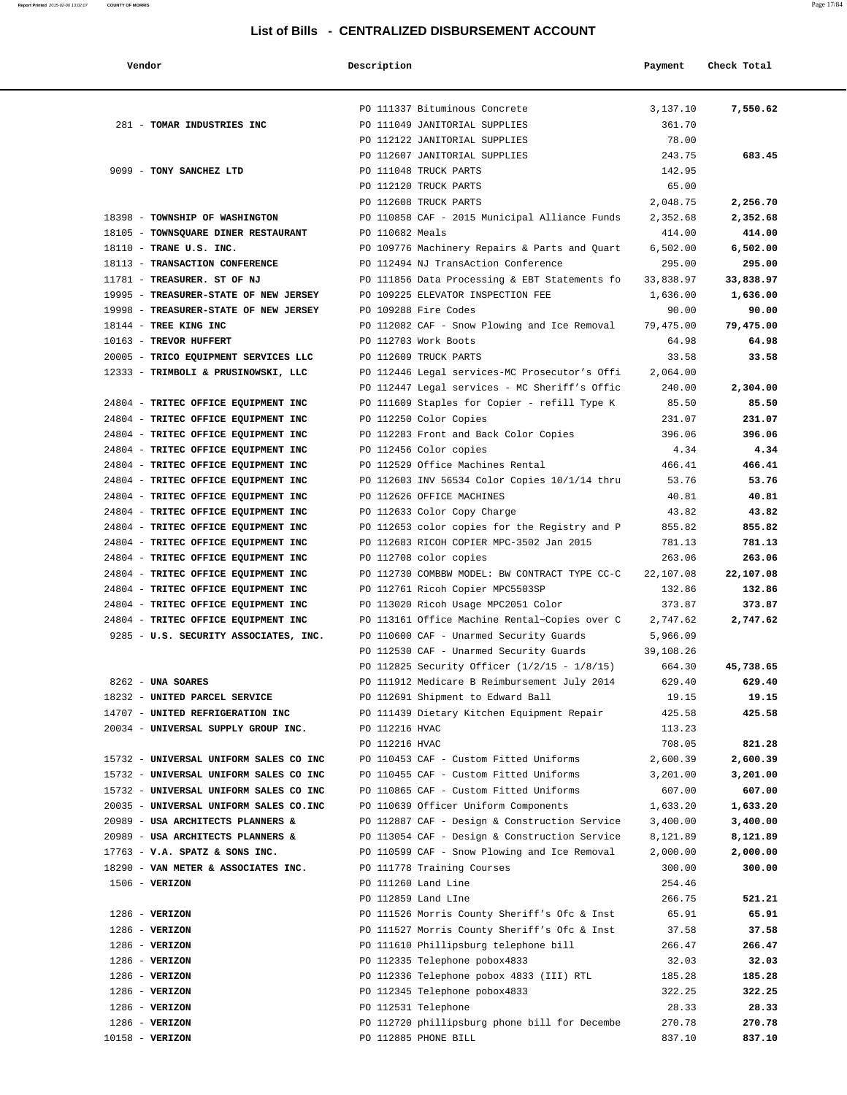| Vendor                                                                           | Description     |                                                                                      | Payment              | Check Total        |
|----------------------------------------------------------------------------------|-----------------|--------------------------------------------------------------------------------------|----------------------|--------------------|
|                                                                                  |                 | PO 111337 Bituminous Concrete                                                        | 3,137.10             | 7,550.62           |
| 281 - TOMAR INDUSTRIES INC                                                       |                 | PO 111049 JANITORIAL SUPPLIES                                                        | 361.70               |                    |
|                                                                                  |                 | PO 112122 JANITORIAL SUPPLIES                                                        | 78.00                |                    |
|                                                                                  |                 | PO 112607 JANITORIAL SUPPLIES                                                        | 243.75               | 683.45             |
| 9099 - TONY SANCHEZ LTD                                                          |                 | PO 111048 TRUCK PARTS                                                                | 142.95               |                    |
|                                                                                  |                 | PO 112120 TRUCK PARTS                                                                | 65.00                |                    |
|                                                                                  |                 | PO 112608 TRUCK PARTS                                                                | 2,048.75             | 2,256.70           |
| 18398 - TOWNSHIP OF WASHINGTON                                                   |                 | PO 110858 CAF - 2015 Municipal Alliance Funds                                        | 2,352.68             | 2,352.68           |
| 18105 - TOWNSQUARE DINER RESTAURANT                                              | PO 110682 Meals |                                                                                      | 414.00               | 414.00             |
| 18110 - TRANE U.S. INC.<br>18113 - TRANSACTION CONFERENCE                        |                 | PO 109776 Machinery Repairs & Parts and Quart<br>PO 112494 NJ TransAction Conference | 6,502.00<br>295.00   | 6,502.00<br>295.00 |
| 11781 - TREASURER. ST OF NJ                                                      |                 | PO 111856 Data Processing & EBT Statements fo                                        | 33,838.97            | 33,838.97          |
| 19995 - TREASURER-STATE OF NEW JERSEY                                            |                 | PO 109225 ELEVATOR INSPECTION FEE                                                    | 1,636.00             | 1,636.00           |
| 19998 - TREASURER-STATE OF NEW JERSEY                                            |                 | PO 109288 Fire Codes                                                                 | 90.00                | 90.00              |
| 18144 - TREE KING INC                                                            |                 | PO 112082 CAF - Snow Plowing and Ice Removal                                         | 79,475.00            | 79,475.00          |
| 10163 - TREVOR HUFFERT                                                           |                 | PO 112703 Work Boots                                                                 | 64.98                | 64.98              |
| 20005 - TRICO EQUIPMENT SERVICES LLC                                             |                 | PO 112609 TRUCK PARTS                                                                | 33.58                | 33.58              |
| 12333 - TRIMBOLI & PRUSINOWSKI, LLC                                              |                 | PO 112446 Legal services-MC Prosecutor's Offi                                        | 2,064.00             |                    |
|                                                                                  |                 | PO 112447 Legal services - MC Sheriff's Offic                                        | 240.00               | 2,304.00           |
| 24804 - TRITEC OFFICE EQUIPMENT INC                                              |                 | PO 111609 Staples for Copier - refill Type K                                         | 85.50                | 85.50              |
| 24804 - TRITEC OFFICE EQUIPMENT INC                                              |                 | PO 112250 Color Copies                                                               | 231.07               | 231.07             |
| 24804 - TRITEC OFFICE EQUIPMENT INC                                              |                 | PO 112283 Front and Back Color Copies                                                | 396.06               | 396.06             |
| 24804 - TRITEC OFFICE EQUIPMENT INC                                              |                 | PO 112456 Color copies                                                               | 4.34                 | 4.34               |
| 24804 - TRITEC OFFICE EQUIPMENT INC                                              |                 | PO 112529 Office Machines Rental                                                     | 466.41               | 466.41             |
| 24804 - TRITEC OFFICE EQUIPMENT INC                                              |                 | PO 112603 INV 56534 Color Copies 10/1/14 thru                                        | 53.76                | 53.76              |
| 24804 - TRITEC OFFICE EQUIPMENT INC                                              |                 | PO 112626 OFFICE MACHINES                                                            | 40.81                | 40.81              |
| 24804 - TRITEC OFFICE EQUIPMENT INC                                              |                 | PO 112633 Color Copy Charge                                                          | 43.82                | 43.82              |
| 24804 - TRITEC OFFICE EQUIPMENT INC                                              |                 | PO 112653 color copies for the Registry and P                                        | 855.82               | 855.82             |
| 24804 - TRITEC OFFICE EQUIPMENT INC                                              |                 | PO 112683 RICOH COPIER MPC-3502 Jan 2015                                             | 781.13               | 781.13             |
| 24804 - TRITEC OFFICE EQUIPMENT INC                                              |                 | PO 112708 color copies                                                               | 263.06               | 263.06             |
| 24804 - TRITEC OFFICE EQUIPMENT INC                                              |                 | PO 112730 COMBBW MODEL: BW CONTRACT TYPE CC-C                                        | 22,107.08            | 22,107.08          |
| 24804 - TRITEC OFFICE EQUIPMENT INC                                              |                 | PO 112761 Ricoh Copier MPC5503SP                                                     | 132.86               | 132.86             |
| 24804 - TRITEC OFFICE EQUIPMENT INC                                              |                 | PO 113020 Ricoh Usage MPC2051 Color                                                  | 373.87               | 373.87             |
| 24804 - TRITEC OFFICE EQUIPMENT INC                                              |                 | PO 113161 Office Machine Rental~Copies over C                                        | 2,747.62             | 2,747.62           |
| 9285 - U.S. SECURITY ASSOCIATES, INC.                                            |                 | PO 110600 CAF - Unarmed Security Guards                                              | 5,966.09             |                    |
|                                                                                  |                 | PO 112530 CAF - Unarmed Security Guards                                              | 39,108.26            |                    |
|                                                                                  |                 | PO 112825 Security Officer (1/2/15 - 1/8/15)                                         | 664.30               | 45,738.65          |
| 8262 - UNA SOARES                                                                |                 | PO 111912 Medicare B Reimbursement July 2014                                         | 629.40               | 629.40             |
| 18232 - UNITED PARCEL SERVICE                                                    |                 | PO 112691 Shipment to Edward Ball                                                    | 19.15                | 19.15              |
| 14707 - UNITED REFRIGERATION INC                                                 |                 | PO 111439 Dietary Kitchen Equipment Repair                                           | 425.58               | 425.58             |
| 20034 - UNIVERSAL SUPPLY GROUP INC.                                              | PO 112216 HVAC  |                                                                                      | 113.23               |                    |
|                                                                                  | PO 112216 HVAC  |                                                                                      | 708.05               | 821.28<br>2,600.39 |
| 15732 - UNIVERSAL UNIFORM SALES CO INC<br>15732 - UNIVERSAL UNIFORM SALES CO INC |                 | PO 110453 CAF - Custom Fitted Uniforms<br>PO 110455 CAF - Custom Fitted Uniforms     | 2,600.39<br>3,201.00 | 3,201.00           |
| 15732 - UNIVERSAL UNIFORM SALES CO INC                                           |                 | PO 110865 CAF - Custom Fitted Uniforms                                               | 607.00               | 607.00             |
| 20035 - UNIVERSAL UNIFORM SALES CO.INC                                           |                 | PO 110639 Officer Uniform Components                                                 | 1,633.20             | 1,633.20           |
| 20989 - USA ARCHITECTS PLANNERS &                                                |                 | PO 112887 CAF - Design & Construction Service                                        | 3,400.00             | 3,400.00           |
| 20989 - USA ARCHITECTS PLANNERS &                                                |                 | PO 113054 CAF - Design & Construction Service                                        | 8,121.89             | 8,121.89           |
| $17763$ - V.A. SPATZ & SONS INC.                                                 |                 | PO 110599 CAF - Snow Plowing and Ice Removal                                         | 2,000.00             | 2,000.00           |
| 18290 - VAN METER & ASSOCIATES INC.                                              |                 | PO 111778 Training Courses                                                           | 300.00               | 300.00             |
| $1506 - VERIZON$                                                                 |                 | PO 111260 Land Line                                                                  | 254.46               |                    |
|                                                                                  |                 | PO 112859 Land LIne                                                                  | 266.75               | 521.21             |
| $1286$ - VERIZON                                                                 |                 | PO 111526 Morris County Sheriff's Ofc & Inst                                         | 65.91                | 65.91              |
| $1286$ - VERIZON                                                                 |                 | PO 111527 Morris County Sheriff's Ofc & Inst                                         | 37.58                | 37.58              |
| $1286 - VERIZON$                                                                 |                 | PO 111610 Phillipsburg telephone bill                                                | 266.47               | 266.47             |
| $1286 - VERIZON$                                                                 |                 | PO 112335 Telephone pobox4833                                                        | 32.03                | 32.03              |
| $1286 - VERIZON$                                                                 |                 | PO 112336 Telephone pobox 4833 (III) RTL                                             | 185.28               | 185.28             |
| $1286 - VERIZON$                                                                 |                 | PO 112345 Telephone pobox4833                                                        | 322.25               | 322.25             |
| $1286 - VERIZON$                                                                 |                 | PO 112531 Telephone                                                                  | 28.33                | 28.33              |
| $1286 - VERIZON$                                                                 |                 | PO 112720 phillipsburg phone bill for Decembe                                        | 270.78               | 270.78             |
| $10158 - VERIZON$                                                                |                 | PO 112885 PHONE BILL                                                                 | 837.10               | 837.10             |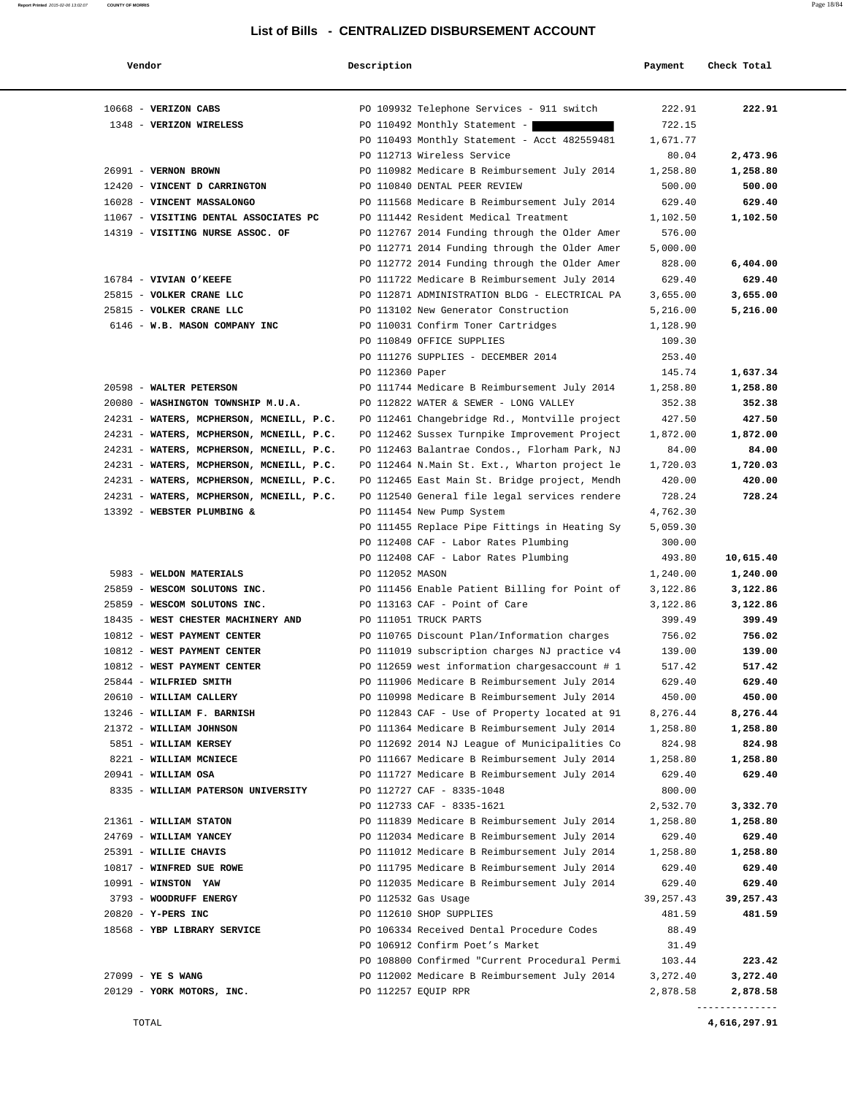| Vendor                                   | Description     |                                               | Payment              | Check Total          |
|------------------------------------------|-----------------|-----------------------------------------------|----------------------|----------------------|
| 10668 - VERIZON CABS                     |                 | PO 109932 Telephone Services - 911 switch     | 222.91               | 222.91               |
| 1348 - VERIZON WIRELESS                  |                 | PO 110492 Monthly Statement -                 | 722.15               |                      |
|                                          |                 | PO 110493 Monthly Statement - Acct 482559481  | 1,671.77             |                      |
|                                          |                 | PO 112713 Wireless Service                    | 80.04                | 2,473.96             |
| 26991 - VERNON BROWN                     |                 | PO 110982 Medicare B Reimbursement July 2014  | 1,258.80             | 1,258.80             |
| 12420 - VINCENT D CARRINGTON             |                 | PO 110840 DENTAL PEER REVIEW                  | 500.00               | 500.00               |
| 16028 - VINCENT MASSALONGO               |                 | PO 111568 Medicare B Reimbursement July 2014  | 629.40               | 629.40               |
| 11067 - VISITING DENTAL ASSOCIATES PC    |                 | PO 111442 Resident Medical Treatment          | 1,102.50             | 1,102.50             |
| 14319 - VISITING NURSE ASSOC. OF         |                 | PO 112767 2014 Funding through the Older Amer | 576.00               |                      |
|                                          |                 | PO 112771 2014 Funding through the Older Amer | 5,000.00             |                      |
|                                          |                 | PO 112772 2014 Funding through the Older Amer | 828.00               | 6,404.00             |
| 16784 - VIVIAN O'KEEFE                   |                 | PO 111722 Medicare B Reimbursement July 2014  | 629.40               | 629.40               |
| 25815 - VOLKER CRANE LLC                 |                 | PO 112871 ADMINISTRATION BLDG - ELECTRICAL PA | 3,655.00             | 3,655.00             |
| 25815 - VOLKER CRANE LLC                 |                 | PO 113102 New Generator Construction          | 5,216.00             | 5,216.00             |
| 6146 - W.B. MASON COMPANY INC            |                 | PO 110031 Confirm Toner Cartridges            | 1,128.90             |                      |
|                                          |                 | PO 110849 OFFICE SUPPLIES                     | 109.30               |                      |
|                                          |                 | PO 111276 SUPPLIES - DECEMBER 2014            | 253.40               |                      |
|                                          | PO 112360 Paper |                                               | 145.74               | 1,637.34             |
| 20598 - WALTER PETERSON                  |                 | PO 111744 Medicare B Reimbursement July 2014  | 1,258.80             | 1,258.80             |
| 20080 - WASHINGTON TOWNSHIP M.U.A.       |                 | PO 112822 WATER & SEWER - LONG VALLEY         | 352.38               | 352.38               |
| 24231 - WATERS, MCPHERSON, MCNEILL, P.C. |                 | PO 112461 Changebridge Rd., Montville project | 427.50               | 427.50               |
| 24231 - WATERS, MCPHERSON, MCNEILL, P.C. |                 | PO 112462 Sussex Turnpike Improvement Project | 1,872.00             | 1,872.00             |
| 24231 - WATERS, MCPHERSON, MCNEILL, P.C. |                 | PO 112463 Balantrae Condos., Florham Park, NJ | 84.00                | 84.00                |
| 24231 - WATERS, MCPHERSON, MCNEILL, P.C. |                 | PO 112464 N.Main St. Ext., Wharton project le | 1,720.03             | 1,720.03             |
| 24231 - WATERS, MCPHERSON, MCNEILL, P.C. |                 | PO 112465 East Main St. Bridge project, Mendh | 420.00               | 420.00               |
| 24231 - WATERS, MCPHERSON, MCNEILL, P.C. |                 | PO 112540 General file legal services rendere | 728.24               | 728.24               |
| 13392 - WEBSTER PLUMBING &               |                 | PO 111454 New Pump System                     | 4,762.30             |                      |
|                                          |                 | PO 111455 Replace Pipe Fittings in Heating Sy | 5,059.30             |                      |
|                                          |                 | PO 112408 CAF - Labor Rates Plumbing          | 300.00               |                      |
| 5983 - WELDON MATERIALS                  | PO 112052 MASON | PO 112408 CAF - Labor Rates Plumbing          | 493.80               | 10,615.40            |
| 25859 - WESCOM SOLUTONS INC.             |                 | PO 111456 Enable Patient Billing for Point of | 1,240.00<br>3,122.86 | 1,240.00<br>3,122.86 |
| 25859 - WESCOM SOLUTONS INC.             |                 | PO 113163 CAF - Point of Care                 | 3,122.86             | 3,122.86             |
| 18435 - WEST CHESTER MACHINERY AND       |                 | PO 111051 TRUCK PARTS                         | 399.49               | 399.49               |
| 10812 - WEST PAYMENT CENTER              |                 | PO 110765 Discount Plan/Information charges   | 756.02               | 756.02               |
| 10812 - WEST PAYMENT CENTER              |                 | PO 111019 subscription charges NJ practice v4 | 139.00               | 139.00               |
| 10812 - WEST PAYMENT CENTER              |                 | PO 112659 west information chargesaccount # 1 | 517.42               | 517.42               |
| 25844 - WILFRIED SMITH                   |                 | PO 111906 Medicare B Reimbursement July 2014  | 629.40               | 629.40               |
| 20610 - WILLIAM CALLERY                  |                 | PO 110998 Medicare B Reimbursement July 2014  | 450.00               | 450.00               |
| 13246 - WILLIAM F. BARNISH               |                 | PO 112843 CAF - Use of Property located at 91 | 8,276.44             | 8,276.44             |
| 21372 - WILLIAM JOHNSON                  |                 | PO 111364 Medicare B Reimbursement July 2014  | 1,258.80             | 1,258.80             |
| 5851 - WILLIAM KERSEY                    |                 | PO 112692 2014 NJ League of Municipalities Co | 824.98               | 824.98               |
| 8221 - WILLIAM MCNIECE                   |                 | PO 111667 Medicare B Reimbursement July 2014  | 1,258.80             | 1,258.80             |
| 20941 - WILLIAM OSA                      |                 | PO 111727 Medicare B Reimbursement July 2014  | 629.40               | 629.40               |
| 8335 - WILLIAM PATERSON UNIVERSITY       |                 | PO 112727 CAF - 8335-1048                     | 800.00               |                      |
|                                          |                 | PO 112733 CAF - 8335-1621                     | 2,532.70             | 3,332.70             |
| 21361 - WILLIAM STATON                   |                 | PO 111839 Medicare B Reimbursement July 2014  | 1,258.80             | 1,258.80             |
| 24769 - WILLIAM YANCEY                   |                 | PO 112034 Medicare B Reimbursement July 2014  | 629.40               | 629.40               |
| 25391 - WILLIE CHAVIS                    |                 | PO 111012 Medicare B Reimbursement July 2014  | 1,258.80             | 1,258.80             |
| 10817 - WINFRED SUE ROWE                 |                 | PO 111795 Medicare B Reimbursement July 2014  | 629.40               | 629.40               |
| $10991 - WINSTON YAW$                    |                 | PO 112035 Medicare B Reimbursement July 2014  | 629.40               | 629.40               |
| 3793 - WOODRUFF ENERGY                   |                 | PO 112532 Gas Usage                           | 39, 257. 43          | 39,257.43            |
| 20820 - Y-PERS INC                       |                 | PO 112610 SHOP SUPPLIES                       | 481.59               | 481.59               |
| 18568 - YBP LIBRARY SERVICE              |                 | PO 106334 Received Dental Procedure Codes     | 88.49                |                      |
|                                          |                 | PO 106912 Confirm Poet's Market               | 31.49                |                      |
|                                          |                 | PO 108800 Confirmed "Current Procedural Permi | 103.44               | 223.42               |
| 27099 - YE S WANG                        |                 | PO 112002 Medicare B Reimbursement July 2014  | 3,272.40             | 3,272.40             |
| 20129 - YORK MOTORS, INC.                |                 | PO 112257 EQUIP RPR                           | 2,878.58             | 2,878.58             |

--------------

**Report Printed** 2015-02-06 13:02:07 **COUNTY OF MORRIS** Page 18/84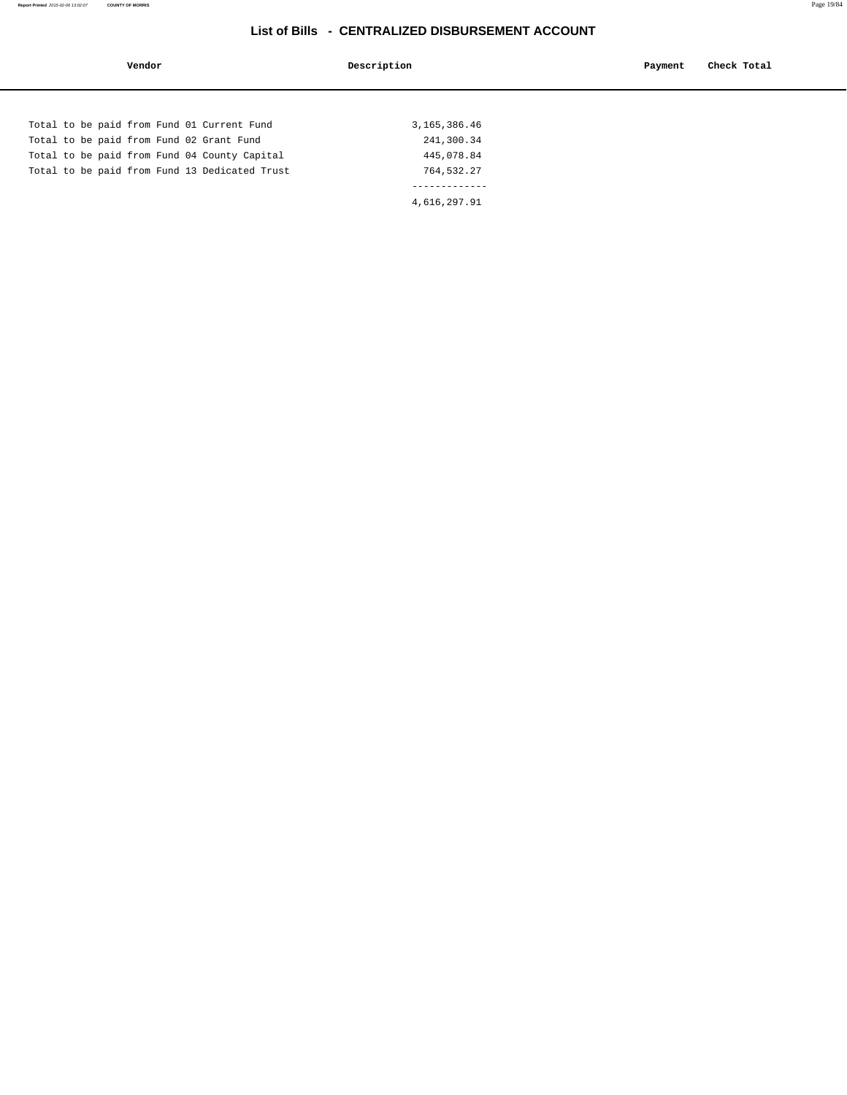| Vendor                                        | Description  | Check Total<br>Payment |
|-----------------------------------------------|--------------|------------------------|
|                                               |              |                        |
| Total to be paid from Fund 01 Current Fund    | 3,165,386.46 |                        |
| Total to be paid from Fund 02 Grant Fund      | 241,300.34   |                        |
| Total to be paid from Fund 04 County Capital  | 445,078.84   |                        |
| Total to be paid from Fund 13 Dedicated Trust | 764,532.27   |                        |
|                                               |              |                        |
|                                               | 4,616,297.91 |                        |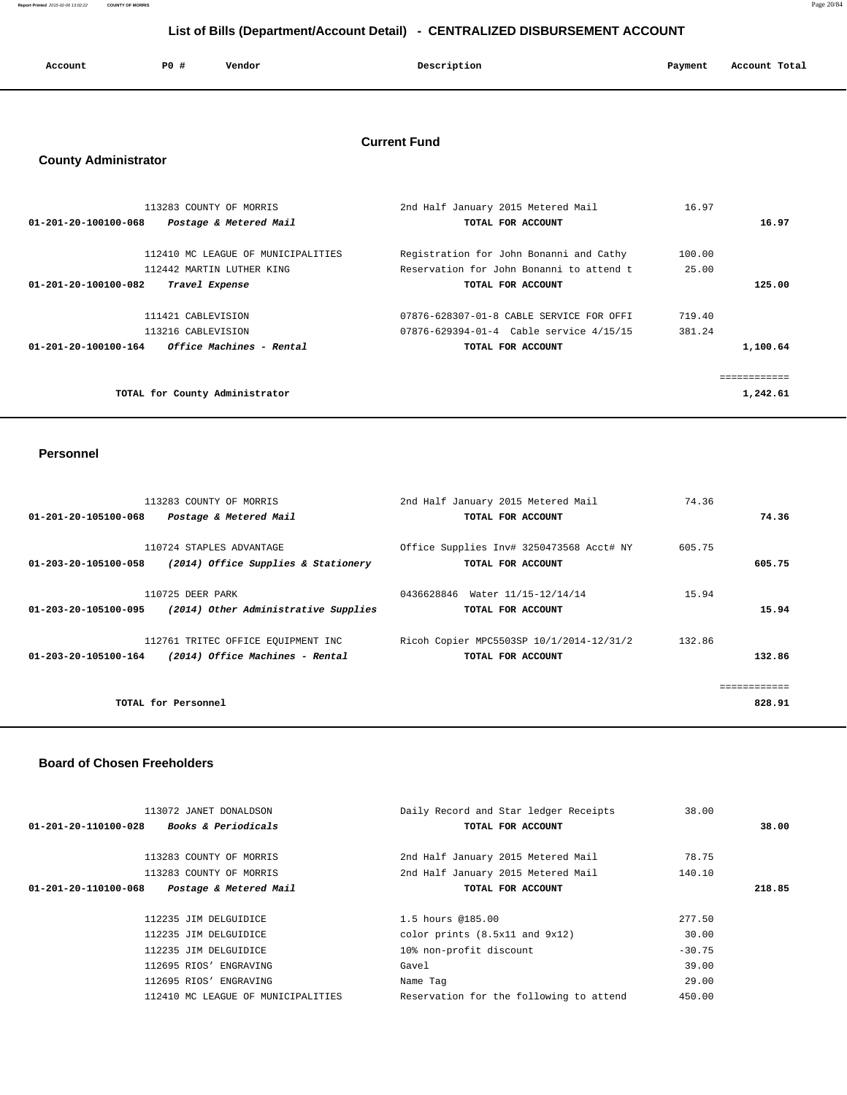**Report Printed** 2015-02-06 13:02:22 **COUNTY OF MORRIS** Page 20/84

# **List of Bills (Department/Account Detail) - CENTRALIZED DISBURSEMENT ACCOUNT**

| Account | P0 # | Vendor | Description | Payment | Account Total |
|---------|------|--------|-------------|---------|---------------|
|         |      |        |             |         |               |

## **Current Fund**

# **County Administrator**

| 113283 COUNTY OF MORRIS                                  | 2nd Half January 2015 Metered Mail       | 16.97  |          |
|----------------------------------------------------------|------------------------------------------|--------|----------|
| $01 - 201 - 20 - 100100 - 068$<br>Postage & Metered Mail | TOTAL FOR ACCOUNT                        |        | 16.97    |
|                                                          |                                          |        |          |
| 112410 MC LEAGUE OF MUNICIPALITIES                       | Registration for John Bonanni and Cathy  | 100.00 |          |
| 112442 MARTIN LUTHER KING                                | Reservation for John Bonanni to attend t | 25.00  |          |
| 01-201-20-100100-082<br>Travel Expense                   | TOTAL FOR ACCOUNT                        |        | 125.00   |
|                                                          |                                          |        |          |
| 111421 CABLEVISION                                       | 07876-628307-01-8 CABLE SERVICE FOR OFFI | 719.40 |          |
| 113216 CABLEVISION                                       | 07876-629394-01-4 Cable service 4/15/15  | 381.24 |          |
| Office Machines - Rental<br>01-201-20-100100-164         | TOTAL FOR ACCOUNT                        |        | 1,100.64 |
|                                                          |                                          |        |          |
|                                                          |                                          |        |          |
| TOTAL for County Administrator                           |                                          |        | 1,242.61 |

#### **Personnel**

|                      | 113283 COUNTY OF MORRIS              | 2nd Half January 2015 Metered Mail       | 74.36  |
|----------------------|--------------------------------------|------------------------------------------|--------|
| 01-201-20-105100-068 | Postage & Metered Mail               | TOTAL FOR ACCOUNT                        | 74.36  |
|                      |                                      |                                          |        |
|                      | 110724 STAPLES ADVANTAGE             | Office Supplies Inv# 3250473568 Acct# NY | 605.75 |
| 01-203-20-105100-058 | (2014) Office Supplies & Stationery  | TOTAL FOR ACCOUNT                        | 605.75 |
|                      |                                      |                                          |        |
|                      | 110725 DEER PARK                     | 0436628846 Water 11/15-12/14/14          | 15.94  |
| 01-203-20-105100-095 | (2014) Other Administrative Supplies | TOTAL FOR ACCOUNT                        | 15.94  |
|                      |                                      |                                          |        |
|                      | 112761 TRITEC OFFICE EQUIPMENT INC   | Ricoh Copier MPC5503SP 10/1/2014-12/31/2 | 132.86 |
| 01-203-20-105100-164 | (2014) Office Machines - Rental      | TOTAL FOR ACCOUNT                        | 132.86 |
|                      |                                      |                                          |        |
|                      |                                      |                                          |        |
|                      | TOTAL for Personnel                  |                                          | 828.91 |
|                      |                                      |                                          |        |

#### **Board of Chosen Freeholders**

| 113072 JANET DONALDSON                                 | Daily Record and Star ledger Receipts   | 38.00    |        |
|--------------------------------------------------------|-----------------------------------------|----------|--------|
| <i>Books &amp; Periodicals</i><br>01-201-20-110100-028 | TOTAL FOR ACCOUNT                       |          | 38.00  |
| 113283 COUNTY OF MORRIS                                | 2nd Half January 2015 Metered Mail      | 78.75    |        |
| 113283 COUNTY OF MORRIS                                | 2nd Half January 2015 Metered Mail      | 140.10   |        |
| 01-201-20-110100-068<br>Postage & Metered Mail         | TOTAL FOR ACCOUNT                       |          | 218.85 |
|                                                        |                                         |          |        |
| 112235 JIM DELGUIDICE                                  | 1.5 hours @185.00                       | 277.50   |        |
| 112235 JIM DELGUIDICE                                  | color prints $(8.5x11$ and $9x12)$      | 30.00    |        |
| 112235 JIM DELGUIDICE                                  | 10% non-profit discount                 | $-30.75$ |        |
| 112695 RIOS' ENGRAVING                                 | Gavel                                   | 39.00    |        |
| 112695 RIOS' ENGRAVING                                 | Name Tag                                | 29.00    |        |
| 112410 MC LEAGUE OF MUNICIPALITIES                     | Reservation for the following to attend | 450.00   |        |
|                                                        |                                         |          |        |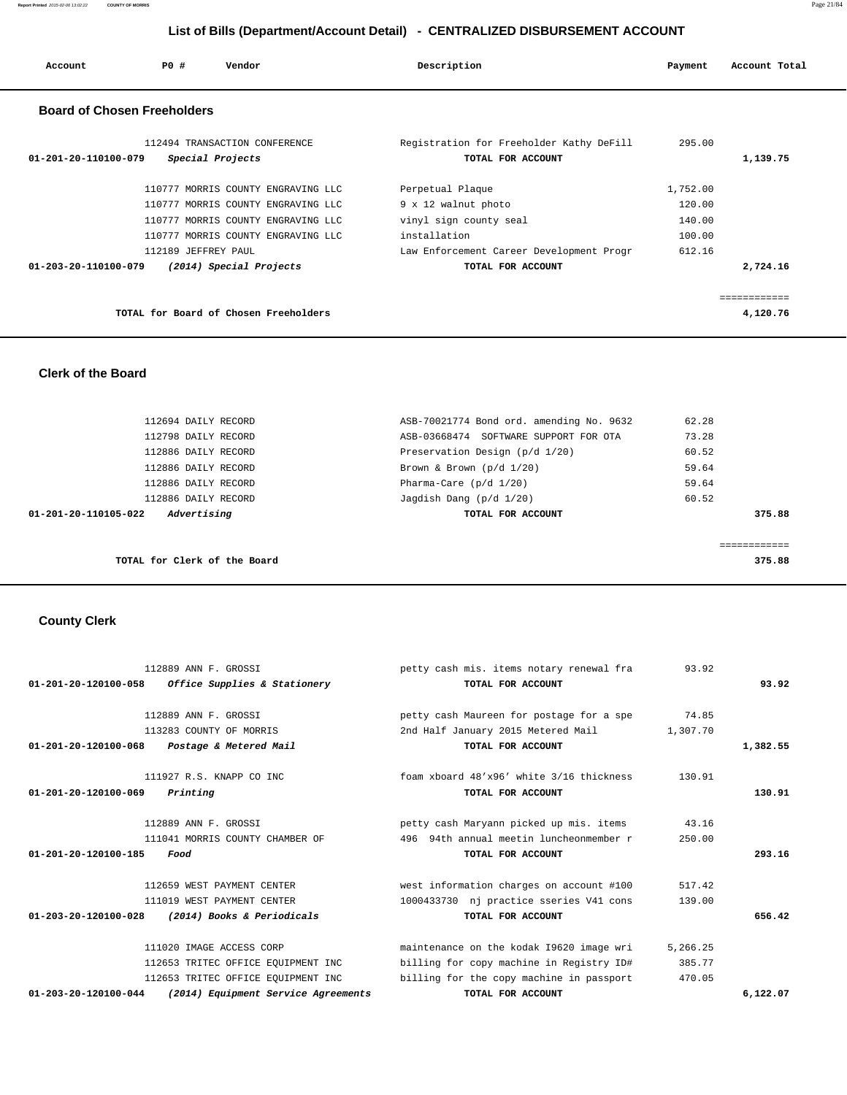| Account              | PO#                                | Vendor                             | Description                              | Payment  | Account Total |
|----------------------|------------------------------------|------------------------------------|------------------------------------------|----------|---------------|
|                      | <b>Board of Chosen Freeholders</b> |                                    |                                          |          |               |
|                      |                                    | 112494 TRANSACTION CONFERENCE      | Registration for Freeholder Kathy DeFill | 295.00   |               |
| 01-201-20-110100-079 |                                    | Special Projects                   | TOTAL FOR ACCOUNT                        |          | 1,139.75      |
|                      |                                    | 110777 MORRIS COUNTY ENGRAVING LLC | Perpetual Plaque                         | 1,752.00 |               |
|                      |                                    | 110777 MORRIS COUNTY ENGRAVING LLC | 9 x 12 walnut photo                      | 120.00   |               |
|                      |                                    | 110777 MORRIS COUNTY ENGRAVING LLC | vinyl sign county seal                   | 140.00   |               |
|                      |                                    | 110777 MORRIS COUNTY ENGRAVING LLC | installation                             | 100.00   |               |
|                      | 112189 JEFFREY PAUL                |                                    | Law Enforcement Career Development Progr | 612.16   |               |
| 01-203-20-110100-079 |                                    | (2014) Special Projects            | TOTAL FOR ACCOUNT                        |          | 2,724.16      |
|                      |                                    |                                    |                                          |          |               |
|                      |                                    |                                    |                                          |          | ===========   |

| TOTAL for Board of Chosen Freeholders | 4,120.76 |
|---------------------------------------|----------|
|---------------------------------------|----------|

 **Clerk of the Board** 

 112694 DAILY RECORD ASB-70021774 Bond ord. amending No. 9632 62.28 112798 DAILY RECORD ASB-03668474 SOFTWARE SUPPORT FOR OTA 73.28 112886 DAILY RECORD Preservation Design (p/d 1/20) 60.52 112886 DAILY RECORD BROWN & Brown & Brown (p/d  $1/20$ ) 59.64 112886 DAILY RECORD **Pharma-Care** (p/d  $1/20$ ) 59.64 112886 DAILY RECORD  $Jagdish$  Dang (p/d  $1/20$ ) 60.52  **01-201-20-110105-022 Advertising TOTAL FOR ACCOUNT 375.88** ============ **TOTAL for Clerk of the Board 375.88**

### **County Clerk**

|                                | 112889 ANN F. GROSSI                | petty cash mis. items notary renewal fra | 93.92    |          |
|--------------------------------|-------------------------------------|------------------------------------------|----------|----------|
| 01-201-20-120100-058           | Office Supplies & Stationery        | TOTAL FOR ACCOUNT                        |          | 93.92    |
|                                | 112889 ANN F. GROSSI                | petty cash Maureen for postage for a spe | 74.85    |          |
|                                | 113283 COUNTY OF MORRIS             | 2nd Half January 2015 Metered Mail       | 1,307.70 |          |
| 01-201-20-120100-068           | Postage & Metered Mail              | TOTAL FOR ACCOUNT                        |          | 1,382.55 |
|                                | 111927 R.S. KNAPP CO INC            | foam xboard 48'x96' white 3/16 thickness | 130.91   |          |
| 01-201-20-120100-069           | Printing                            | TOTAL FOR ACCOUNT                        |          | 130.91   |
|                                | 112889 ANN F. GROSSI                | petty cash Maryann picked up mis. items  | 43.16    |          |
|                                | 111041 MORRIS COUNTY CHAMBER OF     | 496 94th annual meetin luncheonmember r  | 250.00   |          |
| 01-201-20-120100-185           | Food                                | TOTAL FOR ACCOUNT                        |          | 293.16   |
|                                | 112659 WEST PAYMENT CENTER          | west information charges on account #100 | 517.42   |          |
|                                | 111019 WEST PAYMENT CENTER          | 1000433730 nj practice sseries V41 cons  | 139.00   |          |
| $01 - 203 - 20 - 120100 - 028$ | (2014) Books & Periodicals          | TOTAL FOR ACCOUNT                        |          | 656.42   |
|                                | 111020 IMAGE ACCESS CORP            | maintenance on the kodak 19620 image wri | 5,266.25 |          |
|                                | 112653 TRITEC OFFICE EQUIPMENT INC  | billing for copy machine in Registry ID# | 385.77   |          |
|                                | 112653 TRITEC OFFICE EQUIPMENT INC  | billing for the copy machine in passport | 470.05   |          |
| $01 - 203 - 20 - 120100 - 044$ | (2014) Equipment Service Agreements | TOTAL FOR ACCOUNT                        |          | 6,122.07 |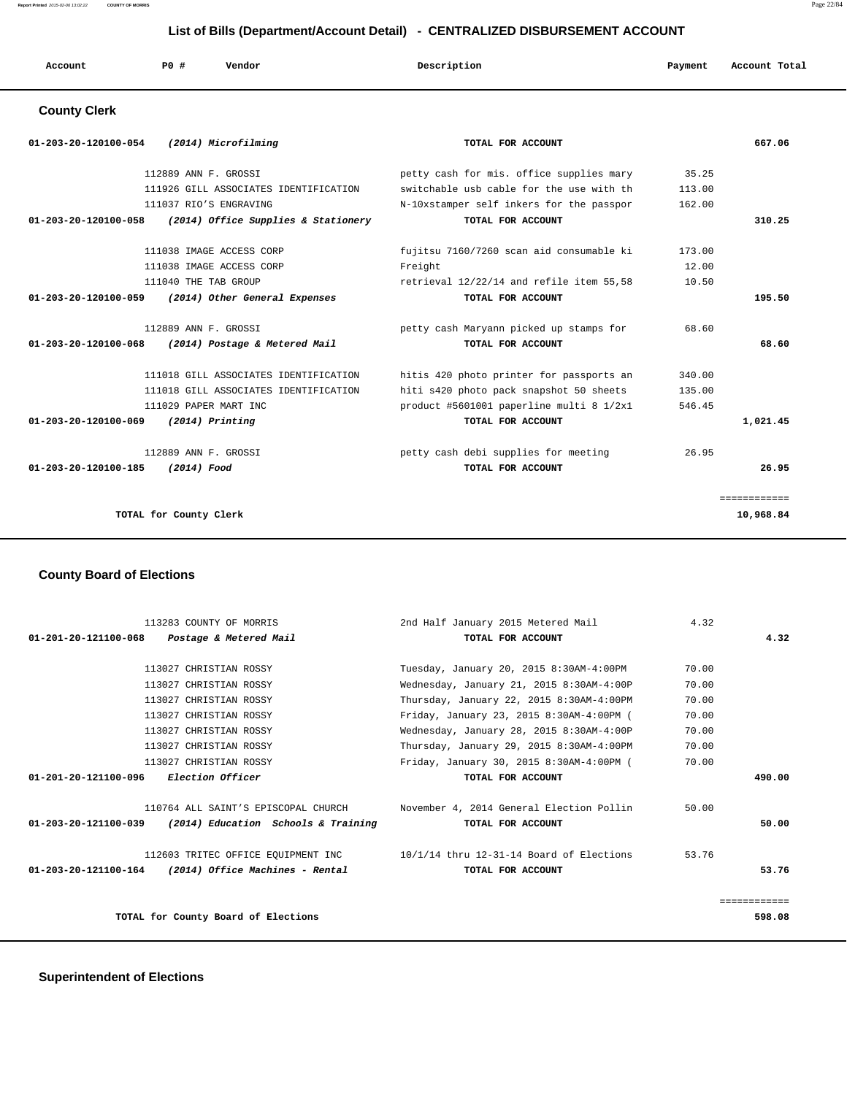| Account              | PO#                  | Vendor              | Description                              | Payment | Account Total |
|----------------------|----------------------|---------------------|------------------------------------------|---------|---------------|
| <b>County Clerk</b>  |                      |                     |                                          |         |               |
| 01-203-20-120100-054 |                      | (2014) Microfilming | TOTAL FOR ACCOUNT                        |         | 667.06        |
|                      | 112889 ANN F. GROSSI |                     | petty cash for mis. office supplies mary | 35.25   |               |

| 111926 GILL ASSOCIATES IDENTIFICATION                           | switchable usb cable for the use with th | 113.00 |              |
|-----------------------------------------------------------------|------------------------------------------|--------|--------------|
| 111037 RIO'S ENGRAVING                                          | N-10xstamper self inkers for the passpor | 162.00 |              |
| 01-203-20-120100-058<br>(2014) Office Supplies & Stationery     | TOTAL FOR ACCOUNT                        |        | 310.25       |
|                                                                 |                                          |        |              |
| 111038 IMAGE ACCESS CORP                                        | fujitsu 7160/7260 scan aid consumable ki | 173.00 |              |
| 111038 IMAGE ACCESS CORP                                        | Freight                                  | 12.00  |              |
| 111040 THE TAB GROUP                                            | retrieval 12/22/14 and refile item 55,58 | 10.50  |              |
| 01-203-20-120100-059<br>(2014) Other General Expenses           | TOTAL FOR ACCOUNT                        |        | 195.50       |
|                                                                 |                                          |        |              |
| 112889 ANN F. GROSSI                                            | petty cash Maryann picked up stamps for  | 68.60  |              |
| $01 - 203 - 20 - 120100 - 068$<br>(2014) Postage & Metered Mail | TOTAL FOR ACCOUNT                        |        | 68.60        |
| 111018 GILL ASSOCIATES IDENTIFICATION                           | hitis 420 photo printer for passports an | 340.00 |              |
| 111018 GILL ASSOCIATES IDENTIFICATION                           | hiti s420 photo pack snapshot 50 sheets  | 135.00 |              |
| 111029 PAPER MART INC                                           | product #5601001 paperline multi 8 1/2x1 | 546.45 |              |
| 01-203-20-120100-069<br>(2014) Printing                         | TOTAL FOR ACCOUNT                        |        | 1,021.45     |
|                                                                 |                                          |        |              |
| 112889 ANN F. GROSSI                                            | petty cash debi supplies for meeting     | 26.95  |              |
| 01-203-20-120100-185<br>(2014) Food                             | TOTAL FOR ACCOUNT                        |        | 26.95        |
|                                                                 |                                          |        |              |
|                                                                 |                                          |        | ============ |
| TOTAL for County Clerk                                          |                                          |        | 10,968.84    |
|                                                                 |                                          |        |              |

## **County Board of Elections**

| 113283 COUNTY OF MORRIS                                    | 2nd Half January 2015 Metered Mail                                          | 4.32  |        |
|------------------------------------------------------------|-----------------------------------------------------------------------------|-------|--------|
| 01-201-20-121100-068 Postage & Metered Mail                | TOTAL FOR ACCOUNT                                                           |       | 4.32   |
|                                                            |                                                                             |       |        |
| 113027 CHRISTIAN ROSSY                                     | Tuesday, January 20, 2015 8:30AM-4:00PM                                     | 70.00 |        |
| 113027 CHRISTIAN ROSSY                                     | Wednesday, January 21, 2015 8:30AM-4:00P                                    | 70.00 |        |
| 113027 CHRISTIAN ROSSY                                     | Thursday, January 22, 2015 8:30AM-4:00PM                                    | 70.00 |        |
| 113027 CHRISTIAN ROSSY                                     | Friday, January 23, 2015 8:30AM-4:00PM (                                    | 70.00 |        |
| 113027 CHRISTIAN ROSSY                                     | Wednesday, January 28, 2015 8:30AM-4:00P                                    | 70.00 |        |
| 113027 CHRISTIAN ROSSY                                     | Thursday, January 29, 2015 8:30AM-4:00PM                                    | 70.00 |        |
| 113027 CHRISTIAN ROSSY                                     | Friday, January 30, 2015 8:30AM-4:00PM (                                    | 70.00 |        |
| 01-201-20-121100-096 Election Officer                      | TOTAL FOR ACCOUNT                                                           |       | 490.00 |
| 110764 ALL SAINT'S EPISCOPAL CHURCH                        | November 4, 2014 General Election Pollin                                    | 50.00 |        |
| $01-203-20-121100-039$ (2014) Education Schools & Training | TOTAL FOR ACCOUNT                                                           |       | 50.00  |
|                                                            | 112603 TRITEC OFFICE EQUIPMENT INC 10/1/14 thru 12-31-14 Board of Elections | 53.76 |        |
| $01-203-20-121100-164$ (2014) Office Machines - Rental     | TOTAL FOR ACCOUNT                                                           |       | 53.76  |
|                                                            |                                                                             |       |        |
| TOTAL for County Board of Elections                        |                                                                             |       | 598.08 |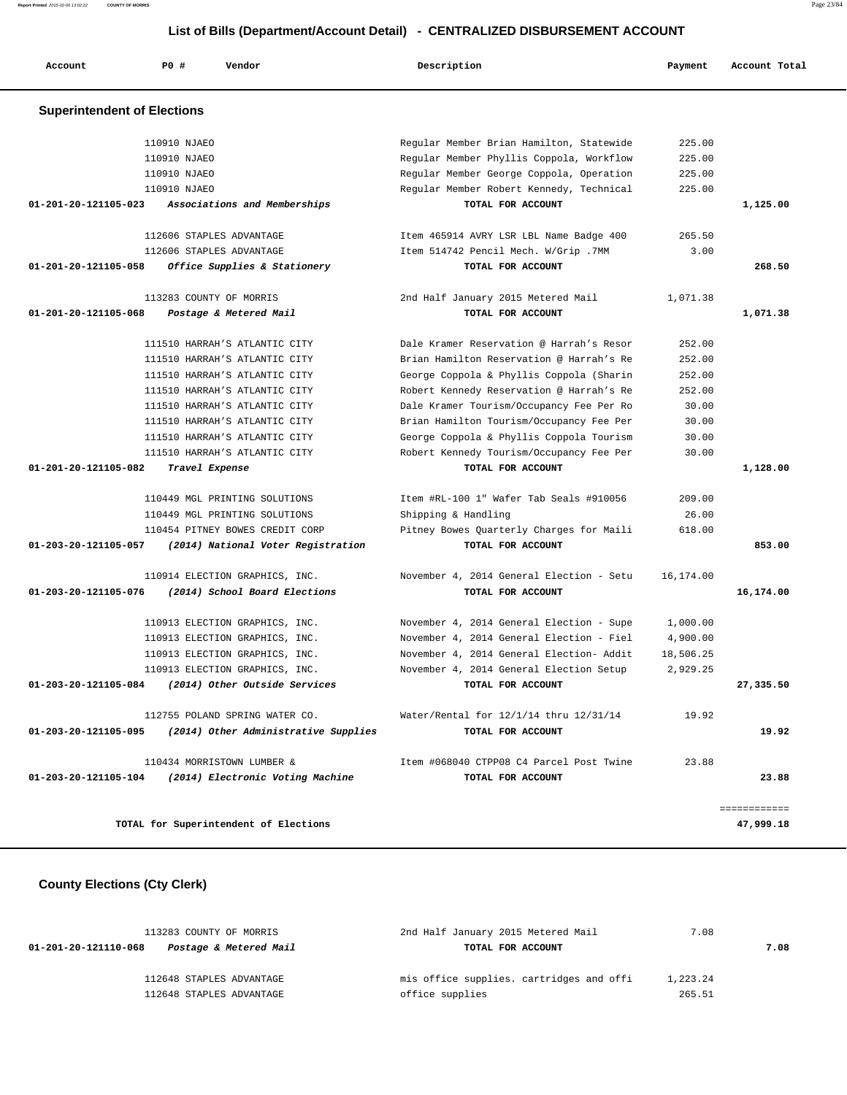| Account                            | <b>PO #</b>  | Vendor                                | Description                              | Payment   | Account Total |
|------------------------------------|--------------|---------------------------------------|------------------------------------------|-----------|---------------|
| <b>Superintendent of Elections</b> |              |                                       |                                          |           |               |
|                                    | 110910 NJAEO |                                       | Regular Member Brian Hamilton, Statewide | 225.00    |               |
|                                    | 110910 NJAEO |                                       | Regular Member Phyllis Coppola, Workflow | 225.00    |               |
|                                    | 110910 NJAEO |                                       | Regular Member George Coppola, Operation | 225.00    |               |
|                                    | 110910 NJAEO |                                       | Regular Member Robert Kennedy, Technical | 225.00    |               |
| 01-201-20-121105-023               |              | Associations and Memberships          | TOTAL FOR ACCOUNT                        |           | 1,125.00      |
|                                    |              | 112606 STAPLES ADVANTAGE              | Item 465914 AVRY LSR LBL Name Badge 400  | 265.50    |               |
|                                    |              | 112606 STAPLES ADVANTAGE              | Item 514742 Pencil Mech. W/Grip .7MM     | 3.00      |               |
| 01-201-20-121105-058               |              | Office Supplies & Stationery          | TOTAL FOR ACCOUNT                        |           | 268.50        |
|                                    |              | 113283 COUNTY OF MORRIS               | 2nd Half January 2015 Metered Mail       | 1,071.38  |               |
| 01-201-20-121105-068               |              | Postage & Metered Mail                | TOTAL FOR ACCOUNT                        |           | 1,071.38      |
|                                    |              | 111510 HARRAH'S ATLANTIC CITY         | Dale Kramer Reservation @ Harrah's Resor | 252.00    |               |
|                                    |              | 111510 HARRAH'S ATLANTIC CITY         | Brian Hamilton Reservation @ Harrah's Re | 252.00    |               |
|                                    |              | 111510 HARRAH'S ATLANTIC CITY         | George Coppola & Phyllis Coppola (Sharin | 252.00    |               |
|                                    |              | 111510 HARRAH'S ATLANTIC CITY         | Robert Kennedy Reservation @ Harrah's Re | 252.00    |               |
|                                    |              | 111510 HARRAH'S ATLANTIC CITY         | Dale Kramer Tourism/Occupancy Fee Per Ro | 30.00     |               |
|                                    |              | 111510 HARRAH'S ATLANTIC CITY         | Brian Hamilton Tourism/Occupancy Fee Per | 30.00     |               |
|                                    |              | 111510 HARRAH'S ATLANTIC CITY         | George Coppola & Phyllis Coppola Tourism | 30.00     |               |
|                                    |              | 111510 HARRAH'S ATLANTIC CITY         | Robert Kennedy Tourism/Occupancy Fee Per | 30.00     |               |
| 01-201-20-121105-082               |              | Travel Expense                        | TOTAL FOR ACCOUNT                        |           | 1,128.00      |
|                                    |              | 110449 MGL PRINTING SOLUTIONS         | Item #RL-100 1" Wafer Tab Seals #910056  | 209.00    |               |
|                                    |              | 110449 MGL PRINTING SOLUTIONS         | Shipping & Handling                      | 26.00     |               |
|                                    |              | 110454 PITNEY BOWES CREDIT CORP       | Pitney Bowes Quarterly Charges for Maili | 618.00    |               |
| 01-203-20-121105-057               |              | (2014) National Voter Registration    | TOTAL FOR ACCOUNT                        |           | 853.00        |
|                                    |              | 110914 ELECTION GRAPHICS, INC.        | November 4, 2014 General Election - Setu | 16,174.00 |               |
| 01-203-20-121105-076               |              | (2014) School Board Elections         | TOTAL FOR ACCOUNT                        |           | 16,174.00     |
|                                    |              | 110913 ELECTION GRAPHICS, INC.        | November 4, 2014 General Election - Supe | 1,000.00  |               |
|                                    |              | 110913 ELECTION GRAPHICS, INC.        | November 4, 2014 General Election - Fiel | 4,900.00  |               |
|                                    |              | 110913 ELECTION GRAPHICS, INC.        | November 4, 2014 General Election- Addit | 18,506.25 |               |
|                                    |              | 110913 ELECTION GRAPHICS, INC.        | November 4, 2014 General Election Setup  | 2,929.25  |               |
| 01-203-20-121105-084               |              | (2014) Other Outside Services         | TOTAL FOR ACCOUNT                        |           | 27,335.50     |
|                                    |              | 112755 POLAND SPRING WATER CO.        | Water/Rental for 12/1/14 thru 12/31/14   | 19.92     |               |
| 01-203-20-121105-095               |              | (2014) Other Administrative Supplies  | TOTAL FOR ACCOUNT                        |           | 19.92         |
|                                    |              | 110434 MORRISTOWN LUMBER &            | Item #068040 CTPP08 C4 Parcel Post Twine | 23.88     |               |
| 01-203-20-121105-104               |              | (2014) Electronic Voting Machine      | TOTAL FOR ACCOUNT                        |           | 23.88         |
|                                    |              |                                       |                                          |           | ============  |
|                                    |              | TOTAL for Superintendent of Elections |                                          |           | 47,999.18     |

# **County Elections (Cty Clerk)**

| 113283 COUNTY OF MORRIS                        | 2nd Half January 2015 Metered Mail       | 7.08     |      |
|------------------------------------------------|------------------------------------------|----------|------|
| Postage & Metered Mail<br>01-201-20-121110-068 | TOTAL FOR ACCOUNT                        |          | 7.08 |
| 112648 STAPLES ADVANTAGE                       | mis office supplies. cartridges and offi | 1,223.24 |      |
| 112648 STAPLES ADVANTAGE                       | office supplies                          | 265.51   |      |

**Report Printed** 2015-02-06 13:02:22 **COUNTY OF MORRIS** Page 23/84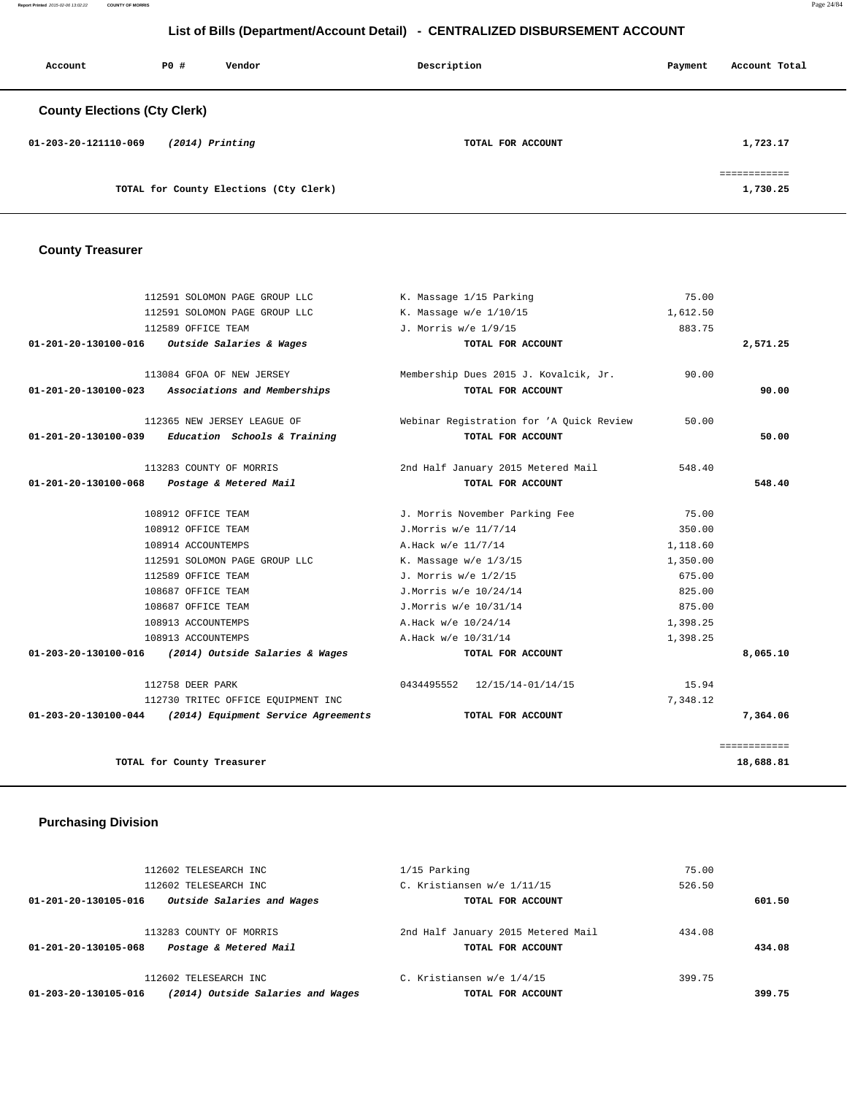**Report Printed** 2015-02-06 13:02:22 **COUNTY OF MORRIS** Page 24/84

# **List of Bills (Department/Account Detail) - CENTRALIZED DISBURSEMENT ACCOUNT**

| Account                             | PO# | Vendor                                 | Description       | Payment | Account Total                            |
|-------------------------------------|-----|----------------------------------------|-------------------|---------|------------------------------------------|
| <b>County Elections (Cty Clerk)</b> |     |                                        |                   |         |                                          |
| 01-203-20-121110-069                |     | $(2014)$ Printing                      | TOTAL FOR ACCOUNT |         | 1,723.17                                 |
|                                     |     | TOTAL for County Elections (Cty Clerk) |                   |         | ------------<br>------------<br>1,730.25 |

# **County Treasurer**

|                      | 112591 SOLOMON PAGE GROUP LLC                              | K. Massage 1/15 Parking                  | 75.00    |              |
|----------------------|------------------------------------------------------------|------------------------------------------|----------|--------------|
|                      | 112591 SOLOMON PAGE GROUP LLC                              | K. Massage w/e 1/10/15                   | 1,612.50 |              |
|                      | 112589 OFFICE TEAM                                         | J. Morris w/e 1/9/15                     | 883.75   |              |
|                      | 01-201-20-130100-016 Outside Salaries & Wages              | TOTAL FOR ACCOUNT                        |          | 2,571.25     |
|                      | 113084 GFOA OF NEW JERSEY                                  | Membership Dues 2015 J. Kovalcik, Jr.    | 90.00    |              |
| 01-201-20-130100-023 | Associations and Memberships                               | TOTAL FOR ACCOUNT                        |          | 90.00        |
|                      | 112365 NEW JERSEY LEAGUE OF                                | Webinar Registration for 'A Ouick Review | 50.00    |              |
| 01-201-20-130100-039 | Education Schools & Training                               | TOTAL FOR ACCOUNT                        |          | 50.00        |
|                      | 113283 COUNTY OF MORRIS                                    | 2nd Half January 2015 Metered Mail       | 548.40   |              |
| 01-201-20-130100-068 | Postage & Metered Mail                                     | TOTAL FOR ACCOUNT                        |          | 548.40       |
|                      | 108912 OFFICE TEAM                                         | J. Morris November Parking Fee           | 75.00    |              |
|                      | 108912 OFFICE TEAM                                         | J.Morris w/e 11/7/14                     | 350.00   |              |
|                      | 108914 ACCOUNTEMPS                                         | A.Hack w/e 11/7/14                       | 1,118.60 |              |
|                      | 112591 SOLOMON PAGE GROUP LLC                              | K. Massage $w/e$ 1/3/15                  | 1,350.00 |              |
|                      | 112589 OFFICE TEAM                                         | J. Morris w/e 1/2/15                     | 675.00   |              |
|                      | 108687 OFFICE TEAM                                         | J.Morris w/e 10/24/14                    | 825.00   |              |
|                      | 108687 OFFICE TEAM                                         | J.Morris w/e 10/31/14                    | 875.00   |              |
|                      | 108913 ACCOUNTEMPS                                         | A.Hack w/e 10/24/14                      | 1,398.25 |              |
|                      | 108913 ACCOUNTEMPS                                         | A.Hack w/e 10/31/14                      | 1,398.25 |              |
| 01-203-20-130100-016 | (2014) Outside Salaries & Wages                            | TOTAL FOR ACCOUNT                        |          | 8,065.10     |
|                      | 112758 DEER PARK                                           | 0434495552 12/15/14-01/14/15             | 15.94    |              |
|                      | 112730 TRITEC OFFICE EOUIPMENT INC                         |                                          | 7,348.12 |              |
|                      | $01-203-20-130100-044$ (2014) Equipment Service Agreements | TOTAL FOR ACCOUNT                        |          | 7,364.06     |
|                      |                                                            |                                          |          | ============ |
|                      | TOTAL for County Treasurer                                 |                                          |          | 18,688.81    |

# **Purchasing Division**

|                      | 112602 TELESEARCH INC      | C. Kristiansen w/e 1/4/15          | 399.75 |        |
|----------------------|----------------------------|------------------------------------|--------|--------|
| 01-201-20-130105-068 | Postage & Metered Mail     | TOTAL FOR ACCOUNT                  |        | 434.08 |
|                      | 113283 COUNTY OF MORRIS    | 2nd Half January 2015 Metered Mail | 434.08 |        |
| 01-201-20-130105-016 | Outside Salaries and Wages | TOTAL FOR ACCOUNT                  |        | 601.50 |
|                      | 112602 TELESEARCH INC      | C. Kristiansen w/e 1/11/15         | 526.50 |        |
|                      | 112602 TELESEARCH INC      | $1/15$ Parking                     | 75.00  |        |
|                      |                            |                                    |        |        |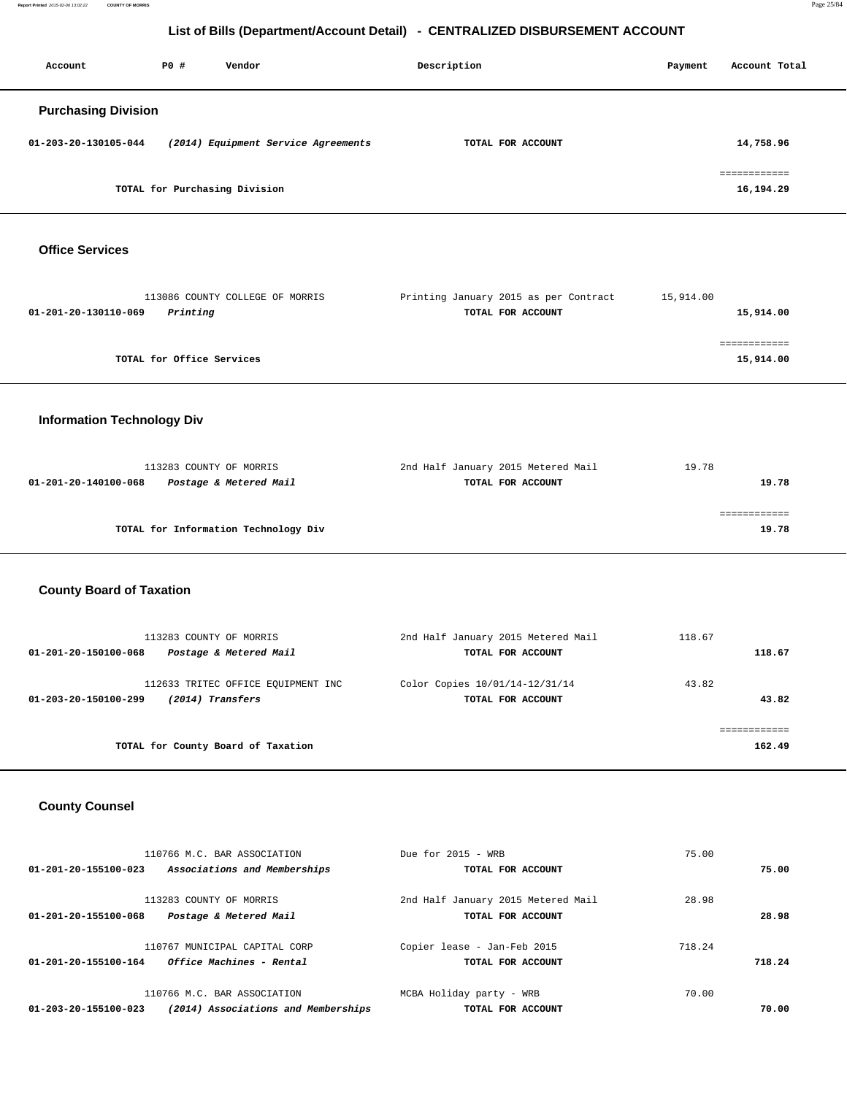**Report Printed** 2015-02-06 13:02:22 **COUNTY OF MORRIS** Page 25/84

# **List of Bills (Department/Account Detail) - CENTRALIZED DISBURSEMENT ACCOUNT**

| Account                    | PO# | Vendor                              | Description       | Payment | Account Total             |
|----------------------------|-----|-------------------------------------|-------------------|---------|---------------------------|
| <b>Purchasing Division</b> |     |                                     |                   |         |                           |
| 01-203-20-130105-044       |     | (2014) Equipment Service Agreements | TOTAL FOR ACCOUNT |         | 14,758.96                 |
|                            |     | TOTAL for Purchasing Division       |                   |         | ============<br>16,194.29 |

 **Office Services** 

| 113086 COUNTY COLLEGE OF MORRIS  | Printing January 2015 as per Contract | 15,914.00 |
|----------------------------------|---------------------------------------|-----------|
| Printing<br>01-201-20-130110-069 | TOTAL FOR ACCOUNT                     | 15,914.00 |
|                                  |                                       |           |
|                                  |                                       |           |
| TOTAL for Office Services        |                                       | 15,914.00 |
|                                  |                                       |           |

# **Information Technology Div**

| 113283 COUNTY OF MORRIS                        | 2nd Half January 2015 Metered Mail | 19.78 |
|------------------------------------------------|------------------------------------|-------|
| Postage & Metered Mail<br>01-201-20-140100-068 | TOTAL FOR ACCOUNT                  | 19.78 |
|                                                |                                    |       |
|                                                |                                    |       |
| TOTAL for Information Technology Div           |                                    | 19.78 |

# **County Board of Taxation**

| 113283 COUNTY OF MORRIS<br>Postage & Metered Mail<br>01-201-20-150100-068      | 2nd Half January 2015 Metered Mail<br>TOTAL FOR ACCOUNT | 118.67 | 118.67 |
|--------------------------------------------------------------------------------|---------------------------------------------------------|--------|--------|
| 112633 TRITEC OFFICE EQUIPMENT INC<br>(2014) Transfers<br>01-203-20-150100-299 | Color Copies 10/01/14-12/31/14<br>TOTAL FOR ACCOUNT     | 43.82  | 43.82  |
| TOTAL for County Board of Taxation                                             |                                                         |        | 162.49 |

# **County Counsel**

|        | 75.00  | Due for $2015 - WRR$               | 110766 M.C. BAR ASSOCIATION         |                      |
|--------|--------|------------------------------------|-------------------------------------|----------------------|
| 75.00  |        | TOTAL FOR ACCOUNT                  | Associations and Memberships        | 01-201-20-155100-023 |
|        | 28.98  | 2nd Half January 2015 Metered Mail | 113283 COUNTY OF MORRIS             |                      |
| 28.98  |        | TOTAL FOR ACCOUNT                  | Postage & Metered Mail              | 01-201-20-155100-068 |
|        | 718.24 | Copier lease - Jan-Feb 2015        | 110767 MUNICIPAL CAPITAL CORP       |                      |
| 718.24 |        | TOTAL FOR ACCOUNT                  | Office Machines - Rental            | 01-201-20-155100-164 |
|        | 70.00  | MCBA Holiday party - WRB           | 110766 M.C. BAR ASSOCIATION         |                      |
| 70.00  |        | TOTAL FOR ACCOUNT                  | (2014) Associations and Memberships | 01-203-20-155100-023 |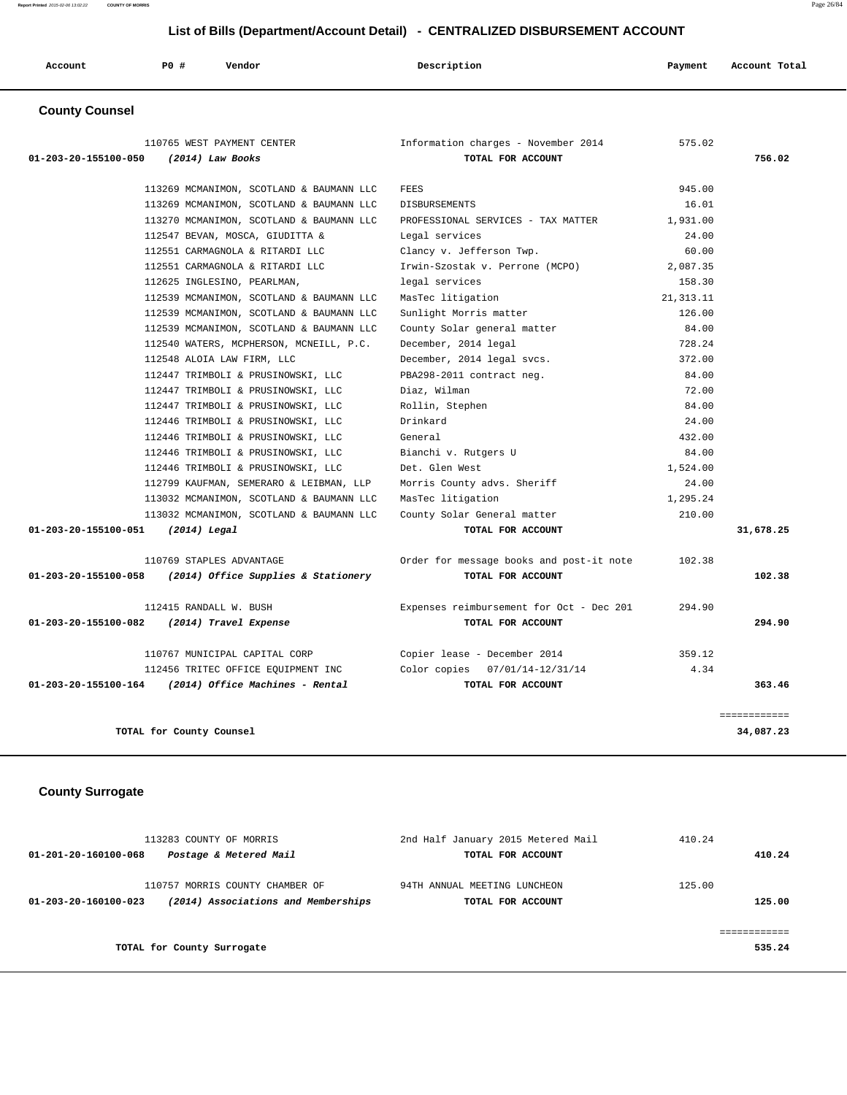| Account               | PO# | Vendor                     | Description                         | Account Total<br>Payment |
|-----------------------|-----|----------------------------|-------------------------------------|--------------------------|
| <b>County Counsel</b> |     |                            |                                     |                          |
|                       |     | 110765 WEST PAYMENT CENTER | Information charges - November 2014 | 575.02                   |

| 01-203-20-155100-050<br>(2014) Law Books                    | TOTAL FOR ACCOUNT                        |            | 756.02       |
|-------------------------------------------------------------|------------------------------------------|------------|--------------|
| 113269 MCMANIMON, SCOTLAND & BAUMANN LLC                    | <b>FEES</b>                              | 945.00     |              |
| 113269 MCMANIMON, SCOTLAND & BAUMANN LLC                    | <b>DISBURSEMENTS</b>                     | 16.01      |              |
| 113270 MCMANIMON, SCOTLAND & BAUMANN LLC                    | PROFESSIONAL SERVICES - TAX MATTER       | 1,931.00   |              |
| 112547 BEVAN, MOSCA, GIUDITTA &                             | Legal services                           | 24.00      |              |
| 112551 CARMAGNOLA & RITARDI LLC                             | Clancy v. Jefferson Twp.                 | 60.00      |              |
| 112551 CARMAGNOLA & RITARDI LLC                             | Irwin-Szostak v. Perrone (MCPO)          | 2,087.35   |              |
| 112625 INGLESINO, PEARLMAN,                                 | legal services                           | 158.30     |              |
| 112539 MCMANIMON, SCOTLAND & BAUMANN LLC                    | MasTec litigation                        | 21, 313.11 |              |
| 112539 MCMANIMON, SCOTLAND & BAUMANN LLC                    | Sunlight Morris matter                   | 126.00     |              |
| 112539 MCMANIMON, SCOTLAND & BAUMANN LLC                    | County Solar general matter              | 84.00      |              |
| 112540 WATERS, MCPHERSON, MCNEILL, P.C.                     | December, 2014 legal                     | 728.24     |              |
| 112548 ALOIA LAW FIRM, LLC                                  | December, 2014 legal svcs.               | 372.00     |              |
| 112447 TRIMBOLI & PRUSINOWSKI, LLC                          | PBA298-2011 contract neg.                | 84.00      |              |
| 112447 TRIMBOLI & PRUSINOWSKI, LLC                          | Diaz, Wilman                             | 72.00      |              |
| 112447 TRIMBOLI & PRUSINOWSKI, LLC                          | Rollin, Stephen                          | 84.00      |              |
| 112446 TRIMBOLI & PRUSINOWSKI, LLC                          | Drinkard                                 | 24.00      |              |
| 112446 TRIMBOLI & PRUSINOWSKI, LLC                          | General                                  | 432.00     |              |
| 112446 TRIMBOLI & PRUSINOWSKI, LLC                          | Bianchi v. Rutgers U                     | 84.00      |              |
| 112446 TRIMBOLI & PRUSINOWSKI, LLC                          | Det. Glen West                           | 1,524.00   |              |
| 112799 KAUFMAN, SEMERARO & LEIBMAN, LLP                     | Morris County advs. Sheriff              | 24.00      |              |
| 113032 MCMANIMON, SCOTLAND & BAUMANN LLC                    | MasTec litigation                        | 1,295.24   |              |
| 113032 MCMANIMON, SCOTLAND & BAUMANN LLC                    | County Solar General matter              | 210.00     |              |
| 01-203-20-155100-051<br>$(2014)$ Legal                      | TOTAL FOR ACCOUNT                        |            | 31,678.25    |
| 110769 STAPLES ADVANTAGE                                    | Order for message books and post-it note | 102.38     |              |
| (2014) Office Supplies & Stationery<br>01-203-20-155100-058 | TOTAL FOR ACCOUNT                        |            | 102.38       |
| 112415 RANDALL W. BUSH                                      | Expenses reimbursement for Oct - Dec 201 | 294.90     |              |
| 01-203-20-155100-082 (2014) Travel Expense                  | TOTAL FOR ACCOUNT                        |            | 294.90       |
| 110767 MUNICIPAL CAPITAL CORP                               | Copier lease - December 2014             | 359.12     |              |
| 112456 TRITEC OFFICE EQUIPMENT INC                          | Color copies 07/01/14-12/31/14           | 4.34       |              |
| (2014) Office Machines - Rental<br>01-203-20-155100-164     | TOTAL FOR ACCOUNT                        |            | 363.46       |
|                                                             |                                          |            | ============ |
| TOTAL for County Counsel                                    |                                          |            | 34,087.23    |

# **County Surrogate**

| 113283 COUNTY OF MORRIS<br>Postage & Metered Mail<br>01-201-20-160100-068                      | 2nd Half January 2015 Metered Mail<br>TOTAL FOR ACCOUNT | 410.24<br>410.24 |
|------------------------------------------------------------------------------------------------|---------------------------------------------------------|------------------|
| 110757 MORRIS COUNTY CHAMBER OF<br>(2014) Associations and Memberships<br>01-203-20-160100-023 | 94TH ANNUAL MEETING LUNCHEON<br>TOTAL FOR ACCOUNT       | 125.00<br>125.00 |
| TOTAL for County Surrogate                                                                     |                                                         | 535.24           |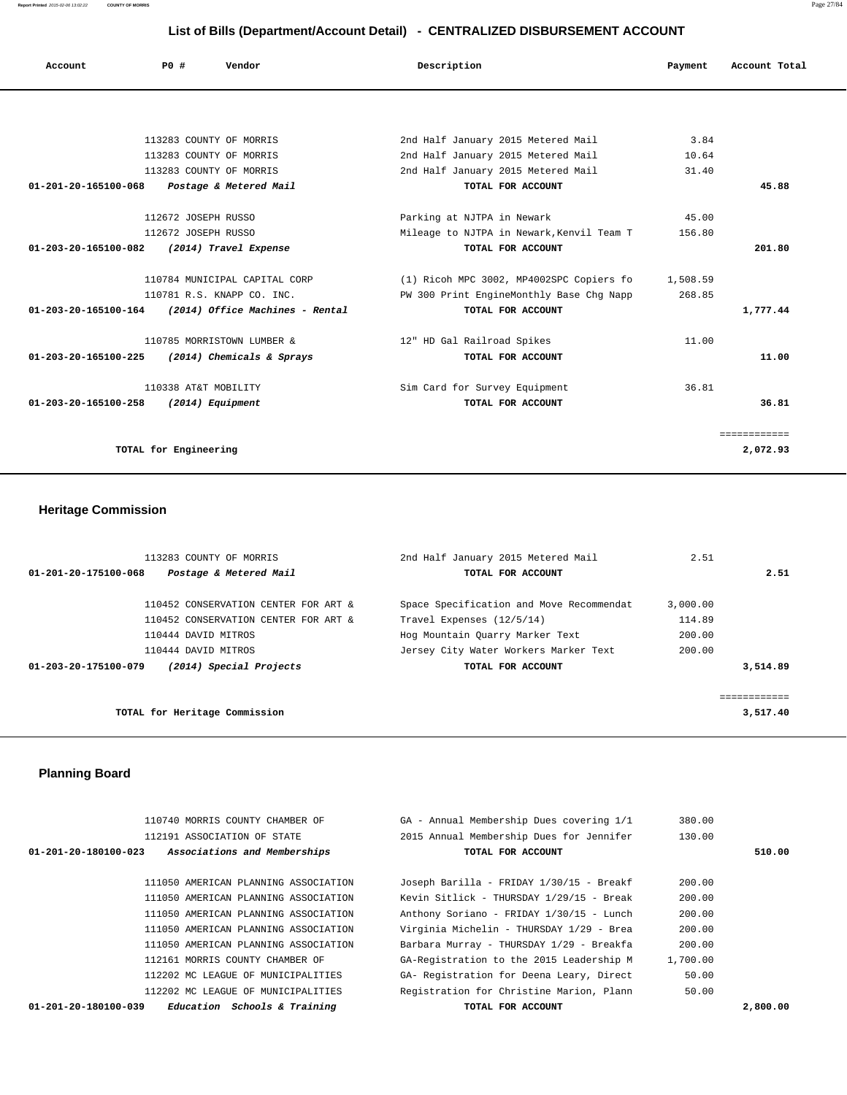**Report Printed** 2015-02-06 13:02:22 **COUNTY OF MORRIS** Page 27/84

# **List of Bills (Department/Account Detail) - CENTRALIZED DISBURSEMENT ACCOUNT**

| Account                        | PO#                   | Vendor                          | Description |                                           | Payment  | Account Total |
|--------------------------------|-----------------------|---------------------------------|-------------|-------------------------------------------|----------|---------------|
|                                |                       |                                 |             |                                           |          |               |
|                                |                       |                                 |             |                                           |          |               |
|                                |                       | 113283 COUNTY OF MORRIS         |             | 2nd Half January 2015 Metered Mail        | 3.84     |               |
|                                |                       | 113283 COUNTY OF MORRIS         |             | 2nd Half January 2015 Metered Mail        | 10.64    |               |
|                                |                       | 113283 COUNTY OF MORRIS         |             | 2nd Half January 2015 Metered Mail        | 31.40    |               |
| $01 - 201 - 20 - 165100 - 068$ |                       | Postage & Metered Mail          |             | TOTAL FOR ACCOUNT                         |          | 45.88         |
|                                |                       |                                 |             |                                           |          |               |
|                                | 112672 JOSEPH RUSSO   |                                 |             | Parking at NJTPA in Newark                | 45.00    |               |
|                                | 112672 JOSEPH RUSSO   |                                 |             | Mileage to NJTPA in Newark, Kenvil Team T | 156.80   |               |
| 01-203-20-165100-082           |                       | (2014) Travel Expense           |             | TOTAL FOR ACCOUNT                         |          | 201.80        |
|                                |                       |                                 |             |                                           |          |               |
|                                |                       | 110784 MUNICIPAL CAPITAL CORP   |             | (1) Ricoh MPC 3002, MP4002SPC Copiers fo  | 1,508.59 |               |
|                                |                       | 110781 R.S. KNAPP CO. INC.      |             | PW 300 Print EngineMonthly Base Chg Napp  | 268.85   |               |
| 01-203-20-165100-164           |                       | (2014) Office Machines - Rental |             | TOTAL FOR ACCOUNT                         |          | 1,777.44      |
|                                |                       | 110785 MORRISTOWN LUMBER &      |             | 12" HD Gal Railroad Spikes                | 11.00    |               |
| 01-203-20-165100-225           |                       | (2014) Chemicals & Sprays       |             | TOTAL FOR ACCOUNT                         |          | 11.00         |
|                                |                       |                                 |             |                                           |          |               |
|                                | 110338 AT&T MOBILITY  |                                 |             | Sim Card for Survey Equipment             | 36.81    |               |
| 01-203-20-165100-258           | $(2014)$ Equipment    |                                 |             | TOTAL FOR ACCOUNT                         |          | 36.81         |
|                                |                       |                                 |             |                                           |          | ============  |
|                                | TOTAL for Engineering |                                 |             |                                           |          | 2,072.93      |
|                                |                       |                                 |             |                                           |          |               |

# **Heritage Commission**

| 113283 COUNTY OF MORRIS                         | 2nd Half January 2015 Metered Mail       | 2.51     |             |
|-------------------------------------------------|------------------------------------------|----------|-------------|
| Postage & Metered Mail<br>01-201-20-175100-068  | TOTAL FOR ACCOUNT                        |          | 2.51        |
| 110452 CONSERVATION CENTER FOR ART &            | Space Specification and Move Recommendat | 3,000.00 |             |
| 110452 CONSERVATION CENTER FOR ART &            | Travel Expenses (12/5/14)                | 114.89   |             |
| 110444 DAVID MITROS                             | Hog Mountain Quarry Marker Text          | 200.00   |             |
| 110444 DAVID MITROS                             | Jersey City Water Workers Marker Text    | 200.00   |             |
| 01-203-20-175100-079<br>(2014) Special Projects | TOTAL FOR ACCOUNT                        |          | 3,514.89    |
|                                                 |                                          |          | =========== |
| TOTAL for Heritage Commission                   |                                          |          | 3,517.40    |
|                                                 |                                          |          |             |

# **Planning Board**

|          | 380.00   | GA - Annual Membership Dues covering 1/1 | 110740 MORRIS COUNTY CHAMBER OF                                |  |
|----------|----------|------------------------------------------|----------------------------------------------------------------|--|
|          | 130.00   | 2015 Annual Membership Dues for Jennifer | 112191 ASSOCIATION OF STATE                                    |  |
| 510.00   |          | TOTAL FOR ACCOUNT                        | Associations and Memberships<br>$01 - 201 - 20 - 180100 - 023$ |  |
|          |          |                                          |                                                                |  |
|          | 200.00   | Joseph Barilla - FRIDAY 1/30/15 - Breakf | 111050 AMERICAN PLANNING ASSOCIATION                           |  |
|          | 200.00   | Kevin Sitlick - THURSDAY 1/29/15 - Break | 111050 AMERICAN PLANNING ASSOCIATION                           |  |
|          | 200.00   | Anthony Soriano - FRIDAY 1/30/15 - Lunch | 111050 AMERICAN PLANNING ASSOCIATION                           |  |
|          | 200.00   | Virginia Michelin - THURSDAY 1/29 - Brea | 111050 AMERICAN PLANNING ASSOCIATION                           |  |
|          | 200.00   | Barbara Murray - THURSDAY 1/29 - Breakfa | 111050 AMERICAN PLANNING ASSOCIATION                           |  |
|          | 1,700.00 | GA-Registration to the 2015 Leadership M | 112161 MORRIS COUNTY CHAMBER OF                                |  |
|          | 50.00    | GA- Registration for Deena Leary, Direct | 112202 MC LEAGUE OF MUNICIPALITIES                             |  |
|          | 50.00    | Registration for Christine Marion, Plann | 112202 MC LEAGUE OF MUNICIPALITIES                             |  |
| 2,800.00 |          | TOTAL FOR ACCOUNT                        | Education Schools & Training<br>01-201-20-180100-039           |  |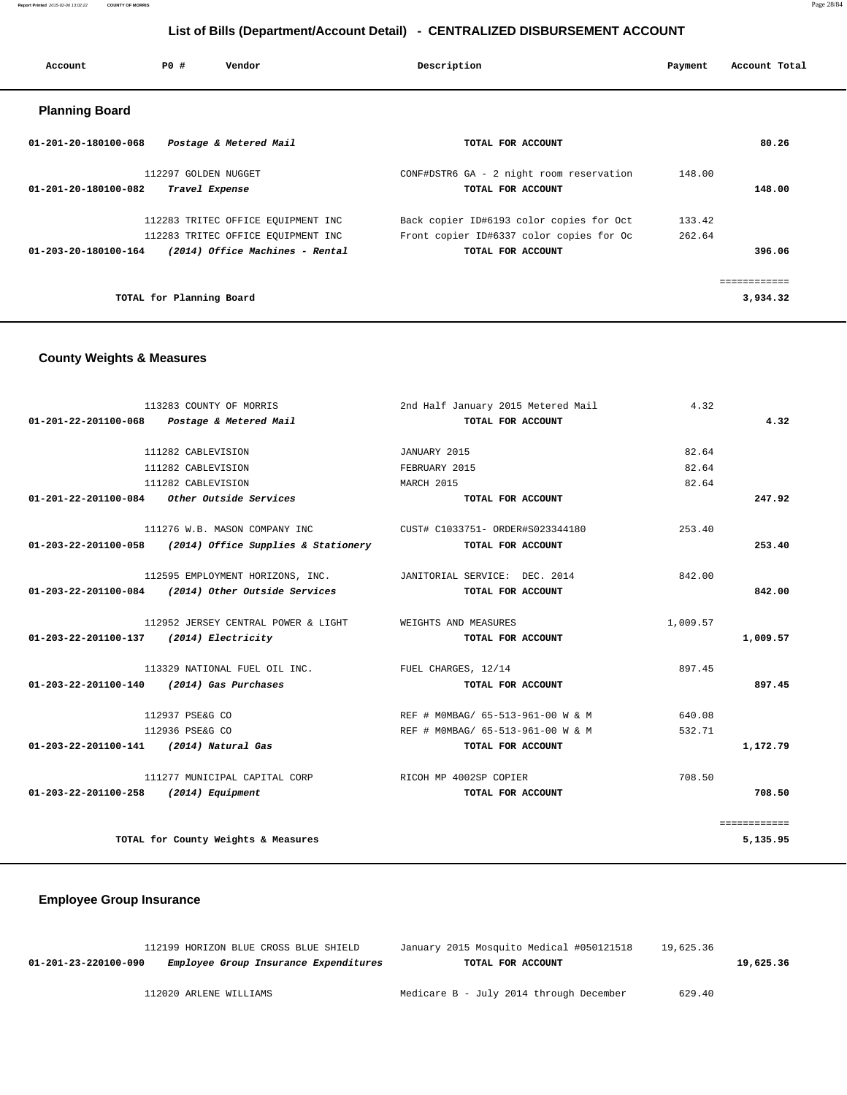**Report Printed** 2015-02-06 13:02:22 **COUNTY OF MORRIS** Page 28/84

# **List of Bills (Department/Account Detail) - CENTRALIZED DISBURSEMENT ACCOUNT**

| Account               | PO#                      | Vendor                             | Description                              | Payment | Account Total |
|-----------------------|--------------------------|------------------------------------|------------------------------------------|---------|---------------|
| <b>Planning Board</b> |                          |                                    |                                          |         |               |
| 01-201-20-180100-068  |                          | Postage & Metered Mail             | TOTAL FOR ACCOUNT                        |         | 80.26         |
|                       | 112297 GOLDEN NUGGET     |                                    | CONF#DSTR6 GA - 2 night room reservation | 148.00  |               |
| 01-201-20-180100-082  |                          | Travel Expense                     | TOTAL FOR ACCOUNT                        |         | 148.00        |
|                       |                          | 112283 TRITEC OFFICE EQUIPMENT INC | Back copier ID#6193 color copies for Oct | 133.42  |               |
|                       |                          | 112283 TRITEC OFFICE EQUIPMENT INC | Front copier ID#6337 color copies for Oc | 262.64  |               |
| 01-203-20-180100-164  |                          | (2014) Office Machines - Rental    | TOTAL FOR ACCOUNT                        |         | 396.06        |
|                       |                          |                                    |                                          |         | ------------  |
|                       | TOTAL for Planning Board |                                    |                                          |         | 3,934.32      |

# **County Weights & Measures**

|                                           | 113283 COUNTY OF MORRIS                                                    | 2nd Half January 2015 Metered Mail | 4.32     |              |
|-------------------------------------------|----------------------------------------------------------------------------|------------------------------------|----------|--------------|
|                                           | 01-201-22-201100-068 Postage & Metered Mail                                | TOTAL FOR ACCOUNT                  |          | 4.32         |
|                                           | 111282 CABLEVISION                                                         | JANUARY 2015                       | 82.64    |              |
|                                           | 111282 CABLEVISION                                                         | FEBRUARY 2015                      | 82.64    |              |
|                                           | 111282 CABLEVISION                                                         | MARCH 2015                         | 82.64    |              |
|                                           | 01-201-22-201100-084 Other Outside Services                                | TOTAL FOR ACCOUNT                  |          | 247.92       |
|                                           | 111276 W.B. MASON COMPANY INC CUST# C1033751- ORDER#S023344180             |                                    | 253.40   |              |
|                                           | 01-203-22-201100-058 (2014) Office Supplies & Stationery TOTAL FOR ACCOUNT |                                    |          | 253.40       |
|                                           | 112595 EMPLOYMENT HORIZONS, INC. JANITORIAL SERVICE: DEC. 2014             |                                    | 842.00   |              |
|                                           | $01-203-22-201100-084$ (2014) Other Outside Services                       | TOTAL FOR ACCOUNT                  |          | 842.00       |
|                                           | 112952 JERSEY CENTRAL POWER & LIGHT WEIGHTS AND MEASURES                   |                                    | 1,009.57 |              |
| 01-203-22-201100-137 (2014) Electricity   |                                                                            | TOTAL FOR ACCOUNT                  |          | 1,009.57     |
|                                           | 113329 NATIONAL FUEL OIL INC. TUEL CHARGES, 12/14                          |                                    | 897.45   |              |
| 01-203-22-201100-140 (2014) Gas Purchases |                                                                            | TOTAL FOR ACCOUNT                  |          | 897.45       |
|                                           | 112937 PSE&G CO                                                            | REF # MOMBAG/ 65-513-961-00 W & M  | 640.08   |              |
|                                           | 112936 PSE&G CO                                                            | REF # MOMBAG/ 65-513-961-00 W & M  | 532.71   |              |
| 01-203-22-201100-141 (2014) Natural Gas   |                                                                            | TOTAL FOR ACCOUNT                  |          | 1,172.79     |
|                                           | 111277 MUNICIPAL CAPITAL CORP                                              | RICOH MP 4002SP COPIER             | 708.50   |              |
| $01-203-22-201100-258$ (2014) Equipment   |                                                                            | TOTAL FOR ACCOUNT                  |          | 708.50       |
|                                           |                                                                            |                                    |          | ============ |
|                                           | TOTAL for County Weights & Measures                                        |                                    |          | 5,135.95     |

|                      | 112199 HORIZON BLUE CROSS BLUE SHIELD | January 2015 Mosquito Medical #050121518 | 19,625.36 |           |
|----------------------|---------------------------------------|------------------------------------------|-----------|-----------|
| 01-201-23-220100-090 | Employee Group Insurance Expenditures | TOTAL FOR ACCOUNT                        |           | 19,625.36 |
|                      | 112020 ARLENE WILLIAMS                | Medicare B - July 2014 through December  | 629.40    |           |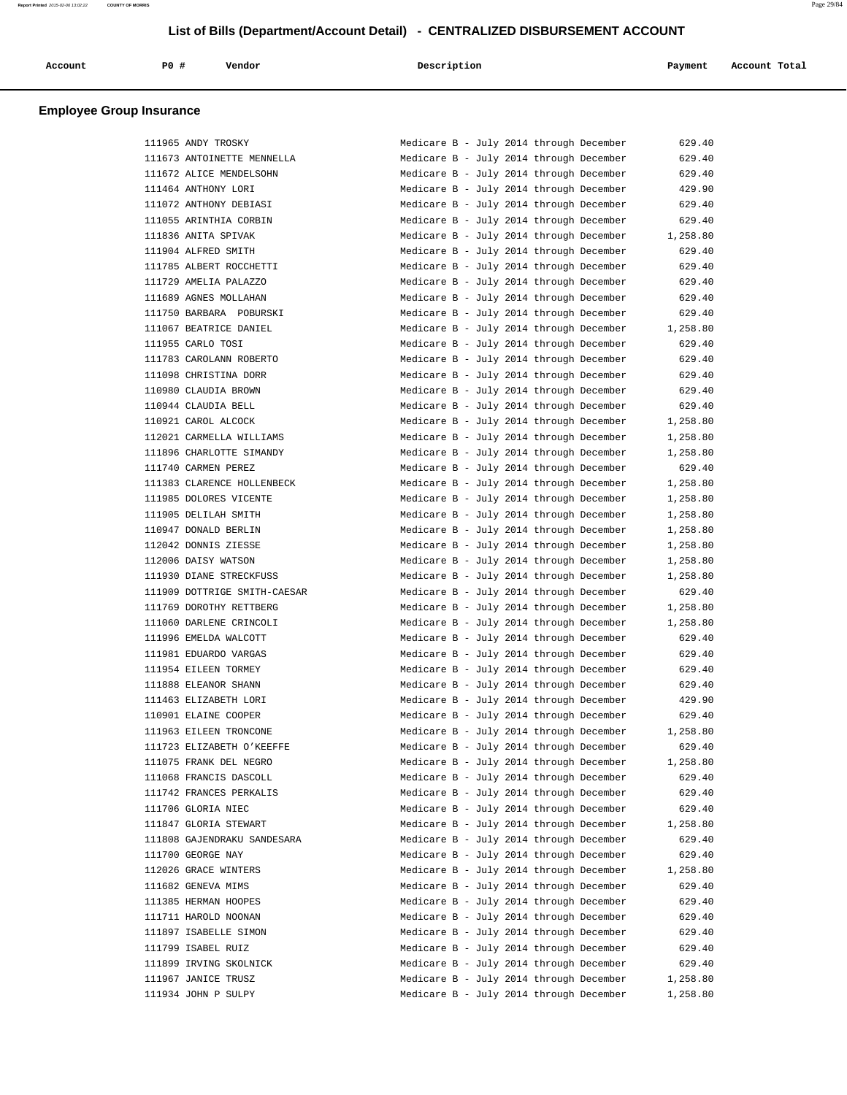| Account | PO# | Vendor | Description | Payment | Account Total |
|---------|-----|--------|-------------|---------|---------------|
|         |     |        |             |         |               |

| 111965 ANDY TROSKY           | Medicare B - July 2014 through December | 629.40   |
|------------------------------|-----------------------------------------|----------|
| 111673 ANTOINETTE MENNELLA   | Medicare B - July 2014 through December | 629.40   |
| 111672 ALICE MENDELSOHN      | Medicare B - July 2014 through December | 629.40   |
| 111464 ANTHONY LORI          | Medicare B - July 2014 through December | 429.90   |
| 111072 ANTHONY DEBIASI       | Medicare B - July 2014 through December | 629.40   |
| 111055 ARINTHIA CORBIN       | Medicare B - July 2014 through December | 629.40   |
| 111836 ANITA SPIVAK          | Medicare B - July 2014 through December | 1,258.80 |
| 111904 ALFRED SMITH          | Medicare B - July 2014 through December | 629.40   |
| 111785 ALBERT ROCCHETTI      | Medicare B - July 2014 through December | 629.40   |
| 111729 AMELIA PALAZZO        | Medicare B - July 2014 through December | 629.40   |
| 111689 AGNES MOLLAHAN        | Medicare B - July 2014 through December | 629.40   |
| 111750 BARBARA POBURSKI      | Medicare B - July 2014 through December | 629.40   |
| 111067 BEATRICE DANIEL       | Medicare B - July 2014 through December | 1,258.80 |
| 111955 CARLO TOSI            | Medicare B - July 2014 through December | 629.40   |
| 111783 CAROLANN ROBERTO      | Medicare B - July 2014 through December | 629.40   |
| 111098 CHRISTINA DORR        | Medicare B - July 2014 through December | 629.40   |
| 110980 CLAUDIA BROWN         | Medicare B - July 2014 through December | 629.40   |
| 110944 CLAUDIA BELL          | Medicare B - July 2014 through December | 629.40   |
| 110921 CAROL ALCOCK          | Medicare B - July 2014 through December | 1,258.80 |
| 112021 CARMELLA WILLIAMS     | Medicare B - July 2014 through December | 1,258.80 |
| 111896 CHARLOTTE SIMANDY     | Medicare B - July 2014 through December | 1,258.80 |
| 111740 CARMEN PEREZ          | Medicare B - July 2014 through December | 629.40   |
| 111383 CLARENCE HOLLENBECK   | Medicare B - July 2014 through December | 1,258.80 |
| 111985 DOLORES VICENTE       | Medicare B - July 2014 through December | 1,258.80 |
| 111905 DELILAH SMITH         | Medicare B - July 2014 through December | 1,258.80 |
| 110947 DONALD BERLIN         | Medicare B - July 2014 through December | 1,258.80 |
| 112042 DONNIS ZIESSE         | Medicare B - July 2014 through December | 1,258.80 |
| 112006 DAISY WATSON          | Medicare B - July 2014 through December | 1,258.80 |
| 111930 DIANE STRECKFUSS      | Medicare B - July 2014 through December | 1,258.80 |
| 111909 DOTTRIGE SMITH-CAESAR | Medicare B - July 2014 through December | 629.40   |
| 111769 DOROTHY RETTBERG      | Medicare B - July 2014 through December | 1,258.80 |
| 111060 DARLENE CRINCOLI      | Medicare B - July 2014 through December | 1,258.80 |
| 111996 EMELDA WALCOTT        | Medicare B - July 2014 through December | 629.40   |
| 111981 EDUARDO VARGAS        | Medicare B - July 2014 through December | 629.40   |
| 111954 EILEEN TORMEY         | Medicare B - July 2014 through December | 629.40   |
| 111888 ELEANOR SHANN         | Medicare B - July 2014 through December | 629.40   |
| 111463 ELIZABETH LORI        | Medicare B - July 2014 through December | 429.90   |
| 110901 ELAINE COOPER         | Medicare B - July 2014 through December | 629.40   |
| 111963 EILEEN TRONCONE       | Medicare B - July 2014 through December | 1,258.80 |
| 111723 ELIZABETH O'KEEFFE    | Medicare B - July 2014 through December | 629.40   |
| 111075 FRANK DEL NEGRO       | Medicare B - July 2014 through December | 1,258.80 |
| 111068 FRANCIS DASCOLL       | Medicare B - July 2014 through December | 629.40   |
| 111742 FRANCES PERKALIS      | Medicare B - July 2014 through December | 629.40   |
| 111706 GLORIA NIEC           | Medicare B - July 2014 through December | 629.40   |
| 111847 GLORIA STEWART        | Medicare B - July 2014 through December | 1,258.80 |
| 111808 GAJENDRAKU SANDESARA  | Medicare B - July 2014 through December | 629.40   |
| 111700 GEORGE NAY            | Medicare B - July 2014 through December | 629.40   |
| 112026 GRACE WINTERS         | Medicare B - July 2014 through December | 1,258.80 |
| 111682 GENEVA MIMS           | Medicare B - July 2014 through December | 629.40   |
| 111385 HERMAN HOOPES         | Medicare B - July 2014 through December | 629.40   |
| 111711 HAROLD NOONAN         | Medicare B - July 2014 through December | 629.40   |
| 111897 ISABELLE SIMON        | Medicare B - July 2014 through December | 629.40   |
| 111799 ISABEL RUIZ           | Medicare B - July 2014 through December | 629.40   |
| 111899 IRVING SKOLNICK       | Medicare B - July 2014 through December | 629.40   |
| 111967 JANICE TRUSZ          | Medicare B - July 2014 through December | 1,258.80 |
| 111934 JOHN P SULPY          | Medicare B - July 2014 through December | 1,258.80 |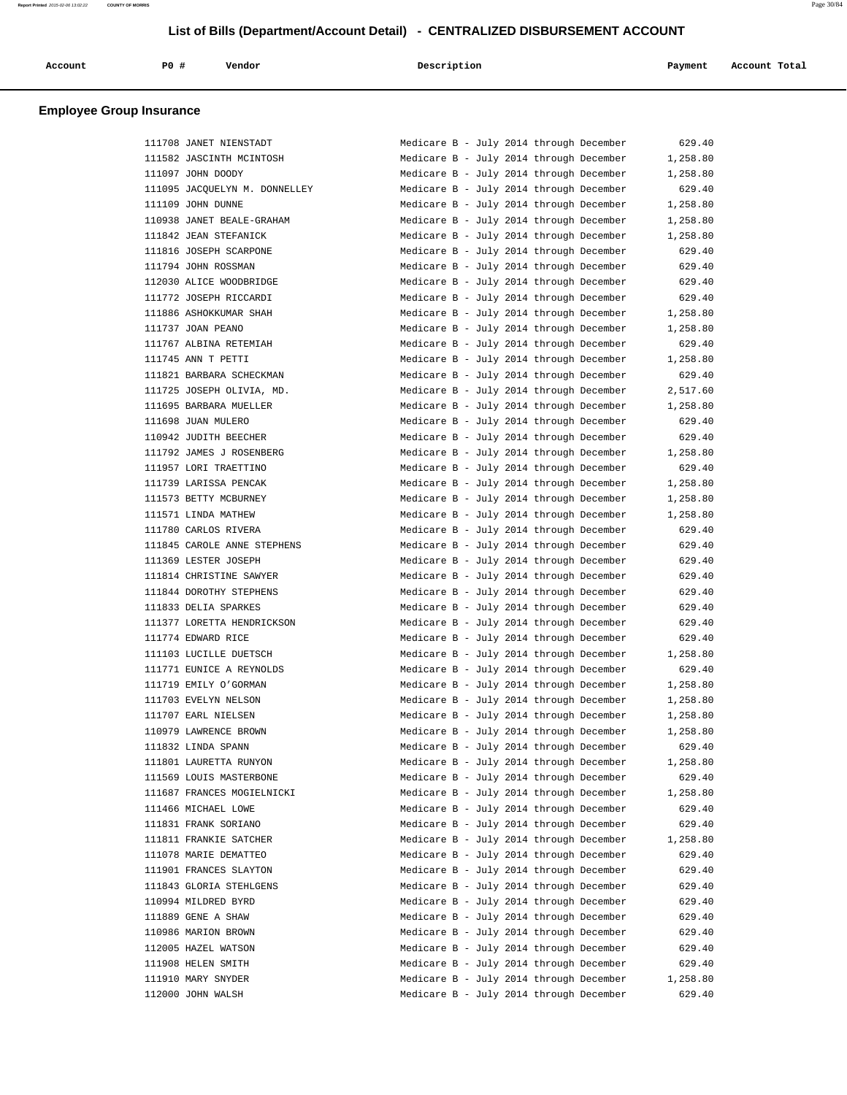| Account | PO# | Vendor | Description | Payment | Account Total |
|---------|-----|--------|-------------|---------|---------------|
|         |     |        |             |         |               |

| 111708 JANET NIENSTADT        | Medicare B - July 2014 through December | 629.40   |
|-------------------------------|-----------------------------------------|----------|
| 111582 JASCINTH MCINTOSH      | Medicare B - July 2014 through December | 1,258.80 |
| 111097 JOHN DOODY             | Medicare B - July 2014 through December | 1,258.80 |
| 111095 JACQUELYN M. DONNELLEY | Medicare B - July 2014 through December | 629.40   |
| 111109 JOHN DUNNE             | Medicare B - July 2014 through December | 1,258.80 |
| 110938 JANET BEALE-GRAHAM     | Medicare B - July 2014 through December | 1,258.80 |
| 111842 JEAN STEFANICK         | Medicare B - July 2014 through December | 1,258.80 |
| 111816 JOSEPH SCARPONE        | Medicare B - July 2014 through December | 629.40   |
| 111794 JOHN ROSSMAN           | Medicare B - July 2014 through December | 629.40   |
| 112030 ALICE WOODBRIDGE       | Medicare B - July 2014 through December | 629.40   |
| 111772 JOSEPH RICCARDI        | Medicare B - July 2014 through December | 629.40   |
| 111886 ASHOKKUMAR SHAH        | Medicare B - July 2014 through December | 1,258.80 |
| 111737 JOAN PEANO             | Medicare B - July 2014 through December |          |
|                               |                                         | 1,258.80 |
| 111767 ALBINA RETEMIAH        | Medicare B - July 2014 through December | 629.40   |
| 111745 ANN T PETTI            | Medicare B - July 2014 through December | 1,258.80 |
| 111821 BARBARA SCHECKMAN      | Medicare B - July 2014 through December | 629.40   |
| 111725 JOSEPH OLIVIA, MD.     | Medicare B - July 2014 through December | 2,517.60 |
| 111695 BARBARA MUELLER        | Medicare B - July 2014 through December | 1,258.80 |
| 111698 JUAN MULERO            | Medicare B - July 2014 through December | 629.40   |
| 110942 JUDITH BEECHER         | Medicare B - July 2014 through December | 629.40   |
| 111792 JAMES J ROSENBERG      | Medicare B - July 2014 through December | 1,258.80 |
| 111957 LORI TRAETTINO         | Medicare B - July 2014 through December | 629.40   |
| 111739 LARISSA PENCAK         | Medicare B - July 2014 through December | 1,258.80 |
| 111573 BETTY MCBURNEY         | Medicare B - July 2014 through December | 1,258.80 |
| 111571 LINDA MATHEW           | Medicare B - July 2014 through December | 1,258.80 |
| 111780 CARLOS RIVERA          | Medicare B - July 2014 through December | 629.40   |
| 111845 CAROLE ANNE STEPHENS   | Medicare B - July 2014 through December | 629.40   |
| 111369 LESTER JOSEPH          | Medicare B - July 2014 through December | 629.40   |
| 111814 CHRISTINE SAWYER       | Medicare B - July 2014 through December | 629.40   |
| 111844 DOROTHY STEPHENS       | Medicare B - July 2014 through December | 629.40   |
| 111833 DELIA SPARKES          | Medicare B - July 2014 through December | 629.40   |
| 111377 LORETTA HENDRICKSON    |                                         | 629.40   |
|                               | Medicare B - July 2014 through December |          |
| 111774 EDWARD RICE            | Medicare B - July 2014 through December | 629.40   |
| 111103 LUCILLE DUETSCH        | Medicare B - July 2014 through December | 1,258.80 |
| 111771 EUNICE A REYNOLDS      | Medicare B - July 2014 through December | 629.40   |
| 111719 EMILY O'GORMAN         | Medicare B - July 2014 through December | 1,258.80 |
| 111703 EVELYN NELSON          | Medicare B - July 2014 through December | 1,258.80 |
| 111707 EARL NIELSEN           | Medicare B - July 2014 through December | 1,258.80 |
| 110979 LAWRENCE BROWN         | Medicare B - July 2014 through December | 1,258.80 |
| 111832 LINDA SPANN            | Medicare B - July 2014 through December | 629.40   |
| 111801 LAURETTA RUNYON        | Medicare B - July 2014 through December | 1,258.80 |
| 111569 LOUIS MASTERBONE       | Medicare B - July 2014 through December | 629.40   |
| 111687 FRANCES MOGIELNICKI    | Medicare B - July 2014 through December | 1,258.80 |
| 111466 MICHAEL LOWE           | Medicare B - July 2014 through December | 629.40   |
| 111831 FRANK SORIANO          | Medicare B - July 2014 through December | 629.40   |
| 111811 FRANKIE SATCHER        | Medicare B - July 2014 through December | 1,258.80 |
| 111078 MARIE DEMATTEO         | Medicare B - July 2014 through December | 629.40   |
| 111901 FRANCES SLAYTON        | Medicare B - July 2014 through December | 629.40   |
| 111843 GLORIA STEHLGENS       | Medicare B - July 2014 through December | 629.40   |
| 110994 MILDRED BYRD           | Medicare B - July 2014 through December | 629.40   |
| 111889 GENE A SHAW            | Medicare B - July 2014 through December | 629.40   |
| 110986 MARION BROWN           | Medicare B - July 2014 through December | 629.40   |
| 112005 HAZEL WATSON           | Medicare B - July 2014 through December | 629.40   |
|                               |                                         |          |
| 111908 HELEN SMITH            | Medicare B - July 2014 through December | 629.40   |
| 111910 MARY SNYDER            | Medicare B - July 2014 through December | 1,258.80 |
| 112000 JOHN WALSH             | Medicare B - July 2014 through December | 629.40   |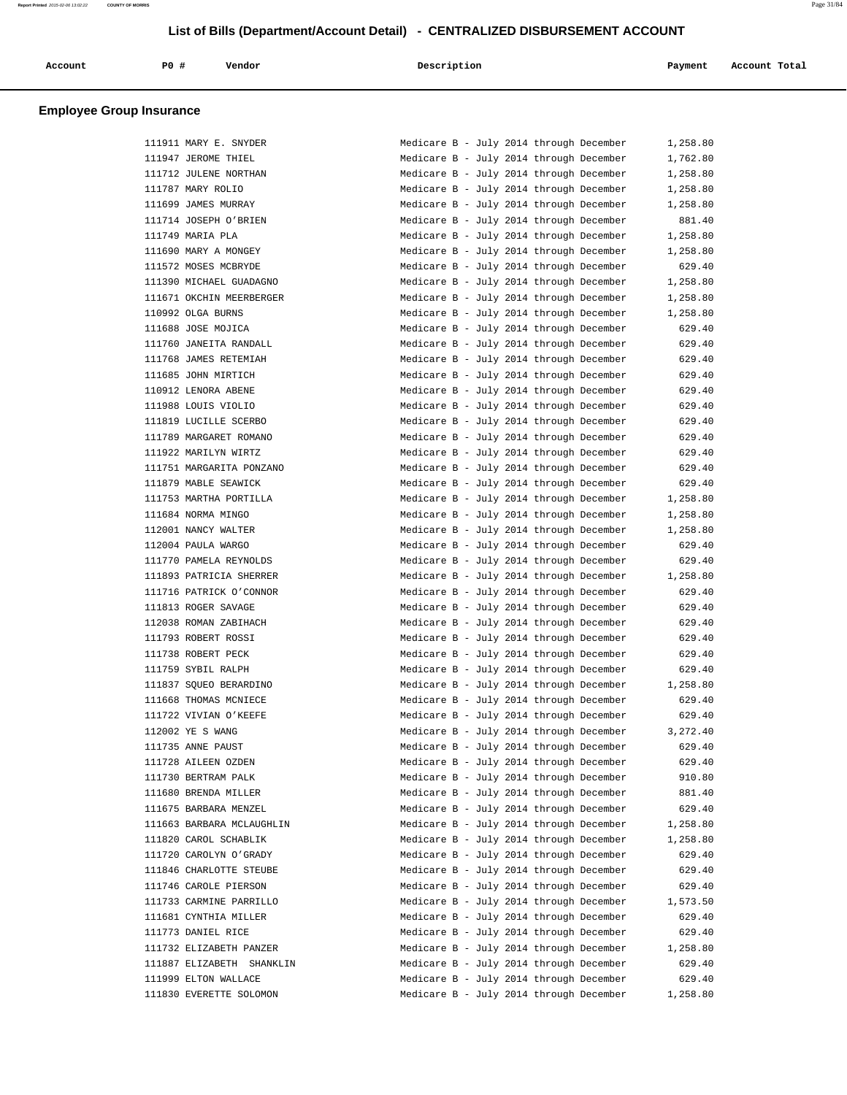| Account<br>. | <b>PO #</b> | Vendor<br>. | Description<br>. | Payment | Account Total<br>. |
|--------------|-------------|-------------|------------------|---------|--------------------|
|              |             |             |                  |         |                    |

| 111911 MARY E. SNYDER                            | Medicare B - July 2014 through December | 1,258.80             |
|--------------------------------------------------|-----------------------------------------|----------------------|
| 111947 JEROME THIEL                              | Medicare B - July 2014 through December | 1,762.80             |
| 111712 JULENE NORTHAN                            | Medicare B - July 2014 through December | 1,258.80             |
| 111787 MARY ROLIO                                | Medicare B - July 2014 through December | 1,258.80             |
| 111699 JAMES MURRAY                              | Medicare B - July 2014 through December | 1,258.80             |
| 111714 JOSEPH O'BRIEN                            | Medicare B - July 2014 through December | 881.40               |
| 111749 MARIA PLA                                 | Medicare B - July 2014 through December | 1,258.80             |
| 111690 MARY A MONGEY                             | Medicare B - July 2014 through December | 1,258.80             |
| 111572 MOSES MCBRYDE                             | Medicare B - July 2014 through December | 629.40               |
| 111390 MICHAEL GUADAGNO                          | Medicare B - July 2014 through December | 1,258.80             |
| 111671 OKCHIN MEERBERGER                         | Medicare B - July 2014 through December | 1,258.80             |
| 110992 OLGA BURNS                                | Medicare B - July 2014 through December | 1,258.80             |
| 111688 JOSE MOJICA                               | Medicare B - July 2014 through December | 629.40               |
| 111760 JANEITA RANDALL                           | Medicare B - July 2014 through December | 629.40               |
| 111768 JAMES RETEMIAH                            | Medicare B - July 2014 through December | 629.40               |
| 111685 JOHN MIRTICH                              | Medicare B - July 2014 through December | 629.40               |
| 110912 LENORA ABENE                              | Medicare B - July 2014 through December | 629.40               |
| 111988 LOUIS VIOLIO                              | Medicare B - July 2014 through December | 629.40               |
| 111819 LUCILLE SCERBO                            | Medicare B - July 2014 through December | 629.40               |
| 111789 MARGARET ROMANO                           | Medicare B - July 2014 through December | 629.40               |
| 111922 MARILYN WIRTZ                             | Medicare B - July 2014 through December | 629.40               |
| 111751 MARGARITA PONZANO                         | Medicare B - July 2014 through December | 629.40               |
| 111879 MABLE SEAWICK                             | Medicare B - July 2014 through December | 629.40               |
| 111753 MARTHA PORTILLA                           | Medicare B - July 2014 through December | 1,258.80             |
| 111684 NORMA MINGO                               | Medicare B - July 2014 through December | 1,258.80             |
| 112001 NANCY WALTER                              | Medicare B - July 2014 through December | 1,258.80             |
| 112004 PAULA WARGO                               | Medicare B - July 2014 through December | 629.40               |
| 111770 PAMELA REYNOLDS                           | Medicare B - July 2014 through December | 629.40               |
| 111893 PATRICIA SHERRER                          | Medicare B - July 2014 through December | 1,258.80             |
| 111716 PATRICK O'CONNOR                          | Medicare B - July 2014 through December | 629.40               |
| 111813 ROGER SAVAGE                              | Medicare B - July 2014 through December | 629.40               |
| 112038 ROMAN ZABIHACH                            | Medicare B - July 2014 through December | 629.40               |
| 111793 ROBERT ROSSI                              | Medicare B - July 2014 through December | 629.40               |
| 111738 ROBERT PECK                               | Medicare B - July 2014 through December | 629.40               |
| 111759 SYBIL RALPH                               | Medicare B - July 2014 through December | 629.40               |
| 111837 SQUEO BERARDINO                           | Medicare B - July 2014 through December | 1,258.80             |
| 111668 THOMAS MCNIECE                            | Medicare B - July 2014 through December | 629.40               |
| 111722 VIVIAN O'KEEFE                            | Medicare B - July 2014 through December | 629.40               |
| 112002 YE S WANG                                 | Medicare B - July 2014 through December | 3,272.40             |
| 111735 ANNE PAUST                                | Medicare B - July 2014 through December | 629.40               |
| 111728 AILEEN OZDEN                              | Medicare B - July 2014 through December | 629.40               |
| 111730 BERTRAM PALK                              | Medicare B - July 2014 through December | 910.80               |
| 111680 BRENDA MILLER                             | Medicare B - July 2014 through December | 881.40               |
| 111675 BARBARA MENZEL                            | Medicare B - July 2014 through December | 629.40               |
| 111663 BARBARA MCLAUGHLIN                        | Medicare B - July 2014 through December |                      |
| 111820 CAROL SCHABLIK                            | Medicare B - July 2014 through December | 1,258.80<br>1,258.80 |
| 111720 CAROLYN O'GRADY                           | Medicare B - July 2014 through December | 629.40               |
|                                                  |                                         |                      |
| 111846 CHARLOTTE STEUBE<br>111746 CAROLE PIERSON | Medicare B - July 2014 through December | 629.40               |
| 111733 CARMINE PARRILLO                          | Medicare B - July 2014 through December | 629.40               |
|                                                  | Medicare B - July 2014 through December | 1,573.50             |
| 111681 CYNTHIA MILLER                            | Medicare B - July 2014 through December | 629.40               |
| 111773 DANIEL RICE                               | Medicare B - July 2014 through December | 629.40               |
| 111732 ELIZABETH PANZER                          | Medicare B - July 2014 through December | 1,258.80             |
| 111887 ELIZABETH SHANKLIN                        | Medicare B - July 2014 through December | 629.40               |
| 111999 ELTON WALLACE                             | Medicare B - July 2014 through December | 629.40               |
| 111830 EVERETTE SOLOMON                          | Medicare B - July 2014 through December | 1,258.80             |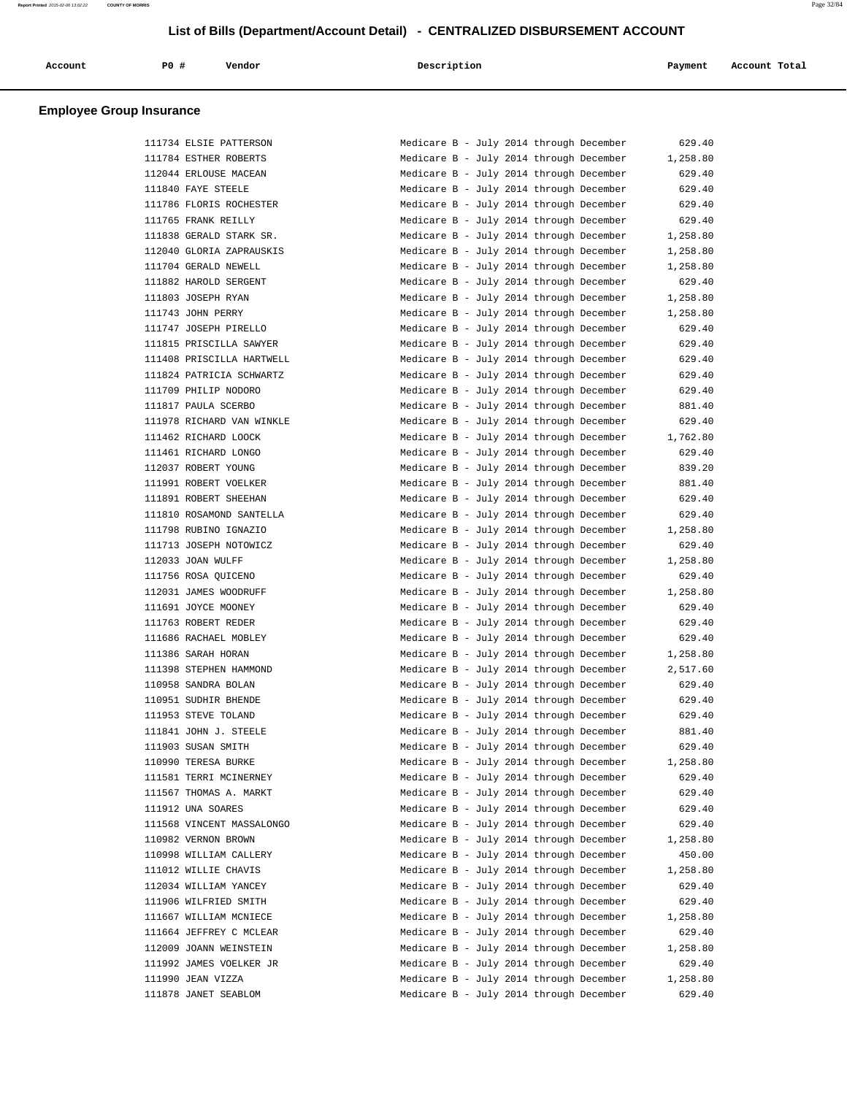| Account | P0 | Vendor | Description | Payment | Account Total |
|---------|----|--------|-------------|---------|---------------|
|         |    |        |             |         |               |

| 111734 ELSIE PATTERSON    |
|---------------------------|
| 111784 ESTHER ROBERTS     |
| 112044 ERLOUSE MACEAN     |
| 111840 FAYE STEELE        |
| 111786 FLORIS ROCHESTER   |
| 111765 FRANK REILLY       |
| 111838 GERALD STARK SR.   |
| 112040 GLORIA ZAPRAUSKIS  |
| 111704 GERALD NEWELL      |
| 111882 HAROLD SERGENT     |
| 111803 JOSEPH RYAN        |
| 111743 JOHN PERRY         |
| 111747 JOSEPH PIRELLO     |
| 111815 PRISCILLA SAWYER   |
| 111408 PRISCILLA HARTWELL |
| 111824 PATRICIA SCHWARTZ  |
| 111709 PHILIP NODORO      |
| 111817 PAULA SCERBO       |
| 111978 RICHARD VAN WINKLE |
| 111462 RICHARD LOOCK      |
| 111461 RICHARD LONGO      |
| 112037 ROBERT YOUNG       |
| 111991 ROBERT VOELKER     |
| 111891 ROBERT SHEEHAN     |
| 111810 ROSAMOND SANTELLA  |
| 111798 RUBINO IGNAZIO     |
| 111713 JOSEPH NOTOWICZ    |
| 112033 JOAN WULFF         |
| 111756 ROSA QUICENO       |
| 112031 JAMES WOODRUFF     |
| 111691 JOYCE MOONEY       |
| 111763 ROBERT REDER       |
| 111686 RACHAEL MOBLEY     |
| 111386 SARAH HORAN        |
| 111398 STEPHEN HAMMOND    |
| 110958 SANDRA BOLAN       |
| 110951 SUDHIR BHENDE      |
| 111953 STEVE TOLAND       |
| 111841 JOHN J. STEELE     |
| 111903 SUSAN SMITH        |
| 110990 TERESA BURKE       |
| 111581 TERRI MCINERNEY    |
| 111567 THOMAS A. MARKT    |
| 111912 UNA SOARES         |
| 111568 VINCENT MASSALONGO |
| 110982 VERNON BROWN       |
| 110998 WILLIAM CALLERY    |
| 111012 WILLIE CHAVIS      |
| 112034 WILLIAM YANCEY     |
| 111906 WILFRIED SMITH     |
| 111667 WILLIAM MCNIECE    |
| 111664 JEFFREY C MCLEAR   |
| 112009 JOANN WEINSTEIN    |
| 111992 JAMES VOELKER JR   |
| 111990 JEAN VIZZA         |
| 111878 JANET SEABLOM      |

| 111734 ELSIE PATTERSON    | 629.40<br>Medicare B - July 2014 through December   |
|---------------------------|-----------------------------------------------------|
| 111784 ESTHER ROBERTS     | Medicare B - July 2014 through December<br>1,258.80 |
| 112044 ERLOUSE MACEAN     | Medicare B - July 2014 through December<br>629.40   |
| 111840 FAYE STEELE        | Medicare B - July 2014 through December<br>629.40   |
| 111786 FLORIS ROCHESTER   | Medicare B - July 2014 through December<br>629.40   |
| 111765 FRANK REILLY       | Medicare B - July 2014 through December<br>629.40   |
| 111838 GERALD STARK SR.   | Medicare B - July 2014 through December<br>1,258.80 |
| 112040 GLORIA ZAPRAUSKIS  | Medicare B - July 2014 through December<br>1,258.80 |
| 111704 GERALD NEWELL      | Medicare B - July 2014 through December<br>1,258.80 |
| 111882 HAROLD SERGENT     | Medicare B - July 2014 through December<br>629.40   |
| 111803 JOSEPH RYAN        | Medicare B - July 2014 through December<br>1,258.80 |
| 111743 JOHN PERRY         | Medicare B - July 2014 through December<br>1,258.80 |
| 111747 JOSEPH PIRELLO     | Medicare B - July 2014 through December<br>629.40   |
| 111815 PRISCILLA SAWYER   | Medicare B - July 2014 through December<br>629.40   |
| 111408 PRISCILLA HARTWELL | Medicare B - July 2014 through December<br>629.40   |
| 111824 PATRICIA SCHWARTZ  | Medicare B - July 2014 through December<br>629.40   |
| 111709 PHILIP NODORO      | Medicare B - July 2014 through December<br>629.40   |
| 111817 PAULA SCERBO       | Medicare B - July 2014 through December<br>881.40   |
| 111978 RICHARD VAN WINKLE | Medicare B - July 2014 through December<br>629.40   |
| 111462 RICHARD LOOCK      | Medicare B - July 2014 through December<br>1,762.80 |
| 111461 RICHARD LONGO      | Medicare B - July 2014 through December<br>629.40   |
| 112037 ROBERT YOUNG       | Medicare B - July 2014 through December<br>839.20   |
| 111991 ROBERT VOELKER     | Medicare B - July 2014 through December<br>881.40   |
| 111891 ROBERT SHEEHAN     | Medicare B - July 2014 through December<br>629.40   |
| 111810 ROSAMOND SANTELLA  | Medicare B - July 2014 through December<br>629.40   |
| 111798 RUBINO IGNAZIO     | Medicare B - July 2014 through December<br>1,258.80 |
| 111713 JOSEPH NOTOWICZ    | Medicare B - July 2014 through December<br>629.40   |
| 112033 JOAN WULFF         | Medicare B - July 2014 through December<br>1,258.80 |
| 111756 ROSA QUICENO       | Medicare B - July 2014 through December<br>629.40   |
| 112031 JAMES WOODRUFF     | Medicare B - July 2014 through December<br>1,258.80 |
| 111691 JOYCE MOONEY       | Medicare B - July 2014 through December<br>629.40   |
| 111763 ROBERT REDER       | Medicare B - July 2014 through December<br>629.40   |
| 111686 RACHAEL MOBLEY     | Medicare B - July 2014 through December<br>629.40   |
| 111386 SARAH HORAN        | Medicare B - July 2014 through December<br>1,258.80 |
| 111398 STEPHEN HAMMOND    | Medicare B - July 2014 through December<br>2,517.60 |
| 110958 SANDRA BOLAN       | Medicare B - July 2014 through December<br>629.40   |
| 110951 SUDHIR BHENDE      | Medicare B - July 2014 through December<br>629.40   |
| 111953 STEVE TOLAND       | Medicare B - July 2014 through December<br>629.40   |
| 111841 JOHN J. STEELE     | Medicare B - July 2014 through December<br>881.40   |
| 111903 SUSAN SMITH        | 629.40<br>Medicare B - July 2014 through December   |
| 110990 TERESA BURKE       | Medicare B - July 2014 through December<br>1,258.80 |
| 111581 TERRI MCINERNEY    | Medicare B - July 2014 through December<br>629.40   |
| 111567 THOMAS A. MARKT    | Medicare B - July 2014 through December<br>629.40   |
| 111912 UNA SOARES         | Medicare B - July 2014 through December<br>629.40   |
| 111568 VINCENT MASSALONGO | Medicare B - July 2014 through December<br>629.40   |
| 110982 VERNON BROWN       | Medicare B - July 2014 through December<br>1,258.80 |
| 110998 WILLIAM CALLERY    | Medicare B - July 2014 through December<br>450.00   |
| 111012 WILLIE CHAVIS      | Medicare B - July 2014 through December<br>1,258.80 |
| 112034 WILLIAM YANCEY     | Medicare B - July 2014 through December<br>629.40   |
| 111906 WILFRIED SMITH     | Medicare B - July 2014 through December<br>629.40   |
| 111667 WILLIAM MCNIECE    | Medicare B - July 2014 through December<br>1,258.80 |
| 111664 JEFFREY C MCLEAR   | Medicare B - July 2014 through December<br>629.40   |
| 112009 JOANN WEINSTEIN    | Medicare B - July 2014 through December<br>1,258.80 |
|                           |                                                     |
| 111992 JAMES VOELKER JR   | Medicare B - July 2014 through December<br>629.40   |
| 111990 JEAN VIZZA         | Medicare B - July 2014 through December<br>1,258.80 |
| 111878 JANET SEABLOM      | 629.40<br>Medicare B - July 2014 through December   |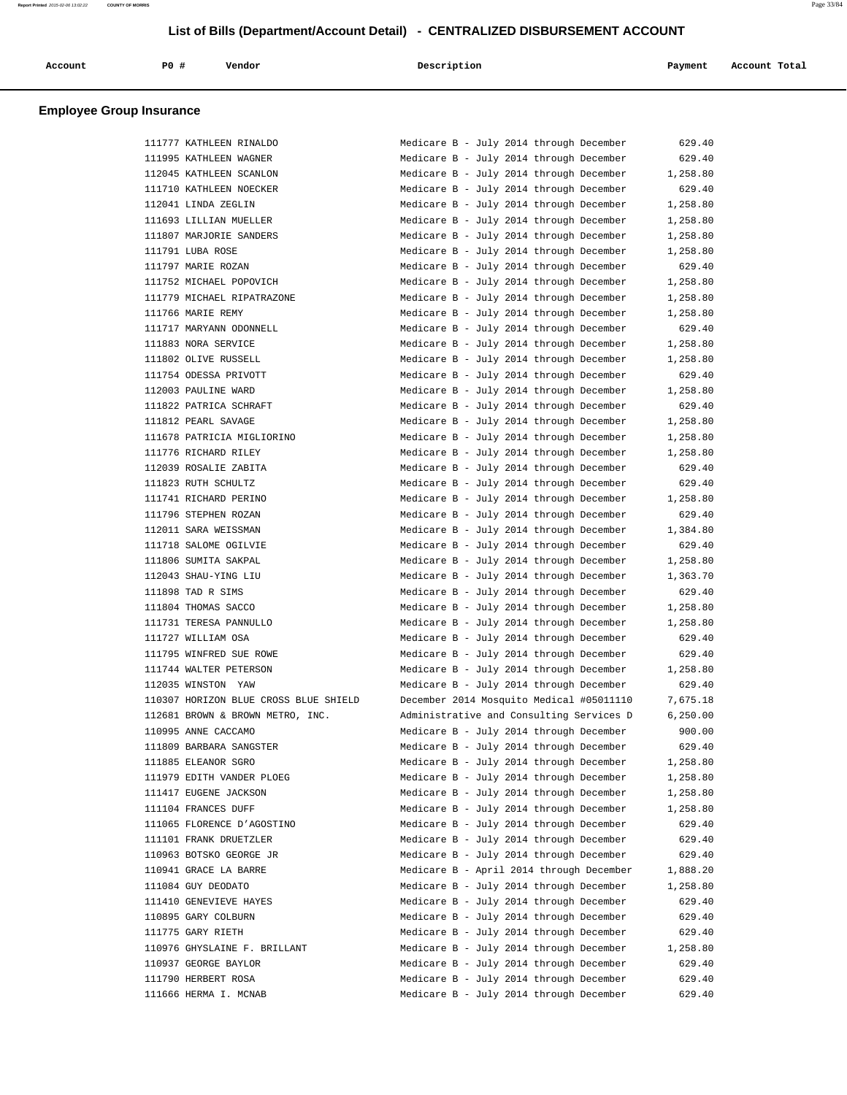| Account                         | PO# | Vendor | Description | Payment | Account Total |
|---------------------------------|-----|--------|-------------|---------|---------------|
| <b>Employee Group Insurance</b> |     |        |             |         |               |

| 111777 KATHLEEN RINALDO               | Medicare B - July 2014 through December  | 629.40    |
|---------------------------------------|------------------------------------------|-----------|
| 111995 KATHLEEN WAGNER                | Medicare B - July 2014 through December  | 629.40    |
| 112045 KATHLEEN SCANLON               | Medicare B - July 2014 through December  | 1,258.80  |
| 111710 KATHLEEN NOECKER               | Medicare B - July 2014 through December  | 629.40    |
| 112041 LINDA ZEGLIN                   | Medicare B - July 2014 through December  | 1,258.80  |
| 111693 LILLIAN MUELLER                | Medicare B - July 2014 through December  | 1,258.80  |
| 111807 MARJORIE SANDERS               | Medicare B - July 2014 through December  | 1,258.80  |
| 111791 LUBA ROSE                      | Medicare B - July 2014 through December  | 1,258.80  |
| 111797 MARIE ROZAN                    | Medicare B - July 2014 through December  | 629.40    |
| 111752 MICHAEL POPOVICH               | Medicare B - July 2014 through December  | 1,258.80  |
| 111779 MICHAEL RIPATRAZONE            | Medicare B - July 2014 through December  | 1,258.80  |
| 111766 MARIE REMY                     | Medicare B - July 2014 through December  | 1,258.80  |
| 111717 MARYANN ODONNELL               | Medicare B - July 2014 through December  | 629.40    |
| 111883 NORA SERVICE                   | Medicare B - July 2014 through December  | 1,258.80  |
| 111802 OLIVE RUSSELL                  | Medicare B - July 2014 through December  | 1,258.80  |
| 111754 ODESSA PRIVOTT                 | Medicare B - July 2014 through December  | 629.40    |
| 112003 PAULINE WARD                   | Medicare B - July 2014 through December  | 1,258.80  |
| 111822 PATRICA SCHRAFT                | Medicare B - July 2014 through December  | 629.40    |
| 111812 PEARL SAVAGE                   | Medicare B - July 2014 through December  | 1,258.80  |
| 111678 PATRICIA MIGLIORINO            | Medicare B - July 2014 through December  | 1,258.80  |
| 111776 RICHARD RILEY                  | Medicare B - July 2014 through December  | 1,258.80  |
| 112039 ROSALIE ZABITA                 | Medicare B - July 2014 through December  | 629.40    |
| 111823 RUTH SCHULTZ                   | Medicare B - July 2014 through December  | 629.40    |
| 111741 RICHARD PERINO                 | Medicare B - July 2014 through December  | 1,258.80  |
| 111796 STEPHEN ROZAN                  | Medicare B - July 2014 through December  | 629.40    |
| 112011 SARA WEISSMAN                  | Medicare B - July 2014 through December  | 1,384.80  |
| 111718 SALOME OGILVIE                 | Medicare B - July 2014 through December  | 629.40    |
| 111806 SUMITA SAKPAL                  | Medicare B - July 2014 through December  | 1,258.80  |
| 112043 SHAU-YING LIU                  | Medicare B - July 2014 through December  | 1,363.70  |
| 111898 TAD R SIMS                     | Medicare B - July 2014 through December  | 629.40    |
| 111804 THOMAS SACCO                   | Medicare B - July 2014 through December  | 1,258.80  |
| 111731 TERESA PANNULLO                | Medicare B - July 2014 through December  | 1,258.80  |
| 111727 WILLIAM OSA                    | Medicare B - July 2014 through December  | 629.40    |
| 111795 WINFRED SUE ROWE               | Medicare B - July 2014 through December  | 629.40    |
| 111744 WALTER PETERSON                | Medicare B - July 2014 through December  | 1,258.80  |
| 112035 WINSTON YAW                    | Medicare B - July 2014 through December  | 629.40    |
| 110307 HORIZON BLUE CROSS BLUE SHIELD | December 2014 Mosquito Medical #05011110 | 7,675.18  |
| 112681 BROWN & BROWN METRO, INC.      | Administrative and Consulting Services D | 6, 250.00 |
| 110995 ANNE CACCAMO                   | Medicare B - July 2014 through December  | 900.00    |
| 111809 BARBARA SANGSTER               | Medicare B - July 2014 through December  | 629.40    |
| 111885 ELEANOR SGRO                   | Medicare B - July 2014 through December  | 1,258.80  |
| 111979 EDITH VANDER PLOEG             | Medicare B - July 2014 through December  | 1,258.80  |
| 111417 EUGENE JACKSON                 | Medicare B - July 2014 through December  | 1,258.80  |
| 111104 FRANCES DUFF                   | Medicare B - July 2014 through December  | 1,258.80  |
| 111065 FLORENCE D'AGOSTINO            | Medicare B - July 2014 through December  | 629.40    |
| 111101 FRANK DRUETZLER                | Medicare B - July 2014 through December  | 629.40    |
| 110963 BOTSKO GEORGE JR               | Medicare B - July 2014 through December  | 629.40    |
| 110941 GRACE LA BARRE                 | Medicare B - April 2014 through December | 1,888.20  |
| 111084 GUY DEODATO                    | Medicare B - July 2014 through December  | 1,258.80  |
| 111410 GENEVIEVE HAYES                | Medicare B - July 2014 through December  | 629.40    |
| 110895 GARY COLBURN                   | Medicare B - July 2014 through December  | 629.40    |
| 111775 GARY RIETH                     | Medicare B - July 2014 through December  | 629.40    |
| 110976 GHYSLAINE F. BRILLANT          | Medicare B - July 2014 through December  | 1,258.80  |
| 110937 GEORGE BAYLOR                  | Medicare B - July 2014 through December  | 629.40    |
| 111790 HERBERT ROSA                   | Medicare B - July 2014 through December  | 629.40    |
| 111666 HERMA I. MCNAB                 | Medicare B - July 2014 through December  | 629.40    |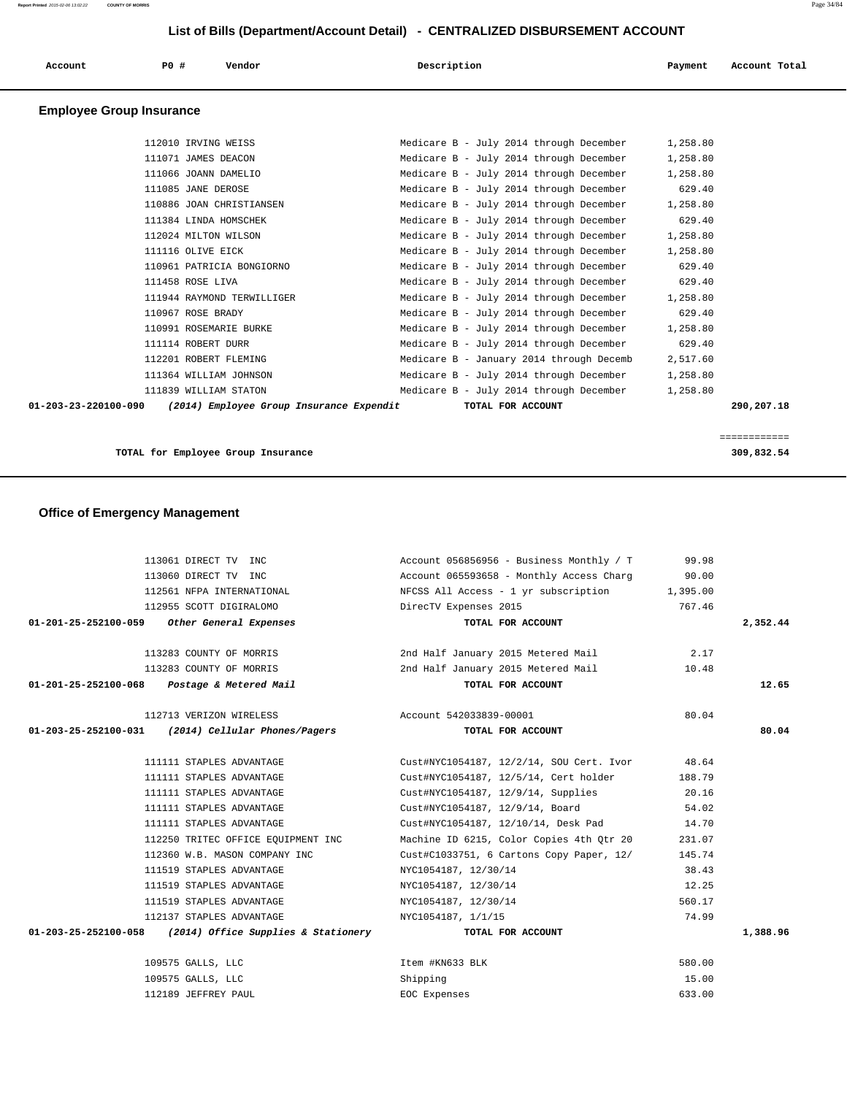| Account                         | P0 #                 | Vendor                                   | Description                              | Payment  | Account Total              |
|---------------------------------|----------------------|------------------------------------------|------------------------------------------|----------|----------------------------|
| <b>Employee Group Insurance</b> |                      |                                          |                                          |          |                            |
|                                 | 112010 IRVING WEISS  |                                          | Medicare B - July 2014 through December  | 1,258.80 |                            |
|                                 | 111071 JAMES DEACON  |                                          | Medicare B - July 2014 through December  | 1,258.80 |                            |
|                                 | 111066 JOANN DAMELIO |                                          | Medicare B - July 2014 through December  | 1,258.80 |                            |
|                                 | 111085 JANE DEROSE   |                                          | Medicare B - July 2014 through December  | 629.40   |                            |
|                                 |                      | 110886 JOAN CHRISTIANSEN                 | Medicare B - July 2014 through December  | 1,258.80 |                            |
|                                 |                      | 111384 LINDA HOMSCHEK                    | Medicare B - July 2014 through December  | 629.40   |                            |
|                                 | 112024 MILTON WILSON |                                          | Medicare B - July 2014 through December  | 1,258.80 |                            |
|                                 | 111116 OLIVE EICK    |                                          | Medicare B - July 2014 through December  | 1,258.80 |                            |
|                                 |                      | 110961 PATRICIA BONGIORNO                | Medicare B - July 2014 through December  | 629.40   |                            |
|                                 | 111458 ROSE LIVA     |                                          | Medicare B - July 2014 through December  | 629.40   |                            |
|                                 |                      | 111944 RAYMOND TERWILLIGER               | Medicare B - July 2014 through December  | 1,258.80 |                            |
|                                 | 110967 ROSE BRADY    |                                          | Medicare B - July 2014 through December  | 629.40   |                            |
|                                 |                      | 110991 ROSEMARIE BURKE                   | Medicare B - July 2014 through December  | 1,258.80 |                            |
|                                 | 111114 ROBERT DURR   |                                          | Medicare B - July 2014 through December  | 629.40   |                            |
|                                 |                      | 112201 ROBERT FLEMING                    | Medicare B - January 2014 through Decemb | 2,517.60 |                            |
|                                 |                      | 111364 WILLIAM JOHNSON                   | Medicare B - July 2014 through December  | 1,258.80 |                            |
|                                 |                      | 111839 WILLIAM STATON                    | Medicare B - July 2014 through December  | 1,258.80 |                            |
| 01-203-23-220100-090            |                      | (2014) Employee Group Insurance Expendit | TOTAL FOR ACCOUNT                        |          | 290,207.18                 |
|                                 |                      | TOTAL for Employee Group Insurance       |                                          |          | ============<br>309,832.54 |
|                                 |                      |                                          |                                          |          |                            |

|  |  | <b>Office of Emergency Management</b> |
|--|--|---------------------------------------|
|--|--|---------------------------------------|

| 113061 DIRECT TV INC                                       | Account $056856956 - Business Monthly / T$ 99.98                                                                                                                                                                               |                                                             |          |
|------------------------------------------------------------|--------------------------------------------------------------------------------------------------------------------------------------------------------------------------------------------------------------------------------|-------------------------------------------------------------|----------|
| 113060 DIRECT TV INC                                       | Account 065593658 - Monthly Access Charg 90.00                                                                                                                                                                                 |                                                             |          |
| 112561 NFPA INTERNATIONAL                                  | NFCSS All Access - 1 yr subscription 1,395.00                                                                                                                                                                                  |                                                             |          |
| 112955 SCOTT DIGIRALOMO                                    | DirecTV Expenses 2015                                                                                                                                                                                                          | 767.46                                                      |          |
| 01-201-25-252100-059 Other General Expenses                | TOTAL FOR ACCOUNT                                                                                                                                                                                                              |                                                             | 2,352.44 |
| 113283 COUNTY OF MORRIS                                    | 2nd Half January 2015 Metered Mail 3.17                                                                                                                                                                                        |                                                             |          |
| 113283 COUNTY OF MORRIS                                    | 2nd Half January 2015 Metered Mail                                                                                                                                                                                             | 10.48                                                       |          |
| 01-201-25-252100-068    Postage & Metered Mail             | TOTAL FOR ACCOUNT                                                                                                                                                                                                              |                                                             | 12.65    |
|                                                            |                                                                                                                                                                                                                                |                                                             |          |
| 01-203-25-252100-031 (2014) Cellular Phones/Pagers         | TOTAL FOR ACCOUNT                                                                                                                                                                                                              | 80.04                                                       | 80.04    |
|                                                            |                                                                                                                                                                                                                                |                                                             |          |
| 111111 STAPLES ADVANTAGE                                   | Cust#NYC1054187, 12/2/14, SOU Cert. Ivor 48.64                                                                                                                                                                                 |                                                             |          |
| 111111 STAPLES ADVANTAGE                                   | Cust#NYC1054187, 12/5/14, Cert holder                                                                                                                                                                                          | 188.79                                                      |          |
| 111111 STAPLES ADVANTAGE                                   | Cust#NYC1054187, 12/9/14, Supplies                                                                                                                                                                                             | 20.16                                                       |          |
| 111111 STAPLES ADVANTAGE                                   | Cust#NYC1054187, 12/9/14, Board                                                                                                                                                                                                | 54.02                                                       |          |
| 111111 STAPLES ADVANTAGE                                   | Cust#NYC1054187, 12/10/14, Desk Pad                                                                                                                                                                                            | 14.70                                                       |          |
| 112250 TRITEC OFFICE EOUIPMENT INC                         | Machine ID 6215, Color Copies 4th Otr 20                                                                                                                                                                                       | 231.07                                                      |          |
| 112360 W.B. MASON COMPANY INC                              | Cust#C1033751, 6 Cartons Copy Paper, 12/                                                                                                                                                                                       | 145.74                                                      |          |
| 111519 STAPLES ADVANTAGE                                   | NYC1054187, 12/30/14                                                                                                                                                                                                           | 38.43                                                       |          |
| 111519 STAPLES ADVANTAGE                                   | NYC1054187, 12/30/14                                                                                                                                                                                                           | 12.25                                                       |          |
| 111519 STAPLES ADVANTAGE                                   | NYC1054187, 12/30/14                                                                                                                                                                                                           | 560.17                                                      |          |
| 112137 STAPLES ADVANTAGE                                   | NYC1054187, 1/1/15                                                                                                                                                                                                             | 74.99                                                       |          |
| $01-203-25-252100-058$ (2014) Office Supplies & Stationery | TOTAL FOR ACCOUNT                                                                                                                                                                                                              |                                                             | 1,388.96 |
| 109575 GALLS, LLC                                          | Item #KN633 BLK                                                                                                                                                                                                                | 580.00                                                      |          |
| 100ERE CATTO TTO                                           | other design and the control of the state of the state of the state of the state of the state of the state of the state of the state of the state of the state of the state of the state of the state of the state of the stat | $\overline{1}$ $\overline{1}$ $\overline{0}$ $\overline{0}$ |          |

| 109575 GALLS, LLC   | Item #KN633 BLK | 580.00 |
|---------------------|-----------------|--------|
| 109575 GALLS, LLC   | Shipping        | 15.00  |
| 112189 JEFFREY PAUL | EOC Expenses    | 633.00 |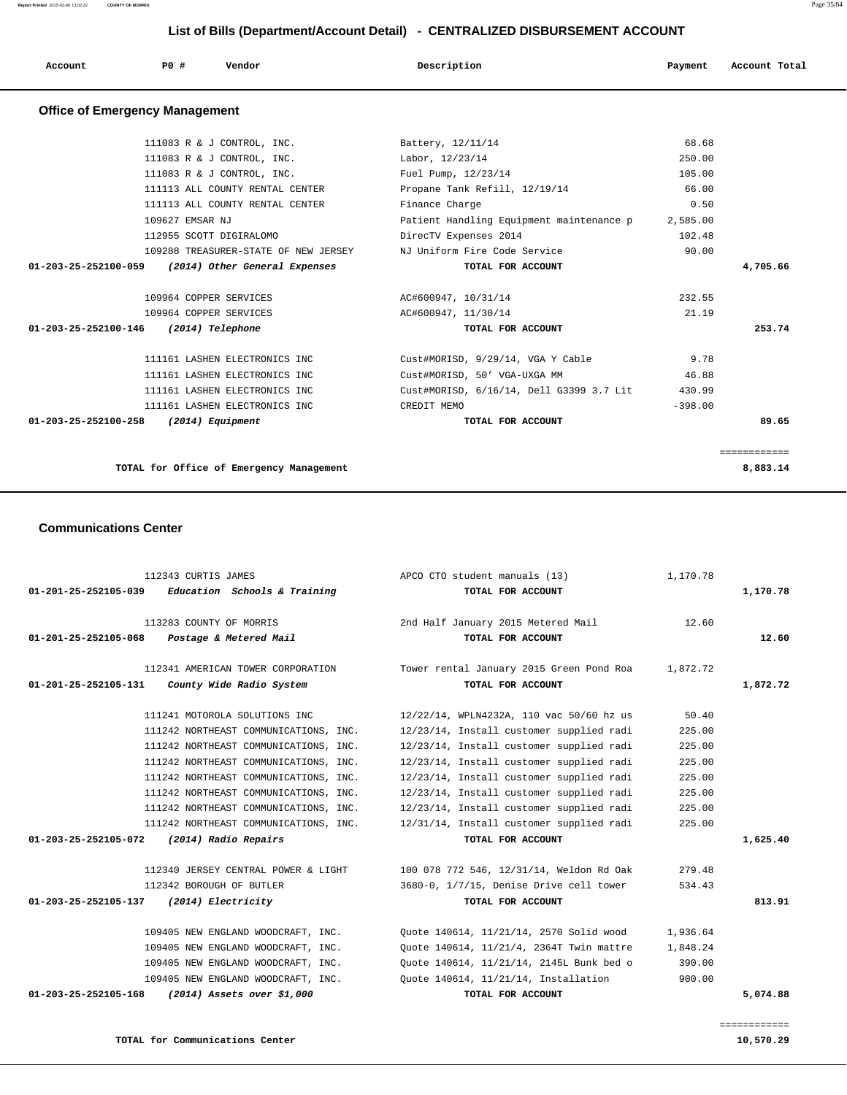| P <sub>0</sub><br>Account<br>Description<br>Payment<br>Vendor<br>Account Total<br>. |  |
|-------------------------------------------------------------------------------------|--|
|-------------------------------------------------------------------------------------|--|

## **Office of Emergency Management**

| 111083 R & J CONTROL, INC.                         | Battery, 12/11/14                               | 68.68     |              |
|----------------------------------------------------|-------------------------------------------------|-----------|--------------|
| 111083 R & J CONTROL, INC.                         | Labor, 12/23/14                                 | 250.00    |              |
| 111083 R & J CONTROL, INC.                         | Fuel Pump, 12/23/14                             | 105.00    |              |
| 111113 ALL COUNTY RENTAL CENTER                    | Propane Tank Refill, 12/19/14                   | 66.00     |              |
| 111113 ALL COUNTY RENTAL CENTER                    | Finance Charge                                  | 0.50      |              |
| 109627 EMSAR NJ                                    | Patient Handling Equipment maintenance p        | 2,585.00  |              |
| 112955 SCOTT DIGIRALOMO                            | DirecTV Expenses 2014                           | 102.48    |              |
| 109288 TREASURER-STATE OF NEW JERSEY               | NJ Uniform Fire Code Service                    | 90.00     |              |
| 01-203-25-252100-059 (2014) Other General Expenses | TOTAL FOR ACCOUNT                               |           | 4,705.66     |
| 109964 COPPER SERVICES                             | AC#600947, 10/31/14                             | 232.55    |              |
|                                                    |                                                 |           |              |
| 109964 COPPER SERVICES                             | AC#600947, 11/30/14                             | 21.19     |              |
| 01-203-25-252100-146 (2014) Telephone              | TOTAL FOR ACCOUNT                               |           | 253.74       |
| 111161 LASHEN ELECTRONICS INC                      | Cust#MORISD, 9/29/14, VGA Y Cable               | 9.78      |              |
| 111161 LASHEN ELECTRONICS INC                      | Cust#MORISD, 50' VGA-UXGA MM                    | 46.88     |              |
| 111161 LASHEN ELECTRONICS INC                      | Cust#MORISD, 6/16/14, Dell G3399 3.7 Lit 430.99 |           |              |
| 111161 LASHEN ELECTRONICS INC                      | CREDIT MEMO                                     | $-398.00$ |              |
| 01-203-25-252100-258<br>(2014) Equipment           | TOTAL FOR ACCOUNT                               |           | 89.65        |
|                                                    |                                                 |           |              |
|                                                    |                                                 |           | ------------ |
| TOTAL for Office of Emergency Management           |                                                 |           | 8,883.14     |
|                                                    |                                                 |           |              |

### **Communications Center**

| 112343 CURTIS JAMES<br>$01-201-25-252105-039$ Education Schools & Training            | APCO CTO student manuals (13)<br>TOTAL FOR ACCOUNT            | 1,170.78 | 1,170.78 |
|---------------------------------------------------------------------------------------|---------------------------------------------------------------|----------|----------|
| 113283 COUNTY OF MORRIS<br>01-201-25-252105-068<br>Postage & Metered Mail             | 2nd Half January 2015 Metered Mail<br>TOTAL FOR ACCOUNT       | 12.60    | 12.60    |
| 112341 AMERICAN TOWER CORPORATION<br>01-201-25-252105-131<br>County Wide Radio System | Tower rental January 2015 Green Pond Roa<br>TOTAL FOR ACCOUNT | 1,872.72 | 1,872.72 |
| 111241 MOTOROLA SOLUTIONS INC                                                         | 12/22/14, WPLN4232A, 110 vac 50/60 hz us                      | 50.40    |          |
| 111242 NORTHEAST COMMUNICATIONS, INC.                                                 | 12/23/14, Install customer supplied radi                      | 225.00   |          |
| 111242 NORTHEAST COMMUNICATIONS, INC.                                                 | 12/23/14, Install customer supplied radi                      | 225.00   |          |
| 111242 NORTHEAST COMMUNICATIONS, INC.                                                 | 12/23/14, Install customer supplied radi                      | 225.00   |          |
| 111242 NORTHEAST COMMUNICATIONS, INC.                                                 | 12/23/14, Install customer supplied radi                      | 225.00   |          |
| 111242 NORTHEAST COMMUNICATIONS, INC.                                                 | 12/23/14, Install customer supplied radi                      | 225.00   |          |
| 111242 NORTHEAST COMMUNICATIONS, INC.                                                 | 12/23/14, Install customer supplied radi                      | 225.00   |          |
| 111242 NORTHEAST COMMUNICATIONS, INC.                                                 | 12/31/14, Install customer supplied radi                      | 225.00   |          |
| 01-203-25-252105-072<br>(2014) Radio Repairs                                          | TOTAL FOR ACCOUNT                                             |          | 1,625.40 |
| 112340 JERSEY CENTRAL POWER & LIGHT                                                   | 100 078 772 546, 12/31/14, Weldon Rd Oak                      | 279.48   |          |
| 112342 BOROUGH OF BUTLER                                                              | 3680-0, 1/7/15, Denise Drive cell tower                       | 534.43   |          |
| 01-203-25-252105-137<br>(2014) Electricity                                            | TOTAL FOR ACCOUNT                                             |          | 813.91   |
| 109405 NEW ENGLAND WOODCRAFT, INC.                                                    | Ouote 140614, 11/21/14, 2570 Solid wood                       | 1,936.64 |          |
| 109405 NEW ENGLAND WOODCRAFT, INC.                                                    | Quote 140614, 11/21/4, 2364T Twin mattre                      | 1,848.24 |          |
| 109405 NEW ENGLAND WOODCRAFT, INC.                                                    | Ouote 140614, 11/21/14, 2145L Bunk bed o                      | 390.00   |          |
| 109405 NEW ENGLAND WOODCRAFT, INC.                                                    | Quote 140614, 11/21/14, Installation                          | 900.00   |          |
| 01-203-25-252105-168<br>(2014) Assets over \$1,000                                    | TOTAL FOR ACCOUNT                                             |          | 5,074.88 |
|                                                                                       |                                                               |          |          |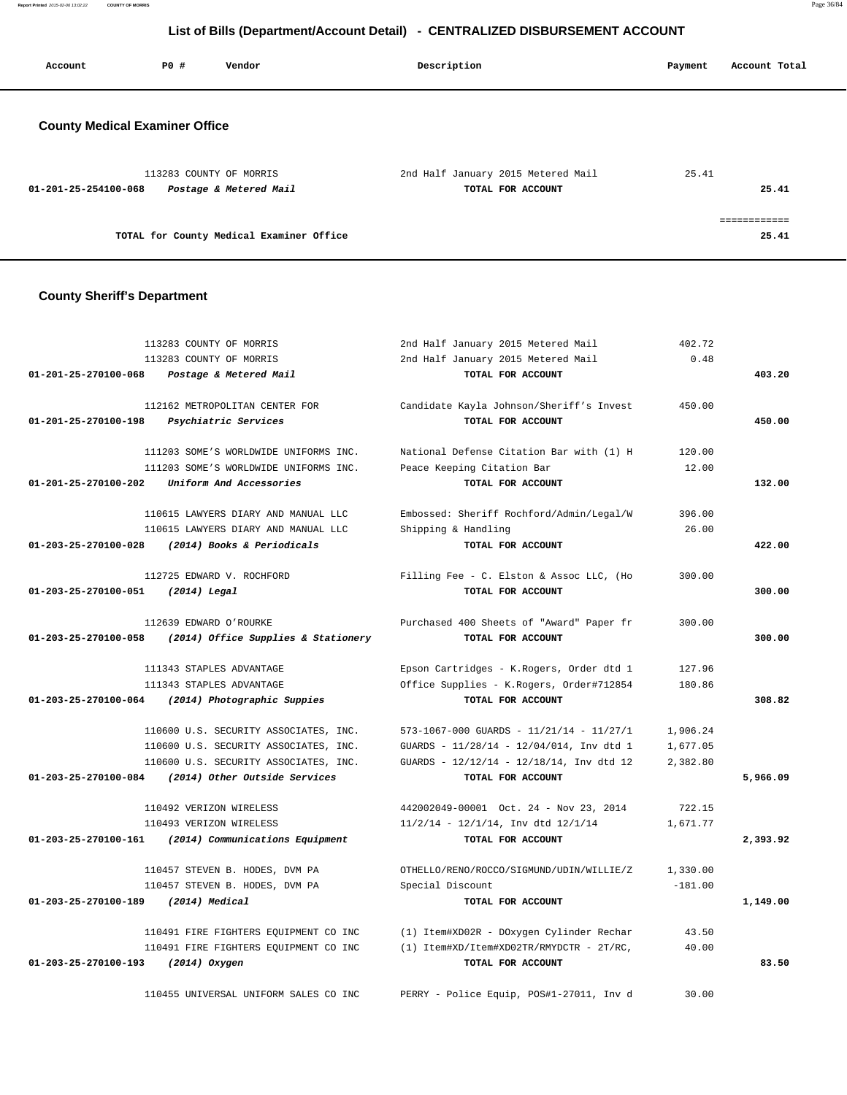**Report Printed** 2015-02-06 13:02:22 **COUNTY OF MORRIS** Page 36/84

# **List of Bills (Department/Account Detail) - CENTRALIZED DISBURSEMENT ACCOUNT**

| Account                               | PO# | Vendor                                            | Description                                             | Payment | Account Total         |
|---------------------------------------|-----|---------------------------------------------------|---------------------------------------------------------|---------|-----------------------|
| <b>County Medical Examiner Office</b> |     |                                                   |                                                         |         |                       |
| $01 - 201 - 25 - 254100 - 068$        |     | 113283 COUNTY OF MORRIS<br>Postage & Metered Mail | 2nd Half January 2015 Metered Mail<br>TOTAL FOR ACCOUNT | 25.41   | 25.41                 |
|                                       |     | TOTAL for County Medical Examiner Office          |                                                         |         | ============<br>25.41 |

## **County Sheriff's Department**

|                                   | 113283 COUNTY OF MORRIS               | 2nd Half January 2015 Metered Mail       | 402.72    |          |
|-----------------------------------|---------------------------------------|------------------------------------------|-----------|----------|
|                                   | 113283 COUNTY OF MORRIS               | 2nd Half January 2015 Metered Mail       | 0.48      |          |
| 01-201-25-270100-068              | Postage & Metered Mail                | TOTAL FOR ACCOUNT                        |           | 403.20   |
|                                   | 112162 METROPOLITAN CENTER FOR        | Candidate Kayla Johnson/Sheriff's Invest | 450.00    |          |
| 01-201-25-270100-198              | Psychiatric Services                  | TOTAL FOR ACCOUNT                        |           | 450.00   |
|                                   | 111203 SOME'S WORLDWIDE UNIFORMS INC. | National Defense Citation Bar with (1) H | 120.00    |          |
|                                   | 111203 SOME'S WORLDWIDE UNIFORMS INC. | Peace Keeping Citation Bar               | 12.00     |          |
| 01-201-25-270100-202              | Uniform And Accessories               | TOTAL FOR ACCOUNT                        |           | 132.00   |
|                                   | 110615 LAWYERS DIARY AND MANUAL LLC   | Embossed: Sheriff Rochford/Admin/Legal/W | 396.00    |          |
|                                   | 110615 LAWYERS DIARY AND MANUAL LLC   | Shipping & Handling                      | 26.00     |          |
| 01-203-25-270100-028              | (2014) Books & Periodicals            | TOTAL FOR ACCOUNT                        |           | 422.00   |
|                                   | 112725 EDWARD V. ROCHFORD             | Filling Fee - C. Elston & Assoc LLC, (Ho | 300.00    |          |
| 01-203-25-270100-051 (2014) Legal |                                       | TOTAL FOR ACCOUNT                        |           | 300.00   |
|                                   | 112639 EDWARD O'ROURKE                | Purchased 400 Sheets of "Award" Paper fr | 300.00    |          |
| 01-203-25-270100-058              | (2014) Office Supplies & Stationery   | TOTAL FOR ACCOUNT                        |           | 300.00   |
|                                   | 111343 STAPLES ADVANTAGE              | Epson Cartridges - K.Rogers, Order dtd 1 | 127.96    |          |
|                                   | 111343 STAPLES ADVANTAGE              | Office Supplies - K.Rogers, Order#712854 | 180.86    |          |
| 01-203-25-270100-064              | (2014) Photographic Suppies           | TOTAL FOR ACCOUNT                        |           | 308.82   |
|                                   | 110600 U.S. SECURITY ASSOCIATES, INC. | 573-1067-000 GUARDS - 11/21/14 - 11/27/1 | 1,906.24  |          |
|                                   | 110600 U.S. SECURITY ASSOCIATES, INC. | GUARDS - 11/28/14 - 12/04/014, Inv dtd 1 | 1,677.05  |          |
|                                   | 110600 U.S. SECURITY ASSOCIATES, INC. | GUARDS - 12/12/14 - 12/18/14, Inv dtd 12 | 2,382.80  |          |
| 01-203-25-270100-084              | (2014) Other Outside Services         | TOTAL FOR ACCOUNT                        |           | 5,966.09 |
|                                   | 110492 VERIZON WIRELESS               | 442002049-00001 Oct. 24 - Nov 23, 2014   | 722.15    |          |
|                                   | 110493 VERIZON WIRELESS               | $11/2/14 - 12/1/14$ , Inv dtd $12/1/14$  | 1,671.77  |          |
| 01-203-25-270100-161              | (2014) Communications Equipment       | TOTAL FOR ACCOUNT                        |           | 2,393.92 |
|                                   | 110457 STEVEN B. HODES, DVM PA        | OTHELLO/RENO/ROCCO/SIGMUND/UDIN/WILLIE/Z | 1,330.00  |          |
|                                   | 110457 STEVEN B. HODES, DVM PA        | Special Discount                         | $-181.00$ |          |
| 01-203-25-270100-189              | (2014) Medical                        | TOTAL FOR ACCOUNT                        |           | 1,149.00 |
|                                   | 110491 FIRE FIGHTERS EQUIPMENT CO INC | (1) Item#XD02R - DOxygen Cylinder Rechar | 43.50     |          |
|                                   | 110491 FIRE FIGHTERS EQUIPMENT CO INC | (1) Item#XD/Item#XD02TR/RMYDCTR - 2T/RC, | 40.00     |          |
| 01-203-25-270100-193              | (2014) Oxygen                         | TOTAL FOR ACCOUNT                        |           | 83.50    |
|                                   | 110455 UNIVERSAL UNIFORM SALES CO INC | PERRY - Police Equip, POS#1-27011, Inv d | 30.00     |          |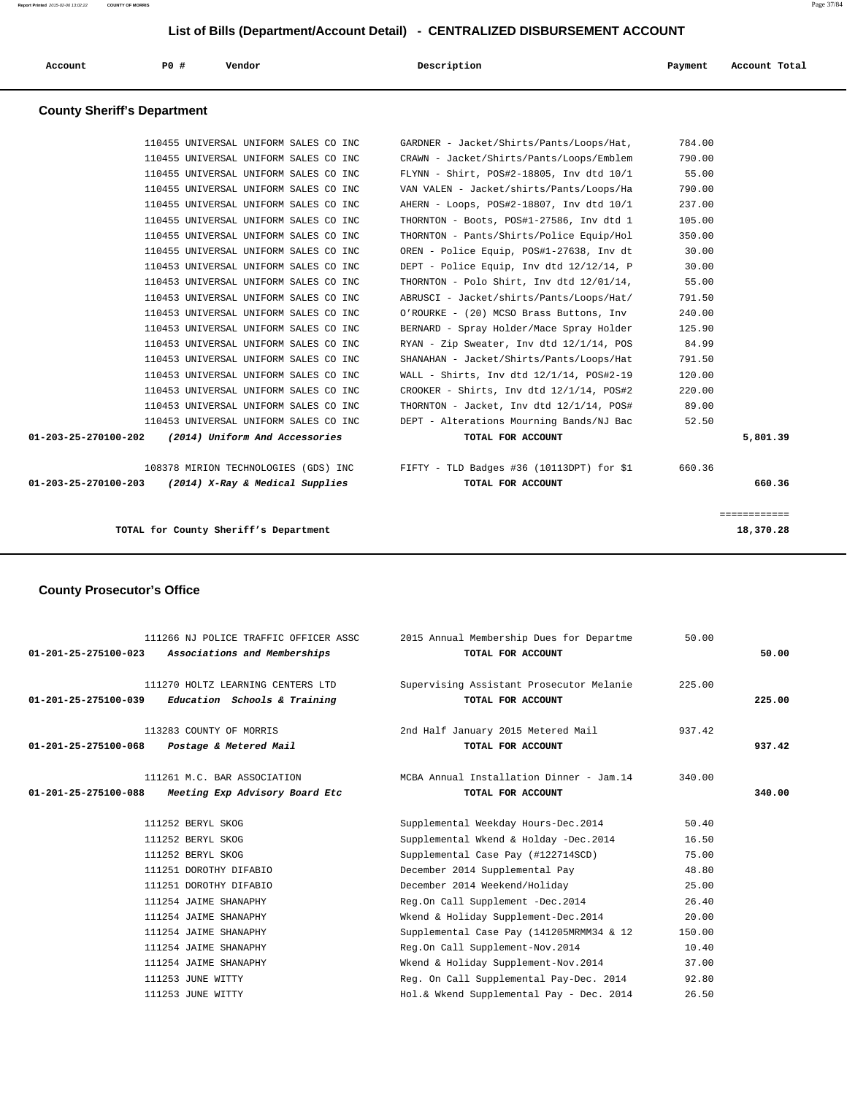| Account | <b>PO #</b> | Vendor | Description | Payment | Account Total |
|---------|-------------|--------|-------------|---------|---------------|
|         |             |        |             |         |               |

### **County Sheriff's Department**

| 01-203-25-270100-203           | (2014) X-Ray & Medical Supplies                                                | TOTAL FOR ACCOUNT                                                                      |                  | 660.36   |
|--------------------------------|--------------------------------------------------------------------------------|----------------------------------------------------------------------------------------|------------------|----------|
|                                |                                                                                | 108378 MIRION TECHNOLOGIES (GDS) INC FIFTY - TLD Badges #36 (10113DPT) for \$1         | 660.36           |          |
| $01 - 203 - 25 - 270100 - 202$ | (2014) Uniform And Accessories                                                 | TOTAL FOR ACCOUNT                                                                      |                  | 5,801.39 |
|                                | 110453 UNIVERSAL UNIFORM SALES CO INC                                          | DEPT - Alterations Mourning Bands/NJ Bac                                               | 52.50            |          |
|                                | 110453 UNIVERSAL UNIFORM SALES CO INC                                          | THORNTON - Jacket, Inv dtd 12/1/14, POS#                                               | 89.00            |          |
|                                | 110453 UNIVERSAL UNIFORM SALES CO INC                                          | CROOKER - Shirts, Inv dtd 12/1/14, POS#2                                               | 220.00           |          |
|                                | 110453 UNIVERSAL UNIFORM SALES CO INC                                          | WALL - Shirts, Inv dtd $12/1/14$ , POS#2-19                                            | 120.00           |          |
|                                | 110453 UNIVERSAL UNIFORM SALES CO INC                                          | SHANAHAN - Jacket/Shirts/Pants/Loops/Hat                                               | 791.50           |          |
|                                | 110453 UNIVERSAL UNIFORM SALES CO INC                                          | RYAN - Zip Sweater, Inv dtd 12/1/14, POS                                               | 84.99            |          |
|                                | 110453 UNIVERSAL UNIFORM SALES CO INC                                          | BERNARD - Spray Holder/Mace Spray Holder                                               | 125.90           |          |
|                                | 110453 UNIVERSAL UNIFORM SALES CO INC                                          | O'ROURKE - (20) MCSO Brass Buttons, Inv                                                | 240.00           |          |
|                                | 110453 UNIVERSAL UNIFORM SALES CO INC                                          | ABRUSCI - Jacket/shirts/Pants/Loops/Hat/                                               | 791.50           |          |
|                                | 110453 UNIVERSAL UNIFORM SALES CO INC                                          | THORNTON - Polo Shirt, Inv dtd 12/01/14,                                               | 55.00            |          |
|                                | 110453 UNIVERSAL UNIFORM SALES CO INC                                          | DEPT - Police Equip, Inv dtd 12/12/14, P                                               | 30.00            |          |
|                                | 110455 UNIVERSAL UNIFORM SALES CO INC                                          | OREN - Police Equip, POS#1-27638, Inv dt                                               | 30.00            |          |
|                                | 110455 UNIVERSAL UNIFORM SALES CO INC                                          | THORNTON - Pants/Shirts/Police Equip/Hol                                               | 350.00           |          |
|                                | 110455 UNIVERSAL UNIFORM SALES CO INC                                          | THORNTON - Boots, POS#1-27586, Inv dtd 1                                               | 105.00           |          |
|                                | 110455 UNIVERSAL UNIFORM SALES CO INC                                          | AHERN - Loops, POS#2-18807, Inv dtd 10/1                                               | 237.00           |          |
|                                | 110455 UNIVERSAL UNIFORM SALES CO INC                                          | VAN VALEN - Jacket/shirts/Pants/Loops/Ha                                               | 790.00           |          |
|                                | 110455 UNIVERSAL UNIFORM SALES CO INC<br>110455 UNIVERSAL UNIFORM SALES CO INC | CRAWN - Jacket/Shirts/Pants/Loops/Emblem<br>FLYNN - Shirt, POS#2-18805, Inv dtd $10/1$ | 55.00            |          |
|                                | 110455 UNIVERSAL UNIFORM SALES CO INC                                          | GARDNER - Jacket/Shirts/Pants/Loops/Hat,                                               | 784.00<br>790.00 |          |

**TOTAL for County Sheriff's Department 18,370.28**

# **County Prosecutor's Office**

| $01 - 201 - 25 - 275100 - 023$ | 111266 NJ POLICE TRAFFIC OFFICER ASSC<br>Associations and Memberships | 2015 Annual Membership Dues for Departme<br>TOTAL FOR ACCOUNT  | 50.00  | 50.00  |
|--------------------------------|-----------------------------------------------------------------------|----------------------------------------------------------------|--------|--------|
| 01-201-25-275100-039           | 111270 HOLTZ LEARNING CENTERS LTD<br>Education Schools & Training     | Supervising Assistant Prosecutor Melanie<br>TOTAL FOR ACCOUNT  | 225.00 | 225.00 |
| $01 - 201 - 25 - 275100 - 068$ | 113283 COUNTY OF MORRIS<br>Postage & Metered Mail                     | 2nd Half January 2015 Metered Mail<br>TOTAL FOR ACCOUNT        | 937.42 | 937.42 |
| 01-201-25-275100-088           | 111261 M.C. BAR ASSOCIATION<br>Meeting Exp Advisory Board Etc         | MCBA Annual Installation Dinner - Jam. 14<br>TOTAL FOR ACCOUNT | 340.00 | 340.00 |
|                                | 111252 BERYL SKOG                                                     | Supplemental Weekday Hours-Dec.2014                            | 50.40  |        |
|                                | 111252 BERYL SKOG                                                     | Supplemental Wkend & Holday -Dec.2014                          | 16.50  |        |
|                                | 111252 BERYL SKOG                                                     | Supplemental Case Pay (#122714SCD)                             | 75.00  |        |
|                                | 111251 DOROTHY DIFABIO                                                | December 2014 Supplemental Pay                                 | 48.80  |        |
|                                | 111251 DOROTHY DIFABIO                                                | December 2014 Weekend/Holiday                                  | 25.00  |        |
|                                | 111254 JAIME SHANAPHY                                                 | Reg.On Call Supplement -Dec.2014                               | 26.40  |        |
|                                | 111254 JAIME SHANAPHY                                                 | Wkend & Holiday Supplement-Dec.2014                            | 20.00  |        |
|                                | 111254 JAIME SHANAPHY                                                 | Supplemental Case Pay (141205MRMM34 & 12                       | 150.00 |        |
|                                | 111254 JAIME SHANAPHY                                                 | Reg.On Call Supplement-Nov.2014                                | 10.40  |        |
|                                | 111254 JAIME SHANAPHY                                                 | Wkend & Holiday Supplement-Nov.2014                            | 37.00  |        |
|                                | 111253 JUNE WITTY                                                     | Reg. On Call Supplemental Pay-Dec. 2014                        | 92.80  |        |
|                                | 111253 JUNE WITTY                                                     | Hol.& Wkend Supplemental Pay - Dec. 2014                       | 26.50  |        |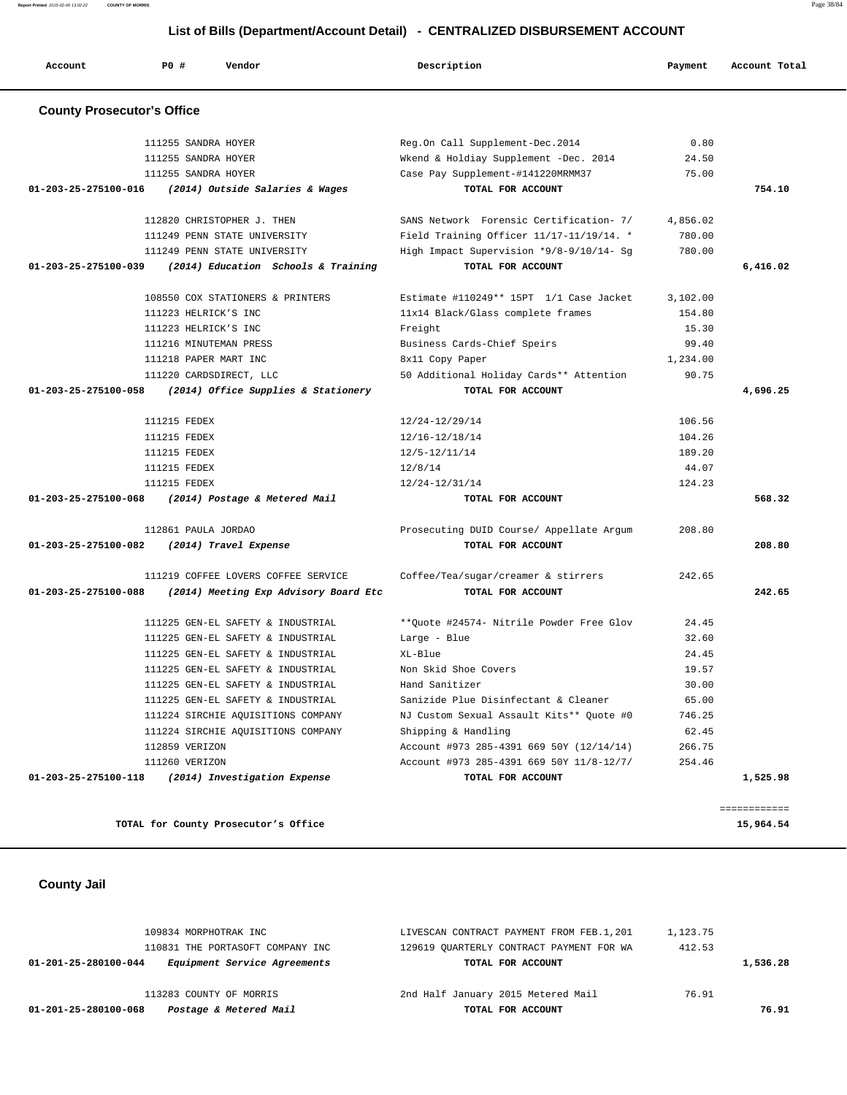| Postage & Metered Mail<br>01-201-25-280100-068       | TOTAL FOR ACCOUNT                        |          | 76.91    |
|------------------------------------------------------|------------------------------------------|----------|----------|
| 113283 COUNTY OF MORRIS                              | 2nd Half January 2015 Metered Mail       | 76.91    |          |
| Equipment Service Agreements<br>01-201-25-280100-044 | TOTAL FOR ACCOUNT                        |          | 1,536.28 |
| 110831 THE PORTASOFT COMPANY INC                     | 129619 OUARTERLY CONTRACT PAYMENT FOR WA | 412.53   |          |
| 109834 MORPHOTRAK INC                                | LIVESCAN CONTRACT PAYMENT FROM FEB.1,201 | 1,123.75 |          |
|                                                      |                                          |          |          |

11281 UNIONE RESERVE DESIGN ACCOUNT #973 285-4391 669 50Y (12/14/14) 266.75 111260 VERIZON Account #973 285-4391 669 50Y 11/8-12/7/ 254.46  **01-203-25-275100-118 (2014) Investigation Expense TOTAL FOR ACCOUNT 1,525.98**

TOTAL for County Prosecutor's Office 15,964.54

============

 **County Jail** 

|                                | $01-203-25-275100-058$ (2014) Office Supplies & Stationery | TOTAL FOR ACCOUNT                        |        | 4,696.25 |
|--------------------------------|------------------------------------------------------------|------------------------------------------|--------|----------|
|                                | 111215 FEDEX                                               | 12/24-12/29/14                           | 106.56 |          |
|                                | 111215 FEDEX                                               | 12/16-12/18/14                           | 104.26 |          |
|                                | 111215 FEDEX                                               | 12/5-12/11/14                            | 189.20 |          |
|                                | 111215 FEDEX                                               | 12/8/14                                  | 44.07  |          |
|                                | 111215 FEDEX                                               | 12/24-12/31/14                           | 124.23 |          |
|                                | 01-203-25-275100-068 (2014) Postage & Metered Mail         | TOTAL FOR ACCOUNT                        |        | 568.32   |
|                                | 112861 PAULA JORDAO                                        | Prosecuting DUID Course/ Appellate Argum | 208.80 |          |
| 01-203-25-275100-082           | (2014) Travel Expense                                      | TOTAL FOR ACCOUNT                        |        | 208.80   |
|                                | 111219 COFFEE LOVERS COFFEE SERVICE                        | Coffee/Tea/sugar/creamer & stirrers      | 242.65 |          |
| $01 - 203 - 25 - 275100 - 088$ | (2014) Meeting Exp Advisory Board Etc                      | TOTAL FOR ACCOUNT                        |        | 242.65   |
|                                | 111225 GEN-EL SAFETY & INDUSTRIAL                          | **Ouote #24574- Nitrile Powder Free Glov | 24.45  |          |
|                                | 111225 GEN-EL SAFETY & INDUSTRIAL                          | Large - Blue                             | 32.60  |          |
|                                | 111225 GEN-EL SAFETY & INDUSTRIAL                          | XL-Blue                                  | 24.45  |          |
|                                | 111225 GEN-EL SAFETY & INDUSTRIAL                          | Non Skid Shoe Covers                     | 19.57  |          |
|                                | 111225 GEN-EL SAFETY & INDUSTRIAL                          | Hand Sanitizer                           | 30.00  |          |
|                                | 111225 GEN-EL SAFETY & INDUSTRIAL                          | Sanizide Plue Disinfectant & Cleaner     | 65.00  |          |
|                                | 111224 SIRCHIE AQUISITIONS COMPANY                         | NJ Custom Sexual Assault Kits** Quote #0 | 746.25 |          |
|                                | 111224 SIRCHIE AQUISITIONS COMPANY                         | Shipping & Handling                      | 62.45  |          |

| <b>County Prosecutor's Office</b>                          |                                             |          |          |
|------------------------------------------------------------|---------------------------------------------|----------|----------|
| 111255 SANDRA HOYER                                        | Req.On Call Supplement-Dec.2014             | 0.80     |          |
| 111255 SANDRA HOYER                                        | Wkend & Holdiay Supplement -Dec. 2014       | 24.50    |          |
| 111255 SANDRA HOYER                                        | Case Pay Supplement-#141220MRMM37           | 75.00    |          |
| 01-203-25-275100-016 (2014) Outside Salaries & Wages       | TOTAL FOR ACCOUNT                           |          | 754.10   |
| 112820 CHRISTOPHER J. THEN                                 | SANS Network Forensic Certification- 7/     | 4,856.02 |          |
| 111249 PENN STATE UNIVERSITY                               | Field Training Officer $11/17-11/19/14$ . * | 780.00   |          |
| 111249 PENN STATE UNIVERSITY                               | High Impact Supervision *9/8-9/10/14- Sq    | 780.00   |          |
| $01-203-25-275100-039$ (2014) Education Schools & Training | TOTAL FOR ACCOUNT                           |          | 6,416.02 |
| 108550 COX STATIONERS & PRINTERS                           | Estimate #110249** 15PT 1/1 Case Jacket     | 3.102.00 |          |
| 111223 HELRICK'S INC                                       | 11x14 Black/Glass complete frames           | 154.80   |          |
| 111223 HELRICK'S INC                                       | Freight                                     | 15.30    |          |
| 111216 MINUTEMAN PRESS                                     | Business Cards-Chief Speirs                 | 99.40    |          |
| 111218 PAPER MART INC                                      | 8x11 Copy Paper                             | 1,234.00 |          |
| 111220 CARDSDIRECT, LLC                                    | 50 Additional Holiday Cards** Attention     | 90.75    |          |
| $01-203-25-275100-058$ (2014) Office Supplies & Stationery | TOTAL FOR ACCOUNT                           |          | 4,696.25 |

# **List of Bills (Department/Account Detail) - CENTRALIZED DISBURSEMENT ACCOUNT**

 **Account P0 # Vendor Description Payment Account Total**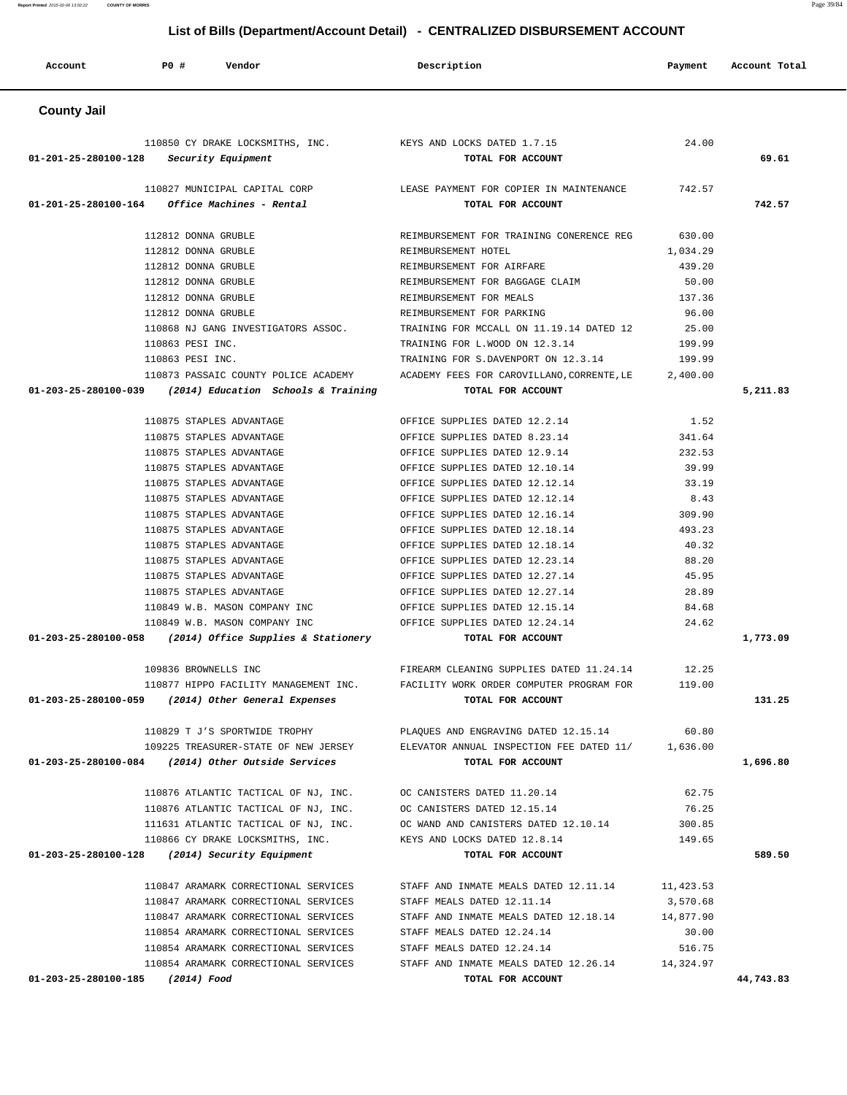| Account              | PO#<br>Vendor                                                    | Description                                                      | Payment            | Account Total |
|----------------------|------------------------------------------------------------------|------------------------------------------------------------------|--------------------|---------------|
| <b>County Jail</b>   |                                                                  |                                                                  |                    |               |
|                      | 110850 CY DRAKE LOCKSMITHS, INC.                                 | KEYS AND LOCKS DATED 1.7.15                                      | 24.00              |               |
| 01-201-25-280100-128 | Security Equipment                                               | TOTAL FOR ACCOUNT                                                |                    | 69.61         |
|                      | 110827 MUNICIPAL CAPITAL CORP                                    | LEASE PAYMENT FOR COPIER IN MAINTENANCE                          | 742.57             |               |
| 01-201-25-280100-164 | Office Machines - Rental                                         | TOTAL FOR ACCOUNT                                                |                    | 742.57        |
|                      |                                                                  |                                                                  |                    |               |
|                      | 112812 DONNA GRUBLE<br>112812 DONNA GRUBLE                       | REIMBURSEMENT FOR TRAINING CONERENCE REG                         | 630.00             |               |
|                      | 112812 DONNA GRUBLE                                              | REIMBURSEMENT HOTEL<br>REIMBURSEMENT FOR AIRFARE                 | 1,034.29<br>439.20 |               |
|                      | 112812 DONNA GRUBLE                                              | REIMBURSEMENT FOR BAGGAGE CLAIM                                  | 50.00              |               |
|                      | 112812 DONNA GRUBLE                                              | REIMBURSEMENT FOR MEALS                                          | 137.36             |               |
|                      | 112812 DONNA GRUBLE                                              | REIMBURSEMENT FOR PARKING                                        | 96.00              |               |
|                      | 110868 NJ GANG INVESTIGATORS ASSOC.                              | TRAINING FOR MCCALL ON 11.19.14 DATED 12                         | 25.00              |               |
|                      | 110863 PESI INC.                                                 | TRAINING FOR L.WOOD ON 12.3.14                                   | 199.99             |               |
|                      | 110863 PESI INC.                                                 | TRAINING FOR S.DAVENPORT ON 12.3.14                              | 199.99             |               |
|                      | 110873 PASSAIC COUNTY POLICE ACADEMY                             | ACADEMY FEES FOR CAROVILLANO, CORRENTE, LE                       | 2,400.00           |               |
| 01-203-25-280100-039 | (2014) Education Schools & Training                              | TOTAL FOR ACCOUNT                                                |                    | 5,211.83      |
|                      |                                                                  |                                                                  |                    |               |
|                      | 110875 STAPLES ADVANTAGE                                         | OFFICE SUPPLIES DATED 12.2.14                                    | 1.52               |               |
|                      | 110875 STAPLES ADVANTAGE                                         | OFFICE SUPPLIES DATED 8.23.14                                    | 341.64             |               |
|                      | 110875 STAPLES ADVANTAGE<br>110875 STAPLES ADVANTAGE             | OFFICE SUPPLIES DATED 12.9.14                                    | 232.53<br>39.99    |               |
|                      | 110875 STAPLES ADVANTAGE                                         | OFFICE SUPPLIES DATED 12.10.14<br>OFFICE SUPPLIES DATED 12.12.14 | 33.19              |               |
|                      | 110875 STAPLES ADVANTAGE                                         | OFFICE SUPPLIES DATED 12.12.14                                   | 8.43               |               |
|                      | 110875 STAPLES ADVANTAGE                                         | OFFICE SUPPLIES DATED 12.16.14                                   | 309.90             |               |
|                      | 110875 STAPLES ADVANTAGE                                         | OFFICE SUPPLIES DATED 12.18.14                                   | 493.23             |               |
|                      | 110875 STAPLES ADVANTAGE                                         | OFFICE SUPPLIES DATED 12.18.14                                   | 40.32              |               |
|                      | 110875 STAPLES ADVANTAGE                                         | OFFICE SUPPLIES DATED 12.23.14                                   | 88.20              |               |
|                      | 110875 STAPLES ADVANTAGE                                         | OFFICE SUPPLIES DATED 12.27.14                                   | 45.95              |               |
|                      | 110875 STAPLES ADVANTAGE                                         | OFFICE SUPPLIES DATED 12.27.14                                   | 28.89              |               |
|                      | 110849 W.B. MASON COMPANY INC                                    | OFFICE SUPPLIES DATED 12.15.14                                   | 84.68              |               |
|                      | 110849 W.B. MASON COMPANY INC                                    | OFFICE SUPPLIES DATED 12.24.14                                   | 24.62              |               |
| 01-203-25-280100-058 | (2014) Office Supplies & Stationery                              | TOTAL FOR ACCOUNT                                                |                    | 1,773.09      |
|                      |                                                                  |                                                                  |                    |               |
|                      | 109836 BROWNELLS INC                                             | FIREARM CLEANING SUPPLIES DATED 11.24.14                         | 12.25              |               |
|                      | 110877 HIPPO FACILITY MANAGEMENT INC.                            | FACILITY WORK ORDER COMPUTER PROGRAM FOR                         | 119.00             |               |
|                      | 01-203-25-280100-059 (2014) Other General Expenses               | TOTAL FOR ACCOUNT                                                |                    | 131.25        |
|                      | 110829 T J'S SPORTWIDE TROPHY                                    | PLAQUES AND ENGRAVING DATED 12.15.14                             | 60.80              |               |
|                      | 109225 TREASURER-STATE OF NEW JERSEY                             | ELEVATOR ANNUAL INSPECTION FEE DATED 11/                         | 1,636.00           |               |
|                      | 01-203-25-280100-084 (2014) Other Outside Services               | TOTAL FOR ACCOUNT                                                |                    | 1,696.80      |
|                      | 110876 ATLANTIC TACTICAL OF NJ, INC.                             | OC CANISTERS DATED 11.20.14                                      | 62.75              |               |
|                      | 110876 ATLANTIC TACTICAL OF NJ, INC. OC CANISTERS DATED 12.15.14 |                                                                  | 76.25              |               |
|                      | 111631 ATLANTIC TACTICAL OF NJ, INC.                             | OC WAND AND CANISTERS DATED 12.10.14                             | 300.85             |               |
|                      | 110866 CY DRAKE LOCKSMITHS, INC.                                 | KEYS AND LOCKS DATED 12.8.14                                     | 149.65             |               |
| 01-203-25-280100-128 | (2014) Security Equipment                                        | TOTAL FOR ACCOUNT                                                |                    | 589.50        |
|                      |                                                                  |                                                                  |                    |               |
|                      | 110847 ARAMARK CORRECTIONAL SERVICES                             | STAFF AND INMATE MEALS DATED 12.11.14                            | 11,423.53          |               |
|                      | 110847 ARAMARK CORRECTIONAL SERVICES                             | STAFF MEALS DATED 12.11.14                                       | 3,570.68           |               |
|                      | 110847 ARAMARK CORRECTIONAL SERVICES                             | STAFF AND INMATE MEALS DATED 12.18.14                            | 14,877.90          |               |
|                      | 110854 ARAMARK CORRECTIONAL SERVICES                             | STAFF MEALS DATED 12.24.14                                       | 30.00              |               |
|                      | 110854 ARAMARK CORRECTIONAL SERVICES                             | STAFF MEALS DATED 12.24.14                                       | 516.75             |               |
|                      | 110854 ARAMARK CORRECTIONAL SERVICES                             | STAFF AND INMATE MEALS DATED 12.26.14 14,324.97                  |                    |               |
| 01-203-25-280100-185 | (2014) Food                                                      | TOTAL FOR ACCOUNT                                                |                    | 44,743.83     |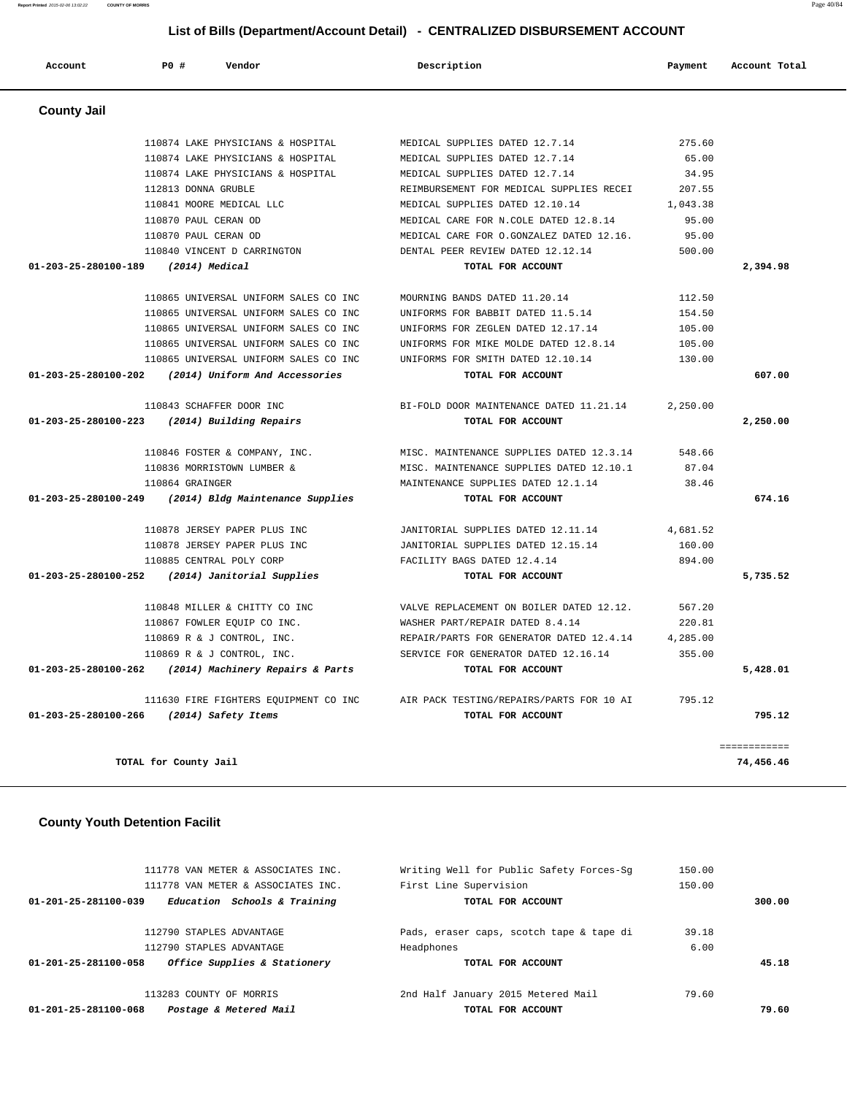| Account                        | PO#<br>Vendor                                          | Description                                                              | Payment            | Account Total |
|--------------------------------|--------------------------------------------------------|--------------------------------------------------------------------------|--------------------|---------------|
| <b>County Jail</b>             |                                                        |                                                                          |                    |               |
|                                | 110874 LAKE PHYSICIANS & HOSPITAL                      | MEDICAL SUPPLIES DATED 12.7.14                                           | 275.60             |               |
|                                | 110874 LAKE PHYSICIANS & HOSPITAL                      | MEDICAL SUPPLIES DATED 12.7.14                                           | 65.00              |               |
|                                | 110874 LAKE PHYSICIANS & HOSPITAL                      | MEDICAL SUPPLIES DATED 12.7.14                                           | 34.95              |               |
|                                | 112813 DONNA GRUBLE                                    | REIMBURSEMENT FOR MEDICAL SUPPLIES RECEI                                 | 207.55             |               |
|                                | 110841 MOORE MEDICAL LLC                               | MEDICAL SUPPLIES DATED 12.10.14                                          | 1,043.38           |               |
|                                | 110870 PAUL CERAN OD                                   | MEDICAL CARE FOR N.COLE DATED 12.8.14                                    | 95.00              |               |
|                                | 110870 PAUL CERAN OD                                   | MEDICAL CARE FOR O.GONZALEZ DATED 12.16.                                 | 95.00              |               |
|                                | 110840 VINCENT D CARRINGTON                            | DENTAL PEER REVIEW DATED 12.12.14                                        | 500.00             |               |
| 01-203-25-280100-189           | $(2014)$ Medical                                       | TOTAL FOR ACCOUNT                                                        |                    | 2,394.98      |
|                                |                                                        |                                                                          |                    |               |
|                                | 110865 UNIVERSAL UNIFORM SALES CO INC                  | MOURNING BANDS DATED 11.20.14                                            | 112.50             |               |
|                                | 110865 UNIVERSAL UNIFORM SALES CO INC                  | UNIFORMS FOR BABBIT DATED 11.5.14                                        | 154.50             |               |
|                                | 110865 UNIVERSAL UNIFORM SALES CO INC                  | UNIFORMS FOR ZEGLEN DATED 12.17.14                                       | 105.00             |               |
|                                | 110865 UNIVERSAL UNIFORM SALES CO INC                  | UNIFORMS FOR MIKE MOLDE DATED 12.8.14                                    | 105.00             |               |
|                                | 110865 UNIVERSAL UNIFORM SALES CO INC                  | UNIFORMS FOR SMITH DATED 12.10.14                                        | 130.00             |               |
| 01-203-25-280100-202           | (2014) Uniform And Accessories                         | TOTAL FOR ACCOUNT                                                        |                    | 607.00        |
|                                | 110843 SCHAFFER DOOR INC                               | BI-FOLD DOOR MAINTENANCE DATED 11.21.14                                  | 2,250.00           |               |
| 01-203-25-280100-223           | (2014) Building Repairs                                | TOTAL FOR ACCOUNT                                                        |                    | 2,250.00      |
|                                | 110846 FOSTER & COMPANY, INC.                          | MISC. MAINTENANCE SUPPLIES DATED 12.3.14                                 | 548.66             |               |
|                                | 110836 MORRISTOWN LUMBER &                             | MISC. MAINTENANCE SUPPLIES DATED 12.10.1                                 | 87.04              |               |
|                                | 110864 GRAINGER                                        | MAINTENANCE SUPPLIES DATED 12.1.14                                       | 38.46              |               |
| 01-203-25-280100-249           | (2014) Bldg Maintenance Supplies                       | TOTAL FOR ACCOUNT                                                        |                    | 674.16        |
|                                |                                                        |                                                                          |                    |               |
|                                | 110878 JERSEY PAPER PLUS INC                           | JANITORIAL SUPPLIES DATED 12.11.14<br>JANITORIAL SUPPLIES DATED 12.15.14 | 4,681.52<br>160.00 |               |
|                                | 110878 JERSEY PAPER PLUS INC                           |                                                                          |                    |               |
| $01 - 203 - 25 - 280100 - 252$ | 110885 CENTRAL POLY CORP<br>(2014) Janitorial Supplies | FACILITY BAGS DATED 12.4.14<br>TOTAL FOR ACCOUNT                         | 894.00             | 5,735.52      |
|                                |                                                        |                                                                          |                    |               |
|                                | 110848 MILLER & CHITTY CO INC                          | VALVE REPLACEMENT ON BOILER DATED 12.12.                                 | 567.20             |               |
|                                | 110867 FOWLER EQUIP CO INC.                            | WASHER PART/REPAIR DATED 8.4.14                                          | 220.81             |               |
|                                | 110869 R & J CONTROL, INC.                             | REPAIR/PARTS FOR GENERATOR DATED 12.4.14                                 | 4,285.00           |               |
|                                | 110869 R & J CONTROL, INC.                             | SERVICE FOR GENERATOR DATED 12.16.14                                     | 355.00             |               |
| 01-203-25-280100-262           | (2014) Machinery Repairs & Parts                       | TOTAL FOR ACCOUNT                                                        |                    | 5,428.01      |
|                                | 111630 FIRE FIGHTERS EQUIPMENT CO INC                  | AIR PACK TESTING/REPAIRS/PARTS FOR 10 AI                                 | 795.12             |               |
| 01-203-25-280100-266           | (2014) Safety Items                                    | TOTAL FOR ACCOUNT                                                        |                    | 795.12        |
|                                |                                                        |                                                                          |                    | ------------  |

**TOTAL for County Jail 74,456.46**

### **County Youth Detention Facilit**

| 111778 VAN METER & ASSOCIATES INC.                   | Writing Well for Public Safety Forces-Sq | 150.00 |        |
|------------------------------------------------------|------------------------------------------|--------|--------|
| 111778 VAN METER & ASSOCIATES INC.                   | First Line Supervision                   | 150.00 |        |
| Education Schools & Training<br>01-201-25-281100-039 | TOTAL FOR ACCOUNT                        |        | 300.00 |
| 112790 STAPLES ADVANTAGE                             | Pads, eraser caps, scotch tape & tape di | 39.18  |        |
|                                                      |                                          |        |        |
| 112790 STAPLES ADVANTAGE                             | Headphones                               | 6.00   |        |
| Office Supplies & Stationery<br>01-201-25-281100-058 | TOTAL FOR ACCOUNT                        |        | 45.18  |
| 113283 COUNTY OF MORRIS                              | 2nd Half January 2015 Metered Mail       | 79.60  |        |
| Postage & Metered Mail<br>01-201-25-281100-068       | TOTAL FOR ACCOUNT                        |        | 79.60  |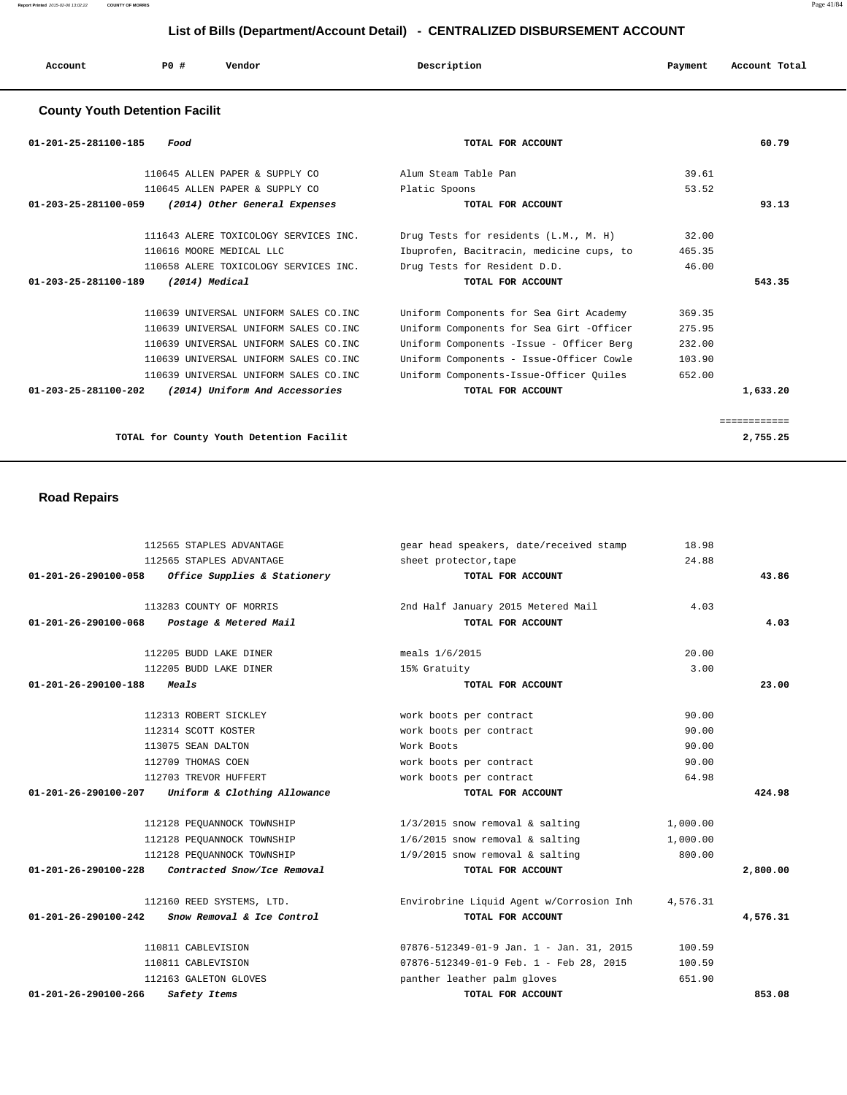| Account                               | PO# | Vendor | Description | Payment | Account Total |
|---------------------------------------|-----|--------|-------------|---------|---------------|
| <b>County Youth Detention Facilit</b> |     |        |             |         |               |

| $01 - 201 - 25 - 281100 - 185$ | Food                                   | TOTAL FOR ACCOUNT                        |        | 60.79  |
|--------------------------------|----------------------------------------|------------------------------------------|--------|--------|
|                                | 110645 ALLEN PAPER & SUPPLY CO         | Alum Steam Table Pan                     | 39.61  |        |
|                                | 110645 ALLEN PAPER & SUPPLY CO         | Platic Spoons                            | 53.52  |        |
| 01-203-25-281100-059           | (2014) Other General Expenses          | TOTAL FOR ACCOUNT                        |        | 93.13  |
|                                | 111643 ALERE TOXICOLOGY SERVICES INC.  | Drug Tests for residents (L.M., M. H)    | 32.00  |        |
|                                | 110616 MOORE MEDICAL LLC               | Ibuprofen, Bacitracin, medicine cups, to | 465.35 |        |
|                                | 110658 ALERE TOXICOLOGY SERVICES INC.  | Drug Tests for Resident D.D.             | 46.00  |        |
| $01 - 203 - 25 - 281100 - 189$ | $(2014)$ Medical                       | TOTAL FOR ACCOUNT                        |        | 543.35 |
|                                |                                        |                                          |        |        |
|                                | 110639 UNIVERSAL UNIFORM SALES CO.INC  | Uniform Components for Sea Girt Academy  | 369.35 |        |
|                                | 110639 UNIVERSAL UNIFORM SALES CO.INC  | Uniform Components for Sea Girt -Officer | 275.95 |        |
|                                | 110639 UNIVERSAL UNIFORM SALES CO. INC | Uniform Components -Issue - Officer Berg | 232.00 |        |
|                                | 110639 UNIVERSAL UNIFORM SALES CO. INC | Uniform Components - Issue-Officer Cowle | 103.90 |        |
|                                | 110639 UNIVERSAL UNIFORM SALES CO. INC | Uniform Components-Issue-Officer Quiles  | 652.00 |        |

### **Road Repairs**

|                                | 112565 STAPLES ADVANTAGE                          | gear head speakers, date/received stamp          | 18.98    |          |
|--------------------------------|---------------------------------------------------|--------------------------------------------------|----------|----------|
|                                | 112565 STAPLES ADVANTAGE                          | sheet protector, tape                            | 24.88    |          |
|                                | 01-201-26-290100-058 Office Supplies & Stationery | TOTAL FOR ACCOUNT                                |          | 43.86    |
|                                | 113283 COUNTY OF MORRIS                           | 2nd Half January 2015 Metered Mail               | 4.03     |          |
| $01 - 201 - 26 - 290100 - 068$ | Postage & Metered Mail                            | TOTAL FOR ACCOUNT                                |          | 4.03     |
|                                | 112205 BUDD LAKE DINER                            | meals 1/6/2015                                   | 20.00    |          |
|                                | 112205 BUDD LAKE DINER                            | 15% Gratuity                                     | 3.00     |          |
| 01-201-26-290100-188           | Meals                                             | TOTAL FOR ACCOUNT                                |          | 23.00    |
|                                |                                                   |                                                  |          |          |
|                                | 112313 ROBERT SICKLEY                             | work boots per contract                          | 90.00    |          |
|                                | 112314 SCOTT KOSTER                               | work boots per contract                          | 90.00    |          |
|                                | 113075 SEAN DALTON                                | Work Boots                                       | 90.00    |          |
|                                | 112709 THOMAS COEN                                | work boots per contract                          | 90.00    |          |
|                                | 112703 TREVOR HUFFERT                             | work boots per contract                          | 64.98    |          |
| 01-201-26-290100-207           | Uniform & Clothing Allowance                      | TOTAL FOR ACCOUNT                                |          | 424.98   |
|                                | 112128 PEQUANNOCK TOWNSHIP                        | $1/3/2015$ snow removal & salting                | 1,000.00 |          |
|                                | 112128 PEOUANNOCK TOWNSHIP                        | $1/6/2015$ snow removal & salting                | 1,000.00 |          |
|                                | 112128 PEOUANNOCK TOWNSHIP                        | $1/9/2015$ snow removal & salting                | 800.00   |          |
| 01-201-26-290100-228           | Contracted Snow/Ice Removal                       | TOTAL FOR ACCOUNT                                |          | 2,800.00 |
|                                | 112160 REED SYSTEMS, LTD.                         | Envirobrine Liquid Agent w/Corrosion Inh         | 4,576.31 |          |
| 01-201-26-290100-242           | <i>Snow Removal &amp; Ice Control</i>             | TOTAL FOR ACCOUNT                                |          | 4,576.31 |
|                                | 110811 CABLEVISION                                | $07876 - 512349 - 01 - 9$ Jan. 1 - Jan. 31, 2015 | 100.59   |          |
|                                | 110811 CABLEVISION                                | 07876-512349-01-9 Feb. 1 - Feb 28, 2015          | 100.59   |          |
|                                | 112163 GALETON GLOVES                             | panther leather palm gloves                      | 651.90   |          |
| 01-201-26-290100-266           | Safety Items                                      | TOTAL FOR ACCOUNT                                |          | 853.08   |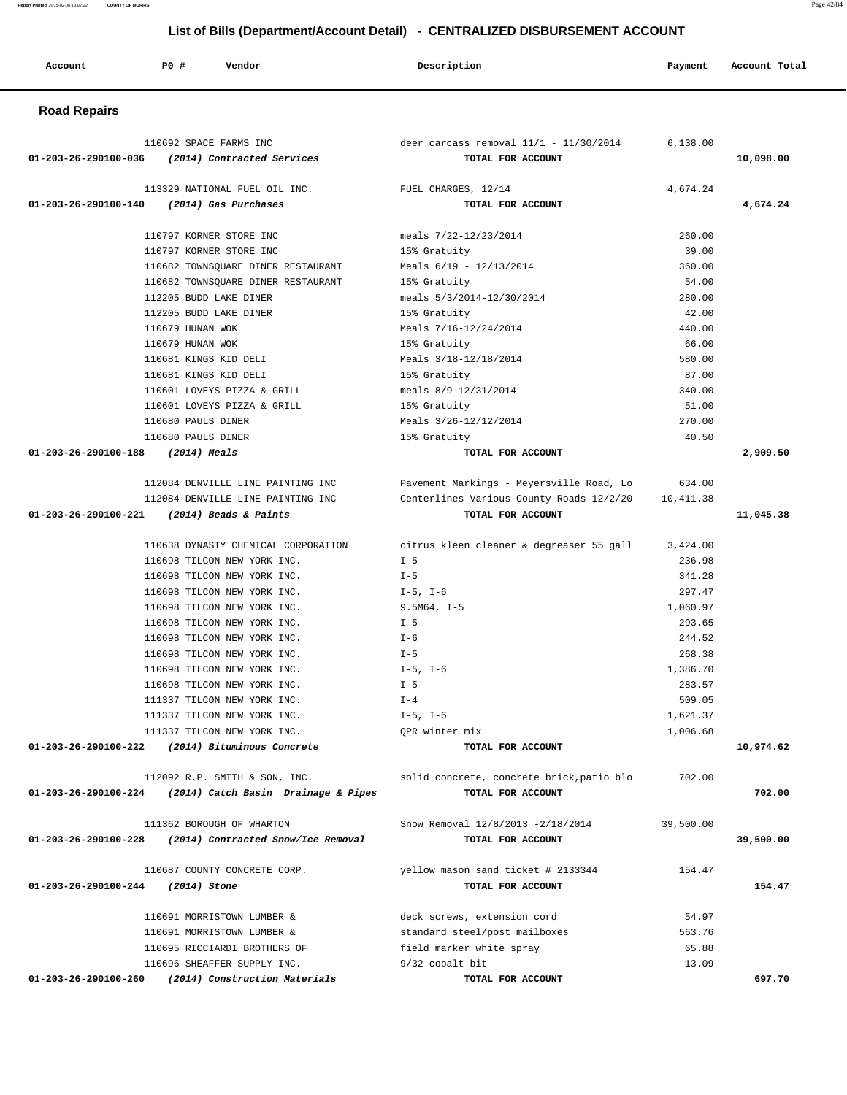|  | Account | PO# | Vendor | Description | Payment | Account Total |
|--|---------|-----|--------|-------------|---------|---------------|
|--|---------|-----|--------|-------------|---------|---------------|

### **Road Repairs**

| 110692 SPACE FARMS INC                                      | deer carcass removal $11/1$ - $11/30/2014$                                            | 6,138.00  |           |
|-------------------------------------------------------------|---------------------------------------------------------------------------------------|-----------|-----------|
| 01-203-26-290100-036 (2014) Contracted Services             | TOTAL FOR ACCOUNT                                                                     |           | 10,098.00 |
| 113329 NATIONAL FUEL OIL INC.                               | FUEL CHARGES, 12/14                                                                   | 4,674.24  |           |
| (2014) Gas Purchases<br>01-203-26-290100-140                | TOTAL FOR ACCOUNT                                                                     |           | 4,674.24  |
| 110797 KORNER STORE INC                                     | meals 7/22-12/23/2014                                                                 | 260.00    |           |
| 110797 KORNER STORE INC                                     | 15% Gratuity                                                                          | 39.00     |           |
| 110682 TOWNSQUARE DINER RESTAURANT                          | Meals $6/19 - 12/13/2014$                                                             | 360.00    |           |
| 110682 TOWNSQUARE DINER RESTAURANT                          | 15% Gratuity                                                                          | 54.00     |           |
| 112205 BUDD LAKE DINER                                      | meals 5/3/2014-12/30/2014                                                             | 280.00    |           |
| 112205 BUDD LAKE DINER                                      | 15% Gratuity                                                                          | 42.00     |           |
| 110679 HUNAN WOK                                            | Meals 7/16-12/24/2014                                                                 | 440.00    |           |
| 110679 HUNAN WOK                                            | 15% Gratuity                                                                          | 66.00     |           |
| 110681 KINGS KID DELI                                       | Meals 3/18-12/18/2014                                                                 | 580.00    |           |
| 110681 KINGS KID DELI                                       | 15% Gratuity                                                                          | 87.00     |           |
| 110601 LOVEYS PIZZA & GRILL                                 | meals 8/9-12/31/2014                                                                  | 340.00    |           |
| 110601 LOVEYS PIZZA & GRILL                                 | 15% Gratuity                                                                          | 51.00     |           |
| 110680 PAULS DINER                                          | Meals 3/26-12/12/2014                                                                 | 270.00    |           |
| 110680 PAULS DINER                                          | 15% Gratuity                                                                          | 40.50     |           |
| 01-203-26-290100-188<br>(2014) Meals                        | TOTAL FOR ACCOUNT                                                                     |           | 2,909.50  |
| 112084 DENVILLE LINE PAINTING INC                           | Pavement Markings - Meyersville Road, Lo                                              | 634.00    |           |
| 112084 DENVILLE LINE PAINTING INC                           | Centerlines Various County Roads 12/2/20 10,411.38                                    |           |           |
| 01-203-26-290100-221<br>(2014) Beads & Paints               | TOTAL FOR ACCOUNT                                                                     |           | 11,045.38 |
|                                                             | 110638 DYNASTY CHEMICAL CORPORATION citrus kleen cleaner & degreaser 55 gall 3,424.00 |           |           |
| 110698 TILCON NEW YORK INC.                                 | $I - 5$                                                                               | 236.98    |           |
| 110698 TILCON NEW YORK INC.                                 | $I - 5$                                                                               | 341.28    |           |
| 110698 TILCON NEW YORK INC.                                 | $I-5$ , $I-6$                                                                         | 297.47    |           |
| 110698 TILCON NEW YORK INC.                                 | $9.5M64, I-5$                                                                         | 1,060.97  |           |
| 110698 TILCON NEW YORK INC.                                 | $I - 5$                                                                               | 293.65    |           |
| 110698 TILCON NEW YORK INC.                                 | $I - 6$                                                                               | 244.52    |           |
| 110698 TILCON NEW YORK INC.                                 | $I - 5$                                                                               | 268.38    |           |
| 110698 TILCON NEW YORK INC.                                 | I-5, I-6                                                                              | 1,386.70  |           |
| 110698 TILCON NEW YORK INC.                                 | $I - 5$                                                                               | 283.57    |           |
| 111337 TILCON NEW YORK INC.                                 | $I - 4$                                                                               | 509.05    |           |
| 111337 TILCON NEW YORK INC.                                 | $I-5$ , $I-6$                                                                         | 1,621.37  |           |
| 111337 TILCON NEW YORK INC.                                 | OPR winter mix                                                                        | 1,006.68  |           |
| 01-203-26-290100-222<br>(2014) Bituminous Concrete          | TOTAL FOR ACCOUNT                                                                     |           | 10,974.62 |
| 112092 R.P. SMITH & SON, INC.                               | solid concrete, concrete brick, patio blo                                             | 702.00    |           |
| (2014) Catch Basin Drainage & Pipes<br>01-203-26-290100-224 | TOTAL FOR ACCOUNT                                                                     |           | 702.00    |
| 111362 BOROUGH OF WHARTON                                   | Snow Removal 12/8/2013 -2/18/2014                                                     | 39,500.00 |           |
| 01-203-26-290100-228<br>(2014) Contracted Snow/Ice Removal  | TOTAL FOR ACCOUNT                                                                     |           | 39,500.00 |
| 110687 COUNTY CONCRETE CORP.                                | yellow mason sand ticket # 2133344                                                    | 154.47    |           |
| 01-203-26-290100-244<br>(2014) Stone                        | TOTAL FOR ACCOUNT                                                                     |           | 154.47    |
| 110691 MORRISTOWN LUMBER &                                  | deck screws, extension cord                                                           | 54.97     |           |
| 110691 MORRISTOWN LUMBER &                                  | standard steel/post mailboxes                                                         | 563.76    |           |
| 110695 RICCIARDI BROTHERS OF                                | field marker white spray                                                              | 65.88     |           |
| 110696 SHEAFFER SUPPLY INC.                                 | 9/32 cobalt bit                                                                       | 13.09     |           |
| 01-203-26-290100-260<br>(2014) Construction Materials       | TOTAL FOR ACCOUNT                                                                     |           | 697.70    |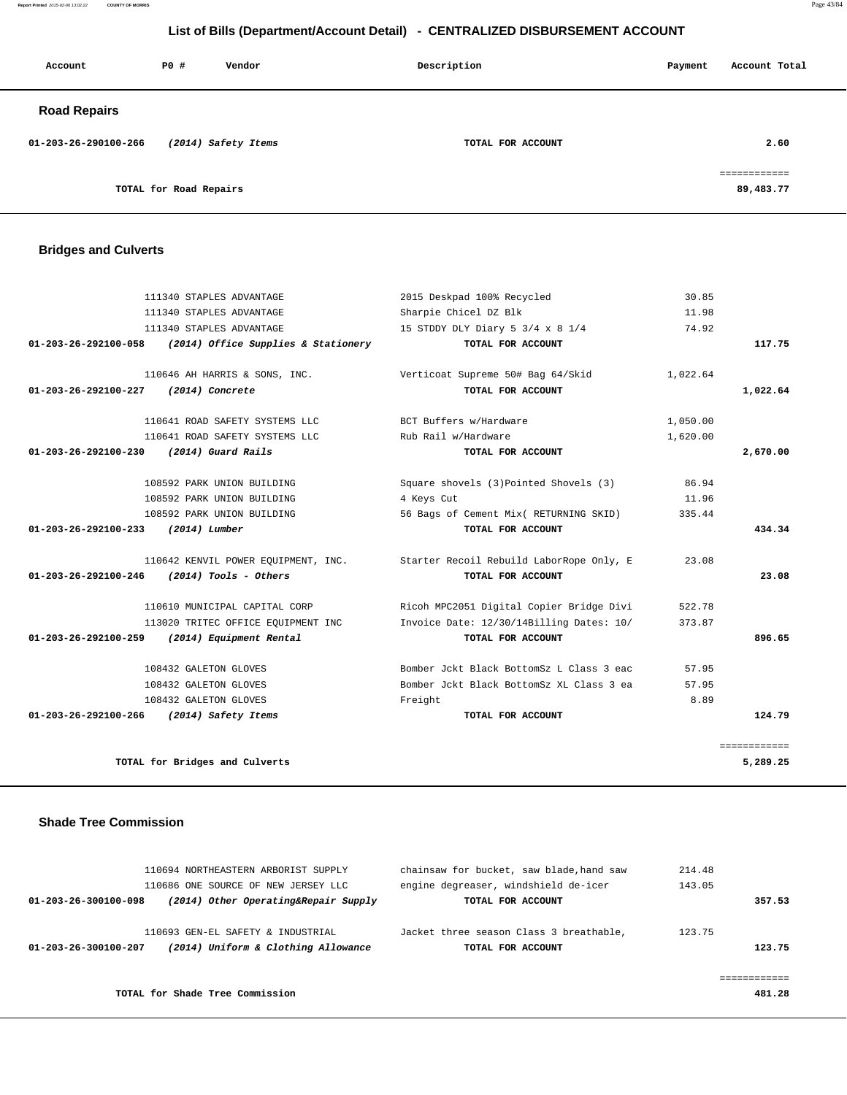**Report Printed** 2015-02-06 13:02:22 **COUNTY OF MORRIS** Page 43/84

### **List of Bills (Department/Account Detail) - CENTRALIZED DISBURSEMENT ACCOUNT**

| Account              | PO#                    | Vendor              | Description       | Payment | Account Total                             |
|----------------------|------------------------|---------------------|-------------------|---------|-------------------------------------------|
| <b>Road Repairs</b>  |                        |                     |                   |         |                                           |
| 01-203-26-290100-266 |                        | (2014) Safety Items | TOTAL FOR ACCOUNT |         | 2.60                                      |
|                      | TOTAL for Road Repairs |                     |                   |         | ------------<br>------------<br>89,483.77 |

# **Bridges and Culverts**

|              | 30.85    | 2015 Deskpad 100% Recycled                                                   | 111340 STAPLES ADVANTAGE            |                                          |
|--------------|----------|------------------------------------------------------------------------------|-------------------------------------|------------------------------------------|
|              | 11.98    | Sharpie Chicel DZ Blk                                                        | 111340 STAPLES ADVANTAGE            |                                          |
|              | 74.92    | 15 STDDY DLY Diary 5 3/4 x 8 1/4                                             | 111340 STAPLES ADVANTAGE            |                                          |
| 117.75       |          | TOTAL FOR ACCOUNT                                                            | (2014) Office Supplies & Stationery | 01-203-26-292100-058                     |
|              | 1,022.64 | Verticoat Supreme 50# Bag 64/Skid                                            | 110646 AH HARRIS & SONS, INC.       |                                          |
| 1,022.64     |          | TOTAL FOR ACCOUNT                                                            | (2014) Concrete                     | 01-203-26-292100-227                     |
|              | 1,050.00 | BCT Buffers w/Hardware                                                       | 110641 ROAD SAFETY SYSTEMS LLC      |                                          |
|              | 1,620.00 | Rub Rail w/Hardware                                                          | 110641 ROAD SAFETY SYSTEMS LLC      |                                          |
| 2,670.00     |          | TOTAL FOR ACCOUNT                                                            | (2014) Guard Rails                  | 01-203-26-292100-230                     |
|              | 86.94    | Square shovels (3) Pointed Shovels (3)                                       | 108592 PARK UNION BUILDING          |                                          |
|              | 11.96    | 4 Keys Cut                                                                   | 108592 PARK UNION BUILDING          |                                          |
|              | 335.44   | 56 Bags of Cement Mix( RETURNING SKID)                                       | 108592 PARK UNION BUILDING          |                                          |
| 434.34       |          | TOTAL FOR ACCOUNT                                                            | (2014) Lumber                       | 01-203-26-292100-233                     |
|              | 23.08    | 110642 KENVIL POWER EQUIPMENT, INC. Starter Recoil Rebuild LaborRope Only, E |                                     |                                          |
| 23.08        |          | TOTAL FOR ACCOUNT                                                            | $(2014)$ Tools - Others             | $01 - 203 - 26 - 292100 - 246$           |
|              | 522.78   | Ricoh MPC2051 Digital Copier Bridge Divi                                     | 110610 MUNICIPAL CAPITAL CORP       |                                          |
|              | 373.87   | Invoice Date: 12/30/14Billing Dates: 10/                                     | 113020 TRITEC OFFICE EQUIPMENT INC  |                                          |
| 896.65       |          | TOTAL FOR ACCOUNT                                                            | (2014) Equipment Rental             | $01 - 203 - 26 - 292100 - 259$           |
|              | 57.95    | Bomber Jckt Black BottomSz L Class 3 eac                                     | 108432 GALETON GLOVES               |                                          |
|              | 57.95    | Bomber Jckt Black BottomSz XL Class 3 ea                                     | 108432 GALETON GLOVES               |                                          |
|              | 8.89     | Freight                                                                      | 108432 GALETON GLOVES               |                                          |
| 124.79       |          | TOTAL FOR ACCOUNT                                                            |                                     | 01-203-26-292100-266 (2014) Safety Items |
| ============ |          |                                                                              |                                     |                                          |
| 5,289.25     |          |                                                                              | TOTAL for Bridges and Culverts      |                                          |

### **Shade Tree Commission**

|                      | 110694 NORTHEASTERN ARBORIST SUPPLY  | chainsaw for bucket, saw blade, hand saw | 214.48       |
|----------------------|--------------------------------------|------------------------------------------|--------------|
|                      | 110686 ONE SOURCE OF NEW JERSEY LLC  | engine degreaser, windshield de-icer     | 143.05       |
| 01-203-26-300100-098 | (2014) Other Operating&Repair Supply | TOTAL FOR ACCOUNT                        | 357.53       |
|                      | 110693 GEN-EL SAFETY & INDUSTRIAL    | Jacket three season Class 3 breathable,  | 123.75       |
| 01-203-26-300100-207 | (2014) Uniform & Clothing Allowance  | TOTAL FOR ACCOUNT                        | 123.75       |
|                      |                                      |                                          |              |
|                      |                                      |                                          | ------------ |
|                      | TOTAL for Shade Tree Commission      |                                          | 481.28       |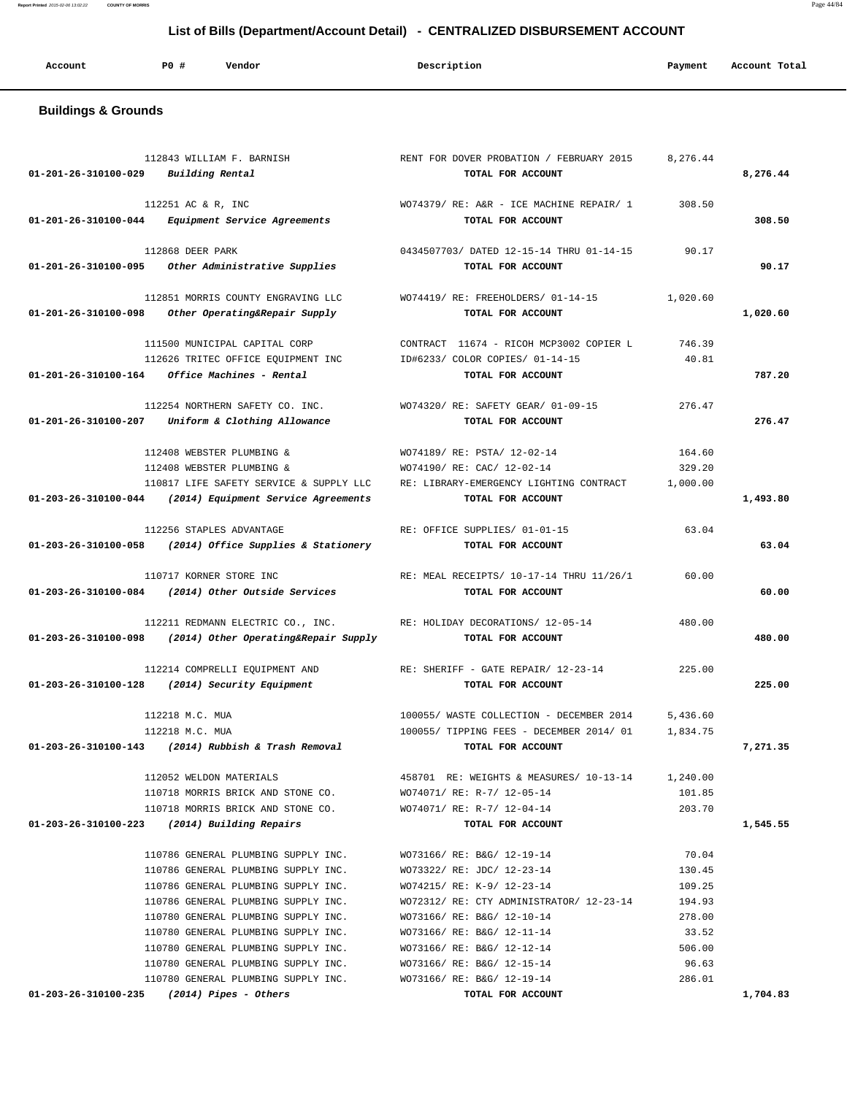| Account | P0 # | Vendor<br>. | Description | Payment | Account Total |
|---------|------|-------------|-------------|---------|---------------|
|         |      |             |             |         |               |

# **Buildings & Grounds**

| 01-201-26-310100-029 | 112843 WILLIAM F. BARNISH<br>Building Rental                                                      | RENT FOR DOVER PROBATION / FEBRUARY 2015<br>TOTAL FOR ACCOUNT | 8,276.44         | 8,276.44 |
|----------------------|---------------------------------------------------------------------------------------------------|---------------------------------------------------------------|------------------|----------|
|                      |                                                                                                   |                                                               |                  |          |
|                      | 112251 AC & R, INC<br>01-201-26-310100-044 Equipment Service Agreements                           | WO74379/RE: A&R - ICE MACHINE REPAIR/ 1<br>TOTAL FOR ACCOUNT  | 308.50           | 308.50   |
|                      | 112868 DEER PARK                                                                                  | 0434507703/ DATED 12-15-14 THRU 01-14-15                      | 90.17            |          |
|                      | 01-201-26-310100-095 Other Administrative Supplies                                                | TOTAL FOR ACCOUNT                                             |                  | 90.17    |
|                      |                                                                                                   |                                                               |                  |          |
| 01-201-26-310100-098 | 112851 MORRIS COUNTY ENGRAVING LLC<br>Other Operating&Repair Supply                               | WO74419/RE: FREEHOLDERS/01-14-15<br>TOTAL FOR ACCOUNT         | 1,020.60         | 1,020.60 |
|                      | 111500 MUNICIPAL CAPITAL CORP                                                                     | CONTRACT 11674 - RICOH MCP3002 COPIER L                       | 746.39           |          |
|                      | 112626 TRITEC OFFICE EQUIPMENT INC                                                                | ID#6233/ COLOR COPIES/ 01-14-15                               | 40.81            |          |
|                      | $01 - 201 - 26 - 310100 - 164$ Office Machines - Rental                                           | TOTAL FOR ACCOUNT                                             |                  | 787.20   |
|                      |                                                                                                   |                                                               |                  |          |
|                      | 112254 NORTHERN SAFETY CO. INC.                                                                   | WO74320/ RE: SAFETY GEAR/ 01-09-15                            | 276.47           |          |
| 01-201-26-310100-207 | Uniform & Clothing Allowance                                                                      | TOTAL FOR ACCOUNT                                             |                  | 276.47   |
|                      |                                                                                                   |                                                               |                  |          |
|                      | 112408 WEBSTER PLUMBING &                                                                         | WO74189/ RE: PSTA/ 12-02-14                                   | 164.60           |          |
|                      | 112408 WEBSTER PLUMBING &                                                                         | WO74190/ RE: CAC/ 12-02-14                                    | 329.20           |          |
|                      | 110817 LIFE SAFETY SERVICE & SUPPLY LLC                                                           | RE: LIBRARY-EMERGENCY LIGHTING CONTRACT<br>TOTAL FOR ACCOUNT  | 1,000.00         |          |
|                      | 01-203-26-310100-044 (2014) Equipment Service Agreements                                          |                                                               |                  | 1,493.80 |
|                      | 112256 STAPLES ADVANTAGE                                                                          | RE: OFFICE SUPPLIES/ 01-01-15                                 | 63.04            |          |
|                      | 01-203-26-310100-058 (2014) Office Supplies & Stationery                                          | TOTAL FOR ACCOUNT                                             |                  | 63.04    |
|                      |                                                                                                   |                                                               |                  |          |
|                      | 110717 KORNER STORE INC                                                                           | RE: MEAL RECEIPTS/ 10-17-14 THRU 11/26/1                      | 60.00            |          |
|                      | 01-203-26-310100-084 (2014) Other Outside Services                                                | TOTAL FOR ACCOUNT                                             |                  | 60.00    |
|                      |                                                                                                   |                                                               |                  |          |
|                      | 112211 REDMANN ELECTRIC CO., INC.                                                                 | RE: HOLIDAY DECORATIONS/ 12-05-14                             | 480.00           |          |
| 01-203-26-310100-098 | (2014) Other Operating&Repair Supply                                                              | TOTAL FOR ACCOUNT                                             |                  | 480.00   |
|                      | 112214 COMPRELLI EQUIPMENT AND                                                                    | RE: SHERIFF - GATE REPAIR/ 12-23-14                           | 225.00           |          |
|                      | $01 - 203 - 26 - 310100 - 128$ (2014) Security Equipment                                          | TOTAL FOR ACCOUNT                                             |                  | 225.00   |
|                      |                                                                                                   |                                                               |                  |          |
|                      | 112218 M.C. MUA                                                                                   | 100055/ WASTE COLLECTION - DECEMBER 2014                      | 5,436.60         |          |
|                      | 112218 M.C. MUA                                                                                   | 100055/ TIPPING FEES - DECEMBER 2014/ 01                      | 1,834.75         |          |
| 01-203-26-310100-143 | (2014) Rubbish & Trash Removal                                                                    | TOTAL FOR ACCOUNT                                             |                  | 7,271.35 |
|                      |                                                                                                   |                                                               |                  |          |
|                      | 112052 WELDON MATERIALS                                                                           | 458701 RE: WEIGHTS & MEASURES/ 10-13-14 1,240.00              |                  |          |
|                      | 110718 MORRIS BRICK AND STONE CO. WO74071/ RE: R-7/ 12-05-14<br>110718 MORRIS BRICK AND STONE CO. | WO74071/ RE: R-7/ 12-04-14                                    | 101.85<br>203.70 |          |
|                      | 01-203-26-310100-223 (2014) Building Repairs                                                      | TOTAL FOR ACCOUNT                                             |                  | 1,545.55 |
|                      |                                                                                                   |                                                               |                  |          |
|                      | 110786 GENERAL PLUMBING SUPPLY INC.                                                               | WO73166/ RE: B&G/ 12-19-14                                    | 70.04            |          |
|                      | 110786 GENERAL PLUMBING SUPPLY INC.                                                               | WO73322/ RE: JDC/ 12-23-14                                    | 130.45           |          |
|                      | 110786 GENERAL PLUMBING SUPPLY INC.                                                               | WO74215/ RE: K-9/ 12-23-14                                    | 109.25           |          |
|                      | 110786 GENERAL PLUMBING SUPPLY INC.                                                               | WO72312/ RE: CTY ADMINISTRATOR/ 12-23-14                      | 194.93           |          |
|                      | 110780 GENERAL PLUMBING SUPPLY INC.                                                               | WO73166/ RE: B&G/ 12-10-14                                    | 278.00           |          |
|                      | 110780 GENERAL PLUMBING SUPPLY INC.                                                               | WO73166/ RE: B&G/ 12-11-14                                    | 33.52            |          |
|                      | 110780 GENERAL PLUMBING SUPPLY INC.                                                               | WO73166/ RE: B&G/ 12-12-14                                    | 506.00           |          |
|                      | 110780 GENERAL PLUMBING SUPPLY INC.                                                               | WO73166/ RE: B&G/ 12-15-14                                    | 96.63            |          |
|                      | 110780 GENERAL PLUMBING SUPPLY INC.<br>$01-203-26-310100-235$ (2014) Pipes - Others               | WO73166/ RE: B&G/ 12-19-14<br>TOTAL FOR ACCOUNT               | 286.01           | 1,704.83 |
|                      |                                                                                                   |                                                               |                  |          |

**Report Printed** 2015-02-06 13:02:22 **COUNTY OF MORRIS** Page 44/84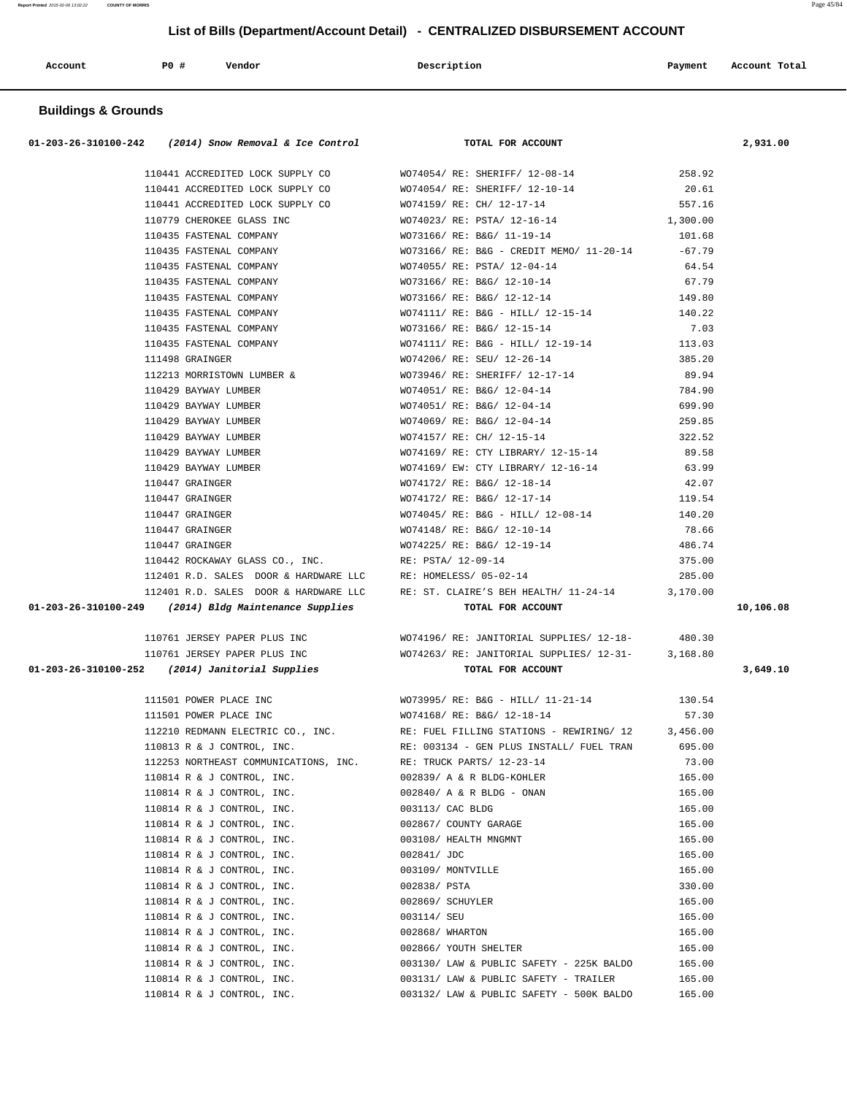| Account | PO# | Vendor | Description | Payment | Account Total |
|---------|-----|--------|-------------|---------|---------------|
| .       |     |        |             |         | .             |
|         |     |        |             |         |               |

# **Buildings & Grounds**

|                                                                                                                                    | 01-203-26-310100-242 (2014) Snow Removal & Ice Control TOTAL FOR ACCOUNT                                 |                  | 2,931.00  |
|------------------------------------------------------------------------------------------------------------------------------------|----------------------------------------------------------------------------------------------------------|------------------|-----------|
|                                                                                                                                    | 110441 ACCREDITED LOCK SUPPLY CO WO74054/ RE: SHERIFF/ 12-08-14 258.92                                   |                  |           |
|                                                                                                                                    |                                                                                                          | 20.61            |           |
|                                                                                                                                    |                                                                                                          | 557.16           |           |
|                                                                                                                                    |                                                                                                          | 1,300.00         |           |
|                                                                                                                                    |                                                                                                          | 101.68           |           |
|                                                                                                                                    | 110435 FASTENAL COMPANY WO73166/RE: B&G - CREDIT MEMO/ 11-20-14 -67.79                                   |                  |           |
|                                                                                                                                    | 110435 FASTENAL COMPANY WO74055/RE: PSTA/12-04-14                                                        | 64.54            |           |
|                                                                                                                                    | 110435 FASTENAL COMPANY WO73166/RE: B&G/ 12-10-14                                                        | 67.79            |           |
|                                                                                                                                    | 110435 FASTENAL COMPANY WO73166/RE: B&G/ 12-12-14                                                        | 149.80           |           |
|                                                                                                                                    |                                                                                                          |                  |           |
|                                                                                                                                    |                                                                                                          |                  |           |
|                                                                                                                                    |                                                                                                          |                  |           |
|                                                                                                                                    |                                                                                                          |                  |           |
|                                                                                                                                    | 112213 MORRISTOWN LUMBER & WO73946/ RE: SHERIFF/ $12-17-14$                                              | 89.94            |           |
| 110429 BAYWAY LUMBER                                                                                                               | WO74051/ RE: B&G/ 12-04-14 784.90                                                                        |                  |           |
|                                                                                                                                    | 110429 BAYWAY LUMBER WO74051/ RE: B&G/ 12-04-14                                                          | 699.90           |           |
| 110429 BAYWAY LUMBER                                                                                                               | WO74069/ RE: B&G/ 12-04-14<br>WO74157/ RE: CH/ 12-15-14<br>WO74169/ RE: CTY LIBRARY/ 12-15-14            | 259.85           |           |
| 110429 BAYWAY LUMBER                                                                                                               |                                                                                                          | 322.52           |           |
| 110429 BAYWAY LUMBER                                                                                                               |                                                                                                          | 89.58            |           |
| 110429 BAYWAY LUMBER                                                                                                               | WO74169/ EW: CTY LIBRARY/ 12-16-14                                                                       | 63.99            |           |
| 110447 GRAINGER                                                                                                                    | WO74172/ RE: B&G/ 12-18-14                                                                               | 42.07            |           |
| 110447 GRAINGER                                                                                                                    | WO74172/ RE: B&G/ 12-17-14 119.54                                                                        |                  |           |
| 110447 GRAINGER                                                                                                                    | WO74045/RE: B&G - HILL/ 12-08-14 140.20                                                                  |                  |           |
| 110447 GRAINGER                                                                                                                    | WO74148/ RE: B&G/ 12-10-14                                                                               | 78.66            |           |
| 110447 GRAINGER                                                                                                                    | WO74225/ RE: B&G/ 12-19-14                                                                               | 486.74           |           |
| 110442 ROCKAWAY GLASS CO., INC.<br>110442 ROCKAWAY GLASS CO., INC.<br>112401 R.D. SALES DOOR & HARDWARE LLC RE: HOMELESS/ 05-02-14 |                                                                                                          | 375.00           |           |
|                                                                                                                                    |                                                                                                          | 285.00           |           |
|                                                                                                                                    | 112401 R.D. SALES DOOR & HARDWARE LLC RE: ST. CLAIRE'S BEH HEALTH/ 11-24-14 3,170.00                     |                  |           |
| 01-203-26-310100-249 (2014) Bldg Maintenance Supplies                                                                              |                                                                                                          |                  |           |
|                                                                                                                                    | TOTAL FOR ACCOUNT                                                                                        |                  | 10,106.08 |
|                                                                                                                                    |                                                                                                          |                  |           |
|                                                                                                                                    | 110761 JERSEY PAPER PLUS INC WO74196/ RE: JANITORIAL SUPPLIES/ 12-18- 480.30                             |                  |           |
| 01-203-26-310100-252 (2014) Janitorial Supplies                                                                                    | 110761 JERSEY PAPER PLUS INC<br>WO74263/RE: JANITORIAL SUPPLIES/ 12-31-<br>3,168.80<br>TOTAL FOR ACCOUNT |                  | 3,649.10  |
|                                                                                                                                    | 111501 POWER PLACE INC WO73995/RE: B&G - HILL/ 11-21-14 130.54                                           |                  |           |
|                                                                                                                                    | 111501 POWER PLACE INC WO74168/RE: B&G/ 12-18-14                                                         | 57.30            |           |
|                                                                                                                                    | 112210 REDMANN ELECTRIC CO., INC. RE: FUEL FILLING STATIONS - REWIRING/ 12 3, 456.00                     |                  |           |
| 110813 R & J CONTROL, INC.                                                                                                         | RE: 003134 - GEN PLUS INSTALL/ FUEL TRAN                                                                 | 695.00           |           |
| 112253 NORTHEAST COMMUNICATIONS, INC.                                                                                              | RE: TRUCK PARTS/ 12-23-14                                                                                | 73.00            |           |
| 110814 R & J CONTROL, INC.                                                                                                         | 002839/ A & R BLDG-KOHLER                                                                                | 165.00           |           |
| 110814 R & J CONTROL, INC.                                                                                                         | 002840/ A & R BLDG - ONAN                                                                                | 165.00           |           |
| 110814 R & J CONTROL, INC.                                                                                                         | 003113/ CAC BLDG                                                                                         | 165.00           |           |
| 110814 R & J CONTROL, INC.                                                                                                         | 002867/ COUNTY GARAGE                                                                                    | 165.00           |           |
| 110814 R & J CONTROL, INC.                                                                                                         | 003108/ HEALTH MNGMNT                                                                                    | 165.00           |           |
| 110814 R & J CONTROL, INC.                                                                                                         | 002841/ JDC                                                                                              | 165.00           |           |
| 110814 R & J CONTROL, INC.                                                                                                         | 003109/ MONTVILLE                                                                                        | 165.00           |           |
| 110814 R & J CONTROL, INC.                                                                                                         | 002838/ PSTA                                                                                             | 330.00           |           |
| 110814 R & J CONTROL, INC.                                                                                                         | 002869/ SCHUYLER                                                                                         | 165.00           |           |
| 110814 R & J CONTROL, INC.                                                                                                         | 003114/ SEU                                                                                              | 165.00           |           |
| 110814 R & J CONTROL, INC.                                                                                                         | 002868/ WHARTON                                                                                          | 165.00           |           |
| 110814 R & J CONTROL, INC.                                                                                                         | 002866/ YOUTH SHELTER                                                                                    | 165.00           |           |
| 110814 R & J CONTROL, INC.                                                                                                         | 003130/ LAW & PUBLIC SAFETY - 225K BALDO                                                                 | 165.00           |           |
| 110814 R & J CONTROL, INC.<br>110814 R & J CONTROL, INC.                                                                           | 003131/ LAW & PUBLIC SAFETY - TRAILER<br>003132/ LAW & PUBLIC SAFETY - 500K BALDO                        | 165.00<br>165.00 |           |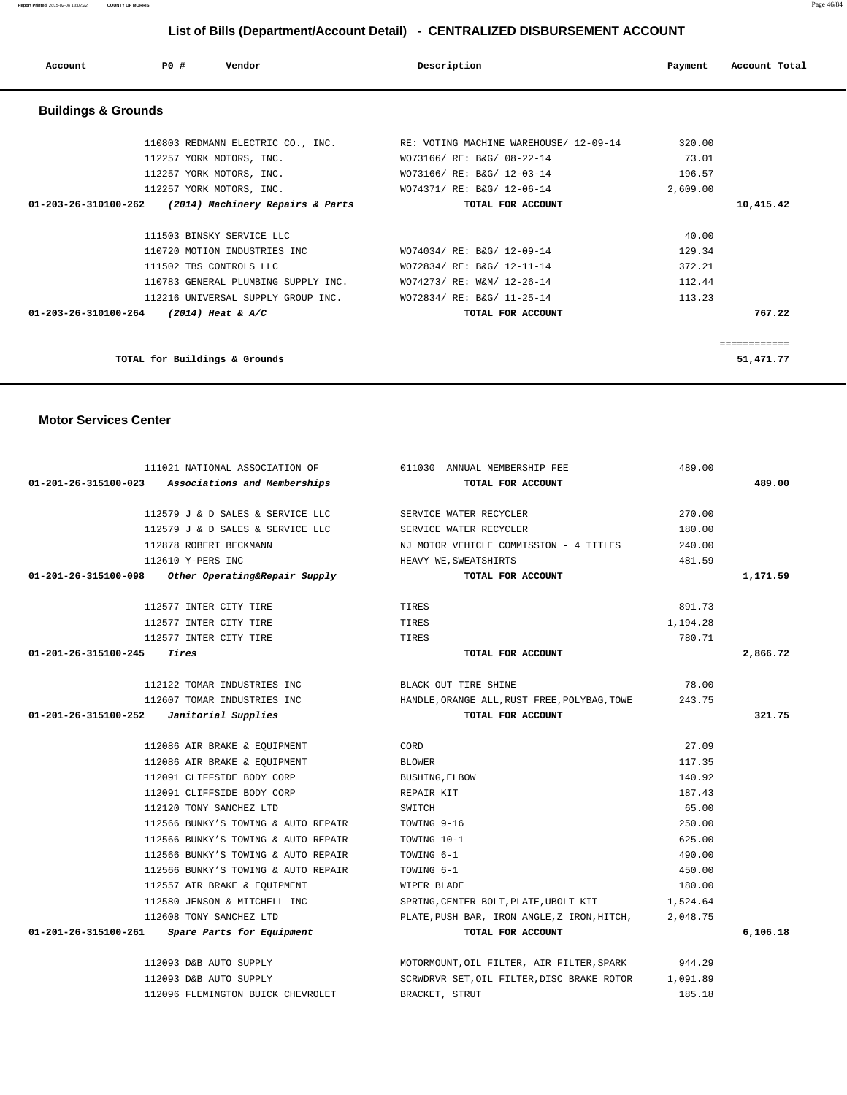| PO#<br>Account<br>Vendor                                       | Description                                  | Payment  | Account Total |
|----------------------------------------------------------------|----------------------------------------------|----------|---------------|
| <b>Buildings &amp; Grounds</b>                                 |                                              |          |               |
| 110803 REDMANN ELECTRIC CO., INC.                              | RE: VOTING MACHINE WAREHOUSE/ 12-09-14       | 320.00   |               |
| 112257 YORK MOTORS, INC.                                       | WO73166/ RE: B&G/ 08-22-14                   | 73.01    |               |
| 112257 YORK MOTORS, INC.                                       | WO73166/ RE: B&G/ 12-03-14                   | 196.57   |               |
| 112257 YORK MOTORS, INC.                                       | WO74371/ RE: B&G/ 12-06-14                   | 2,609.00 |               |
| 01-203-26-310100-262<br>(2014) Machinery Repairs & Parts       | TOTAL FOR ACCOUNT                            |          | 10,415.42     |
| 111503 BINSKY SERVICE LLC                                      |                                              | 40.00    |               |
| 110720 MOTION INDUSTRIES INC                                   | WO74034/ RE: B&G/ 12-09-14                   | 129.34   |               |
| 111502 TBS CONTROLS LLC                                        | WO72834/ RE: B&G/ 12-11-14                   | 372.21   |               |
| 110783 GENERAL PLUMBING SUPPLY INC.                            | WO74273/ RE: W&M/ 12-26-14                   | 112.44   |               |
| 112216 UNIVERSAL SUPPLY GROUP INC.                             | WO72834/ RE: B&G/ 11-25-14                   | 113.23   |               |
| 01-203-26-310100-264<br>$(2014)$ Heat & A/C                    | TOTAL FOR ACCOUNT                            |          | 767.22        |
| <b>Motor Services Center</b>                                   |                                              |          |               |
| 111021 NATIONAL ASSOCIATION OF                                 | 011030 ANNUAL MEMBERSHIP FEE                 | 489.00   |               |
| $01 - 201 - 26 - 315100 - 023$<br>Associations and Memberships | TOTAL FOR ACCOUNT                            |          | 489.00        |
| 112579 J & D SALES & SERVICE LLC                               | SERVICE WATER RECYCLER                       | 270.00   |               |
| 112579 J & D SALES & SERVICE LLC                               | SERVICE WATER RECYCLER                       | 180.00   |               |
| 112878 ROBERT BECKMANN                                         | NJ MOTOR VEHICLE COMMISSION - 4 TITLES       | 240.00   |               |
| 112610 Y-PERS INC                                              | HEAVY WE, SWEATSHIRTS                        | 481.59   |               |
| 01-201-26-315100-098<br>Other Operating&Repair Supply          | TOTAL FOR ACCOUNT                            |          | 1,171.59      |
| 112577 INTER CITY TIRE                                         | TIRES                                        | 891.73   |               |
| 112577 INTER CITY TIRE                                         | TIRES                                        | 1,194.28 |               |
| 112577 INTER CITY TIRE                                         | TIRES                                        | 780.71   |               |
| 01-201-26-315100-245<br>Tires                                  | TOTAL FOR ACCOUNT                            |          | 2,866.72      |
| 112122 TOMAR INDUSTRIES INC                                    | BLACK OUT TIRE SHINE                         | 78.00    |               |
| 112607 TOMAR INDUSTRIES INC                                    | HANDLE, ORANGE ALL, RUST FREE, POLYBAG, TOWE | 243.75   |               |
| 01-201-26-315100-252<br>Janitorial Supplies                    | TOTAL FOR ACCOUNT                            |          | 321.75        |
| 112086 AIR BRAKE & EQUIPMENT                                   | CORD                                         | 27.09    |               |

112086 AIR BRAKE & EQUIPMENT BLOWER BLOWER 117.35 112091 CLIFFSIDE BODY CORP BUSHING,ELBOW 140.92 112091 CLIFFSIDE BODY CORP REPAIR KIT 287.43 112120 TONY SANCHEZ LTD SWITCH 65.00

 112566 BUNKY'S TOWING & AUTO REPAIR TOWING 6-1 490.00 112566 BUNKY'S TOWING & AUTO REPAIR TOWING 6-1 450.00 112557 AIR BRAKE & EQUIPMENT **WIPER BLADE 180.00**  112580 JENSON & MITCHELL INC SPRING,CENTER BOLT,PLATE,UBOLT KIT 1,524.64 112608 TONY SANCHEZ LTD PLATE,PUSH BAR, IRON ANGLE,Z IRON,HITCH, 2,048.75  **01-201-26-315100-261 Spare Parts for Equipment TOTAL FOR ACCOUNT 6,106.18**

> 112093 D&B AUTO SUPPLY MOTORMOUNT,OIL FILTER, AIR FILTER,SPARK 944.29 112093 D&B AUTO SUPPLY SCRWDRVR SET,OIL FILTER,DISC BRAKE ROTOR 1,091.89 112096 FLEMINGTON BUICK CHEVROLET BRACKET, STRUT 185.18

 112566 BUNKY'S TOWING & AUTO REPAIR TOWING 9-16 250.00 112566 BUNKY'S TOWING & AUTO REPAIR TOWING 10-1 625.00

| $01 - 203 - 26 - 310100 - 264$ | $(2014)$ Heat & A/C                 | TOTAL FOR ACCOUNT                                                        |          | 767.22    |
|--------------------------------|-------------------------------------|--------------------------------------------------------------------------|----------|-----------|
|                                | 112216 UNIVERSAL SUPPLY GROUP INC.  | WO72834/ RE: B&G/ 11-25-14                                               | 113.23   |           |
|                                | 110783 GENERAL PLUMBING SUPPLY INC. | WO74273/ RE: W&M/ 12-26-14                                               | 112.44   |           |
|                                | 111502 TBS CONTROLS LLC             | WO72834/ RE: B&G/ 12-11-14                                               | 372.21   |           |
|                                | 110720 MOTION INDUSTRIES INC        | WO74034/ RE: B&G/ 12-09-14                                               | 129.34   |           |
|                                | 111503 BINSKY SERVICE LLC           |                                                                          | 40.00    |           |
| $01 - 203 - 26 - 310100 - 262$ | (2014) Machinery Repairs & Parts    | TOTAL FOR ACCOUNT                                                        |          | 10,415.42 |
|                                | 112257 YORK MOTORS, INC.            | WO74371/ RE: B&G/ 12-06-14                                               | 2,609.00 |           |
|                                | 112257 YORK MOTORS, INC.            | WO73166/ RE: B&G/ 12-03-14                                               | 196.57   |           |
|                                | 112257 YORK MOTORS, INC.            | WO73166/ RE: B&G/ 08-22-14                                               | 73.01    |           |
|                                |                                     | 110803 REDMANN ELECTRIC CO., INC. THE: VOTING MACHINE WAREHOUSE/12-09-14 | 320.00   |           |

**Report Printed** 2015-02-06 13:02:22 **COUNTY OF MORRIS** Page 46/84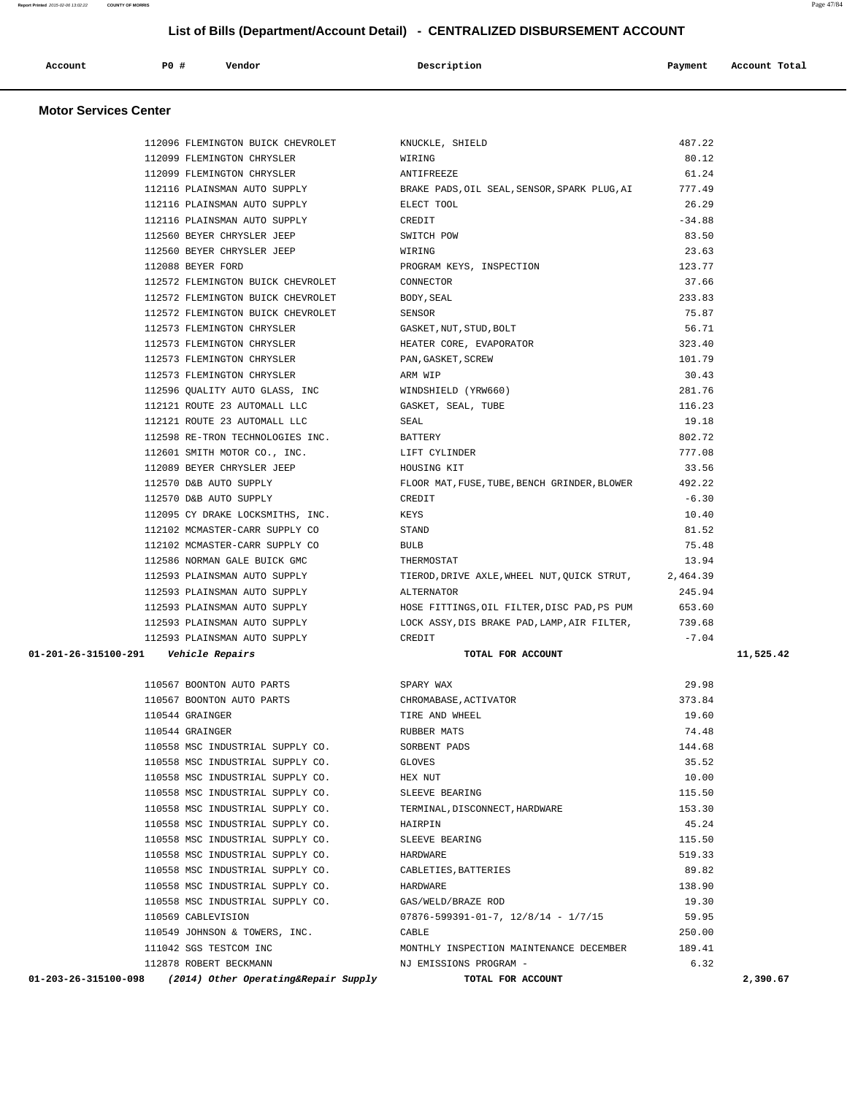| Account<br>. | PO# | Vendor | Description | Payment | Account Total |
|--------------|-----|--------|-------------|---------|---------------|
|              |     |        |             |         |               |

### **Motor Services Center**

|                      | 112096 FLEMINGTON BUICK CHEVROLET       | KNUCKLE, SHIELD                                       | 487.22   |           |
|----------------------|-----------------------------------------|-------------------------------------------------------|----------|-----------|
|                      | 112099 FLEMINGTON CHRYSLER              | WIRING                                                | 80.12    |           |
|                      | 112099 FLEMINGTON CHRYSLER              | ANTIFREEZE                                            | 61.24    |           |
|                      | 112116 PLAINSMAN AUTO SUPPLY            | BRAKE PADS, OIL SEAL, SENSOR, SPARK PLUG, AI          | 777.49   |           |
|                      | 112116 PLAINSMAN AUTO SUPPLY            | ELECT TOOL                                            | 26.29    |           |
|                      | 112116 PLAINSMAN AUTO SUPPLY            | CREDIT                                                | $-34.88$ |           |
|                      | 112560 BEYER CHRYSLER JEEP              | SWITCH POW                                            | 83.50    |           |
|                      | 112560 BEYER CHRYSLER JEEP              | WIRING                                                | 23.63    |           |
|                      | 112088 BEYER FORD                       | PROGRAM KEYS, INSPECTION                              | 123.77   |           |
|                      | 112572 FLEMINGTON BUICK CHEVROLET       | CONNECTOR                                             | 37.66    |           |
|                      | 112572 FLEMINGTON BUICK CHEVROLET       | BODY, SEAL                                            | 233.83   |           |
|                      | 112572 FLEMINGTON BUICK CHEVROLET       | SENSOR                                                | 75.87    |           |
|                      | 112573 FLEMINGTON CHRYSLER              | GASKET, NUT, STUD, BOLT                               | 56.71    |           |
|                      | 112573 FLEMINGTON CHRYSLER              | HEATER CORE, EVAPORATOR                               | 323.40   |           |
|                      | 112573 FLEMINGTON CHRYSLER              | PAN, GASKET, SCREW                                    | 101.79   |           |
|                      | 112573 FLEMINGTON CHRYSLER              | ARM WIP                                               | 30.43    |           |
|                      | 112596 QUALITY AUTO GLASS, INC          | WINDSHIELD (YRW660)                                   | 281.76   |           |
|                      | 112121 ROUTE 23 AUTOMALL LLC            | GASKET, SEAL, TUBE                                    | 116.23   |           |
|                      | 112121 ROUTE 23 AUTOMALL LLC            | SEAL                                                  | 19.18    |           |
|                      | 112598 RE-TRON TECHNOLOGIES INC.        | BATTERY                                               | 802.72   |           |
|                      | 112601 SMITH MOTOR CO., INC.            | LIFT CYLINDER                                         | 777.08   |           |
|                      | 112089 BEYER CHRYSLER JEEP              | HOUSING KIT                                           | 33.56    |           |
|                      | 112570 D&B AUTO SUPPLY                  | FLOOR MAT, FUSE, TUBE, BENCH GRINDER, BLOWER          | 492.22   |           |
|                      | 112570 D&B AUTO SUPPLY                  | CREDIT                                                | $-6.30$  |           |
|                      | 112095 CY DRAKE LOCKSMITHS, INC.        | KEYS                                                  | 10.40    |           |
|                      | 112102 MCMASTER-CARR SUPPLY CO          | STAND                                                 | 81.52    |           |
|                      | 112102 MCMASTER-CARR SUPPLY CO          | <b>BULB</b>                                           | 75.48    |           |
|                      | 112586 NORMAN GALE BUICK GMC            | THERMOSTAT                                            | 13.94    |           |
|                      | 112593 PLAINSMAN AUTO SUPPLY            | TIEROD, DRIVE AXLE, WHEEL NUT, QUICK STRUT, 2, 464.39 |          |           |
|                      | 112593 PLAINSMAN AUTO SUPPLY            | ALTERNATOR                                            | 245.94   |           |
|                      | 112593 PLAINSMAN AUTO SUPPLY            | HOSE FITTINGS, OIL FILTER, DISC PAD, PS PUM           | 653.60   |           |
|                      | 112593 PLAINSMAN AUTO SUPPLY            | LOCK ASSY, DIS BRAKE PAD, LAMP, AIR FILTER,           | 739.68   |           |
|                      | 112593 PLAINSMAN AUTO SUPPLY            | CREDIT                                                | $-7.04$  |           |
|                      | 01-201-26-315100-291    Vehicle Repairs | TOTAL FOR ACCOUNT                                     |          | 11,525.42 |
|                      |                                         |                                                       |          |           |
|                      | 110567 BOONTON AUTO PARTS               | SPARY WAX                                             | 29.98    |           |
|                      | 110567 BOONTON AUTO PARTS               | CHROMABASE, ACTIVATOR                                 | 373.84   |           |
|                      | 110544 GRAINGER                         | TIRE AND WHEEL                                        | 19.60    |           |
|                      | 110544 GRAINGER                         | RUBBER MATS                                           | 74.48    |           |
|                      | 110558 MSC INDUSTRIAL SUPPLY CO.        | SORBENT PADS                                          | 144.68   |           |
|                      | 110558 MSC INDUSTRIAL SUPPLY CO.        | GLOVES                                                | 35.52    |           |
|                      | 110558 MSC INDUSTRIAL SUPPLY CO.        | HEX NUT                                               | 10.00    |           |
|                      | 110558 MSC INDUSTRIAL SUPPLY CO.        | SLEEVE BEARING                                        | 115.50   |           |
|                      | 110558 MSC INDUSTRIAL SUPPLY CO.        | TERMINAL, DISCONNECT, HARDWARE                        | 153.30   |           |
|                      | 110558 MSC INDUSTRIAL SUPPLY CO.        | HAIRPIN                                               | 45.24    |           |
|                      | 110558 MSC INDUSTRIAL SUPPLY CO.        | SLEEVE BEARING                                        | 115.50   |           |
|                      | 110558 MSC INDUSTRIAL SUPPLY CO.        | HARDWARE                                              | 519.33   |           |
|                      | 110558 MSC INDUSTRIAL SUPPLY CO.        | CABLETIES, BATTERIES                                  | 89.82    |           |
|                      | 110558 MSC INDUSTRIAL SUPPLY CO.        | HARDWARE                                              | 138.90   |           |
|                      | 110558 MSC INDUSTRIAL SUPPLY CO.        | GAS/WELD/BRAZE ROD                                    | 19.30    |           |
|                      | 110569 CABLEVISION                      | $07876 - 599391 - 01 - 7$ , $12/8/14 - 1/7/15$        | 59.95    |           |
|                      | 110549 JOHNSON & TOWERS, INC.           | CABLE                                                 | 250.00   |           |
|                      | 111042 SGS TESTCOM INC                  | MONTHLY INSPECTION MAINTENANCE DECEMBER               | 189.41   |           |
|                      | 112878 ROBERT BECKMANN                  | NJ EMISSIONS PROGRAM -                                | 6.32     |           |
| 01-203-26-315100-098 | (2014) Other Operating&Repair Supply    | TOTAL FOR ACCOUNT                                     |          | 2,390.67  |
|                      |                                         |                                                       |          |           |

**Report Printed** 2015-02-06 13:02:22 **COUNTY OF MORRIS** Page 47/84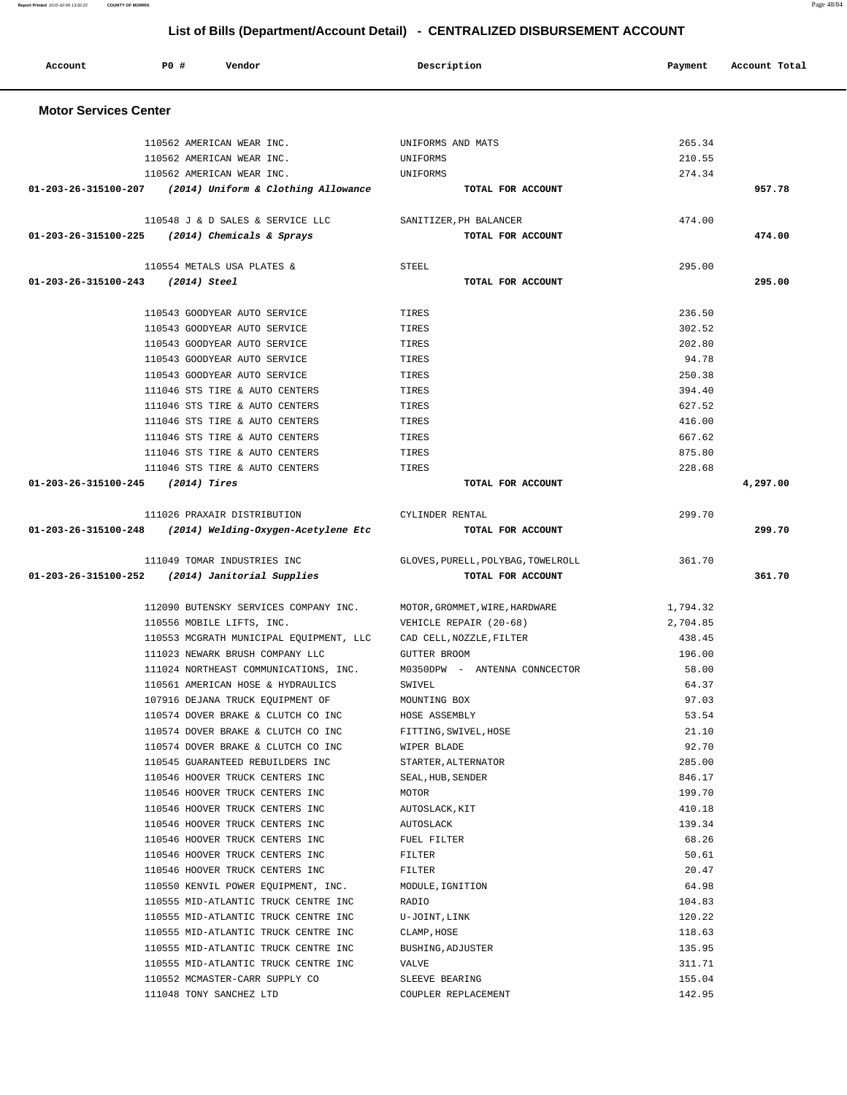|                                     | 01-203-26-315100-225 (2014) Chemicals & Sprays                   | TOTAL FOR ACCOUNT                  |          | 474.00   |
|-------------------------------------|------------------------------------------------------------------|------------------------------------|----------|----------|
|                                     | 110554 METALS USA PLATES &                                       | STEEL                              | 295.00   |          |
| $01-203-26-315100-243$ (2014) Steel |                                                                  | TOTAL FOR ACCOUNT                  |          | 295.00   |
|                                     | 110543 GOODYEAR AUTO SERVICE                                     | TIRES                              | 236.50   |          |
|                                     | 110543 GOODYEAR AUTO SERVICE                                     | TIRES                              | 302.52   |          |
|                                     | 110543 GOODYEAR AUTO SERVICE                                     | TIRES                              | 202.80   |          |
|                                     | 110543 GOODYEAR AUTO SERVICE                                     | TIRES                              | 94.78    |          |
|                                     | 110543 GOODYEAR AUTO SERVICE                                     | TIRES                              | 250.38   |          |
|                                     | 111046 STS TIRE & AUTO CENTERS                                   | TIRES                              | 394.40   |          |
|                                     | 111046 STS TIRE & AUTO CENTERS                                   | TIRES                              | 627.52   |          |
|                                     | 111046 STS TIRE & AUTO CENTERS                                   | TIRES                              | 416.00   |          |
|                                     | 111046 STS TIRE & AUTO CENTERS                                   | TIRES                              | 667.62   |          |
|                                     | 111046 STS TIRE & AUTO CENTERS                                   | TIRES                              | 875.80   |          |
|                                     | 111046 STS TIRE & AUTO CENTERS                                   | TIRES                              | 228.68   |          |
| $01-203-26-315100-245$ (2014) Tires |                                                                  | TOTAL FOR ACCOUNT                  |          | 4,297.00 |
|                                     | 111026 PRAXAIR DISTRIBUTION                                      | CYLINDER RENTAL                    | 299.70   |          |
|                                     | $01-203-26-315100-248$ (2014) Welding-Oxygen-Acetylene Etc       | TOTAL FOR ACCOUNT                  |          | 299.70   |
|                                     | 111049 TOMAR INDUSTRIES INC                                      | GLOVES, PURELL, POLYBAG, TOWELROLL | 361.70   |          |
|                                     | 01-203-26-315100-252 (2014) Janitorial Supplies                  | TOTAL FOR ACCOUNT                  |          | 361.70   |
|                                     | 112090 BUTENSKY SERVICES COMPANY INC.                            | MOTOR, GROMMET, WIRE, HARDWARE     | 1,794.32 |          |
|                                     | 110556 MOBILE LIFTS, INC.                                        | VEHICLE REPAIR (20-68)             | 2,704.85 |          |
|                                     | 110553 MCGRATH MUNICIPAL EQUIPMENT, LLC CAD CELL, NOZZLE, FILTER |                                    | 438.45   |          |
|                                     | 111023 NEWARK BRUSH COMPANY LLC                                  | <b>GUTTER BROOM</b>                | 196.00   |          |
|                                     | 111024 NORTHEAST COMMUNICATIONS, INC.                            | M0350DPW - ANTENNA CONNCECTOR      | 58.00    |          |
|                                     | 110561 AMERICAN HOSE & HYDRAULICS                                | SWIVEL                             | 64.37    |          |
|                                     | 107916 DEJANA TRUCK EQUIPMENT OF                                 | MOUNTING BOX                       | 97.03    |          |
|                                     | 110574 DOVER BRAKE & CLUTCH CO INC                               | HOSE ASSEMBLY                      | 53.54    |          |
|                                     | 110574 DOVER BRAKE & CLUTCH CO INC                               | FITTING, SWIVEL, HOSE              | 21.10    |          |
|                                     | 110574 DOVER BRAKE & CLUTCH CO INC                               | WIPER BLADE                        | 92.70    |          |
|                                     | 110545 GUARANTEED REBUILDERS INC                                 | STARTER, ALTERNATOR                | 285.00   |          |
|                                     | 110546 HOOVER TRUCK CENTERS INC                                  | SEAL, HUB, SENDER                  | 846.17   |          |
|                                     | 110546 HOOVER TRUCK CENTERS INC                                  | MOTOR                              | 199.70   |          |
|                                     | 110546 HOOVER TRUCK CENTERS INC                                  | AUTOSLACK, KIT                     | 410.18   |          |
|                                     | 110546 HOOVER TRUCK CENTERS INC                                  | AUTOSLACK                          | 139.34   |          |
|                                     | 110546 HOOVER TRUCK CENTERS INC                                  | FUEL FILTER                        | 68.26    |          |
|                                     | 110546 HOOVER TRUCK CENTERS INC                                  | FILTER                             | 50.61    |          |
|                                     | 110546 HOOVER TRUCK CENTERS INC                                  | FILTER                             | 20.47    |          |
|                                     | 110550 KENVIL POWER EQUIPMENT, INC.                              | MODULE, IGNITION                   | 64.98    |          |
|                                     | 110555 MID-ATLANTIC TRUCK CENTRE INC                             | RADIO                              | 104.83   |          |
|                                     | 110555 MID-ATLANTIC TRUCK CENTRE INC                             | U-JOINT, LINK                      | 120.22   |          |
|                                     | 110555 MID-ATLANTIC TRUCK CENTRE INC                             | CLAMP, HOSE                        | 118.63   |          |
|                                     | 110555 MID-ATLANTIC TRUCK CENTRE INC                             | BUSHING, ADJUSTER                  | 135.95   |          |
|                                     | 110555 MID-ATLANTIC TRUCK CENTRE INC                             | VALVE                              | 311.71   |          |
|                                     | 110552 MCMASTER-CARR SUPPLY CO                                   | SLEEVE BEARING                     | 155.04   |          |
|                                     | 111048 TONY SANCHEZ LTD                                          | COUPLER REPLACEMENT                | 142.95   |          |

Account **PO #** Vendor **Description Payment Account Total Motor Services Center**  110562 AMERICAN WEAR INC. UNIFORMS AND MATS 265.34 110562 AMERICAN WEAR INC. UNIFORMS 210.55 110562 AMERICAN WEAR INC. UNIFORMS 274.34  **01-203-26-315100-207 (2014) Uniform & Clothing Allowance TOTAL FOR ACCOUNT 957.78** 110548 J & D SALES & SERVICE LLC SANITIZER,PH BALANCER 474.00  **01-203-26-315100-225 (2014) Chemicals & Sprays TOTAL FOR ACCOUNT 474.00**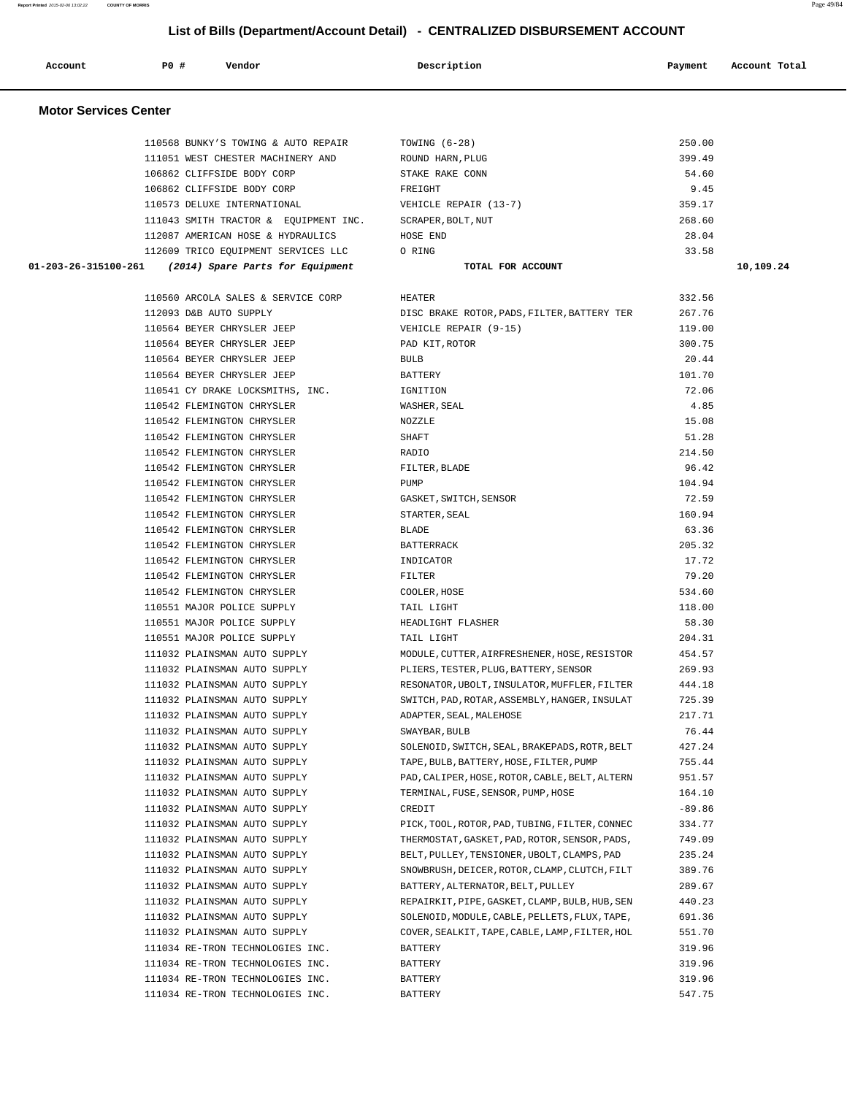| Account                      | PO#                    | Vendor                                                                     | Description                                                                                     | Payment          | Account Total |
|------------------------------|------------------------|----------------------------------------------------------------------------|-------------------------------------------------------------------------------------------------|------------------|---------------|
| <b>Motor Services Center</b> |                        |                                                                            |                                                                                                 |                  |               |
|                              |                        | 110568 BUNKY'S TOWING & AUTO REPAIR                                        | TOWING $(6-28)$                                                                                 | 250.00           |               |
|                              |                        | 111051 WEST CHESTER MACHINERY AND                                          | ROUND HARN, PLUG                                                                                | 399.49           |               |
|                              |                        | 106862 CLIFFSIDE BODY CORP                                                 | STAKE RAKE CONN                                                                                 | 54.60            |               |
|                              |                        | 106862 CLIFFSIDE BODY CORP                                                 | FREIGHT                                                                                         | 9.45             |               |
|                              |                        | 110573 DELUXE INTERNATIONAL                                                | VEHICLE REPAIR (13-7)                                                                           | 359.17           |               |
|                              |                        | 111043 SMITH TRACTOR & EQUIPMENT INC.<br>112087 AMERICAN HOSE & HYDRAULICS | SCRAPER, BOLT, NUT<br>HOSE END                                                                  | 268.60<br>28.04  |               |
|                              |                        | 112609 TRICO EQUIPMENT SERVICES LLC                                        | O RING                                                                                          | 33.58            |               |
| 01-203-26-315100-261         |                        | (2014) Spare Parts for Equipment                                           | TOTAL FOR ACCOUNT                                                                               |                  | 10,109.24     |
|                              |                        |                                                                            |                                                                                                 |                  |               |
|                              |                        | 110560 ARCOLA SALES & SERVICE CORP                                         | <b>HEATER</b>                                                                                   | 332.56           |               |
|                              | 112093 D&B AUTO SUPPLY |                                                                            | DISC BRAKE ROTOR, PADS, FILTER, BATTERY TER                                                     | 267.76           |               |
|                              |                        | 110564 BEYER CHRYSLER JEEP                                                 | VEHICLE REPAIR (9-15)                                                                           | 119.00           |               |
|                              |                        | 110564 BEYER CHRYSLER JEEP                                                 | PAD KIT, ROTOR                                                                                  | 300.75           |               |
|                              |                        | 110564 BEYER CHRYSLER JEEP                                                 | <b>BULB</b>                                                                                     | 20.44            |               |
|                              |                        | 110564 BEYER CHRYSLER JEEP                                                 | <b>BATTERY</b>                                                                                  | 101.70           |               |
|                              |                        | 110541 CY DRAKE LOCKSMITHS, INC.                                           | IGNITION                                                                                        | 72.06            |               |
|                              |                        | 110542 FLEMINGTON CHRYSLER                                                 | WASHER, SEAL                                                                                    | 4.85             |               |
|                              |                        | 110542 FLEMINGTON CHRYSLER                                                 | NOZZLE                                                                                          | 15.08            |               |
|                              |                        | 110542 FLEMINGTON CHRYSLER<br>110542 FLEMINGTON CHRYSLER                   | <b>SHAFT</b><br>RADIO                                                                           | 51.28<br>214.50  |               |
|                              |                        | 110542 FLEMINGTON CHRYSLER                                                 | FILTER, BLADE                                                                                   | 96.42            |               |
|                              |                        | 110542 FLEMINGTON CHRYSLER                                                 | PUMP                                                                                            | 104.94           |               |
|                              |                        | 110542 FLEMINGTON CHRYSLER                                                 | GASKET, SWITCH, SENSOR                                                                          | 72.59            |               |
|                              |                        | 110542 FLEMINGTON CHRYSLER                                                 | STARTER, SEAL                                                                                   | 160.94           |               |
|                              |                        | 110542 FLEMINGTON CHRYSLER                                                 | <b>BLADE</b>                                                                                    | 63.36            |               |
|                              |                        | 110542 FLEMINGTON CHRYSLER                                                 | <b>BATTERRACK</b>                                                                               | 205.32           |               |
|                              |                        | 110542 FLEMINGTON CHRYSLER                                                 | INDICATOR                                                                                       | 17.72            |               |
|                              |                        | 110542 FLEMINGTON CHRYSLER                                                 | FILTER                                                                                          | 79.20            |               |
|                              |                        | 110542 FLEMINGTON CHRYSLER                                                 | COOLER, HOSE                                                                                    | 534.60           |               |
|                              |                        | 110551 MAJOR POLICE SUPPLY                                                 | TAIL LIGHT                                                                                      | 118.00           |               |
|                              |                        | 110551 MAJOR POLICE SUPPLY                                                 | HEADLIGHT FLASHER                                                                               | 58.30            |               |
|                              |                        | 110551 MAJOR POLICE SUPPLY                                                 | TAIL LIGHT                                                                                      | 204.31           |               |
|                              |                        | 111032 PLAINSMAN AUTO SUPPLY                                               | MODULE, CUTTER, AIRFRESHENER, HOSE, RESISTOR                                                    | 454.57           |               |
|                              |                        | 111032 PLAINSMAN AUTO SUPPLY                                               | PLIERS, TESTER, PLUG, BATTERY, SENSOR                                                           | 269.93<br>444.18 |               |
|                              |                        | 111032 PLAINSMAN AUTO SUPPLY<br>111032 PLAINSMAN AUTO SUPPLY               | RESONATOR, UBOLT, INSULATOR, MUFFLER, FILTER<br>SWITCH, PAD, ROTAR, ASSEMBLY, HANGER, INSULAT   | 725.39           |               |
|                              |                        | 111032 PLAINSMAN AUTO SUPPLY                                               | ADAPTER, SEAL, MALEHOSE                                                                         | 217.71           |               |
|                              |                        | 111032 PLAINSMAN AUTO SUPPLY                                               | SWAYBAR, BULB                                                                                   | 76.44            |               |
|                              |                        | 111032 PLAINSMAN AUTO SUPPLY                                               | SOLENOID, SWITCH, SEAL, BRAKEPADS, ROTR, BELT                                                   | 427.24           |               |
|                              |                        | 111032 PLAINSMAN AUTO SUPPLY                                               | TAPE, BULB, BATTERY, HOSE, FILTER, PUMP                                                         | 755.44           |               |
|                              |                        | 111032 PLAINSMAN AUTO SUPPLY                                               | PAD, CALIPER, HOSE, ROTOR, CABLE, BELT, ALTERN                                                  | 951.57           |               |
|                              |                        | 111032 PLAINSMAN AUTO SUPPLY                                               | TERMINAL, FUSE, SENSOR, PUMP, HOSE                                                              | 164.10           |               |
|                              |                        | 111032 PLAINSMAN AUTO SUPPLY                                               | CREDIT                                                                                          | $-89.86$         |               |
|                              |                        | 111032 PLAINSMAN AUTO SUPPLY                                               | PICK, TOOL, ROTOR, PAD, TUBING, FILTER, CONNEC                                                  | 334.77           |               |
|                              |                        | 111032 PLAINSMAN AUTO SUPPLY                                               | THERMOSTAT, GASKET, PAD, ROTOR, SENSOR, PADS,                                                   | 749.09           |               |
|                              |                        | 111032 PLAINSMAN AUTO SUPPLY                                               | BELT, PULLEY, TENSIONER, UBOLT, CLAMPS, PAD                                                     | 235.24           |               |
|                              |                        | 111032 PLAINSMAN AUTO SUPPLY                                               | SNOWBRUSH, DEICER, ROTOR, CLAMP, CLUTCH, FILT                                                   | 389.76           |               |
|                              |                        | 111032 PLAINSMAN AUTO SUPPLY                                               | BATTERY, ALTERNATOR, BELT, PULLEY                                                               | 289.67           |               |
|                              |                        | 111032 PLAINSMAN AUTO SUPPLY                                               | REPAIRKIT, PIPE, GASKET, CLAMP, BULB, HUB, SEN                                                  | 440.23           |               |
|                              |                        | 111032 PLAINSMAN AUTO SUPPLY<br>111032 PLAINSMAN AUTO SUPPLY               | SOLENOID, MODULE, CABLE, PELLETS, FLUX, TAPE,<br>COVER, SEALKIT, TAPE, CABLE, LAMP, FILTER, HOL | 691.36<br>551.70 |               |
|                              |                        | 111034 RE-TRON TECHNOLOGIES INC.                                           | BATTERY                                                                                         | 319.96           |               |
|                              |                        | 111034 RE-TRON TECHNOLOGIES INC.                                           | BATTERY                                                                                         | 319.96           |               |
|                              |                        | 111034 RE-TRON TECHNOLOGIES INC.                                           | BATTERY                                                                                         | 319.96           |               |
|                              |                        | 111034 RE-TRON TECHNOLOGIES INC.                                           | BATTERY                                                                                         | 547.75           |               |
|                              |                        |                                                                            |                                                                                                 |                  |               |

**Report Printed** 2015-02-06 13:02:22 **COUNTY OF MORRIS** Page 49/84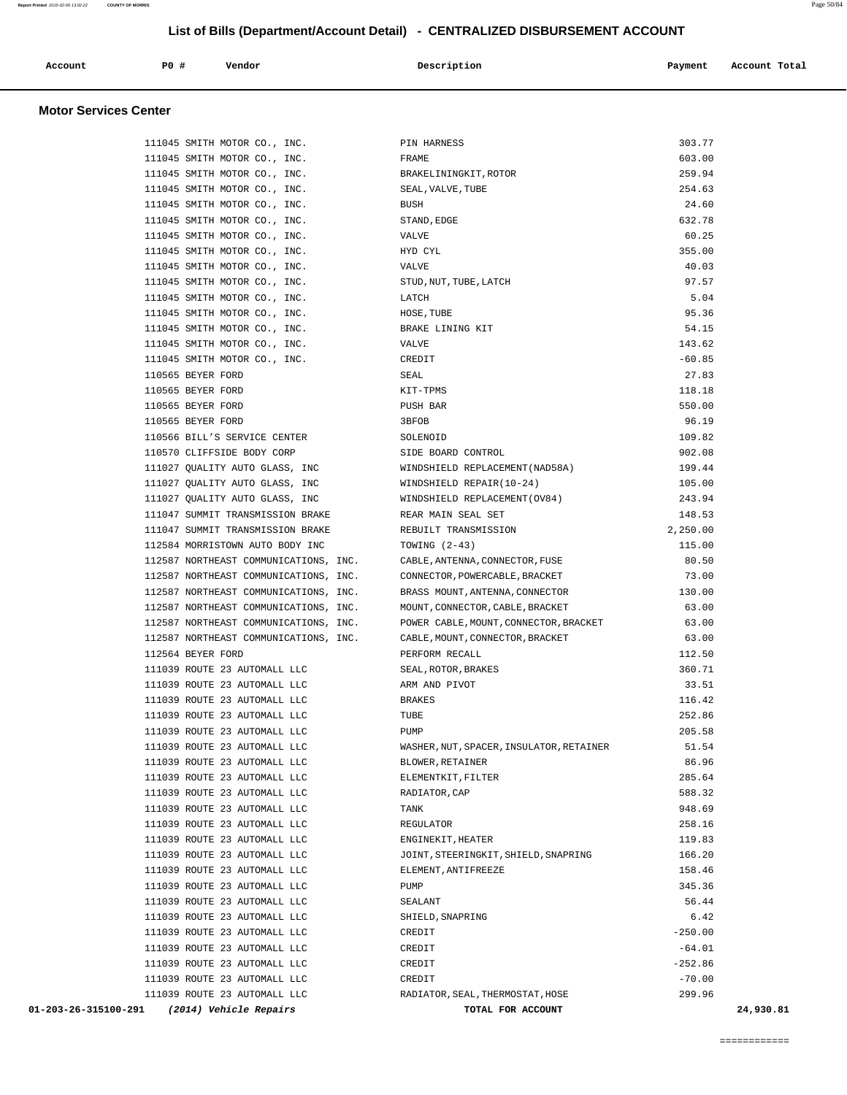| Account | P <sub>0</sub> | Vendor | Description | Payment | Account Total |
|---------|----------------|--------|-------------|---------|---------------|
|         |                |        |             |         |               |

### **Motor Services Center**

| 01-203-26-315100-291<br>(2014) Vehicle Repairs               | TOTAL FOR ACCOUNT                        | 24,930.81         |
|--------------------------------------------------------------|------------------------------------------|-------------------|
| 111039 ROUTE 23 AUTOMALL LLC                                 | RADIATOR, SEAL, THERMOSTAT, HOSE         | 299.96            |
| 111039 ROUTE 23 AUTOMALL LLC                                 | CREDIT                                   | $-70.00$          |
| 111039 ROUTE 23 AUTOMALL LLC                                 | CREDIT                                   | $-252.86$         |
| 111039 ROUTE 23 AUTOMALL LLC                                 | CREDIT                                   | $-64.01$          |
| 111039 ROUTE 23 AUTOMALL LLC                                 | CREDIT                                   | $-250.00$         |
| 111039 ROUTE 23 AUTOMALL LLC                                 | SHIELD, SNAPRING                         | 6.42              |
| 111039 ROUTE 23 AUTOMALL LLC                                 | SEALANT                                  | 56.44             |
| 111039 ROUTE 23 AUTOMALL LLC                                 | PUMP                                     | 345.36            |
| 111039 ROUTE 23 AUTOMALL LLC                                 | ELEMENT, ANTIFREEZE                      | 158.46            |
| 111039 ROUTE 23 AUTOMALL LLC                                 | JOINT, STEERINGKIT, SHIELD, SNAPRING     | 166.20            |
| 111039 ROUTE 23 AUTOMALL LLC                                 | REGULATOR<br>ENGINEKIT, HEATER           | 119.83            |
| 111039 ROUTE 23 AUTOMALL LLC<br>111039 ROUTE 23 AUTOMALL LLC | TANK                                     | 258.16            |
| 111039 ROUTE 23 AUTOMALL LLC                                 | RADIATOR, CAP                            | 588.32<br>948.69  |
| 111039 ROUTE 23 AUTOMALL LLC                                 | ELEMENTKIT, FILTER                       | 285.64            |
| 111039 ROUTE 23 AUTOMALL LLC                                 | BLOWER, RETAINER                         | 86.96             |
| 111039 ROUTE 23 AUTOMALL LLC                                 | WASHER, NUT, SPACER, INSULATOR, RETAINER | 51.54             |
| 111039 ROUTE 23 AUTOMALL LLC                                 | PUMP                                     | 205.58            |
| 111039 ROUTE 23 AUTOMALL LLC                                 | TUBE                                     | 252.86            |
| 111039 ROUTE 23 AUTOMALL LLC                                 | <b>BRAKES</b>                            | 116.42            |
| 111039 ROUTE 23 AUTOMALL LLC                                 | ARM AND PIVOT                            | 33.51             |
| 111039 ROUTE 23 AUTOMALL LLC                                 | SEAL, ROTOR, BRAKES                      | 360.71            |
| 112564 BEYER FORD                                            | PERFORM RECALL                           | 112.50            |
| 112587 NORTHEAST COMMUNICATIONS, INC.                        | CABLE, MOUNT, CONNECTOR, BRACKET         | 63.00             |
| 112587 NORTHEAST COMMUNICATIONS, INC.                        | POWER CABLE, MOUNT, CONNECTOR, BRACKET   | 63.00             |
| 112587 NORTHEAST COMMUNICATIONS, INC.                        | MOUNT, CONNECTOR, CABLE, BRACKET         | 63.00             |
| 112587 NORTHEAST COMMUNICATIONS, INC.                        | BRASS MOUNT, ANTENNA, CONNECTOR          | 130.00            |
| 112587 NORTHEAST COMMUNICATIONS, INC.                        | CONNECTOR, POWERCABLE, BRACKET           | 73.00             |
| 112587 NORTHEAST COMMUNICATIONS, INC.                        | CABLE, ANTENNA, CONNECTOR, FUSE          | 80.50             |
| 112584 MORRISTOWN AUTO BODY INC                              | TOWING $(2-43)$                          | 115.00            |
| 111047 SUMMIT TRANSMISSION BRAKE                             | REBUILT TRANSMISSION                     | 2,250.00          |
| 111047 SUMMIT TRANSMISSION BRAKE                             | REAR MAIN SEAL SET                       | 148.53            |
| 111027 OUALITY AUTO GLASS, INC                               | WINDSHIELD REPLACEMENT (OV84)            | 243.94            |
| 111027 QUALITY AUTO GLASS, INC                               | WINDSHIELD REPAIR(10-24)                 | 105.00            |
| 111027 QUALITY AUTO GLASS, INC                               | WINDSHIELD REPLACEMENT (NAD58A)          | 199.44            |
| 110570 CLIFFSIDE BODY CORP                                   | SIDE BOARD CONTROL                       | 902.08            |
| 110566 BILL'S SERVICE CENTER                                 | SOLENOID                                 | 109.82            |
| 110565 BEYER FORD                                            | 3BFOB                                    | 96.19             |
| 110565 BEYER FORD                                            | PUSH BAR                                 | 550.00            |
| 110565 BEYER FORD<br>110565 BEYER FORD                       | KIT-TPMS                                 | 118.18            |
| 111045 SMITH MOTOR CO., INC.                                 | CREDIT<br>SEAL                           | $-60.85$<br>27.83 |
| 111045 SMITH MOTOR CO., INC.                                 | VALVE                                    | 143.62            |
| 111045 SMITH MOTOR CO., INC.                                 | BRAKE LINING KIT                         | 54.15             |
| 111045 SMITH MOTOR CO., INC.                                 | HOSE, TUBE                               | 95.36             |
| 111045 SMITH MOTOR CO., INC.                                 | LATCH                                    | 5.04              |
| 111045 SMITH MOTOR CO., INC.                                 | STUD, NUT, TUBE, LATCH                   | 97.57             |
| 111045 SMITH MOTOR CO., INC.                                 | VALVE                                    | 40.03             |
| 111045 SMITH MOTOR CO., INC.                                 | HYD CYL                                  | 355.00            |
| 111045 SMITH MOTOR CO., INC.                                 | VALVE                                    | 60.25             |
| 111045 SMITH MOTOR CO., INC.                                 | STAND, EDGE                              | 632.78            |
| 111045 SMITH MOTOR CO., INC.                                 | BUSH                                     | 24.60             |
| 111045 SMITH MOTOR CO., INC.                                 | SEAL, VALVE, TUBE                        | 254.63            |
| 111045 SMITH MOTOR CO., INC.                                 | BRAKELININGKIT, ROTOR                    | 259.94            |
| 111045 SMITH MOTOR CO., INC.                                 | FRAME                                    | 603.00            |
| 111045 SMITH MOTOR CO., INC.                                 | PIN HARNESS                              | 303.77            |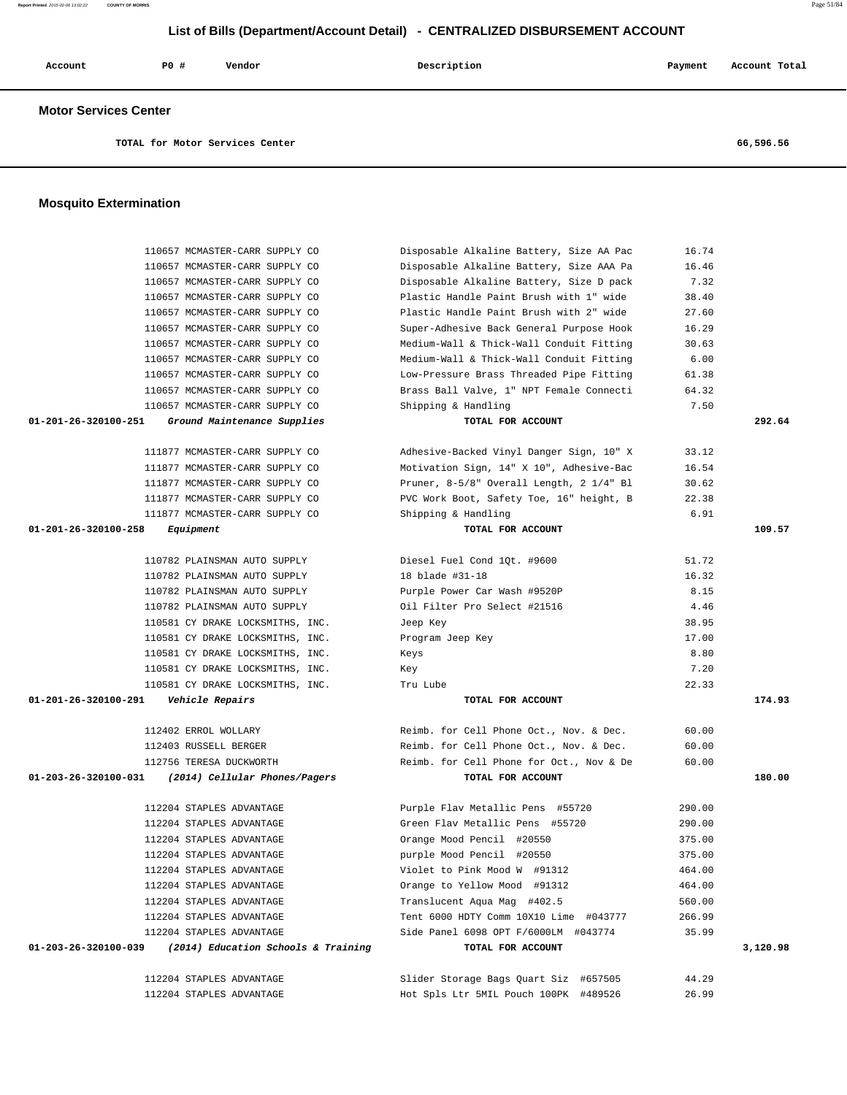|                                 | List of Bills (Department/Account Detail) - CENTRALIZED DISBURSEMENT ACCOUNT |        |             |         |               |
|---------------------------------|------------------------------------------------------------------------------|--------|-------------|---------|---------------|
| Account                         | P0#                                                                          | Vendor | Description | Payment | Account Total |
| <b>Motor Services Center</b>    |                                                                              |        |             |         |               |
| TOTAL for Motor Services Center |                                                                              |        | 66,596.56   |         |               |
| <b>Mosquito Extermination</b>   |                                                                              |        |             |         |               |

| 110657 MCMASTER-CARR SUPPLY CO                              | Disposable Alkaline Battery, Size AA Pac | 16.74  |          |
|-------------------------------------------------------------|------------------------------------------|--------|----------|
| 110657 MCMASTER-CARR SUPPLY CO                              | Disposable Alkaline Battery, Size AAA Pa | 16.46  |          |
| 110657 MCMASTER-CARR SUPPLY CO                              | Disposable Alkaline Battery, Size D pack | 7.32   |          |
| 110657 MCMASTER-CARR SUPPLY CO                              | Plastic Handle Paint Brush with 1" wide  | 38.40  |          |
| 110657 MCMASTER-CARR SUPPLY CO                              | Plastic Handle Paint Brush with 2" wide  | 27.60  |          |
| 110657 MCMASTER-CARR SUPPLY CO                              | Super-Adhesive Back General Purpose Hook | 16.29  |          |
| 110657 MCMASTER-CARR SUPPLY CO                              | Medium-Wall & Thick-Wall Conduit Fitting | 30.63  |          |
| 110657 MCMASTER-CARR SUPPLY CO                              | Medium-Wall & Thick-Wall Conduit Fitting | 6.00   |          |
| 110657 MCMASTER-CARR SUPPLY CO                              | Low-Pressure Brass Threaded Pipe Fitting | 61.38  |          |
| 110657 MCMASTER-CARR SUPPLY CO                              | Brass Ball Valve, 1" NPT Female Connecti | 64.32  |          |
| 110657 MCMASTER-CARR SUPPLY CO                              | Shipping & Handling                      | 7.50   |          |
| 01-201-26-320100-251<br>Ground Maintenance Supplies         | TOTAL FOR ACCOUNT                        |        | 292.64   |
| 111877 MCMASTER-CARR SUPPLY CO                              | Adhesive-Backed Vinyl Danger Sign, 10" X | 33.12  |          |
| 111877 MCMASTER-CARR SUPPLY CO                              | Motivation Sign, 14" X 10", Adhesive-Bac | 16.54  |          |
| 111877 MCMASTER-CARR SUPPLY CO                              | Pruner, 8-5/8" Overall Length, 2 1/4" Bl | 30.62  |          |
| 111877 MCMASTER-CARR SUPPLY CO                              | PVC Work Boot, Safety Toe, 16" height, B | 22.38  |          |
| 111877 MCMASTER-CARR SUPPLY CO                              | Shipping & Handling                      | 6.91   |          |
| 01-201-26-320100-258<br>Equipment                           | TOTAL FOR ACCOUNT                        |        | 109.57   |
|                                                             |                                          |        |          |
| 110782 PLAINSMAN AUTO SUPPLY                                | Diesel Fuel Cond 1Qt. #9600              | 51.72  |          |
| 110782 PLAINSMAN AUTO SUPPLY                                | 18 blade #31-18                          | 16.32  |          |
| 110782 PLAINSMAN AUTO SUPPLY                                | Purple Power Car Wash #9520P             | 8.15   |          |
| 110782 PLAINSMAN AUTO SUPPLY                                | Oil Filter Pro Select #21516             | 4.46   |          |
| 110581 CY DRAKE LOCKSMITHS, INC.                            | Jeep Key                                 | 38.95  |          |
| 110581 CY DRAKE LOCKSMITHS, INC.                            | Program Jeep Key                         | 17.00  |          |
| 110581 CY DRAKE LOCKSMITHS, INC.                            | Keys                                     | 8.80   |          |
| 110581 CY DRAKE LOCKSMITHS, INC.                            | Key                                      | 7.20   |          |
| 110581 CY DRAKE LOCKSMITHS, INC.                            | Tru Lube                                 | 22.33  |          |
| 01-201-26-320100-291<br>Vehicle Repairs                     | TOTAL FOR ACCOUNT                        |        | 174.93   |
|                                                             |                                          |        |          |
| 112402 ERROL WOLLARY                                        | Reimb. for Cell Phone Oct., Nov. & Dec.  | 60.00  |          |
| 112403 RUSSELL BERGER                                       | Reimb. for Cell Phone Oct., Nov. & Dec.  | 60.00  |          |
| 112756 TERESA DUCKWORTH                                     | Reimb. for Cell Phone for Oct., Nov & De | 60.00  |          |
| 01-203-26-320100-031<br>(2014) Cellular Phones/Pagers       | TOTAL FOR ACCOUNT                        |        | 180.00   |
| 112204 STAPLES ADVANTAGE                                    | Purple Flav Metallic Pens #55720         | 290.00 |          |
| 112204 STAPLES ADVANTAGE                                    | Green Flav Metallic Pens #55720          | 290.00 |          |
| 112204 STAPLES ADVANTAGE                                    | Orange Mood Pencil #20550                | 375.00 |          |
| 112204 STAPLES ADVANTAGE                                    | purple Mood Pencil #20550                | 375.00 |          |
| 112204 STAPLES ADVANTAGE                                    | Violet to Pink Mood W #91312             | 464.00 |          |
| 112204 STAPLES ADVANTAGE                                    | Orange to Yellow Mood #91312             | 464.00 |          |
| 112204 STAPLES ADVANTAGE                                    | Translucent Aqua Mag #402.5              | 560.00 |          |
| 112204 STAPLES ADVANTAGE                                    | Tent 6000 HDTY Comm 10X10 Lime #043777   | 266.99 |          |
| 112204 STAPLES ADVANTAGE                                    | Side Panel 6098 OPT F/6000LM #043774     | 35.99  |          |
| 01-203-26-320100-039<br>(2014) Education Schools & Training | TOTAL FOR ACCOUNT                        |        | 3,120.98 |

 112204 STAPLES ADVANTAGE Slider Storage Bags Quart Siz #657505 44.29 112204 STAPLES ADVANTAGE Hot Spls Ltr 5MIL Pouch 100PK #489526 26.99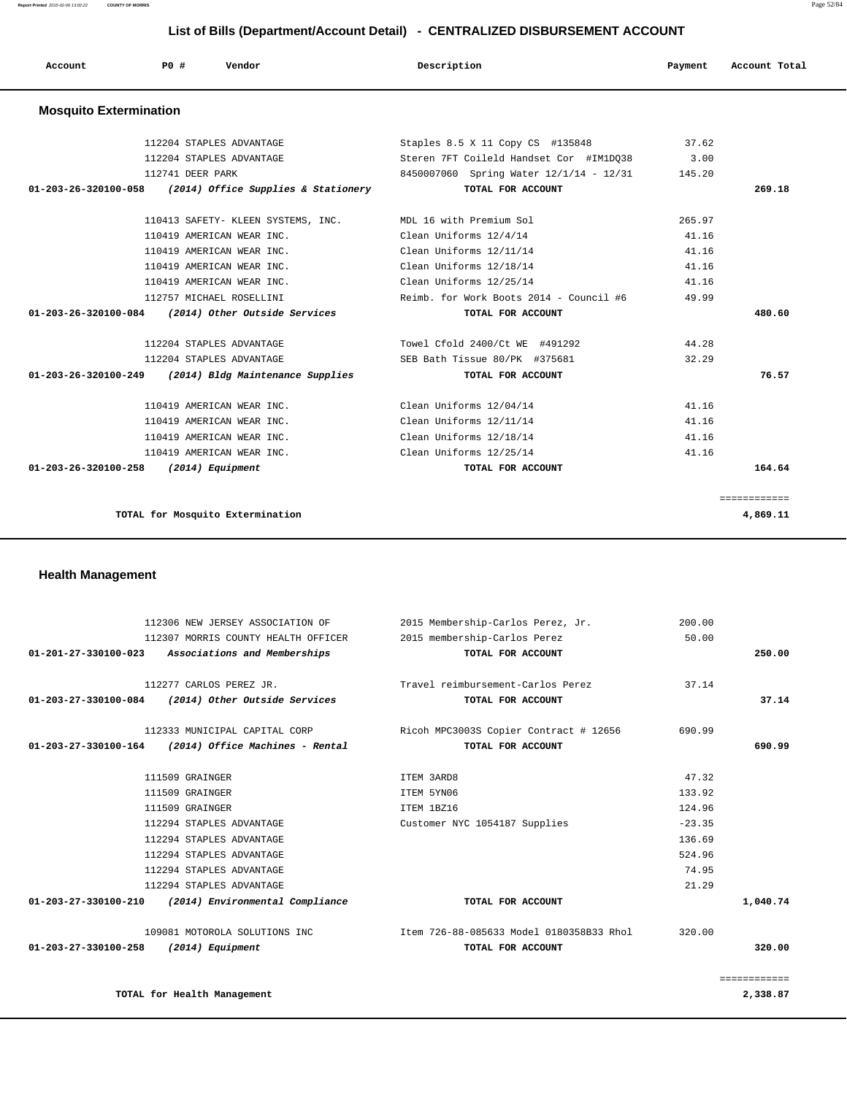**Report Printed** 2015-02-06 13:02:22 **COUNTY OF MORRIS** Page 52/84

### **List of Bills (Department/Account Detail) - CENTRALIZED DISBURSEMENT ACCOUNT**

| Account                       | PO#<br>Vendor                                                                                                                                                                                                                  | Description                             | Payment | Account Total |
|-------------------------------|--------------------------------------------------------------------------------------------------------------------------------------------------------------------------------------------------------------------------------|-----------------------------------------|---------|---------------|
| <b>Mosquito Extermination</b> |                                                                                                                                                                                                                                |                                         |         |               |
|                               | 112204 STAPLES ADVANTAGE                                                                                                                                                                                                       | Staples 8.5 X 11 Copy CS #135848        | 37.62   |               |
|                               | 112204 STAPLES ADVANTAGE                                                                                                                                                                                                       | Steren 7FT Coileld Handset Cor #IM1D038 | 3.00    |               |
|                               | 112741 DEER PARK                                                                                                                                                                                                               | 8450007060 Spring Water 12/1/14 - 12/31 | 145.20  |               |
|                               | $0.1, 0.02, 0.05, 0.00, 0.00, 0.00, 0.00, 0.00, 0.00, 0.00, 0.00, 0.00, 0.00, 0.00, 0.00, 0.00, 0.00, 0.00, 0.00, 0.00, 0.00, 0.00, 0.00, 0.00, 0.00, 0.00, 0.00, 0.00, 0.00, 0.00, 0.00, 0.00, 0.00, 0.00, 0.00, 0.00, 0.00,$ | <b>MOBAT BOD ACCOUNTS</b>               |         | $200 - 10$    |

|  | <b>Health Management</b> |
|--|--------------------------|
|--|--------------------------|

| 112204 STAPLES ADVANTAGE                                                   | Steren 7FT Colleld Handset Cor #IMID038 | 3.00   |              |
|----------------------------------------------------------------------------|-----------------------------------------|--------|--------------|
| 112741 DEER PARK                                                           | 8450007060 Spring Water 12/1/14 - 12/31 | 145.20 |              |
| 01-203-26-320100-058 (2014) Office Supplies & Stationery TOTAL FOR ACCOUNT |                                         |        | 269.18       |
|                                                                            |                                         |        |              |
| 110413 SAFETY- KLEEN SYSTEMS, INC. MDL 16 with Premium Sol                 |                                         | 265.97 |              |
| 110419 AMERICAN WEAR INC.                                                  | Clean Uniforms 12/4/14                  | 41.16  |              |
| 110419 AMERICAN WEAR INC.                                                  | Clean Uniforms 12/11/14                 | 41.16  |              |
| 110419 AMERICAN WEAR INC.                                                  | Clean Uniforms 12/18/14                 | 41.16  |              |
| 110419 AMERICAN WEAR INC.                                                  | Clean Uniforms 12/25/14                 | 41.16  |              |
| 112757 MICHAEL ROSELLINI                                                   | Reimb. for Work Boots 2014 - Council #6 | 49.99  |              |
| 01-203-26-320100-084 (2014) Other Outside Services                         | TOTAL FOR ACCOUNT                       |        | 480.60       |
|                                                                            |                                         |        |              |
| 112204 STAPLES ADVANTAGE                                                   | Towel Cfold 2400/Ct WE #491292          | 44.28  |              |
| 112204 STAPLES ADVANTAGE                                                   | SEB Bath Tissue 80/PK #375681           | 32.29  |              |
| 01-203-26-320100-249 (2014) Bldg Maintenance Supplies                      | TOTAL FOR ACCOUNT                       |        | 76.57        |
|                                                                            |                                         |        |              |
| 110419 AMERICAN WEAR INC.                                                  | Clean Uniforms 12/04/14                 | 41.16  |              |
| 110419 AMERICAN WEAR INC.                                                  | Clean Uniforms 12/11/14                 | 41.16  |              |
| 110419 AMERICAN WEAR INC.                                                  | Clean Uniforms 12/18/14                 | 41.16  |              |
| 110419 AMERICAN WEAR INC.                                                  | Clean Uniforms 12/25/14                 | 41.16  |              |
| $01-203-26-320100-258$ (2014) Equipment                                    | TOTAL FOR ACCOUNT                       |        | 164.64       |
|                                                                            |                                         |        |              |
|                                                                            |                                         |        | ============ |
| TOTAL for Mosquito Extermination                                           |                                         |        | 4,869.11     |
|                                                                            |                                         |        |              |

|                      | 112306 NEW JERSEY ASSOCIATION OF                       | 2015 Membership-Carlos Perez, Jr.        | 200.00   |              |
|----------------------|--------------------------------------------------------|------------------------------------------|----------|--------------|
|                      | 112307 MORRIS COUNTY HEALTH OFFICER                    | 2015 membership-Carlos Perez             | 50.00    |              |
|                      | 01-201-27-330100-023 Associations and Memberships      | TOTAL FOR ACCOUNT                        |          | 250.00       |
|                      | 112277 CARLOS PEREZ JR.                                | Travel reimbursement-Carlos Perez        | 37.14    |              |
| 01-203-27-330100-084 | (2014) Other Outside Services                          | TOTAL FOR ACCOUNT                        |          | 37.14        |
|                      | 112333 MUNICIPAL CAPITAL CORP                          | Ricoh MPC3003S Copier Contract # 12656   | 690.99   |              |
|                      | $01-203-27-330100-164$ (2014) Office Machines - Rental | TOTAL FOR ACCOUNT                        |          | 690.99       |
|                      | 111509 GRAINGER                                        | ITEM 3ARD8                               | 47.32    |              |
|                      | 111509 GRAINGER                                        | ITEM 5YN06                               | 133.92   |              |
|                      | 111509 GRAINGER                                        | ITEM 1BZ16                               | 124.96   |              |
|                      | 112294 STAPLES ADVANTAGE                               | Customer NYC 1054187 Supplies            | $-23.35$ |              |
|                      | 112294 STAPLES ADVANTAGE                               |                                          | 136.69   |              |
|                      | 112294 STAPLES ADVANTAGE                               |                                          | 524.96   |              |
|                      | 112294 STAPLES ADVANTAGE                               |                                          | 74.95    |              |
|                      | 112294 STAPLES ADVANTAGE                               |                                          | 21.29    |              |
|                      | 01-203-27-330100-210 (2014) Environmental Compliance   | TOTAL FOR ACCOUNT                        |          | 1,040.74     |
|                      | 109081 MOTOROLA SOLUTIONS INC                          | Item 726-88-085633 Model 0180358B33 Rhol | 320.00   |              |
| 01-203-27-330100-258 | (2014) Equipment                                       | TOTAL FOR ACCOUNT                        |          | 320.00       |
|                      |                                                        |                                          |          | ============ |
|                      | TOTAL for Health Management                            |                                          |          | 2,338.87     |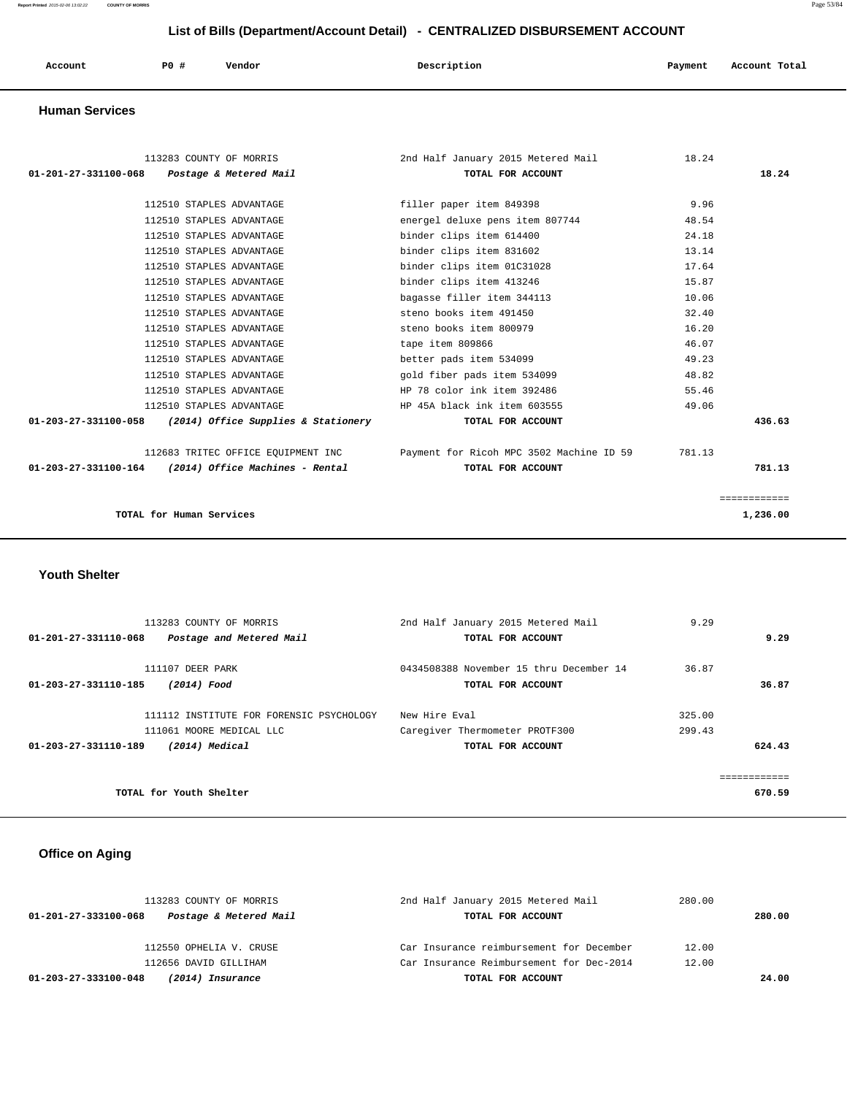**Report Printed** 2015-02-06 13:02:22 **COUNTY OF MORRIS** Page 53/84

# **List of Bills (Department/Account Detail) - CENTRALIZED DISBURSEMENT ACCOUNT**

| Account | P0 # | Vendor | Description | Payment | Account Total |
|---------|------|--------|-------------|---------|---------------|
|         |      |        |             |         |               |

### **Human Services**

| 113283 COUNTY OF MORRIS                                     | 2nd Half January 2015 Metered Mail       | 18.24  |              |
|-------------------------------------------------------------|------------------------------------------|--------|--------------|
| 01-201-27-331100-068 Postage & Metered Mail                 | TOTAL FOR ACCOUNT                        |        | 18.24        |
|                                                             |                                          |        |              |
| 112510 STAPLES ADVANTAGE                                    | filler paper item 849398                 | 9.96   |              |
| 112510 STAPLES ADVANTAGE                                    | energel deluxe pens item 807744          | 48.54  |              |
| 112510 STAPLES ADVANTAGE                                    | binder clips item 614400                 | 24.18  |              |
| 112510 STAPLES ADVANTAGE                                    | binder clips item 831602                 | 13.14  |              |
| 112510 STAPLES ADVANTAGE                                    | binder clips item 01C31028               | 17.64  |              |
| 112510 STAPLES ADVANTAGE                                    | binder clips item 413246                 | 15.87  |              |
| 112510 STAPLES ADVANTAGE                                    | bagasse filler item 344113               | 10.06  |              |
| 112510 STAPLES ADVANTAGE                                    | steno books item 491450                  | 32.40  |              |
| 112510 STAPLES ADVANTAGE                                    | steno books item 800979                  | 16.20  |              |
| 112510 STAPLES ADVANTAGE                                    | tape item 809866                         | 46.07  |              |
| 112510 STAPLES ADVANTAGE                                    | better pads item 534099                  | 49.23  |              |
| 112510 STAPLES ADVANTAGE                                    | gold fiber pads item 534099              | 48.82  |              |
| 112510 STAPLES ADVANTAGE                                    | HP 78 color ink item 392486              | 55.46  |              |
| 112510 STAPLES ADVANTAGE                                    | HP 45A black ink item 603555             | 49.06  |              |
| (2014) Office Supplies & Stationery<br>01-203-27-331100-058 | TOTAL FOR ACCOUNT                        |        | 436.63       |
|                                                             |                                          |        |              |
| 112683 TRITEC OFFICE EQUIPMENT INC                          | Payment for Ricoh MPC 3502 Machine ID 59 | 781.13 |              |
| $01-203-27-331100-164$ (2014) Office Machines - Rental      | TOTAL FOR ACCOUNT                        |        | 781.13       |
|                                                             |                                          |        |              |
|                                                             |                                          |        | ============ |
| TOTAL for Human Services                                    |                                          |        | 1,236.00     |
|                                                             |                                          |        |              |

 **Youth Shelter** 

| 113283 COUNTY OF MORRIS                          | 2nd Half January 2015 Metered Mail      | 9.29   |      |
|--------------------------------------------------|-----------------------------------------|--------|------|
| 01-201-27-331110-068<br>Postage and Metered Mail | TOTAL FOR ACCOUNT                       |        | 9.29 |
| 111107 DEER PARK                                 | 0434508388 November 15 thru December 14 | 36.87  |      |
| 01-203-27-331110-185<br>(2014) Food              | TOTAL FOR ACCOUNT                       | 36.87  |      |
| 111112 INSTITUTE FOR FORENSIC PSYCHOLOGY         | New Hire Eval                           | 325.00 |      |
| 111061 MOORE MEDICAL LLC                         | Caregiver Thermometer PROTF300          | 299.43 |      |
| 01-203-27-331110-189<br>(2014) Medical           | TOTAL FOR ACCOUNT                       | 624.43 |      |
|                                                  |                                         |        |      |
|                                                  |                                         |        |      |
| TOTAL for Youth Shelter                          |                                         | 670.59 |      |

# **Office on Aging**

| 113283 COUNTY OF MORRIS                        | 2nd Half January 2015 Metered Mail       | 280.00 |        |
|------------------------------------------------|------------------------------------------|--------|--------|
| Postage & Metered Mail<br>01-201-27-333100-068 | TOTAL FOR ACCOUNT                        |        | 280.00 |
|                                                |                                          |        |        |
| 112550 OPHELIA V. CRUSE                        | Car Insurance reimbursement for December | 12.00  |        |
| 112656 DAVID GILLIHAM                          | Car Insurance Reimbursement for Dec-2014 | 12.00  |        |
| 01-203-27-333100-048<br>(2014) Insurance       | TOTAL FOR ACCOUNT                        |        | 24.00  |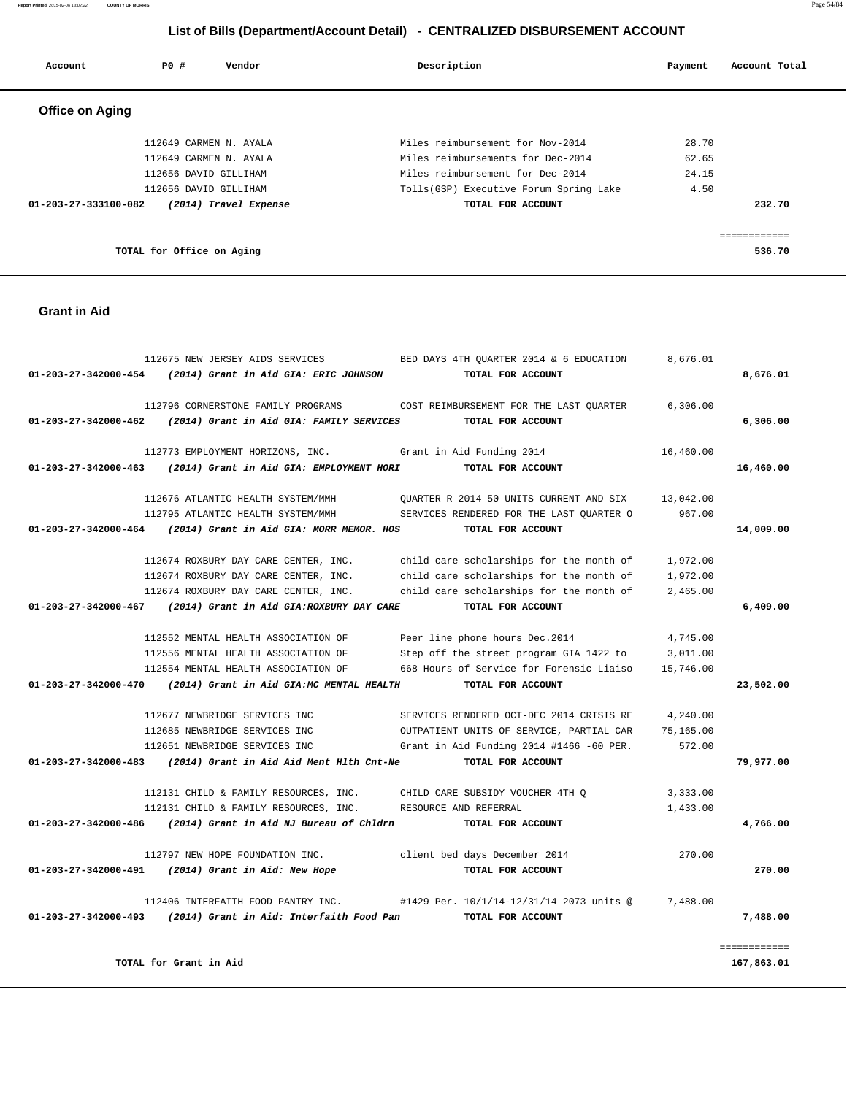# **Grant in Aid**  112675 NEW JERSEY AIDS SERVICES BED DAYS 4TH QUARTER 2014  $\&$  6 EDUCATION 8,676.01  **01-203-27-342000-454 (2014) Grant in Aid GIA: ERIC JOHNSON TOTAL FOR ACCOUNT 8,676.01** 112796 CORNERSTONE FAMILY PROGRAMS COST REIMBURSEMENT FOR THE LAST QUARTER 6,306.00  **01-203-27-342000-462 (2014) Grant in Aid GIA: FAMILY SERVICES TOTAL FOR ACCOUNT 6,306.00** 112773 EMPLOYMENT HORIZONS, INC. Grant in Aid Funding 2014 16,460.00  **01-203-27-342000-463 (2014) Grant in Aid GIA: EMPLOYMENT HORI TOTAL FOR ACCOUNT 16,460.00** 112676 ATLANTIC HEALTH SYSTEM/MMH QUARTER R 2014 50 UNITS CURRENT AND SIX 13,042.00 112795 ATLANTIC HEALTH SYSTEM/MMH SERVICES RENDERED FOR THE LAST QUARTER O 967.00  **01-203-27-342000-464 (2014) Grant in Aid GIA: MORR MEMOR. HOS TOTAL FOR ACCOUNT 14,009.00** 112674 ROXBURY DAY CARE CENTER, INC. child care scholarships for the month of 1,972.00 112674 ROXBURY DAY CARE CENTER, INC. child care scholarships for the month of 1,972.00 112674 ROXBURY DAY CARE CENTER, INC. child care scholarships for the month of 2,465.00  **01-203-27-342000-467 (2014) Grant in Aid GIA:ROXBURY DAY CARE TOTAL FOR ACCOUNT 6,409.00** 112552 MENTAL HEALTH ASSOCIATION OF Peer line phone hours Dec.2014 4,745.00 112556 MENTAL HEALTH ASSOCIATION OF Step off the street program GIA 1422 to 3,011.00 112554 MENTAL HEALTH ASSOCIATION OF 668 Hours of Service for Forensic Liaiso 15,746.00  **01-203-27-342000-470 (2014) Grant in Aid GIA:MC MENTAL HEALTH TOTAL FOR ACCOUNT 23,502.00** 112677 NEWBRIDGE SERVICES INC SERVICES RENDERED OCT-DEC 2014 CRISIS RE 4,240.00 112685 NEWBRIDGE SERVICES INC OUTPATIENT UNITS OF SERVICE, PARTIAL CAR 75,165.00 112651 NEWBRIDGE SERVICES INC Grant in Aid Funding 2014 #1466 -60 PER. 572.00  **01-203-27-342000-483 (2014) Grant in Aid Aid Ment Hlth Cnt-Ne TOTAL FOR ACCOUNT 79,977.00** 112131 CHILD & FAMILY RESOURCES, INC. CHILD CARE SUBSIDY VOUCHER 4TH Q 3,333.00 112131 CHILD & FAMILY RESOURCES, INC. RESOURCE AND REFERRAL 1,433.00  **01-203-27-342000-486 (2014) Grant in Aid NJ Bureau of Chldrn TOTAL FOR ACCOUNT 4,766.00** 112797 NEW HOPE FOUNDATION INC. client bed days December 2014 270.00  **01-203-27-342000-491 (2014) Grant in Aid: New Hope TOTAL FOR ACCOUNT 270.00** 112406 INTERFAITH FOOD PANTRY INC. #1429 Per. 10/1/14-12/31/14 2073 units @ 7,488.00  **01-203-27-342000-493 (2014) Grant in Aid: Interfaith Food Pan TOTAL FOR ACCOUNT 7,488.00** ============ **TOTAL for Grant in Aid 167,863.01**

# **Office on Aging**  112649 CARMEN N. AYALA Miles reimbursement for Nov-2014 28.70 112649 CARMEN N. AYALA Miles reimbursements for Dec-2014 62.65 112656 DAVID GILLIHAM Miles reimbursement for Dec-2014 24.15 112656 DAVID GILLIHAM Tolls(GSP) Executive Forum Spring Lake 4.50  **01-203-27-333100-082 (2014) Travel Expense TOTAL FOR ACCOUNT 232.70** ============

**TOTAL for Office on Aging 536.70**

# **Report Printed** 2015-02-06 13:02:22 **COUNTY OF MORRIS** Page 54/84  **List of Bills (Department/Account Detail) - CENTRALIZED DISBURSEMENT ACCOUNT**

 **Account P0 # Vendor Description Payment Account Total**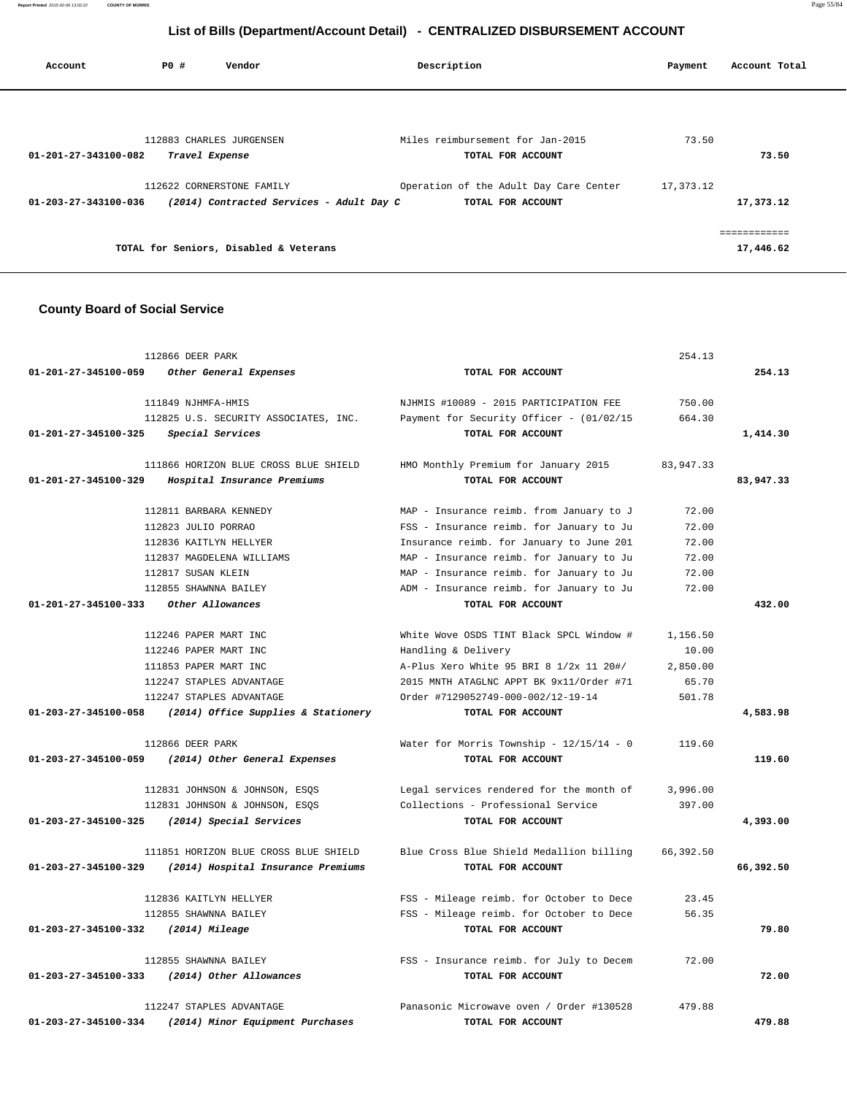**Report Printed** 2015-02-06 13:02:22 **COUNTY OF MORRIS** Page 55/84

# **List of Bills (Department/Account Detail) - CENTRALIZED DISBURSEMENT ACCOUNT**

| Account              | PO# | Vendor                                                                | Description                                                 | Payment   | Account Total             |
|----------------------|-----|-----------------------------------------------------------------------|-------------------------------------------------------------|-----------|---------------------------|
|                      |     |                                                                       |                                                             |           |                           |
| 01-201-27-343100-082 |     | 112883 CHARLES JURGENSEN<br>Travel Expense                            | Miles reimbursement for Jan-2015<br>TOTAL FOR ACCOUNT       | 73.50     | 73.50                     |
| 01-203-27-343100-036 |     | 112622 CORNERSTONE FAMILY<br>(2014) Contracted Services - Adult Day C | Operation of the Adult Day Care Center<br>TOTAL FOR ACCOUNT | 17,373.12 | 17,373.12                 |
|                      |     | TOTAL for Seniors, Disabled & Veterans                                |                                                             |           | ------------<br>17,446.62 |

### **County Board of Social Service**

|                      | 112866 DEER PARK                      |                                          | 254.13      |           |
|----------------------|---------------------------------------|------------------------------------------|-------------|-----------|
| 01-201-27-345100-059 | Other General Expenses                | TOTAL FOR ACCOUNT                        |             | 254.13    |
|                      | 111849 NJHMFA-HMIS                    | NJHMIS #10089 - 2015 PARTICIPATION FEE   | 750.00      |           |
|                      | 112825 U.S. SECURITY ASSOCIATES, INC. | Payment for Security Officer - (01/02/15 | 664.30      |           |
| 01-201-27-345100-325 | Special Services                      | TOTAL FOR ACCOUNT                        |             | 1,414.30  |
|                      | 111866 HORIZON BLUE CROSS BLUE SHIELD | HMO Monthly Premium for January 2015     | 83, 947. 33 |           |
| 01-201-27-345100-329 | Hospital Insurance Premiums           | TOTAL FOR ACCOUNT                        |             | 83,947.33 |
|                      | 112811 BARBARA KENNEDY                | MAP - Insurance reimb. from January to J | 72.00       |           |
|                      | 112823 JULIO PORRAO                   | FSS - Insurance reimb. for January to Ju | 72.00       |           |
|                      | 112836 KAITLYN HELLYER                | Insurance reimb. for January to June 201 | 72.00       |           |
|                      | 112837 MAGDELENA WILLIAMS             | MAP - Insurance reimb. for January to Ju | 72.00       |           |
|                      | 112817 SUSAN KLEIN                    | MAP - Insurance reimb. for January to Ju | 72.00       |           |
|                      | 112855 SHAWNNA BAILEY                 | ADM - Insurance reimb. for January to Ju | 72.00       |           |
| 01-201-27-345100-333 | Other Allowances                      | TOTAL FOR ACCOUNT                        |             | 432.00    |
|                      | 112246 PAPER MART INC                 | White Wove OSDS TINT Black SPCL Window # | 1,156.50    |           |
|                      | 112246 PAPER MART INC                 | Handling & Delivery                      | 10.00       |           |
|                      | 111853 PAPER MART INC                 | A-Plus Xero White 95 BRI 8 1/2x 11 20#/  | 2,850.00    |           |
|                      | 112247 STAPLES ADVANTAGE              | 2015 MNTH ATAGLNC APPT BK 9x11/Order #71 | 65.70       |           |
|                      | 112247 STAPLES ADVANTAGE              | Order #7129052749-000-002/12-19-14       | 501.78      |           |
| 01-203-27-345100-058 | (2014) Office Supplies & Stationery   | TOTAL FOR ACCOUNT                        |             | 4,583.98  |
|                      | 112866 DEER PARK                      | Water for Morris Township - 12/15/14 - 0 | 119.60      |           |
| 01-203-27-345100-059 | (2014) Other General Expenses         | TOTAL FOR ACCOUNT                        |             | 119.60    |
|                      | 112831 JOHNSON & JOHNSON, ESQS        | Legal services rendered for the month of | 3,996.00    |           |
|                      | 112831 JOHNSON & JOHNSON, ESQS        | Collections - Professional Service       | 397.00      |           |
| 01-203-27-345100-325 | (2014) Special Services               | TOTAL FOR ACCOUNT                        |             | 4,393.00  |
|                      | 111851 HORIZON BLUE CROSS BLUE SHIELD | Blue Cross Blue Shield Medallion billing | 66,392.50   |           |
| 01-203-27-345100-329 | (2014) Hospital Insurance Premiums    | TOTAL FOR ACCOUNT                        |             | 66,392.50 |
|                      | 112836 KAITLYN HELLYER                | FSS - Mileage reimb. for October to Dece | 23.45       |           |
|                      | 112855 SHAWNNA BAILEY                 | FSS - Mileage reimb. for October to Dece | 56.35       |           |
| 01-203-27-345100-332 | (2014) Mileage                        | TOTAL FOR ACCOUNT                        |             | 79.80     |
|                      | 112855 SHAWNNA BAILEY                 | FSS - Insurance reimb. for July to Decem | 72.00       |           |
| 01-203-27-345100-333 | (2014) Other Allowances               | TOTAL FOR ACCOUNT                        |             | 72.00     |
|                      | 112247 STAPLES ADVANTAGE              | Panasonic Microwave oven / Order #130528 | 479.88      |           |
| 01-203-27-345100-334 | (2014) Minor Equipment Purchases      | TOTAL FOR ACCOUNT                        |             | 479.88    |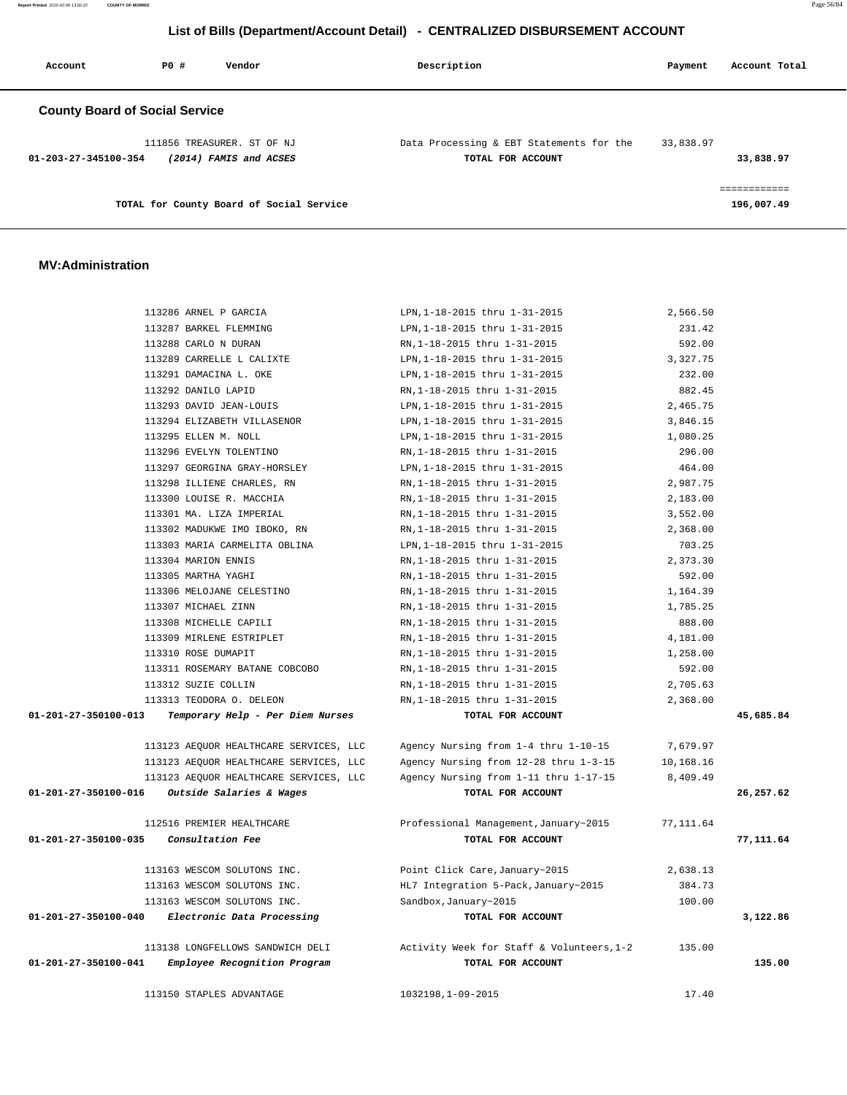**Report Printed** 2015-02-06 13:02:22 **COUNTY OF MORRIS** Page 56/84

### **List of Bills (Department/Account Detail) - CENTRALIZED DISBURSEMENT ACCOUNT**

| Account                               | PO# | Vendor                                               | Description                                                   | Payment   | Account Total |
|---------------------------------------|-----|------------------------------------------------------|---------------------------------------------------------------|-----------|---------------|
| <b>County Board of Social Service</b> |     |                                                      |                                                               |           |               |
| 01-203-27-345100-354                  |     | 111856 TREASURER. ST OF NJ<br>(2014) FAMIS and ACSES | Data Processing & EBT Statements for the<br>TOTAL FOR ACCOUNT | 33,838.97 | 33,838.97     |
|                                       |     | TOTAL for County Board of Social Service             |                                                               |           | 196,007.49    |

### **MV:Administration**

|                      | 113286 ARNEL P GARCIA                  | LPN, 1-18-2015 thru 1-31-2015             | 2,566.50  |           |
|----------------------|----------------------------------------|-------------------------------------------|-----------|-----------|
|                      | 113287 BARKEL FLEMMING                 | LPN, 1-18-2015 thru 1-31-2015             | 231.42    |           |
|                      | 113288 CARLO N DURAN                   | RN, 1-18-2015 thru 1-31-2015              | 592.00    |           |
|                      | 113289 CARRELLE L CALIXTE              | LPN, 1-18-2015 thru 1-31-2015             | 3,327.75  |           |
|                      | 113291 DAMACINA L. OKE                 | LPN, 1-18-2015 thru 1-31-2015             | 232.00    |           |
|                      | 113292 DANILO LAPID                    | RN, 1-18-2015 thru 1-31-2015              | 882.45    |           |
|                      | 113293 DAVID JEAN-LOUIS                | LPN, 1-18-2015 thru 1-31-2015             | 2,465.75  |           |
|                      | 113294 ELIZABETH VILLASENOR            | LPN, 1-18-2015 thru 1-31-2015             | 3,846.15  |           |
|                      | 113295 ELLEN M. NOLL                   | LPN, 1-18-2015 thru 1-31-2015             | 1,080.25  |           |
|                      | 113296 EVELYN TOLENTINO                | RN, 1-18-2015 thru 1-31-2015              | 296.00    |           |
|                      | 113297 GEORGINA GRAY-HORSLEY           | LPN, 1-18-2015 thru 1-31-2015             | 464.00    |           |
|                      | 113298 ILLIENE CHARLES, RN             | RN, 1-18-2015 thru 1-31-2015              | 2,987.75  |           |
|                      | 113300 LOUISE R. MACCHIA               | RN, 1-18-2015 thru 1-31-2015              | 2,183.00  |           |
|                      | 113301 MA. LIZA IMPERIAL               | RN, 1-18-2015 thru 1-31-2015              | 3,552.00  |           |
|                      | 113302 MADUKWE IMO IBOKO, RN           | RN, 1-18-2015 thru 1-31-2015              | 2,368.00  |           |
|                      | 113303 MARIA CARMELITA OBLINA          | LPN, 1-18-2015 thru 1-31-2015             | 703.25    |           |
|                      | 113304 MARION ENNIS                    | RN, 1-18-2015 thru 1-31-2015              | 2,373.30  |           |
|                      | 113305 MARTHA YAGHI                    | RN, 1-18-2015 thru 1-31-2015              | 592.00    |           |
|                      | 113306 MELOJANE CELESTINO              | RN, 1-18-2015 thru 1-31-2015              | 1,164.39  |           |
|                      | 113307 MICHAEL ZINN                    | RN, 1-18-2015 thru 1-31-2015              | 1,785.25  |           |
|                      | 113308 MICHELLE CAPILI                 | RN, 1-18-2015 thru 1-31-2015              | 888.00    |           |
|                      | 113309 MIRLENE ESTRIPLET               | RN, 1-18-2015 thru 1-31-2015              | 4,181.00  |           |
|                      | 113310 ROSE DUMAPIT                    | RN, 1-18-2015 thru 1-31-2015              | 1,258.00  |           |
|                      | 113311 ROSEMARY BATANE COBCOBO         | RN, 1-18-2015 thru 1-31-2015              | 592.00    |           |
|                      | 113312 SUZIE COLLIN                    | RN, 1-18-2015 thru 1-31-2015              | 2,705.63  |           |
|                      | 113313 TEODORA O. DELEON               | RN, 1-18-2015 thru 1-31-2015              | 2,368.00  |           |
| 01-201-27-350100-013 | Temporary Help - Per Diem Nurses       | TOTAL FOR ACCOUNT                         |           | 45,685.84 |
|                      | 113123 AEQUOR HEALTHCARE SERVICES, LLC | Agency Nursing from 1-4 thru 1-10-15      | 7,679.97  |           |
|                      | 113123 AEQUOR HEALTHCARE SERVICES, LLC | Agency Nursing from 12-28 thru 1-3-15     | 10,168.16 |           |
|                      | 113123 AEQUOR HEALTHCARE SERVICES, LLC | Agency Nursing from 1-11 thru 1-17-15     | 8,409.49  |           |
| 01-201-27-350100-016 | <i>Outside Salaries &amp; Wages</i>    | TOTAL FOR ACCOUNT                         |           | 26,257.62 |
|                      | 112516 PREMIER HEALTHCARE              | Professional Management, January~2015     | 77,111.64 |           |
| 01-201-27-350100-035 | Consultation Fee                       | TOTAL FOR ACCOUNT                         |           | 77,111.64 |
|                      | 113163 WESCOM SOLUTONS INC.            | Point Click Care, January~2015            | 2,638.13  |           |
|                      | 113163 WESCOM SOLUTONS INC.            | HL7 Integration 5-Pack, January~2015      | 384.73    |           |
|                      | 113163 WESCOM SOLUTONS INC.            | Sandbox, January~2015                     | 100.00    |           |
| 01-201-27-350100-040 | Electronic Data Processing             | TOTAL FOR ACCOUNT                         |           | 3,122.86  |
|                      | 113138 LONGFELLOWS SANDWICH DELI       | Activity Week for Staff & Volunteers, 1-2 | 135.00    |           |
| 01-201-27-350100-041 | Employee Recognition Program           | TOTAL FOR ACCOUNT                         |           | 135.00    |
|                      | 113150 STAPLES ADVANTAGE               | 1032198,1-09-2015                         | 17.40     |           |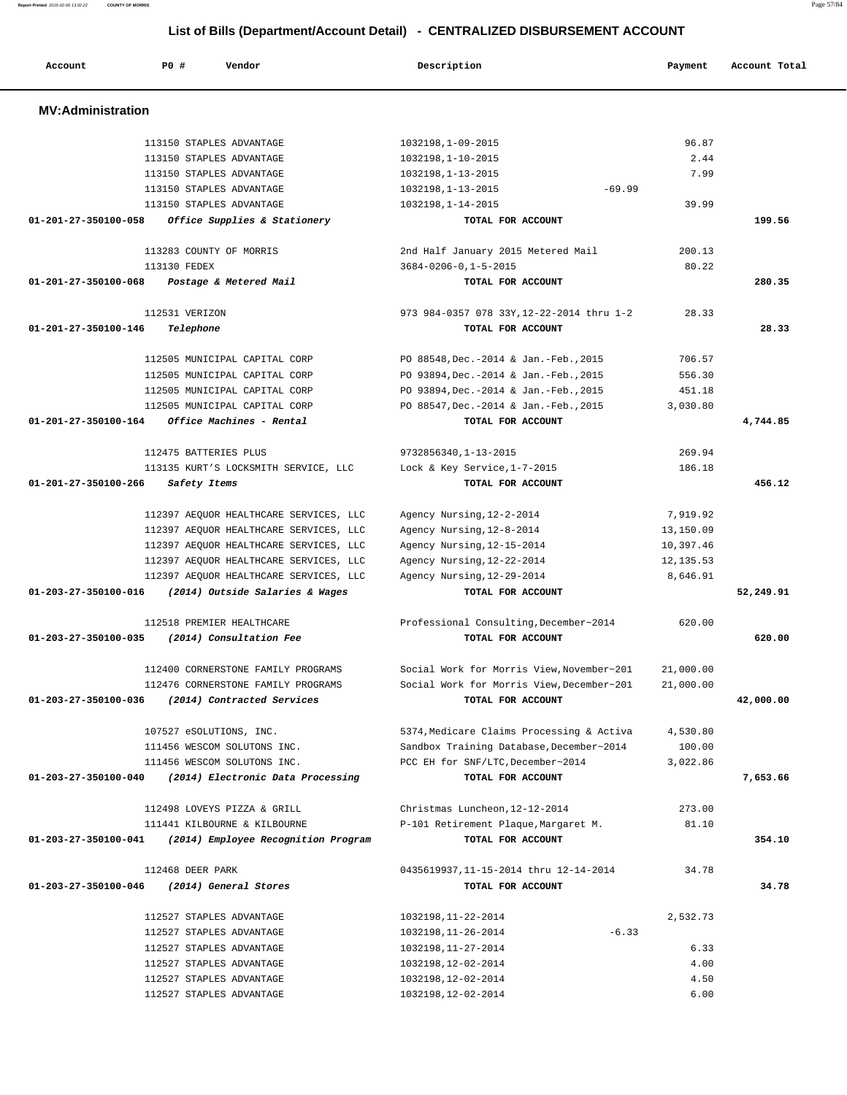| <b>MV:Administration</b> |                                        |                                           |            |           |
|--------------------------|----------------------------------------|-------------------------------------------|------------|-----------|
|                          | 113150 STAPLES ADVANTAGE               | 1032198,1-09-2015                         | 96.87      |           |
|                          | 113150 STAPLES ADVANTAGE               | 1032198,1-10-2015                         | 2.44       |           |
|                          | 113150 STAPLES ADVANTAGE               | 1032198,1-13-2015                         | 7.99       |           |
|                          | 113150 STAPLES ADVANTAGE               | 1032198, 1-13-2015<br>$-69.99$            |            |           |
|                          | 113150 STAPLES ADVANTAGE               | 1032198,1-14-2015                         | 39.99      |           |
| 01-201-27-350100-058     | Office Supplies & Stationery           | TOTAL FOR ACCOUNT                         |            | 199.56    |
|                          | 113283 COUNTY OF MORRIS                | 2nd Half January 2015 Metered Mail        | 200.13     |           |
|                          | 113130 FEDEX                           | $3684 - 0206 - 0, 1 - 5 - 2015$           | 80.22      |           |
| 01-201-27-350100-068     | Postage & Metered Mail                 | TOTAL FOR ACCOUNT                         |            | 280.35    |
|                          | 112531 VERIZON                         | 973 984-0357 078 33Y, 12-22-2014 thru 1-2 | 28.33      |           |
| 01-201-27-350100-146     | Telephone                              | TOTAL FOR ACCOUNT                         |            | 28.33     |
|                          | 112505 MUNICIPAL CAPITAL CORP          | PO 88548, Dec. - 2014 & Jan. - Feb., 2015 | 706.57     |           |
|                          | 112505 MUNICIPAL CAPITAL CORP          | PO 93894, Dec. - 2014 & Jan. - Feb., 2015 | 556.30     |           |
|                          | 112505 MUNICIPAL CAPITAL CORP          | PO 93894, Dec. - 2014 & Jan. - Feb., 2015 | 451.18     |           |
|                          | 112505 MUNICIPAL CAPITAL CORP          | PO 88547, Dec. - 2014 & Jan. - Feb., 2015 | 3,030.80   |           |
| 01-201-27-350100-164     | Office Machines - Rental               | TOTAL FOR ACCOUNT                         |            | 4,744.85  |
|                          | 112475 BATTERIES PLUS                  | 9732856340, 1-13-2015                     | 269.94     |           |
|                          | 113135 KURT'S LOCKSMITH SERVICE, LLC   | Lock & Key Service, 1-7-2015              | 186.18     |           |
| 01-201-27-350100-266     | Safety Items                           | TOTAL FOR ACCOUNT                         |            | 456.12    |
|                          | 112397 AEQUOR HEALTHCARE SERVICES, LLC | Agency Nursing, 12-2-2014                 | 7,919.92   |           |
|                          | 112397 AEQUOR HEALTHCARE SERVICES, LLC | Agency Nursing, 12-8-2014                 | 13,150.09  |           |
|                          | 112397 AEQUOR HEALTHCARE SERVICES, LLC | Agency Nursing, 12-15-2014                | 10,397.46  |           |
|                          | 112397 AEQUOR HEALTHCARE SERVICES, LLC | Agency Nursing, 12-22-2014                | 12, 135.53 |           |
|                          | 112397 AEQUOR HEALTHCARE SERVICES, LLC | Agency Nursing, 12-29-2014                | 8,646.91   |           |
| 01-203-27-350100-016     | (2014) Outside Salaries & Wages        | TOTAL FOR ACCOUNT                         |            | 52,249.91 |
|                          | 112518 PREMIER HEALTHCARE              | Professional Consulting, December~2014    | 620.00     |           |
| 01-203-27-350100-035     | (2014) Consultation Fee                | TOTAL FOR ACCOUNT                         |            | 620.00    |
|                          | 112400 CORNERSTONE FAMILY PROGRAMS     | Social Work for Morris View, November~201 | 21,000.00  |           |
|                          | 112476 CORNERSTONE FAMILY PROGRAMS     | Social Work for Morris View, December~201 | 21,000.00  |           |
| 01-203-27-350100-036     | (2014) Contracted Services             | TOTAL FOR ACCOUNT                         |            | 42,000.00 |
|                          | 107527 eSOLUTIONS, INC.                | 5374, Medicare Claims Processing & Activa | 4,530.80   |           |
|                          | 111456 WESCOM SOLUTONS INC.            | Sandbox Training Database, December~2014  | 100.00     |           |
|                          | 111456 WESCOM SOLUTONS INC.            | PCC EH for SNF/LTC, December~2014         | 3,022.86   |           |
| 01-203-27-350100-040     | (2014) Electronic Data Processing      | TOTAL FOR ACCOUNT                         |            | 7,653.66  |
|                          | 112498 LOVEYS PIZZA & GRILL            | Christmas Luncheon, 12-12-2014            | 273.00     |           |
|                          | 111441 KILBOURNE & KILBOURNE           | P-101 Retirement Plaque, Margaret M.      | 81.10      |           |
| 01-203-27-350100-041     | (2014) Employee Recognition Program    | TOTAL FOR ACCOUNT                         |            | 354.10    |
|                          | 112468 DEER PARK                       | 0435619937,11-15-2014 thru 12-14-2014     | 34.78      |           |
| 01-203-27-350100-046     | (2014) General Stores                  | TOTAL FOR ACCOUNT                         |            | 34.78     |
|                          | 112527 STAPLES ADVANTAGE               | 1032198, 11-22-2014                       | 2,532.73   |           |
|                          | 112527 STAPLES ADVANTAGE               | $-6.33$<br>1032198, 11-26-2014            |            |           |
|                          | 112527 STAPLES ADVANTAGE               | 1032198, 11-27-2014                       | 6.33       |           |
|                          | 112527 STAPLES ADVANTAGE               | 1032198,12-02-2014                        | 4.00       |           |
|                          | 112527 STAPLES ADVANTAGE               | 1032198, 12-02-2014                       | 4.50       |           |
|                          |                                        |                                           |            |           |

Account **PO #** Vendor **Description Description Payment** Account Total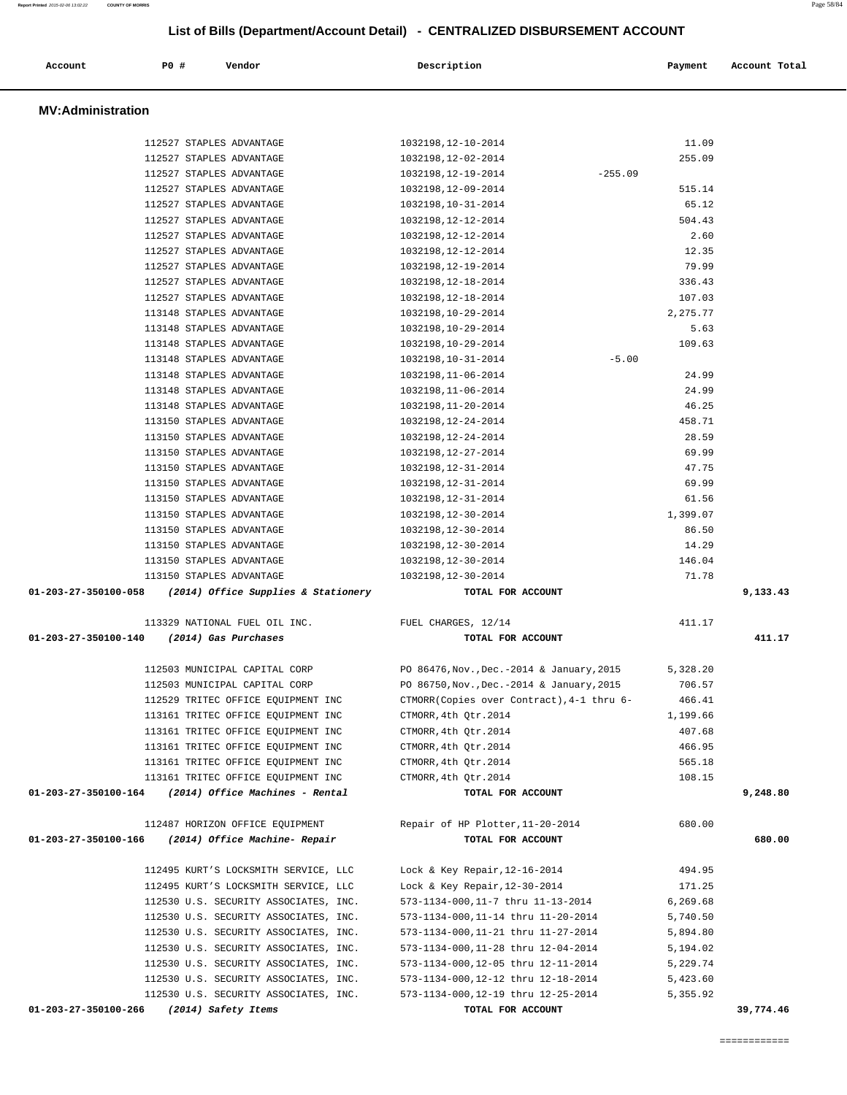| Account                  | P0 #                     | Vendor                                | Description                                 | Payment  | Account Total |
|--------------------------|--------------------------|---------------------------------------|---------------------------------------------|----------|---------------|
| <b>MV:Administration</b> |                          |                                       |                                             |          |               |
|                          | 112527 STAPLES ADVANTAGE |                                       | 1032198, 12-10-2014                         | 11.09    |               |
|                          | 112527 STAPLES ADVANTAGE |                                       | 1032198, 12-02-2014                         | 255.09   |               |
|                          | 112527 STAPLES ADVANTAGE |                                       | 1032198, 12-19-2014<br>$-255.09$            |          |               |
|                          | 112527 STAPLES ADVANTAGE |                                       | 1032198, 12-09-2014                         | 515.14   |               |
|                          | 112527 STAPLES ADVANTAGE |                                       | 1032198, 10-31-2014                         | 65.12    |               |
|                          | 112527 STAPLES ADVANTAGE |                                       | 1032198, 12-12-2014                         | 504.43   |               |
|                          | 112527 STAPLES ADVANTAGE |                                       | 1032198, 12-12-2014                         | 2.60     |               |
|                          | 112527 STAPLES ADVANTAGE |                                       | 1032198, 12-12-2014                         | 12.35    |               |
|                          | 112527 STAPLES ADVANTAGE |                                       | 1032198, 12-19-2014                         | 79.99    |               |
|                          | 112527 STAPLES ADVANTAGE |                                       | 1032198, 12-18-2014                         | 336.43   |               |
|                          | 112527 STAPLES ADVANTAGE |                                       | 1032198, 12-18-2014                         | 107.03   |               |
|                          | 113148 STAPLES ADVANTAGE |                                       | 1032198,10-29-2014                          | 2,275.77 |               |
|                          | 113148 STAPLES ADVANTAGE |                                       | 1032198,10-29-2014                          | 5.63     |               |
|                          | 113148 STAPLES ADVANTAGE |                                       | 1032198,10-29-2014                          | 109.63   |               |
|                          | 113148 STAPLES ADVANTAGE |                                       | $-5.00$<br>1032198,10-31-2014               |          |               |
|                          | 113148 STAPLES ADVANTAGE |                                       | 1032198, 11-06-2014                         | 24.99    |               |
|                          | 113148 STAPLES ADVANTAGE |                                       | 1032198, 11-06-2014                         | 24.99    |               |
|                          | 113148 STAPLES ADVANTAGE |                                       | 1032198, 11-20-2014                         | 46.25    |               |
|                          | 113150 STAPLES ADVANTAGE |                                       | 1032198, 12-24-2014                         | 458.71   |               |
|                          | 113150 STAPLES ADVANTAGE |                                       | 1032198, 12-24-2014                         | 28.59    |               |
|                          | 113150 STAPLES ADVANTAGE |                                       | 1032198, 12-27-2014                         | 69.99    |               |
|                          | 113150 STAPLES ADVANTAGE |                                       | 1032198, 12-31-2014                         | 47.75    |               |
|                          | 113150 STAPLES ADVANTAGE |                                       | 1032198, 12-31-2014                         | 69.99    |               |
|                          | 113150 STAPLES ADVANTAGE |                                       | 1032198, 12-31-2014                         | 61.56    |               |
|                          | 113150 STAPLES ADVANTAGE |                                       | 1032198, 12-30-2014                         | 1,399.07 |               |
|                          | 113150 STAPLES ADVANTAGE |                                       | 1032198, 12-30-2014                         | 86.50    |               |
|                          | 113150 STAPLES ADVANTAGE |                                       | 1032198, 12-30-2014                         | 14.29    |               |
|                          | 113150 STAPLES ADVANTAGE |                                       | 1032198, 12-30-2014                         | 146.04   |               |
|                          | 113150 STAPLES ADVANTAGE |                                       | 1032198, 12-30-2014                         | 71.78    |               |
| 01-203-27-350100-058     |                          | (2014) Office Supplies & Stationery   | TOTAL FOR ACCOUNT                           |          | 9,133.43      |
|                          |                          | 113329 NATIONAL FUEL OIL INC.         | FUEL CHARGES, 12/14                         | 411.17   |               |
| 01-203-27-350100-140     |                          | (2014) Gas Purchases                  | TOTAL FOR ACCOUNT                           |          | 411.17        |
|                          |                          | 112503 MUNICIPAL CAPITAL CORP         | PO 86476, Nov., Dec. - 2014 & January, 2015 | 5,328.20 |               |
|                          |                          | 112503 MUNICIPAL CAPITAL CORP         | PO 86750, Nov., Dec. - 2014 & January, 2015 | 706.57   |               |
|                          |                          | 112529 TRITEC OFFICE EQUIPMENT INC    | CTMORR(Copies over Contract), 4-1 thru 6-   | 466.41   |               |
|                          |                          | 113161 TRITEC OFFICE EQUIPMENT INC    | CTMORR, 4th Qtr.2014                        | 1,199.66 |               |
|                          |                          | 113161 TRITEC OFFICE EQUIPMENT INC    | CTMORR, 4th Otr.2014                        | 407.68   |               |
|                          |                          | 113161 TRITEC OFFICE EQUIPMENT INC    | CTMORR, 4th Qtr.2014                        | 466.95   |               |
|                          |                          | 113161 TRITEC OFFICE EQUIPMENT INC    | CTMORR, 4th Otr.2014                        | 565.18   |               |
|                          |                          | 113161 TRITEC OFFICE EOUIPMENT INC    | CTMORR, 4th Qtr.2014                        | 108.15   |               |
| 01-203-27-350100-164     |                          | (2014) Office Machines - Rental       | TOTAL FOR ACCOUNT                           |          | 9,248.80      |
|                          |                          | 112487 HORIZON OFFICE EQUIPMENT       | Repair of HP Plotter, 11-20-2014            | 680.00   |               |
| 01-203-27-350100-166     |                          | (2014) Office Machine- Repair         | TOTAL FOR ACCOUNT                           |          | 680.00        |
|                          |                          | 112495 KURT'S LOCKSMITH SERVICE, LLC  | Lock & Key Repair, 12-16-2014               | 494.95   |               |
|                          |                          | 112495 KURT'S LOCKSMITH SERVICE, LLC  | Lock & Key Repair, 12-30-2014               | 171.25   |               |
|                          |                          | 112530 U.S. SECURITY ASSOCIATES, INC. | 573-1134-000,11-7 thru 11-13-2014           | 6,269.68 |               |
|                          |                          | 112530 U.S. SECURITY ASSOCIATES, INC. | 573-1134-000, 11-14 thru 11-20-2014         | 5,740.50 |               |
|                          |                          | 112530 U.S. SECURITY ASSOCIATES, INC. | 573-1134-000, 11-21 thru 11-27-2014         | 5,894.80 |               |
|                          |                          | 112530 U.S. SECURITY ASSOCIATES, INC. | 573-1134-000, 11-28 thru 12-04-2014         | 5,194.02 |               |
|                          |                          | 112530 U.S. SECURITY ASSOCIATES, INC. | 573-1134-000,12-05 thru 12-11-2014          | 5,229.74 |               |
|                          |                          | 112530 U.S. SECURITY ASSOCIATES, INC. | 573-1134-000,12-12 thru 12-18-2014          | 5,423.60 |               |
|                          |                          | 112530 U.S. SECURITY ASSOCIATES, INC. | 573-1134-000, 12-19 thru 12-25-2014         | 5,355.92 |               |
| 01-203-27-350100-266     |                          | (2014) Safety Items                   | TOTAL FOR ACCOUNT                           |          | 39,774.46     |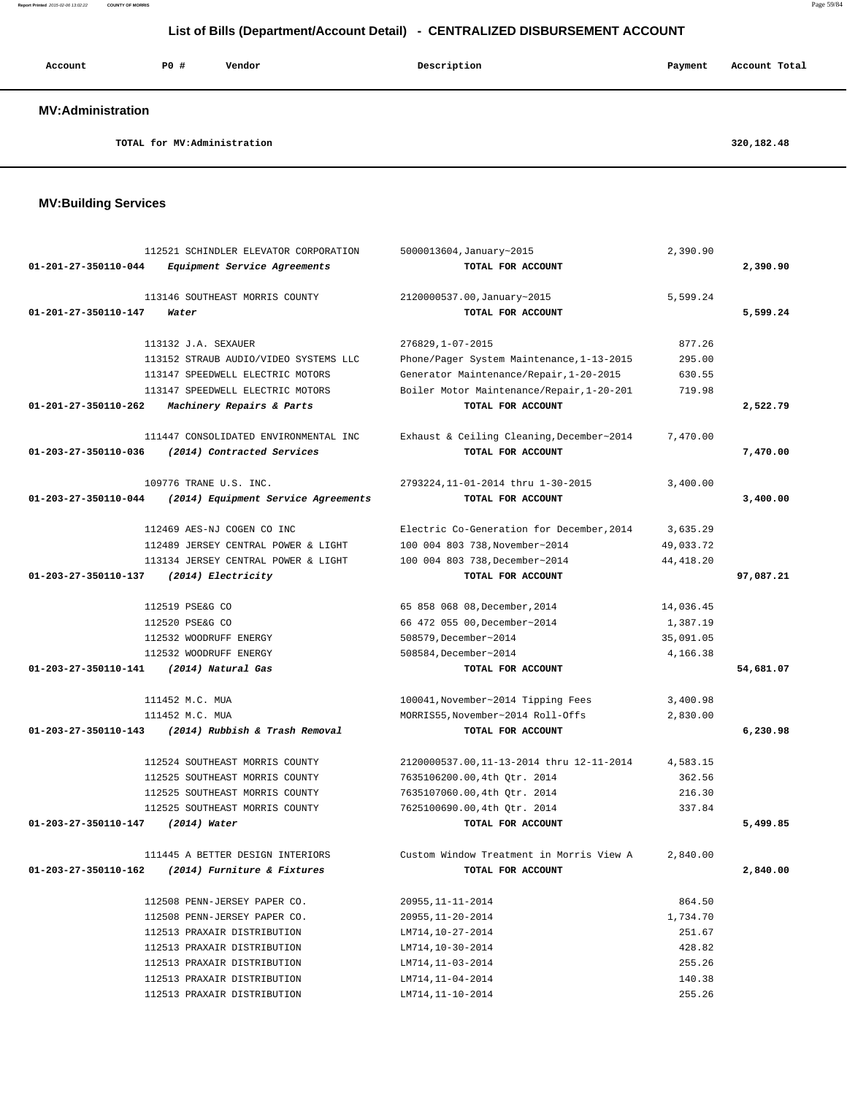**Report Printed** 2015-02-06 13:02:22 **COUNTY OF MORRIS** Page 59/84

| List of Bills (Department/Account Detail) - CENTRALIZED DISBURSEMENT ACCOUNT |                     |                                                                                                                                            |                                                                                                                                                                             |                                      |               |  |
|------------------------------------------------------------------------------|---------------------|--------------------------------------------------------------------------------------------------------------------------------------------|-----------------------------------------------------------------------------------------------------------------------------------------------------------------------------|--------------------------------------|---------------|--|
| Account                                                                      | PO#                 | Vendor                                                                                                                                     | Description                                                                                                                                                                 | Payment                              | Account Total |  |
| <b>MV:Administration</b>                                                     |                     |                                                                                                                                            |                                                                                                                                                                             |                                      |               |  |
|                                                                              |                     | TOTAL for MV:Administration                                                                                                                |                                                                                                                                                                             |                                      | 320,182.48    |  |
| <b>MV:Building Services</b>                                                  |                     |                                                                                                                                            |                                                                                                                                                                             |                                      |               |  |
| $01 - 201 - 27 - 350110 - 044$                                               |                     | 112521 SCHINDLER ELEVATOR CORPORATION<br>Equipment Service Agreements                                                                      | 5000013604, January~2015<br>TOTAL FOR ACCOUNT                                                                                                                               | 2,390.90                             | 2,390.90      |  |
| 01-201-27-350110-147                                                         | Water               | 113146 SOUTHEAST MORRIS COUNTY                                                                                                             | 2120000537.00, January~2015<br>TOTAL FOR ACCOUNT                                                                                                                            | 5,599.24                             | 5,599.24      |  |
| 01-201-27-350110-262                                                         | 113132 J.A. SEXAUER | 113152 STRAUB AUDIO/VIDEO SYSTEMS LLC<br>113147 SPEEDWELL ELECTRIC MOTORS<br>113147 SPEEDWELL ELECTRIC MOTORS<br>Machinery Repairs & Parts | 276829, 1-07-2015<br>Phone/Pager System Maintenance, 1-13-2015<br>Generator Maintenance/Repair, 1-20-2015<br>Boiler Motor Maintenance/Repair, 1-20-201<br>TOTAL FOR ACCOUNT | 877.26<br>295.00<br>630.55<br>719.98 | 2,522.79      |  |
|                                                                              |                     | 111447 CONSOLIDATED ENVIRONMENTAL INC                                                                                                      | Exhaust & Ceiling Cleaning, December~2014                                                                                                                                   | 7,470.00                             |               |  |

 111452 M.C. MUA 100041,November~2014 Tipping Fees 3,400.98 111452 M.C. MUA MORRIS55,November~2014 Roll-Offs 2,830.00  **01-203-27-350110-143 (2014) Rubbish & Trash Removal TOTAL FOR ACCOUNT 6,230.98**

 112524 SOUTHEAST MORRIS COUNTY 2120000537.00,11-13-2014 thru 12-11-2014 4,583.15 112525 SOUTHEAST MORRIS COUNTY 7635106200.00,4th Qtr. 2014 362.56 112525 SOUTHEAST MORRIS COUNTY 7635107060.00,4th Qtr. 2014 216.30 112525 SOUTHEAST MORRIS COUNTY 7625100690.00,4th Qtr. 2014 337.84  **01-203-27-350110-147 (2014) Water TOTAL FOR ACCOUNT 5,499.85**

 111445 A BETTER DESIGN INTERIORS Custom Window Treatment in Morris View A 2,840.00  **01-203-27-350110-162 (2014) Furniture & Fixtures TOTAL FOR ACCOUNT 2,840.00**

> 112508 PENN-JERSEY PAPER CO. 20955,11-11-2014 864.50 112508 PENN-JERSEY PAPER CO. 20955,11-20-2014 1,734.70 112513 PRAXAIR DISTRIBUTION LM714,10-27-2014 251.67 112513 PRAXAIR DISTRIBUTION LM714,10-30-2014 428.82 112513 PRAXAIR DISTRIBUTION LM714,11-03-2014 255.26 112513 PRAXAIR DISTRIBUTION LM714,11-04-2014 140.38 112513 PRAXAIR DISTRIBUTION LM714,11-10-2014 255.26

 **01-203-27-350110-036 (2014) Contracted Services TOTAL FOR ACCOUNT 7,470.00**

109776 TRANE U.S. INC. 2793224,11-01-2014 thru 1-30-2015 3,400.00

 **01-203-27-350110-044 (2014) Equipment Service Agreements TOTAL FOR ACCOUNT 3,400.00**

 112469 AES-NJ COGEN CO INC Electric Co-Generation for December,2014 3,635.29 112489 JERSEY CENTRAL POWER & LIGHT 100 004 803 738,November~2014 49,033.72 113134 JERSEY CENTRAL POWER & LIGHT 100 004 803 738,December~2014 44,418.20

 112520 PSE&G CO 66 472 055 00,December~2014 1,387.19 112532 WOODRUFF ENERGY 508579,December~2014 35,091.05 112532 WOODRUFF ENERGY 508584,December~2014 4,166.38  **01-203-27-350110-141 (2014) Natural Gas TOTAL FOR ACCOUNT 54,681.07**

 **01-203-27-350110-137 (2014) Electricity TOTAL FOR ACCOUNT 97,087.21**

112519 PSE&G CO 65 858 068 08,December,2014 14,036.45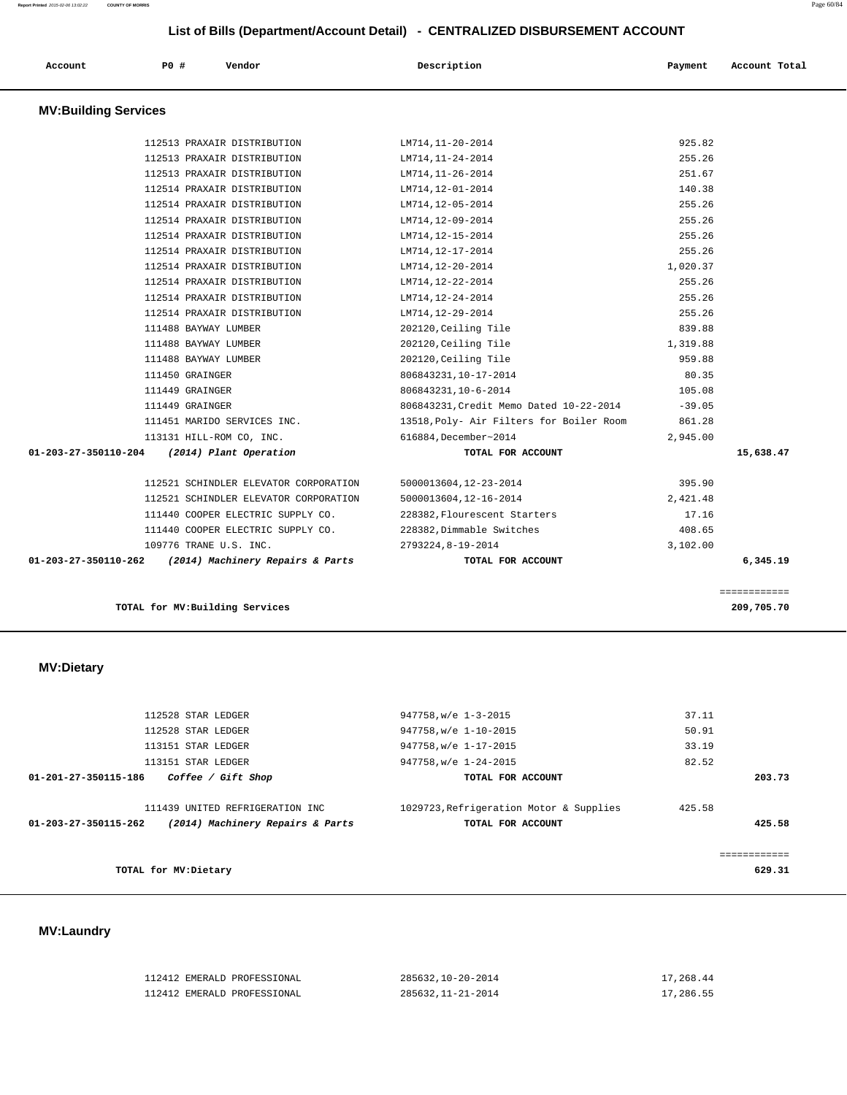| Account                     | P0#                             | Vendor                                | Description                              | Payment  | Account Total              |
|-----------------------------|---------------------------------|---------------------------------------|------------------------------------------|----------|----------------------------|
| <b>MV:Building Services</b> |                                 |                                       |                                          |          |                            |
|                             |                                 | 112513 PRAXAIR DISTRIBUTION           | LM714, 11-20-2014                        | 925.82   |                            |
|                             |                                 | 112513 PRAXAIR DISTRIBUTION           | LM714, 11-24-2014                        | 255.26   |                            |
|                             |                                 | 112513 PRAXAIR DISTRIBUTION           | LM714, 11-26-2014                        | 251.67   |                            |
|                             |                                 | 112514 PRAXAIR DISTRIBUTION           | LM714,12-01-2014                         | 140.38   |                            |
|                             |                                 | 112514 PRAXAIR DISTRIBUTION           | LM714,12-05-2014                         | 255.26   |                            |
|                             |                                 | 112514 PRAXAIR DISTRIBUTION           | LM714,12-09-2014                         | 255.26   |                            |
|                             |                                 | 112514 PRAXAIR DISTRIBUTION           | LM714, 12-15-2014                        | 255.26   |                            |
|                             |                                 | 112514 PRAXAIR DISTRIBUTION           | LM714, 12-17-2014                        | 255.26   |                            |
|                             |                                 | 112514 PRAXAIR DISTRIBUTION           | LM714, 12-20-2014                        | 1,020.37 |                            |
|                             |                                 | 112514 PRAXAIR DISTRIBUTION           | LM714, 12-22-2014                        | 255.26   |                            |
|                             |                                 | 112514 PRAXAIR DISTRIBUTION           | LM714, 12-24-2014                        | 255.26   |                            |
|                             |                                 | 112514 PRAXAIR DISTRIBUTION           | LM714, 12-29-2014                        | 255.26   |                            |
|                             | 111488 BAYWAY LUMBER            |                                       | 202120, Ceiling Tile                     | 839.88   |                            |
|                             | 111488 BAYWAY LUMBER            |                                       | 202120, Ceiling Tile                     | 1,319.88 |                            |
|                             | 111488 BAYWAY LUMBER            |                                       | 202120, Ceiling Tile                     | 959.88   |                            |
|                             | 111450 GRAINGER                 |                                       | 806843231, 10-17-2014                    | 80.35    |                            |
|                             | 111449 GRAINGER                 |                                       | 806843231, 10-6-2014                     | 105.08   |                            |
|                             | 111449 GRAINGER                 |                                       | 806843231, Credit Memo Dated 10-22-2014  | $-39.05$ |                            |
|                             |                                 | 111451 MARIDO SERVICES INC.           | 13518, Poly- Air Filters for Boiler Room | 861.28   |                            |
|                             | 113131 HILL-ROM CO, INC.        |                                       | 616884, December~2014                    | 2,945.00 |                            |
| 01-203-27-350110-204        |                                 | (2014) Plant Operation                | TOTAL FOR ACCOUNT                        |          | 15,638.47                  |
|                             |                                 | 112521 SCHINDLER ELEVATOR CORPORATION | 5000013604, 12-23-2014                   | 395.90   |                            |
|                             |                                 | 112521 SCHINDLER ELEVATOR CORPORATION | 5000013604, 12-16-2014                   | 2,421.48 |                            |
|                             |                                 | 111440 COOPER ELECTRIC SUPPLY CO.     | 228382, Flourescent Starters             | 17.16    |                            |
|                             |                                 | 111440 COOPER ELECTRIC SUPPLY CO.     | 228382, Dimmable Switches                | 408.65   |                            |
|                             | 109776 TRANE U.S. INC.          |                                       | 2793224,8-19-2014                        | 3,102.00 |                            |
| 01-203-27-350110-262        |                                 | (2014) Machinery Repairs & Parts      | TOTAL FOR ACCOUNT                        |          | 6,345.19                   |
|                             | TOTAL for MV: Building Services |                                       |                                          |          | ============<br>209,705.70 |

 112528 STAR LEDGER 947758,w/e 1-3-2015 37.11 112528 STAR LEDGER 947758,w/e 1-10-2015 50.91 113151 STAR LEDGER 947758,w/e 1-17-2015 33.19 113151 STAR LEDGER 947758,w/e 1-24-2015 82.52  **01-201-27-350115-186 Coffee / Gift Shop TOTAL FOR ACCOUNT 203.73** 111439 UNITED REFRIGERATION INC 1029723,Refrigeration Motor & Supplies 425.58  **01-203-27-350115-262 (2014) Machinery Repairs & Parts TOTAL FOR ACCOUNT 425.58** ============ **TOTAL for MV:Dietary 629.31**

### **MV:Laundry**

 **MV:Dietary** 

| 112412 EMERALD PROFESSIONAL | 285632,10-20-2014  | 17,268.44 |
|-----------------------------|--------------------|-----------|
| 112412 EMERALD PROFESSIONAL | 285632, 11-21-2014 | 17,286.55 |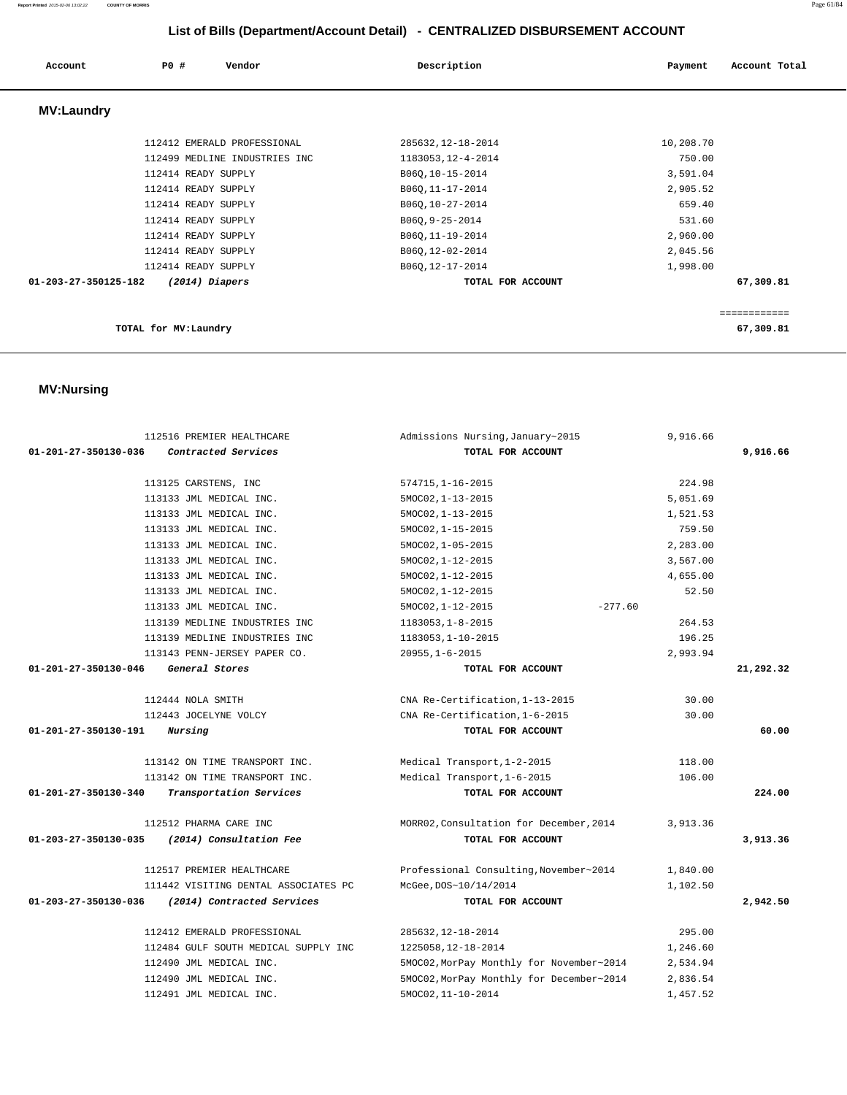### **Report Printed** 2015-02-06 13:02:22 **COUNTY OF MORRIS** Page 61/84

# **List of Bills (Department/Account Detail) - CENTRALIZED DISBURSEMENT ACCOUNT**

| Account              | PO#<br>Vendor                 | Description                      | Account Total<br>Payment |
|----------------------|-------------------------------|----------------------------------|--------------------------|
| <b>MV:Laundry</b>    |                               |                                  |                          |
|                      | 112412 EMERALD PROFESSIONAL   | 285632, 12-18-2014               | 10,208.70                |
|                      | 112499 MEDLINE INDUSTRIES INC | 1183053, 12-4-2014               | 750.00                   |
|                      | 112414 READY SUPPLY           | B06Q, 10-15-2014                 | 3,591.04                 |
|                      | 112414 READY SUPPLY           | B060, 11-17-2014                 | 2,905.52                 |
|                      | 112414 READY SUPPLY           | B06Q, 10-27-2014                 | 659.40                   |
|                      | 112414 READY SUPPLY           | B06Q, 9-25-2014                  | 531.60                   |
|                      | 112414 READY SUPPLY           | B060, 11-19-2014                 | 2,960.00                 |
|                      | 112414 READY SUPPLY           | B06Q, 12-02-2014                 | 2,045.56                 |
|                      | 112414 READY SUPPLY           | B06Q, 12-17-2014                 | 1,998.00                 |
| 01-203-27-350125-182 | (2014) Diapers                | TOTAL FOR ACCOUNT                | 67,309.81                |
|                      |                               |                                  | ============             |
|                      |                               |                                  |                          |
|                      | TOTAL for MV: Laundry         |                                  | 67,309.81                |
|                      |                               |                                  |                          |
| <b>MV:Nursing</b>    |                               |                                  |                          |
|                      | 112516 PREMIER HEALTHCARE     | Admissions Nursing, January~2015 | 9,916.66                 |
| 01-201-27-350130-036 | Contracted Services           | TOTAL FOR ACCOUNT                | 9,916.66                 |

| 112516 PREMIER HEALTHCARE |                                      | Admissions Nursing, January~2015         | 9,916.66 |           |
|---------------------------|--------------------------------------|------------------------------------------|----------|-----------|
| 01-201-27-350130-036      | Contracted Services                  | TOTAL FOR ACCOUNT                        |          | 9,916.66  |
|                           | 113125 CARSTENS, INC                 | $574715, 1 - 16 - 2015$                  | 224.98   |           |
|                           | 113133 JML MEDICAL INC.              | $5MOCO2, 1-13-2015$                      | 5,051.69 |           |
|                           | 113133 JML MEDICAL INC.              | $5MOC02, 1-13-2015$                      | 1,521.53 |           |
|                           | 113133 JML MEDICAL INC.              | 5MOC02, 1-15-2015                        | 759.50   |           |
|                           | 113133 JML MEDICAL INC.              | 5MOC02, 1-05-2015                        | 2,283.00 |           |
|                           | 113133 JML MEDICAL INC.              | 5MOC02, 1-12-2015                        | 3,567.00 |           |
|                           | 113133 JML MEDICAL INC.              | 5MOC02, 1-12-2015                        | 4,655.00 |           |
|                           | 113133 JML MEDICAL INC.              | 5MOC02, 1-12-2015                        | 52.50    |           |
|                           | 113133 JML MEDICAL INC.              | $-277.60$<br>5MOC02, 1-12-2015           |          |           |
|                           | 113139 MEDLINE INDUSTRIES INC        | 1183053, 1-8-2015                        | 264.53   |           |
|                           | 113139 MEDLINE INDUSTRIES INC        | 1183053, 1-10-2015                       | 196.25   |           |
|                           | 113143 PENN-JERSEY PAPER CO.         | $20955, 1 - 6 - 2015$                    | 2,993.94 |           |
| 01-201-27-350130-046      | General Stores                       | TOTAL FOR ACCOUNT                        |          | 21,292.32 |
|                           | 112444 NOLA SMITH                    | CNA Re-Certification, 1-13-2015          | 30.00    |           |
|                           | 112443 JOCELYNE VOLCY                | CNA Re-Certification, 1-6-2015           | 30.00    |           |
| 01-201-27-350130-191      | Nursing                              | TOTAL FOR ACCOUNT                        |          | 60.00     |
|                           | 113142 ON TIME TRANSPORT INC.        | Medical Transport, 1-2-2015              | 118.00   |           |
|                           | 113142 ON TIME TRANSPORT INC.        | Medical Transport, 1-6-2015              | 106.00   |           |
| 01-201-27-350130-340      | Transportation Services              | TOTAL FOR ACCOUNT                        |          | 224.00    |
|                           | 112512 PHARMA CARE INC               | MORR02, Consultation for December, 2014  | 3,913.36 |           |
| 01-203-27-350130-035      | (2014) Consultation Fee              | TOTAL FOR ACCOUNT                        |          | 3,913.36  |
|                           | 112517 PREMIER HEALTHCARE            | Professional Consulting, November~2014   | 1,840.00 |           |
|                           | 111442 VISITING DENTAL ASSOCIATES PC | McGee, DOS~10/14/2014                    | 1,102.50 |           |
| 01-203-27-350130-036      | (2014) Contracted Services           | TOTAL FOR ACCOUNT                        |          | 2,942.50  |
|                           | 112412 EMERALD PROFESSIONAL          | 285632, 12-18-2014                       | 295.00   |           |
|                           | 112484 GULF SOUTH MEDICAL SUPPLY INC | 1225058, 12-18-2014                      | 1,246.60 |           |
|                           | 112490 JML MEDICAL INC.              | 5MOC02, MorPay Monthly for November~2014 | 2,534.94 |           |
|                           | 112490 JML MEDICAL INC.              | 5MOC02, MorPay Monthly for December~2014 | 2,836.54 |           |
|                           | 112491 JML MEDICAL INC.              | 5MOC02, 11-10-2014                       | 1,457.52 |           |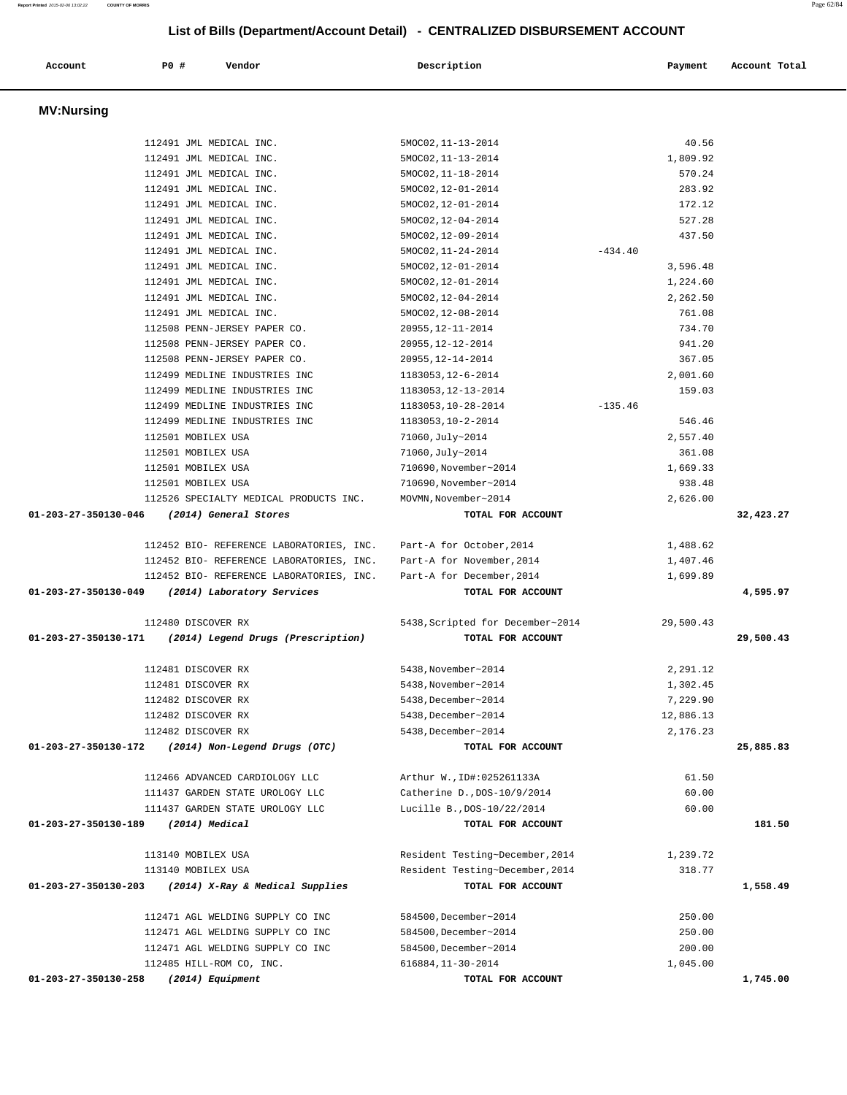# **List of Bills (Department/Account Detail) - CENTRALIZED DISBURSEMENT ACCOUNT Account P0 # Vendor Description Payment Account Total MV:Nursing**  112491 JML MEDICAL INC. 5MOC02, 11-13-2014 40.56 112491 JML MEDICAL INC. 5MOC02,11-13-2014 1,809.92 112491 JML MEDICAL INC. 5MOC02,11-18-2014 570.24 112491 JML MEDICAL INC. 5MOC02,12-01-2014 283.92 112491 JML MEDICAL INC. 5MOC02,12-01-2014 172.12 112491 JML MEDICAL INC. 5MOC02,12-04-2014 527.28 112491 JML MEDICAL INC. 5MOC02,12-09-2014 437.50 112491 JML MEDICAL INC. 5MOC02, 11-24-2014 -434.40 112491 JML MEDICAL INC. 5MOC02,12-01-2014 3,596.48 112491 JML MEDICAL INC. 5MOC02,12-01-2014 1,224.60 112491 JML MEDICAL INC. 5MOC02,12-04-2014 2,262.50 112491 JML MEDICAL INC. 5MOC02,12-08-2014 761.08 112508 PENN-JERSEY PAPER CO. 20955,12-11-2014 734.70 112508 PENN-JERSEY PAPER CO. 20955,12-12-2014 941.20 112508 PENN-JERSEY PAPER CO. 20955,12-14-2014 367.05 112499 MEDLINE INDUSTRIES INC 1183053,12-6-2014 2,001.60 112499 MEDLINE INDUSTRIES INC 1183053,12-13-2014 159.03 112499 MEDLINE INDUSTRIES INC 1183053,10-28-2014 -135.46 112499 MEDLINE INDUSTRIES INC 1183053,10-2-2014 546.46 112501 MOBILEX USA 71060,July~2014 2,557.40 112501 MOBILEX USA 71060,July~2014 361.08 112501 MOBILEX USA 710690,November~2014 1,669.33 112501 MOBILEX USA 710690,November~2014 938.48 112526 SPECIALTY MEDICAL PRODUCTS INC. MOVMN,November~2014 2,626.00  **01-203-27-350130-046 (2014) General Stores TOTAL FOR ACCOUNT 32,423.27** 112452 BIO- REFERENCE LABORATORIES, INC. Part-A for October,2014 1,488.62 112452 BIO- REFERENCE LABORATORIES, INC. Part-A for November,2014 1,407.46 112452 BIO- REFERENCE LABORATORIES, INC. Part-A for December,2014 1,699.89  **01-203-27-350130-049 (2014) Laboratory Services TOTAL FOR ACCOUNT 4,595.97** 112480 DISCOVER RX 5438,Scripted for December~2014 29,500.43  **01-203-27-350130-171 (2014) Legend Drugs (Prescription) TOTAL FOR ACCOUNT 29,500.43** 112481 DISCOVER RX 5438,November~2014 2,291.12 112481 DISCOVER RX 5438,November~2014 1,302.45 112482 DISCOVER RX 5438,December~2014 7,229.90 112482 DISCOVER RX 5438,December~2014 12,886.13 112482 DISCOVER RX 5438,December~2014 2,176.23  **01-203-27-350130-172 (2014) Non-Legend Drugs (OTC) TOTAL FOR ACCOUNT 25,885.83** 112466 ADVANCED CARDIOLOGY LLC Arthur W.,ID#:025261133A 61.50 111437 GARDEN STATE UROLOGY LLC Catherine D.,DOS-10/9/2014 60.00 111437 GARDEN STATE UROLOGY LLC Lucille B.,DOS-10/22/2014 60.00  **01-203-27-350130-189 (2014) Medical TOTAL FOR ACCOUNT 181.50** 113140 MOBILEX USA Resident Testing~December,2014 1,239.72 113140 MOBILEX USA Resident Testing~December,2014 318.77  **01-203-27-350130-203 (2014) X-Ray & Medical Supplies TOTAL FOR ACCOUNT 1,558.49** 112471 AGL WELDING SUPPLY CO INC 584500,December~2014 250.00 112471 AGL WELDING SUPPLY CO INC 584500,December~2014 250.00 112471 AGL WELDING SUPPLY CO INC 584500,December~2014 200.00 112485 HILL-ROM CO, INC. 616884,11-30-2014 1,045.00  **01-203-27-350130-258 (2014) Equipment TOTAL FOR ACCOUNT 1,745.00**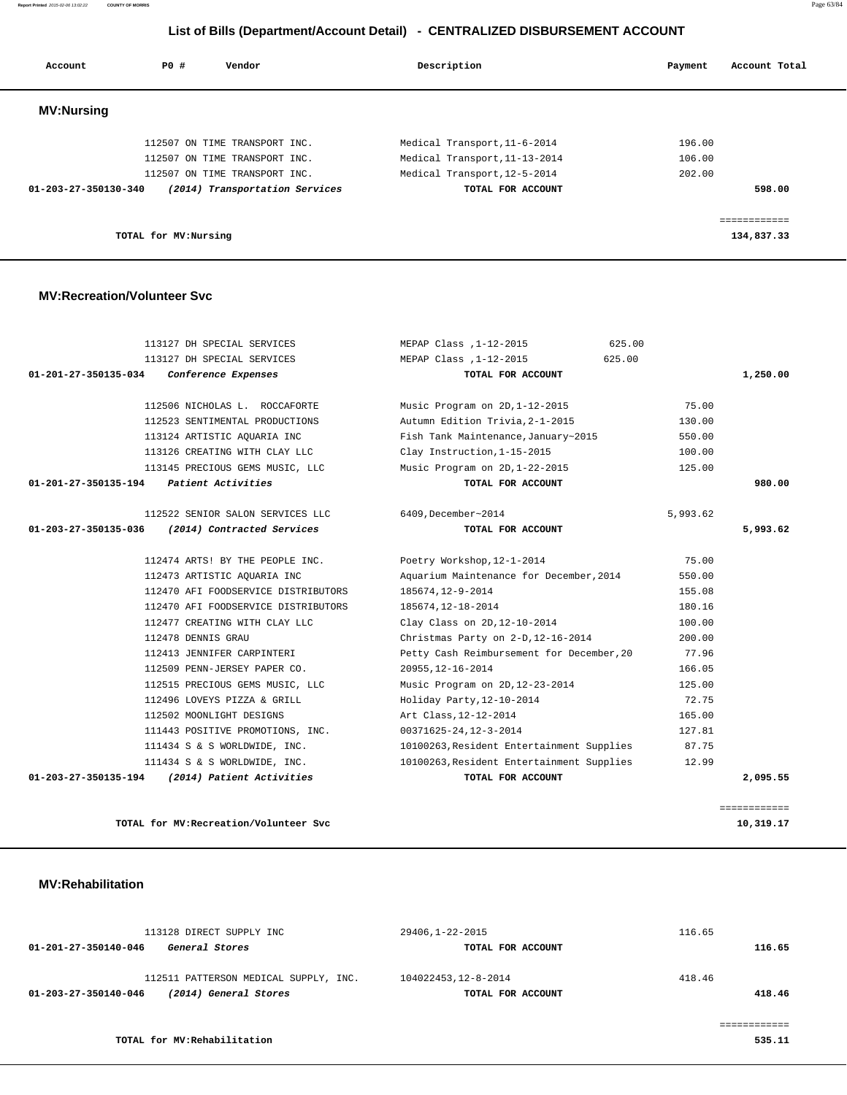**Report Printed** 2015-02-06 13:02:22 **COUNTY OF MORRIS** Page 63/84

### **List of Bills (Department/Account Detail) - CENTRALIZED DISBURSEMENT ACCOUNT**

| Account              | PO# | Vendor                         | Description |                               | Payment | Account Total |
|----------------------|-----|--------------------------------|-------------|-------------------------------|---------|---------------|
| <b>MV:Nursing</b>    |     |                                |             |                               |         |               |
|                      |     | 112507 ON TIME TRANSPORT INC.  |             | Medical Transport, 11-6-2014  | 196.00  |               |
|                      |     | 112507 ON TIME TRANSPORT INC.  |             | Medical Transport, 11-13-2014 | 106.00  |               |
|                      |     | 112507 ON TIME TRANSPORT INC.  |             | Medical Transport, 12-5-2014  | 202.00  |               |
| 01-203-27-350130-340 |     | (2014) Transportation Services |             | TOTAL FOR ACCOUNT             |         | 598.00        |
|                      |     |                                |             |                               |         |               |
|                      |     |                                |             |                               |         |               |

**TOTAL for MV:Nursing 134,837.33**

 **MV:Recreation/Volunteer Svc**

|                                | 113127 DH SPECIAL SERVICES                | 625.00<br>MEPAP Class , 1-12-2015         |          |                    |
|--------------------------------|-------------------------------------------|-------------------------------------------|----------|--------------------|
|                                | 113127 DH SPECIAL SERVICES                | MEPAP Class , 1-12-2015<br>625.00         |          |                    |
| $01 - 201 - 27 - 350135 - 034$ | Conference Expenses                       | TOTAL FOR ACCOUNT                         |          | 1,250.00           |
|                                | 112506 NICHOLAS L. ROCCAFORTE             | Music Program on 2D, 1-12-2015            | 75.00    |                    |
|                                | 112523 SENTIMENTAL PRODUCTIONS            | Autumn Edition Trivia, 2-1-2015           | 130.00   |                    |
|                                | 113124 ARTISTIC AQUARIA INC               | Fish Tank Maintenance, January~2015       | 550.00   |                    |
|                                | 113126 CREATING WITH CLAY LLC             | Clay Instruction, 1-15-2015               | 100.00   |                    |
|                                | 113145 PRECIOUS GEMS MUSIC, LLC           | Music Program on 2D, 1-22-2015            | 125.00   |                    |
|                                | $01-201-27-350135-194$ Patient Activities | TOTAL FOR ACCOUNT                         |          | 980.00             |
|                                | 112522 SENIOR SALON SERVICES LLC          | 6409, December~2014                       | 5,993.62 |                    |
| 01-203-27-350135-036           | (2014) Contracted Services                | TOTAL FOR ACCOUNT                         |          | 5,993.62           |
|                                | 112474 ARTS! BY THE PEOPLE INC.           | Poetry Workshop, 12-1-2014                | 75.00    |                    |
|                                | 112473 ARTISTIC AOUARIA INC               | Aquarium Maintenance for December, 2014   | 550.00   |                    |
|                                | 112470 AFI FOODSERVICE DISTRIBUTORS       | 185674,12-9-2014                          | 155.08   |                    |
|                                | 112470 AFI FOODSERVICE DISTRIBUTORS       | 185674, 12-18-2014                        | 180.16   |                    |
|                                | 112477 CREATING WITH CLAY LLC             | Clay Class on 2D, 12-10-2014              | 100.00   |                    |
|                                | 112478 DENNIS GRAU                        | Christmas Party on 2-D, 12-16-2014        | 200.00   |                    |
|                                | 112413 JENNIFER CARPINTERI                | Petty Cash Reimbursement for December, 20 | 77.96    |                    |
|                                | 112509 PENN-JERSEY PAPER CO.              | 20955, 12-16-2014                         | 166.05   |                    |
|                                | 112515 PRECIOUS GEMS MUSIC, LLC           | Music Program on 2D, 12-23-2014           | 125.00   |                    |
|                                | 112496 LOVEYS PIZZA & GRILL               | Holiday Party, 12-10-2014                 | 72.75    |                    |
|                                | 112502 MOONLIGHT DESIGNS                  | Art Class, 12-12-2014                     | 165.00   |                    |
|                                | 111443 POSITIVE PROMOTIONS, INC.          | 00371625-24,12-3-2014                     | 127.81   |                    |
|                                | 111434 S & S WORLDWIDE, INC.              | 10100263, Resident Entertainment Supplies | 87.75    |                    |
|                                | 111434 S & S WORLDWIDE, INC.              | 10100263, Resident Entertainment Supplies | 12.99    |                    |
| 01-203-27-350135-194           | (2014) Patient Activities                 | TOTAL FOR ACCOUNT                         |          | 2,095.55           |
|                                |                                           |                                           |          |                    |
|                                |                                           |                                           |          | <b>EEEEEEEEEEE</b> |

TOTAL for MV:Recreation/Volunteer Svc 10,319.17

 **MV:Rehabilitation** 

| 113128 DIRECT SUPPLY INC                      | 29406,1-22-2015      | 116.65 |
|-----------------------------------------------|----------------------|--------|
| 01-201-27-350140-046<br>General Stores        | TOTAL FOR ACCOUNT    | 116.65 |
| 112511 PATTERSON MEDICAL SUPPLY, INC.         | 104022453, 12-8-2014 | 418.46 |
| (2014) General Stores<br>01-203-27-350140-046 | TOTAL FOR ACCOUNT    | 418.46 |
|                                               |                      |        |
|                                               |                      |        |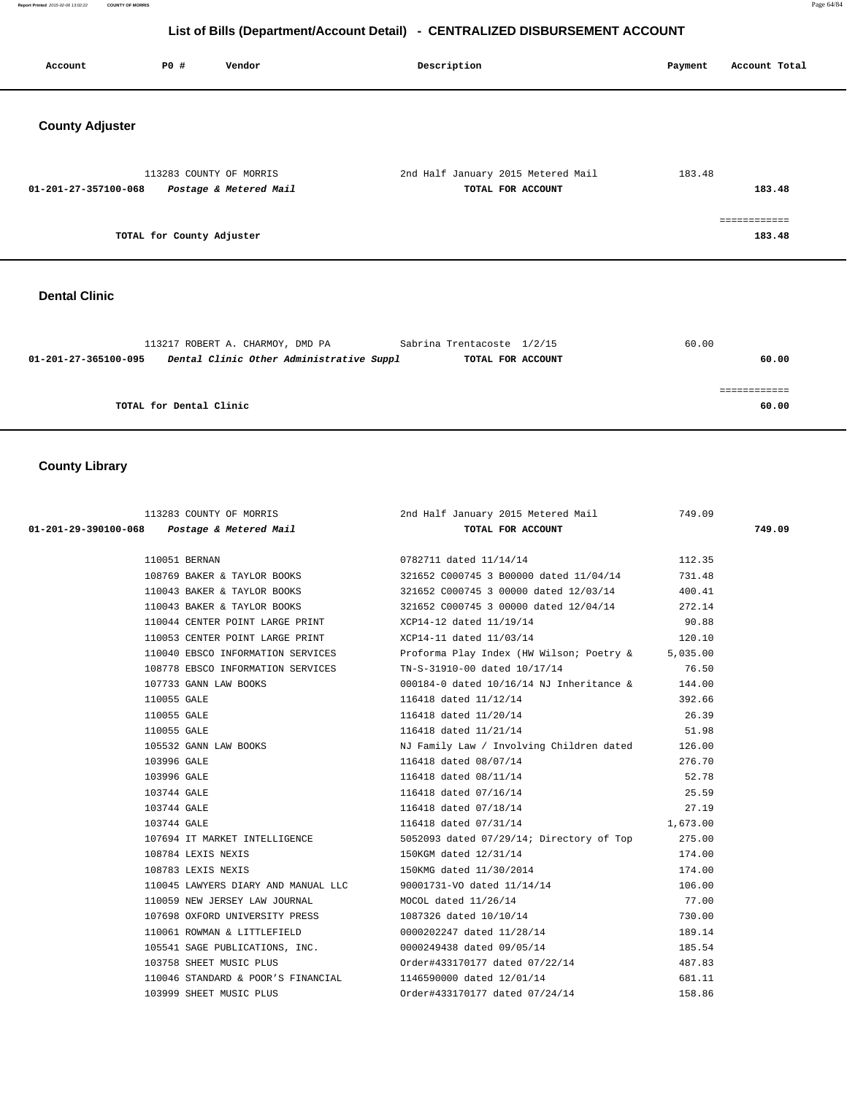**Report Printed** 2015-02-06 13:02:22 **COUNTY OF MORRIS** Page 64/84

# **List of Bills (Department/Account Detail) - CENTRALIZED DISBURSEMENT ACCOUNT**

| Account                | <b>PO #</b><br>Vendor                             |                                          | Description                                             | Payment | Account Total          |
|------------------------|---------------------------------------------------|------------------------------------------|---------------------------------------------------------|---------|------------------------|
| <b>County Adjuster</b> |                                                   |                                          |                                                         |         |                        |
| 01-201-27-357100-068   | 113283 COUNTY OF MORRIS<br>Postage & Metered Mail |                                          | 2nd Half January 2015 Metered Mail<br>TOTAL FOR ACCOUNT | 183.48  | 183.48                 |
|                        | TOTAL for County Adjuster                         |                                          |                                                         |         | ============<br>183.48 |
| <b>Dental Clinic</b>   |                                                   |                                          |                                                         |         |                        |
| 01-201-27-365100-095   | 113217 ROBERT A. CHARMOY, DMD PA                  | Dental Clinic Other Administrative Suppl | Sabrina Trentacoste 1/2/15<br>TOTAL FOR ACCOUNT         | 60.00   | 60.00                  |
|                        |                                                   |                                          |                                                         |         | ============           |
|                        | TOTAL for Dental Clinic                           |                                          |                                                         |         | 60.00                  |

# **County Library**

|                                                         | 113283 COUNTY OF MORRIS 113283 COUNTY OF MORRIS 113283 COUNTY OF MORRIS 1201 COUNT<br>3 Postage & Metered Mail 1201 TOTAL FOR ACCOUNT |          |        |
|---------------------------------------------------------|---------------------------------------------------------------------------------------------------------------------------------------|----------|--------|
| 01-201-29-390100-068  Postage & Metered Mail            |                                                                                                                                       |          | 749.09 |
|                                                         |                                                                                                                                       |          |        |
| 110051 BERNAN                                           | 0782711 dated $11/14/14$ 112.35                                                                                                       |          |        |
|                                                         | 108769 BAKER & TAYLOR BOOKS 321652 C000745 3 B00000 dated 11/04/14                                                                    | 731.48   |        |
|                                                         | 110043 BAKER & TAYLOR BOOKS 321652 C000745 3 00000 dated 12/03/14                                                                     | 400.41   |        |
|                                                         | 110043 BAKER & TAYLOR BOOKS 321652 C000745 3 00000 dated 12/04/14 272.14                                                              |          |        |
| 110044 CENTER POINT LARGE PRINT XCP14-12 dated 11/19/14 |                                                                                                                                       | 90.88    |        |
|                                                         | 110053 CENTER POINT LARGE PRINT XCP14-11 dated 11/03/14 120.10                                                                        |          |        |
|                                                         | 110040 EBSCO INFORMATION SERVICES Proforma Play Index (HW Wilson; Poetry & 5,035.00                                                   |          |        |
| 108778 EBSCO INFORMATION SERVICES                       | TN-S-31910-00 dated 10/17/14                                                                                                          | 76.50    |        |
| 107733 GANN LAW BOOKS                                   | 000184-0 dated 10/16/14 NJ Inheritance & 144.00                                                                                       |          |        |
| 110055 GALE                                             | 116418 dated 11/12/14                                                                                                                 | 392.66   |        |
| 110055 GALE                                             |                                                                                                                                       | 26.39    |        |
| 110055 GALE                                             | 116418 dated 11/20/14<br>116418 dated 11/21/14                                                                                        | 51.98    |        |
|                                                         | 105532 GANN LAW BOOKS NO BOOKS NJ Family Law / Involving Children dated 126.00                                                        |          |        |
| 103996 GALE                                             | 116418 dated 08/07/14                                                                                                                 | 276.70   |        |
| 103996 GALE                                             |                                                                                                                                       |          |        |
| 103744 GALE                                             | 116418 dated 08/11/14 52.78<br>116418 dated 07/16/14 25.59<br>116418 dated 07/18/14 27.19                                             |          |        |
| 103744 GALE                                             |                                                                                                                                       |          |        |
| 103744 GALE                                             | 116418 dated 07/31/14                                                                                                                 | 1,673.00 |        |
|                                                         | 107694 IT MARKET INTELLIGENCE 5052093 dated 07/29/14; Directory of Top 275.00                                                         |          |        |
| 108784 LEXIS NEXIS                                      | 150KGM dated 12/31/14                                                                                                                 | 174.00   |        |
| 108783 LEXIS NEXIS                                      | 150KMG dated 11/30/2014                                                                                                               | 174.00   |        |
|                                                         | 110045 LAWYERS DIARY AND MANUAL LLC 90001731-VO dated 11/14/14                                                                        | 106.00   |        |
|                                                         | 110059 NEW JERSEY LAW JOURNAL MOCOL dated 11/26/14                                                                                    | 77.00    |        |
|                                                         | 107698 OXFORD UNIVERSITY PRESS 1087326 dated 10/10/14                                                                                 | 730.00   |        |
|                                                         | 110061 ROWMAN & LITTLEFIELD 0000202247 dated 11/28/14                                                                                 | 189.14   |        |
|                                                         | 105541 SAGE PUBLICATIONS, INC. 0000249438 dated 09/05/14                                                                              | 185.54   |        |
| 103758 SHEET MUSIC PLUS                                 | Order#433170177 dated 07/22/14                                                                                                        | 487.83   |        |
|                                                         | 110046 STANDARD & POOR'S FINANCIAL 1146590000 dated 12/01/14                                                                          | 681.11   |        |
| 103999 SHEET MUSIC PLUS                                 | Order#433170177 dated 07/24/14                                                                                                        | 158.86   |        |
|                                                         |                                                                                                                                       |          |        |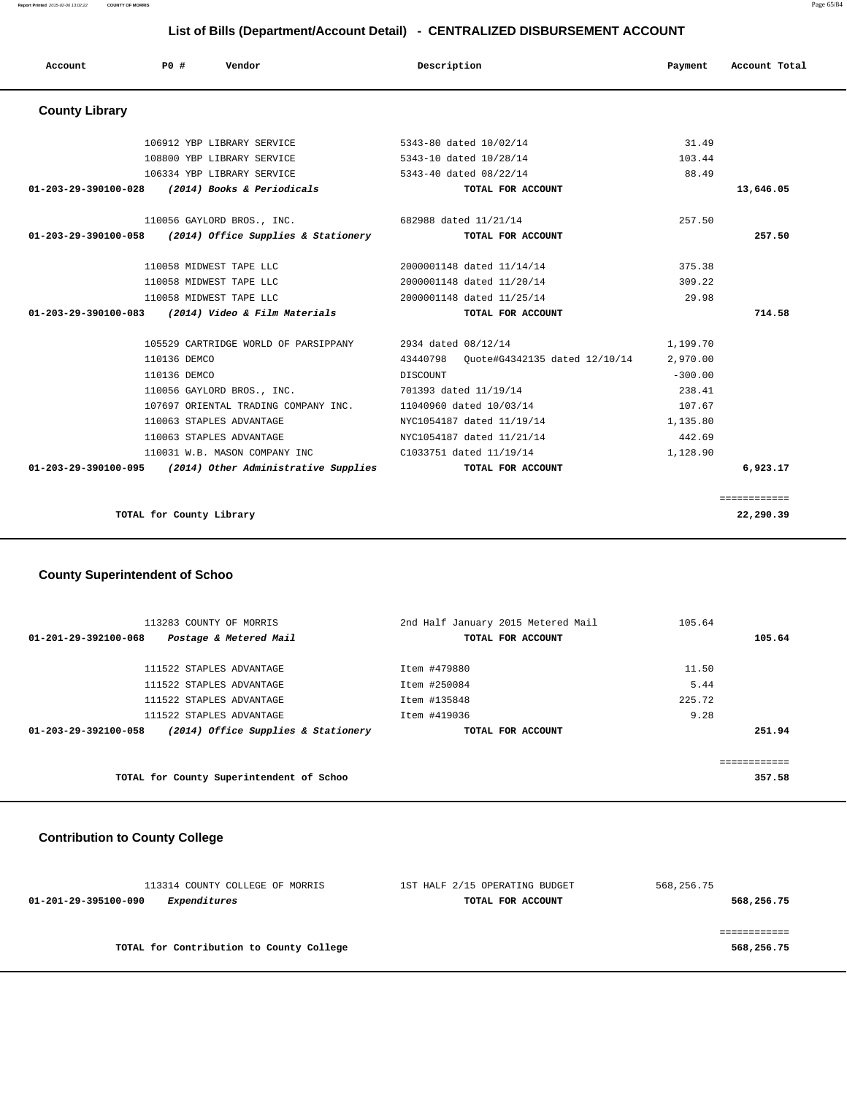| Account               | PO#          | Vendor                                                      | Description     |                                        | Payment   | Account Total |
|-----------------------|--------------|-------------------------------------------------------------|-----------------|----------------------------------------|-----------|---------------|
| <b>County Library</b> |              |                                                             |                 |                                        |           |               |
|                       |              | 106912 YBP LIBRARY SERVICE                                  |                 | 5343-80 dated 10/02/14                 | 31.49     |               |
|                       |              | 108800 YBP LIBRARY SERVICE                                  |                 | 5343-10 dated 10/28/14                 | 103.44    |               |
|                       |              | 106334 YBP LIBRARY SERVICE                                  |                 | 5343-40 dated 08/22/14                 | 88.49     |               |
| 01-203-29-390100-028  |              | (2014) Books & Periodicals                                  |                 | TOTAL FOR ACCOUNT                      |           | 13,646.05     |
|                       |              | 110056 GAYLORD BROS., INC.                                  |                 | 682988 dated 11/21/14                  | 257.50    |               |
| 01-203-29-390100-058  |              | (2014) Office Supplies & Stationery                         |                 | TOTAL FOR ACCOUNT                      |           | 257.50        |
|                       |              | 110058 MIDWEST TAPE LLC                                     |                 | 2000001148 dated 11/14/14              | 375.38    |               |
|                       |              | 110058 MIDWEST TAPE LLC                                     |                 | 2000001148 dated 11/20/14              | 309.22    |               |
|                       |              | 110058 MIDWEST TAPE LLC                                     |                 | 2000001148 dated 11/25/14              | 29.98     |               |
|                       |              | $01-203-29-390100-083$ (2014) Video & Film Materials        |                 | TOTAL FOR ACCOUNT                      |           | 714.58        |
|                       |              | 105529 CARTRIDGE WORLD OF PARSIPPANY                        |                 | 2934 dated 08/12/14                    | 1,199.70  |               |
|                       | 110136 DEMCO |                                                             |                 | 43440798 Ouote#G4342135 dated 12/10/14 | 2,970.00  |               |
|                       | 110136 DEMCO |                                                             | <b>DISCOUNT</b> |                                        | $-300.00$ |               |
|                       |              | 110056 GAYLORD BROS., INC.                                  |                 | 701393 dated 11/19/14                  | 238.41    |               |
|                       |              | 107697 ORIENTAL TRADING COMPANY INC.                        |                 | 11040960 dated 10/03/14                | 107.67    |               |
|                       |              | 110063 STAPLES ADVANTAGE                                    |                 | NYC1054187 dated 11/19/14              | 1,135.80  |               |
|                       |              | 110063 STAPLES ADVANTAGE                                    |                 | NYC1054187 dated 11/21/14              | 442.69    |               |
|                       |              | 110031 W.B. MASON COMPANY INC                               |                 | C1033751 dated 11/19/14                | 1,128.90  |               |
|                       |              | $01-203-29-390100-095$ (2014) Other Administrative Supplies |                 | TOTAL FOR ACCOUNT                      |           | 6,923.17      |
|                       |              |                                                             |                 |                                        |           | ============  |
|                       |              | TOTAL for County Library                                    |                 |                                        |           | 22,290.39     |

### **County Superintendent of Schoo**

|                      | 113283 COUNTY OF MORRIS                  | 2nd Half January 2015 Metered Mail | 105.64 |        |
|----------------------|------------------------------------------|------------------------------------|--------|--------|
| 01-201-29-392100-068 | Postage & Metered Mail                   | TOTAL FOR ACCOUNT                  |        | 105.64 |
|                      |                                          |                                    |        |        |
|                      | 111522 STAPLES ADVANTAGE                 | Item #479880                       | 11.50  |        |
|                      | 111522 STAPLES ADVANTAGE                 | Item #250084                       | 5.44   |        |
|                      | 111522 STAPLES ADVANTAGE                 | Item #135848                       | 225.72 |        |
|                      | 111522 STAPLES ADVANTAGE                 | Item #419036                       | 9.28   |        |
| 01-203-29-392100-058 | (2014) Office Supplies & Stationery      | TOTAL FOR ACCOUNT                  |        | 251.94 |
|                      |                                          |                                    |        |        |
|                      |                                          |                                    |        |        |
|                      | TOTAL for County Superintendent of Schoo |                                    |        | 357.58 |
|                      |                                          |                                    |        |        |

### **Contribution to County College**

| 113314 COUNTY COLLEGE OF MORRIS          | 1ST HALF 2/15 OPERATING BUDGET | 568,256.75 |
|------------------------------------------|--------------------------------|------------|
| Expenditures<br>01-201-29-395100-090     | TOTAL FOR ACCOUNT              | 568,256.75 |
|                                          |                                |            |
|                                          |                                |            |
| TOTAL for Contribution to County College |                                | 568,256.75 |
|                                          |                                |            |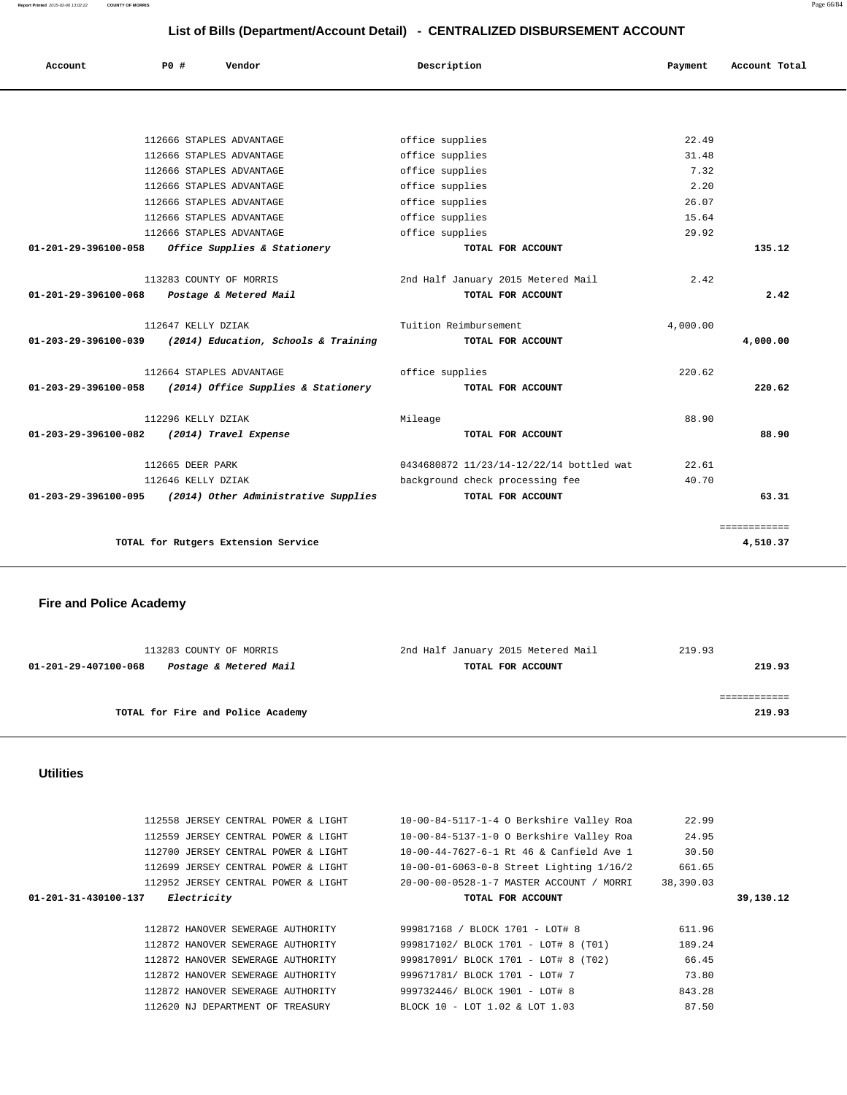**Report Printed** 2015-02-06 13:02:22 **COUNTY OF MORRIS** Page 66/84

### **List of Bills (Department/Account Detail) - CENTRALIZED DISBURSEMENT ACCOUNT**

| Account                        | PO#                     | Vendor                               | Description                              | Payment  | Account Total |
|--------------------------------|-------------------------|--------------------------------------|------------------------------------------|----------|---------------|
|                                |                         |                                      |                                          |          |               |
|                                |                         | 112666 STAPLES ADVANTAGE             | office supplies                          | 22.49    |               |
|                                |                         | 112666 STAPLES ADVANTAGE             | office supplies                          | 31.48    |               |
|                                |                         | 112666 STAPLES ADVANTAGE             | office supplies                          | 7.32     |               |
|                                |                         | 112666 STAPLES ADVANTAGE             | office supplies                          | 2.20     |               |
|                                |                         | 112666 STAPLES ADVANTAGE             | office supplies                          | 26.07    |               |
|                                |                         | 112666 STAPLES ADVANTAGE             | office supplies                          | 15.64    |               |
|                                |                         | 112666 STAPLES ADVANTAGE             | office supplies                          | 29.92    |               |
| 01-201-29-396100-058           |                         | Office Supplies & Stationery         | TOTAL FOR ACCOUNT                        |          | 135.12        |
|                                | 113283 COUNTY OF MORRIS |                                      | 2nd Half January 2015 Metered Mail       | 2.42     |               |
| $01 - 201 - 29 - 396100 - 068$ |                         | Postage & Metered Mail               | TOTAL FOR ACCOUNT                        |          | 2.42          |
|                                | 112647 KELLY DZIAK      |                                      | Tuition Reimbursement                    | 4,000.00 |               |
| 01-203-29-396100-039           |                         | (2014) Education, Schools & Training | TOTAL FOR ACCOUNT                        |          | 4,000.00      |
|                                |                         | 112664 STAPLES ADVANTAGE             | office supplies                          | 220.62   |               |
| 01-203-29-396100-058           |                         | (2014) Office Supplies & Stationery  | TOTAL FOR ACCOUNT                        |          | 220.62        |
|                                | 112296 KELLY DZIAK      |                                      | Mileage                                  | 88.90    |               |
| 01-203-29-396100-082           |                         | (2014) Travel Expense                | TOTAL FOR ACCOUNT                        |          | 88.90         |
|                                | 112665 DEER PARK        |                                      | 0434680872 11/23/14-12/22/14 bottled wat | 22.61    |               |
|                                | 112646 KELLY DZIAK      |                                      | background check processing fee          | 40.70    |               |
| 01-203-29-396100-095           |                         | (2014) Other Administrative Supplies | TOTAL FOR ACCOUNT                        |          | 63.31         |
|                                |                         |                                      |                                          |          | ============  |
|                                |                         | TOTAL for Rutgers Extension Service  |                                          |          | 4,510.37      |

### **Fire and Police Academy**

| 113283 COUNTY OF MORRIS                        | 2nd Half January 2015 Metered Mail | 219.93 |
|------------------------------------------------|------------------------------------|--------|
| Postage & Metered Mail<br>01-201-29-407100-068 | TOTAL FOR ACCOUNT                  | 219.93 |
|                                                |                                    |        |
|                                                |                                    |        |
| TOTAL for Fire and Police Academy              |                                    | 219.93 |

 **Utilities** 

|                      | 112558 JERSEY CENTRAL POWER & LIGHT |                                   |  |                                      | 10-00-84-5117-1-4 O Berkshire Valley Roa   | 22.99     |           |
|----------------------|-------------------------------------|-----------------------------------|--|--------------------------------------|--------------------------------------------|-----------|-----------|
|                      | 112559 JERSEY CENTRAL POWER & LIGHT |                                   |  |                                      | $10-00-84-5137-1-0$ O Berkshire Valley Roa | 24.95     |           |
|                      | 112700 JERSEY CENTRAL POWER & LIGHT |                                   |  |                                      | 10-00-44-7627-6-1 Rt 46 & Canfield Ave 1   | 30.50     |           |
|                      | 112699 JERSEY CENTRAL POWER & LIGHT |                                   |  |                                      | 10-00-01-6063-0-8 Street Lighting 1/16/2   | 661.65    |           |
|                      | 112952 JERSEY CENTRAL POWER & LIGHT |                                   |  |                                      | 20-00-00-0528-1-7 MASTER ACCOUNT / MORRI   | 38,390.03 |           |
| 01-201-31-430100-137 | <i>Electricity</i>                  |                                   |  | TOTAL FOR ACCOUNT                    |                                            |           | 39,130.12 |
|                      |                                     |                                   |  |                                      |                                            |           |           |
|                      | 112872 HANOVER SEWERAGE AUTHORITY   |                                   |  | 999817168 / BLOCK 1701 - LOT# 8      |                                            | 611.96    |           |
|                      |                                     |                                   |  |                                      |                                            |           |           |
|                      |                                     | 112872 HANOVER SEWERAGE AUTHORITY |  | 999817102/ BLOCK 1701 - LOT# 8 (T01) |                                            | 189.24    |           |
|                      | 112872 HANOVER SEWERAGE AUTHORITY   |                                   |  | 999817091/ BLOCK 1701 - LOT# 8 (T02) |                                            | 66.45     |           |
|                      | 112872 HANOVER SEWERAGE AUTHORITY   |                                   |  | 999671781/ BLOCK 1701 - LOT# 7       |                                            | 73.80     |           |
|                      | 112872 HANOVER SEWERAGE AUTHORITY   |                                   |  | 999732446/ BLOCK 1901 - LOT# 8       |                                            | 843.28    |           |
|                      | 112620 NJ DEPARTMENT OF TREASURY    |                                   |  | BLOCK 10 - LOT 1.02 & LOT 1.03       |                                            | 87.50     |           |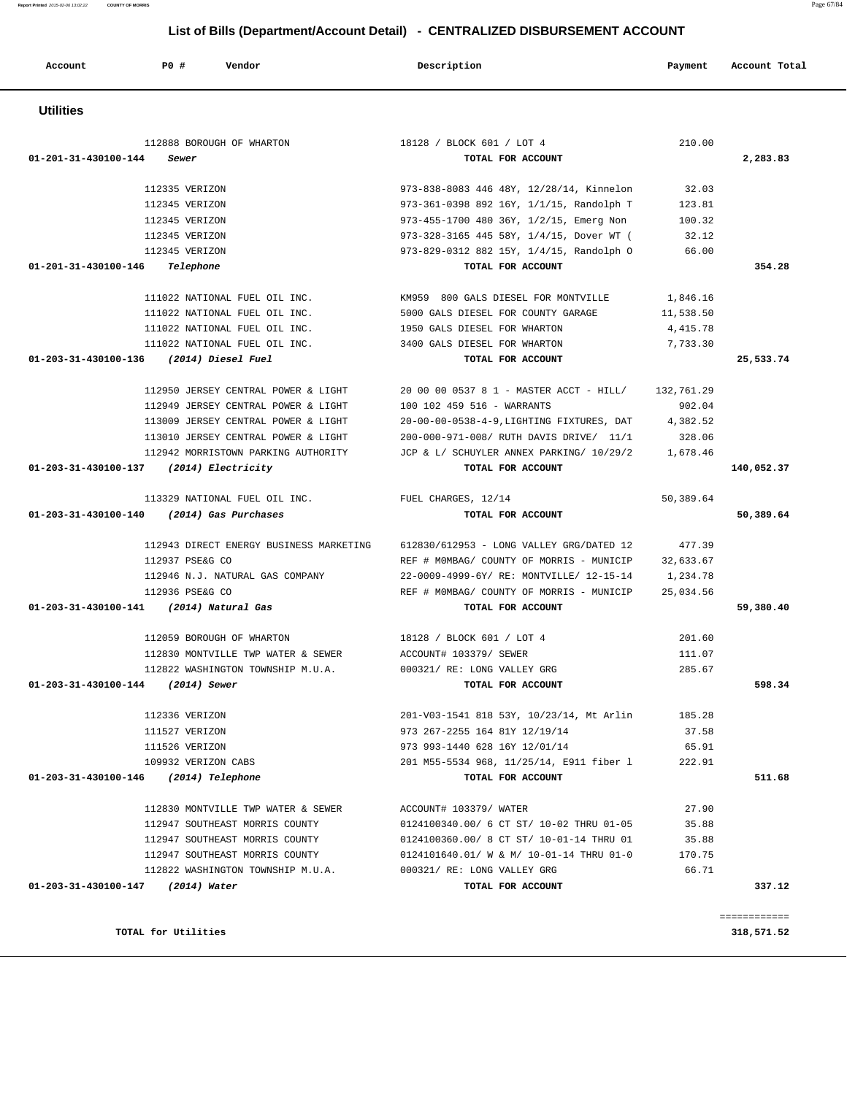**Utilities**  112888 BOROUGH OF WHARTON 18128 / BLOCK 601 / LOT 4 210.00  **01-201-31-430100-144 Sewer TOTAL FOR ACCOUNT 2,283.83** 112335 VERIZON 973-838-8083 446 48Y, 12/28/14, Kinnelon 32.03 112345 VERIZON 973-361-0398 892 16Y, 1/1/15, Randolph T 123.81 112345 VERIZON 973-455-1700 480 36Y, 1/2/15, Emerg Non 100.32 112345 VERIZON 973-328-3165 445 58Y, 1/4/15, Dover WT ( 32.12 112345 VERIZON 973-829-0312 882 15Y, 1/4/15, Randolph O 66.00  **01-201-31-430100-146 Telephone TOTAL FOR ACCOUNT 354.28** 111022 NATIONAL FUEL OIL INC. KM959 800 GALS DIESEL FOR MONTVILLE 1,846.16 111022 NATIONAL FUEL OIL INC. 5000 GALS DIESEL FOR COUNTY GARAGE 11,538.50 111022 NATIONAL FUEL OIL INC. 1950 GALS DIESEL FOR WHARTON 4,415.78 111022 NATIONAL FUEL OIL INC. 3400 GALS DIESEL FOR WHARTON 7,733.30  **01-203-31-430100-136 (2014) Diesel Fuel TOTAL FOR ACCOUNT 25,533.74** 112950 JERSEY CENTRAL POWER & LIGHT 20 00 00 0537 8 1 - MASTER ACCT - HILL/ 132,761.29 112949 JERSEY CENTRAL POWER & LIGHT 100 102 459 516 - WARRANTS 902.04 113009 JERSEY CENTRAL POWER & LIGHT 20-00-00-0538-4-9,LIGHTING FIXTURES, DAT 4,382.52 113010 JERSEY CENTRAL POWER & LIGHT 200-000-971-008/ RUTH DAVIS DRIVE/ 11/1 328.06 112942 MORRISTOWN PARKING AUTHORITY JCP & L/ SCHUYLER ANNEX PARKING/ 10/29/2 1,678.46  **01-203-31-430100-137 (2014) Electricity TOTAL FOR ACCOUNT 140,052.37** 113329 NATIONAL FUEL OIL INC. FUEL CHARGES, 12/14 50,389.64  **01-203-31-430100-140 (2014) Gas Purchases TOTAL FOR ACCOUNT 50,389.64** 112943 DIRECT ENERGY BUSINESS MARKETING 612830/612953 - LONG VALLEY GRG/DATED 12 477.39 112937 PSE&G CO REF # M0MBAG/ COUNTY OF MORRIS - MUNICIP 32,633.67 112946 N.J. NATURAL GAS COMPANY 22-0009-4999-6Y/ RE: MONTVILLE/ 12-15-14 1,234.78 112936 PSE&G CO REF # M0MBAG/ COUNTY OF MORRIS - MUNICIP 25,034.56  **01-203-31-430100-141 (2014) Natural Gas TOTAL FOR ACCOUNT 59,380.40** 112059 BOROUGH OF WHARTON 18128 / BLOCK 601 / LOT 4 201.60 112830 MONTVILLE TWP WATER & SEWER ACCOUNT# 103379/ SEWER 111.07 112822 WASHINGTON TOWNSHIP M.U.A. 000321/ RE: LONG VALLEY GRG 285.67  **01-203-31-430100-144 (2014) Sewer TOTAL FOR ACCOUNT 598.34** 112336 VERIZON 201-V03-1541 818 53Y, 10/23/14, Mt Arlin 185.28 111527 VERIZON 973 267-2255 164 81Y 12/19/14 37.58 111526 VERIZON 973 993-1440 628 16Y 12/01/14 65.91 109932 VERIZON CABS 201 M55-5534 968, 11/25/14, E911 fiber l 222.91  **01-203-31-430100-146 (2014) Telephone TOTAL FOR ACCOUNT 511.68** 112830 MONTVILLE TWP WATER & SEWER ACCOUNT# 103379/ WATER 27.90 112947 SOUTHEAST MORRIS COUNTY 0124100340.00/ 6 CT ST/ 10-02 THRU 01-05 35.88 112947 SOUTHEAST MORRIS COUNTY 0124100360.00/ 8 CT ST/ 10-01-14 THRU 01 35.88 112947 SOUTHEAST MORRIS COUNTY 0124101640.01/ W & M/ 10-01-14 THRU 01-0 170.75 112822 WASHINGTON TOWNSHIP M.U.A. 000321/ RE: LONG VALLEY GRG 66.71  **01-203-31-430100-147 (2014) Water TOTAL FOR ACCOUNT 337.12** ============ **TOTAL for Utilities 318,571.52**

# **List of Bills (Department/Account Detail) - CENTRALIZED DISBURSEMENT ACCOUNT**

 **Account P0 # Vendor Description Payment Account Total**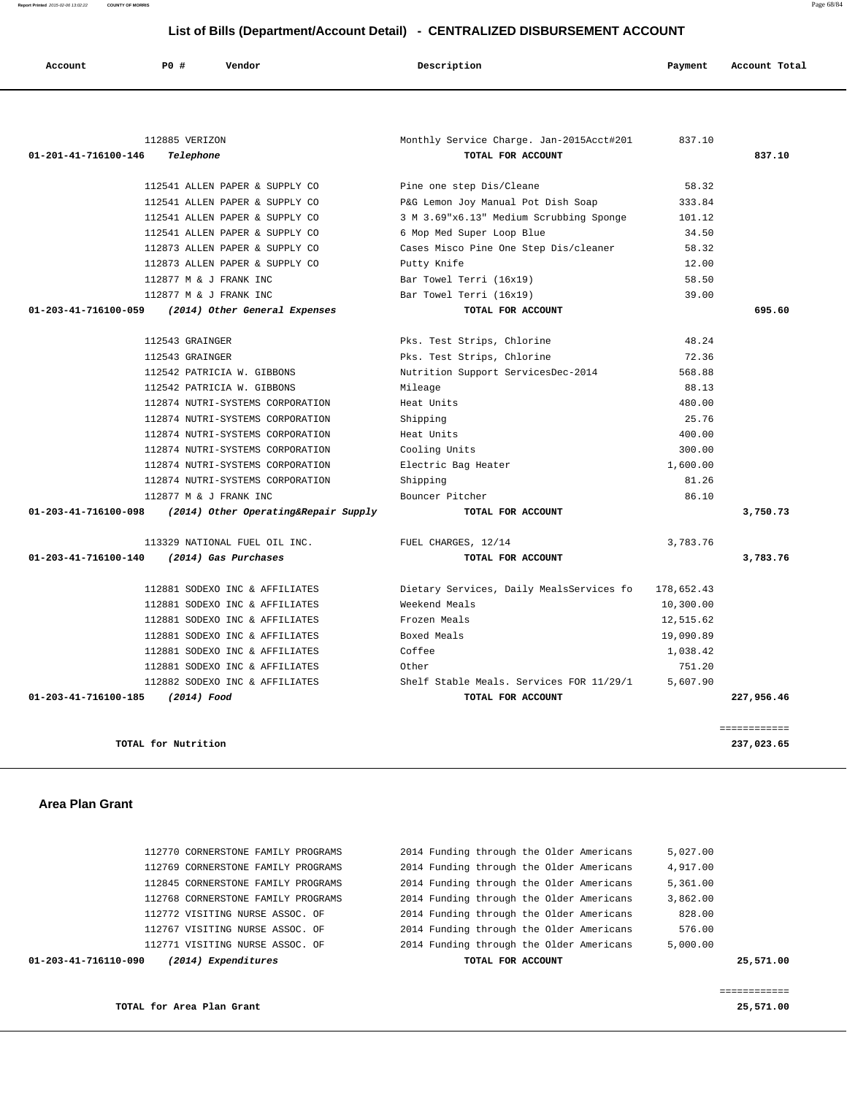**Report Printed** 2015-02-06 13:02:22 **COUNTY OF MORRIS** Page 68/84

### **List of Bills (Department/Account Detail) - CENTRALIZED DISBURSEMENT ACCOUNT**

| 112885 VERIZON<br>Monthly Service Charge. Jan-2015Acct#201<br>837.10<br>TOTAL FOR ACCOUNT<br>01-201-41-716100-146<br>Telephone<br>112541 ALLEN PAPER & SUPPLY CO<br>Pine one step Dis/Cleane<br>112541 ALLEN PAPER & SUPPLY CO<br>P&G Lemon Joy Manual Pot Dish Soap<br>333.84<br>3 M 3.69"x6.13" Medium Scrubbing Sponge<br>112541 ALLEN PAPER & SUPPLY CO<br>101.12<br>112541 ALLEN PAPER & SUPPLY CO<br>34.50<br>6 Mop Med Super Loop Blue<br>112873 ALLEN PAPER & SUPPLY CO<br>Cases Misco Pine One Step Dis/cleaner<br>112873 ALLEN PAPER & SUPPLY CO<br>Putty Knife<br>112877 M & J FRANK INC<br>Bar Towel Terri (16x19)<br>112877 M & J FRANK INC<br>Bar Towel Terri (16x19)<br>01-203-41-716100-059<br>(2014) Other General Expenses<br>TOTAL FOR ACCOUNT<br>48.24<br>112543 GRAINGER<br>Pks. Test Strips, Chlorine<br>72.36<br>112543 GRAINGER<br>Pks. Test Strips, Chlorine<br>Nutrition Support ServicesDec-2014<br>568.88<br>112542 PATRICIA W. GIBBONS<br>88.13<br>112542 PATRICIA W. GIBBONS<br>Mileage<br>112874 NUTRI-SYSTEMS CORPORATION<br>Heat Units<br>480.00<br>25.76<br>112874 NUTRI-SYSTEMS CORPORATION<br>Shipping<br>112874 NUTRI-SYSTEMS CORPORATION<br>Heat Units<br>400.00<br>Cooling Units<br>300.00<br>112874 NUTRI-SYSTEMS CORPORATION<br>112874 NUTRI-SYSTEMS CORPORATION<br>1,600.00<br>Electric Bag Heater<br>112874 NUTRI-SYSTEMS CORPORATION<br>Shipping<br>81.26<br>112877 M & J FRANK INC<br>Bouncer Pitcher<br>01-203-41-716100-098<br>(2014) Other Operating&Repair Supply<br>TOTAL FOR ACCOUNT<br>113329 NATIONAL FUEL OIL INC.<br>FUEL CHARGES, 12/14<br>3,783.76 | 837.10<br>58.32<br>58.32<br>12.00<br>58.50<br>39.00<br>695.60 |
|-------------------------------------------------------------------------------------------------------------------------------------------------------------------------------------------------------------------------------------------------------------------------------------------------------------------------------------------------------------------------------------------------------------------------------------------------------------------------------------------------------------------------------------------------------------------------------------------------------------------------------------------------------------------------------------------------------------------------------------------------------------------------------------------------------------------------------------------------------------------------------------------------------------------------------------------------------------------------------------------------------------------------------------------------------------------------------------------------------------------------------------------------------------------------------------------------------------------------------------------------------------------------------------------------------------------------------------------------------------------------------------------------------------------------------------------------------------------------------------------------------------------------------------------------------------------------------------------------------------|---------------------------------------------------------------|
|                                                                                                                                                                                                                                                                                                                                                                                                                                                                                                                                                                                                                                                                                                                                                                                                                                                                                                                                                                                                                                                                                                                                                                                                                                                                                                                                                                                                                                                                                                                                                                                                             |                                                               |
|                                                                                                                                                                                                                                                                                                                                                                                                                                                                                                                                                                                                                                                                                                                                                                                                                                                                                                                                                                                                                                                                                                                                                                                                                                                                                                                                                                                                                                                                                                                                                                                                             |                                                               |
|                                                                                                                                                                                                                                                                                                                                                                                                                                                                                                                                                                                                                                                                                                                                                                                                                                                                                                                                                                                                                                                                                                                                                                                                                                                                                                                                                                                                                                                                                                                                                                                                             |                                                               |
|                                                                                                                                                                                                                                                                                                                                                                                                                                                                                                                                                                                                                                                                                                                                                                                                                                                                                                                                                                                                                                                                                                                                                                                                                                                                                                                                                                                                                                                                                                                                                                                                             |                                                               |
|                                                                                                                                                                                                                                                                                                                                                                                                                                                                                                                                                                                                                                                                                                                                                                                                                                                                                                                                                                                                                                                                                                                                                                                                                                                                                                                                                                                                                                                                                                                                                                                                             |                                                               |
|                                                                                                                                                                                                                                                                                                                                                                                                                                                                                                                                                                                                                                                                                                                                                                                                                                                                                                                                                                                                                                                                                                                                                                                                                                                                                                                                                                                                                                                                                                                                                                                                             |                                                               |
|                                                                                                                                                                                                                                                                                                                                                                                                                                                                                                                                                                                                                                                                                                                                                                                                                                                                                                                                                                                                                                                                                                                                                                                                                                                                                                                                                                                                                                                                                                                                                                                                             |                                                               |
|                                                                                                                                                                                                                                                                                                                                                                                                                                                                                                                                                                                                                                                                                                                                                                                                                                                                                                                                                                                                                                                                                                                                                                                                                                                                                                                                                                                                                                                                                                                                                                                                             |                                                               |
|                                                                                                                                                                                                                                                                                                                                                                                                                                                                                                                                                                                                                                                                                                                                                                                                                                                                                                                                                                                                                                                                                                                                                                                                                                                                                                                                                                                                                                                                                                                                                                                                             |                                                               |
|                                                                                                                                                                                                                                                                                                                                                                                                                                                                                                                                                                                                                                                                                                                                                                                                                                                                                                                                                                                                                                                                                                                                                                                                                                                                                                                                                                                                                                                                                                                                                                                                             |                                                               |
|                                                                                                                                                                                                                                                                                                                                                                                                                                                                                                                                                                                                                                                                                                                                                                                                                                                                                                                                                                                                                                                                                                                                                                                                                                                                                                                                                                                                                                                                                                                                                                                                             |                                                               |
|                                                                                                                                                                                                                                                                                                                                                                                                                                                                                                                                                                                                                                                                                                                                                                                                                                                                                                                                                                                                                                                                                                                                                                                                                                                                                                                                                                                                                                                                                                                                                                                                             |                                                               |
|                                                                                                                                                                                                                                                                                                                                                                                                                                                                                                                                                                                                                                                                                                                                                                                                                                                                                                                                                                                                                                                                                                                                                                                                                                                                                                                                                                                                                                                                                                                                                                                                             |                                                               |
|                                                                                                                                                                                                                                                                                                                                                                                                                                                                                                                                                                                                                                                                                                                                                                                                                                                                                                                                                                                                                                                                                                                                                                                                                                                                                                                                                                                                                                                                                                                                                                                                             |                                                               |
|                                                                                                                                                                                                                                                                                                                                                                                                                                                                                                                                                                                                                                                                                                                                                                                                                                                                                                                                                                                                                                                                                                                                                                                                                                                                                                                                                                                                                                                                                                                                                                                                             |                                                               |
|                                                                                                                                                                                                                                                                                                                                                                                                                                                                                                                                                                                                                                                                                                                                                                                                                                                                                                                                                                                                                                                                                                                                                                                                                                                                                                                                                                                                                                                                                                                                                                                                             |                                                               |
|                                                                                                                                                                                                                                                                                                                                                                                                                                                                                                                                                                                                                                                                                                                                                                                                                                                                                                                                                                                                                                                                                                                                                                                                                                                                                                                                                                                                                                                                                                                                                                                                             |                                                               |
|                                                                                                                                                                                                                                                                                                                                                                                                                                                                                                                                                                                                                                                                                                                                                                                                                                                                                                                                                                                                                                                                                                                                                                                                                                                                                                                                                                                                                                                                                                                                                                                                             |                                                               |
|                                                                                                                                                                                                                                                                                                                                                                                                                                                                                                                                                                                                                                                                                                                                                                                                                                                                                                                                                                                                                                                                                                                                                                                                                                                                                                                                                                                                                                                                                                                                                                                                             |                                                               |
|                                                                                                                                                                                                                                                                                                                                                                                                                                                                                                                                                                                                                                                                                                                                                                                                                                                                                                                                                                                                                                                                                                                                                                                                                                                                                                                                                                                                                                                                                                                                                                                                             |                                                               |
|                                                                                                                                                                                                                                                                                                                                                                                                                                                                                                                                                                                                                                                                                                                                                                                                                                                                                                                                                                                                                                                                                                                                                                                                                                                                                                                                                                                                                                                                                                                                                                                                             |                                                               |
|                                                                                                                                                                                                                                                                                                                                                                                                                                                                                                                                                                                                                                                                                                                                                                                                                                                                                                                                                                                                                                                                                                                                                                                                                                                                                                                                                                                                                                                                                                                                                                                                             |                                                               |
|                                                                                                                                                                                                                                                                                                                                                                                                                                                                                                                                                                                                                                                                                                                                                                                                                                                                                                                                                                                                                                                                                                                                                                                                                                                                                                                                                                                                                                                                                                                                                                                                             | 86.10                                                         |
|                                                                                                                                                                                                                                                                                                                                                                                                                                                                                                                                                                                                                                                                                                                                                                                                                                                                                                                                                                                                                                                                                                                                                                                                                                                                                                                                                                                                                                                                                                                                                                                                             | 3,750.73                                                      |
|                                                                                                                                                                                                                                                                                                                                                                                                                                                                                                                                                                                                                                                                                                                                                                                                                                                                                                                                                                                                                                                                                                                                                                                                                                                                                                                                                                                                                                                                                                                                                                                                             |                                                               |
| 01-203-41-716100-140<br>(2014) Gas Purchases<br>TOTAL FOR ACCOUNT                                                                                                                                                                                                                                                                                                                                                                                                                                                                                                                                                                                                                                                                                                                                                                                                                                                                                                                                                                                                                                                                                                                                                                                                                                                                                                                                                                                                                                                                                                                                           | 3,783.76                                                      |
| Dietary Services, Daily MealsServices fo<br>112881 SODEXO INC & AFFILIATES<br>178,652.43                                                                                                                                                                                                                                                                                                                                                                                                                                                                                                                                                                                                                                                                                                                                                                                                                                                                                                                                                                                                                                                                                                                                                                                                                                                                                                                                                                                                                                                                                                                    |                                                               |
| 112881 SODEXO INC & AFFILIATES<br>Weekend Meals<br>10,300.00                                                                                                                                                                                                                                                                                                                                                                                                                                                                                                                                                                                                                                                                                                                                                                                                                                                                                                                                                                                                                                                                                                                                                                                                                                                                                                                                                                                                                                                                                                                                                |                                                               |
| 112881 SODEXO INC & AFFILIATES<br>Frozen Meals<br>12,515.62                                                                                                                                                                                                                                                                                                                                                                                                                                                                                                                                                                                                                                                                                                                                                                                                                                                                                                                                                                                                                                                                                                                                                                                                                                                                                                                                                                                                                                                                                                                                                 |                                                               |
| 112881 SODEXO INC & AFFILIATES<br>Boxed Meals<br>19,090.89                                                                                                                                                                                                                                                                                                                                                                                                                                                                                                                                                                                                                                                                                                                                                                                                                                                                                                                                                                                                                                                                                                                                                                                                                                                                                                                                                                                                                                                                                                                                                  |                                                               |
| 112881 SODEXO INC & AFFILIATES<br>Coffee<br>1,038.42                                                                                                                                                                                                                                                                                                                                                                                                                                                                                                                                                                                                                                                                                                                                                                                                                                                                                                                                                                                                                                                                                                                                                                                                                                                                                                                                                                                                                                                                                                                                                        |                                                               |
| 112881 SODEXO INC & AFFILIATES<br>Other<br>751.20                                                                                                                                                                                                                                                                                                                                                                                                                                                                                                                                                                                                                                                                                                                                                                                                                                                                                                                                                                                                                                                                                                                                                                                                                                                                                                                                                                                                                                                                                                                                                           |                                                               |
| 5,607.90<br>112882 SODEXO INC & AFFILIATES<br>Shelf Stable Meals. Services FOR 11/29/1                                                                                                                                                                                                                                                                                                                                                                                                                                                                                                                                                                                                                                                                                                                                                                                                                                                                                                                                                                                                                                                                                                                                                                                                                                                                                                                                                                                                                                                                                                                      |                                                               |
| 01-203-41-716100-185<br>(2014) Food<br>TOTAL FOR ACCOUNT                                                                                                                                                                                                                                                                                                                                                                                                                                                                                                                                                                                                                                                                                                                                                                                                                                                                                                                                                                                                                                                                                                                                                                                                                                                                                                                                                                                                                                                                                                                                                    | 227,956.46                                                    |
|                                                                                                                                                                                                                                                                                                                                                                                                                                                                                                                                                                                                                                                                                                                                                                                                                                                                                                                                                                                                                                                                                                                                                                                                                                                                                                                                                                                                                                                                                                                                                                                                             | ============                                                  |
| TOTAL for Nutrition                                                                                                                                                                                                                                                                                                                                                                                                                                                                                                                                                                                                                                                                                                                                                                                                                                                                                                                                                                                                                                                                                                                                                                                                                                                                                                                                                                                                                                                                                                                                                                                         | 237,023.65                                                    |
|                                                                                                                                                                                                                                                                                                                                                                                                                                                                                                                                                                                                                                                                                                                                                                                                                                                                                                                                                                                                                                                                                                                                                                                                                                                                                                                                                                                                                                                                                                                                                                                                             |                                                               |

### **Area Plan Grant**

| 01-203-41-716110-090 | (2014) Expenditures                | TOTAL FOR ACCOUNT                        | 25,571.00 |
|----------------------|------------------------------------|------------------------------------------|-----------|
|                      | 112771 VISITING NURSE ASSOC. OF    | 2014 Funding through the Older Americans | 5,000.00  |
|                      | 112767 VISITING NURSE ASSOC. OF    | 2014 Funding through the Older Americans | 576.00    |
|                      | 112772 VISITING NURSE ASSOC. OF    | 2014 Funding through the Older Americans | 828.00    |
|                      | 112768 CORNERSTONE FAMILY PROGRAMS | 2014 Funding through the Older Americans | 3,862.00  |
|                      | 112845 CORNERSTONE FAMILY PROGRAMS | 2014 Funding through the Older Americans | 5,361.00  |
|                      | 112769 CORNERSTONE FAMILY PROGRAMS | 2014 Funding through the Older Americans | 4,917.00  |
|                      | 112770 CORNERSTONE FAMILY PROGRAMS | 2014 Funding through the Older Americans | 5,027.00  |
|                      |                                    |                                          |           |

============

**TOTAL for Area Plan Grant 25,571.00**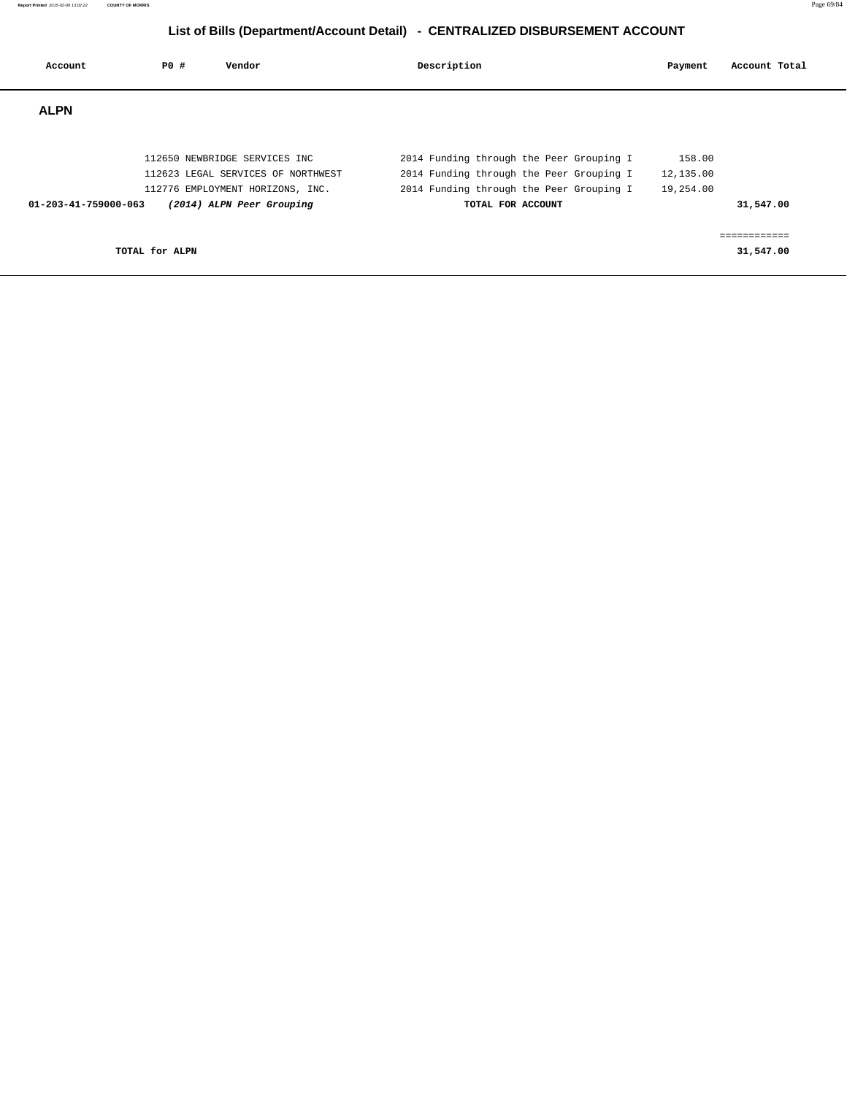| Account              | PO#            | Vendor                                                                                                                               | Description |                                                                                                                                                       | Payment                          | Account Total             |
|----------------------|----------------|--------------------------------------------------------------------------------------------------------------------------------------|-------------|-------------------------------------------------------------------------------------------------------------------------------------------------------|----------------------------------|---------------------------|
| <b>ALPN</b>          |                |                                                                                                                                      |             |                                                                                                                                                       |                                  |                           |
| 01-203-41-759000-063 |                | 112650 NEWBRIDGE SERVICES INC<br>112623 LEGAL SERVICES OF NORTHWEST<br>112776 EMPLOYMENT HORIZONS, INC.<br>(2014) ALPN Peer Grouping |             | 2014 Funding through the Peer Grouping I<br>2014 Funding through the Peer Grouping I<br>2014 Funding through the Peer Grouping I<br>TOTAL FOR ACCOUNT | 158.00<br>12,135.00<br>19,254.00 | 31,547.00                 |
|                      | TOTAL for ALPN |                                                                                                                                      |             |                                                                                                                                                       |                                  | ============<br>31,547.00 |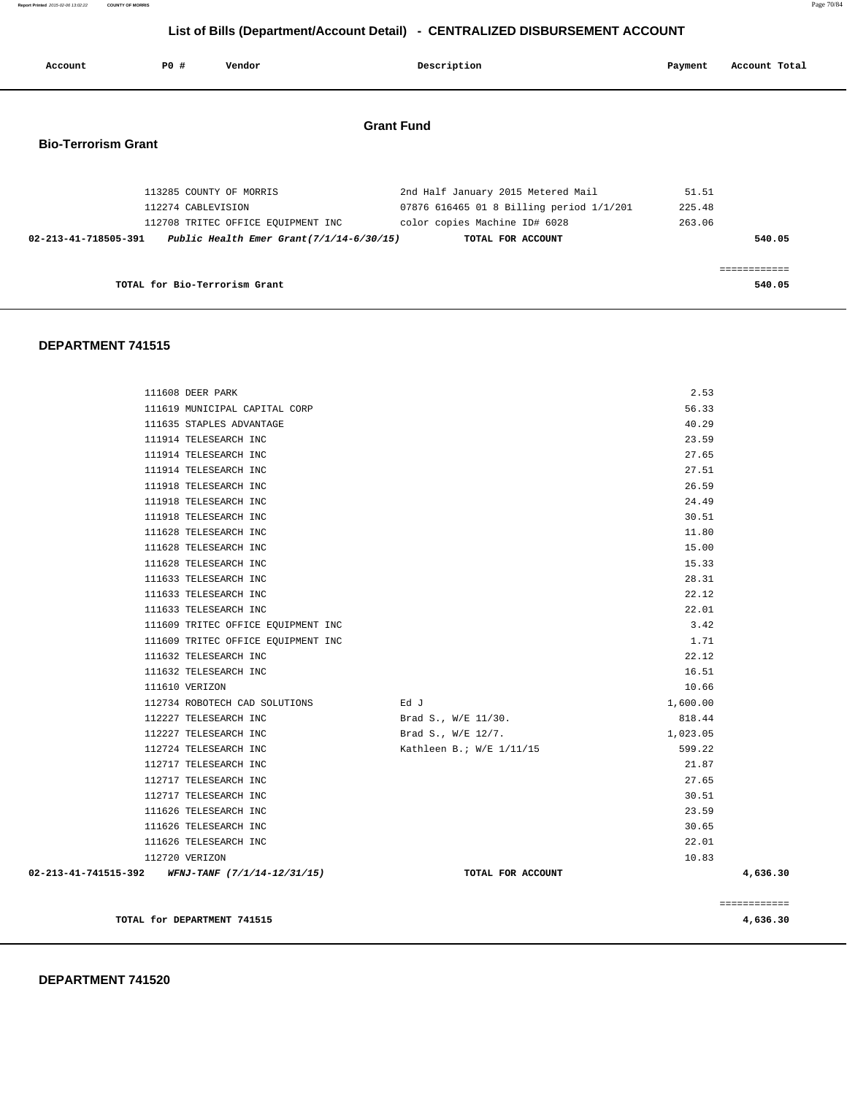### **DEPARTMENT 741520**

| TOTAL LOL BIO-TELLOLISM GLANC                    |                          |          | <b>540.05</b> |
|--------------------------------------------------|--------------------------|----------|---------------|
|                                                  |                          |          |               |
| DEPARTMENT 741515                                |                          |          |               |
|                                                  |                          |          |               |
| 111608 DEER PARK                                 |                          | 2.53     |               |
| 111619 MUNICIPAL CAPITAL CORP                    |                          | 56.33    |               |
| 111635 STAPLES ADVANTAGE                         |                          | 40.29    |               |
| 111914 TELESEARCH INC                            |                          | 23.59    |               |
| 111914 TELESEARCH INC                            |                          | 27.65    |               |
| 111914 TELESEARCH INC                            |                          | 27.51    |               |
| 111918 TELESEARCH INC                            |                          | 26.59    |               |
| 111918 TELESEARCH INC                            |                          | 24.49    |               |
| 111918 TELESEARCH INC                            |                          | 30.51    |               |
| 111628 TELESEARCH INC                            |                          | 11.80    |               |
| 111628 TELESEARCH INC                            |                          | 15.00    |               |
| 111628 TELESEARCH INC                            |                          | 15.33    |               |
| 111633 TELESEARCH INC                            |                          | 28.31    |               |
| 111633 TELESEARCH INC                            |                          | 22.12    |               |
| 111633 TELESEARCH INC                            |                          | 22.01    |               |
| 111609 TRITEC OFFICE EQUIPMENT INC               |                          | 3.42     |               |
| 111609 TRITEC OFFICE EQUIPMENT INC               |                          | 1.71     |               |
| 111632 TELESEARCH INC                            |                          | 22.12    |               |
| 111632 TELESEARCH INC                            |                          | 16.51    |               |
| 111610 VERIZON                                   |                          | 10.66    |               |
| 112734 ROBOTECH CAD SOLUTIONS                    | Ed J                     | 1,600.00 |               |
| 112227 TELESEARCH INC                            | Brad S., W/E 11/30.      | 818.44   |               |
| 112227 TELESEARCH INC                            | Brad S., W/E 12/7.       | 1,023.05 |               |
| 112724 TELESEARCH INC                            | Kathleen B.; W/E 1/11/15 | 599.22   |               |
| 112717 TELESEARCH INC                            |                          | 21.87    |               |
| 112717 TELESEARCH INC                            |                          | 27.65    |               |
| 112717 TELESEARCH INC                            |                          | 30.51    |               |
| 111626 TELESEARCH INC                            |                          | 23.59    |               |
| 111626 TELESEARCH INC                            |                          | 30.65    |               |
| 111626 TELESEARCH INC                            |                          | 22.01    |               |
| 112720 VERIZON                                   |                          | 10.83    |               |
| 02-213-41-741515-392 WFNJ-TANF (7/1/14-12/31/15) | TOTAL FOR ACCOUNT        |          | 4,636.30      |
|                                                  |                          |          | ============  |
| TOTAL for DEPARTMENT 741515                      |                          |          | 4,636.30      |

| 02-213-41-718505-391 | Public Health Emer Grant $(7/1/14-6/30/15)$ | TOTAL FOR ACCOUNT                        | 540.05 |
|----------------------|---------------------------------------------|------------------------------------------|--------|
|                      | 112708 TRITEC OFFICE EQUIPMENT INC          | color copies Machine ID# 6028            | 263.06 |
|                      | 112274 CABLEVISION                          | 07876 616465 01 8 Billing period 1/1/201 | 225.48 |
|                      | 113285 COUNTY OF MORRIS                     | 2nd Half January 2015 Metered Mail       | 51.51  |

**Grant Fund** 

# **Bio-Terrorism Grant**

| List of Bills (Department/Account Detail) - CENTRALIZED DISBURSEMENT ACCOUNT |  |
|------------------------------------------------------------------------------|--|
|------------------------------------------------------------------------------|--|

Account **PO #** Vendor **Description Description Payment** Account Total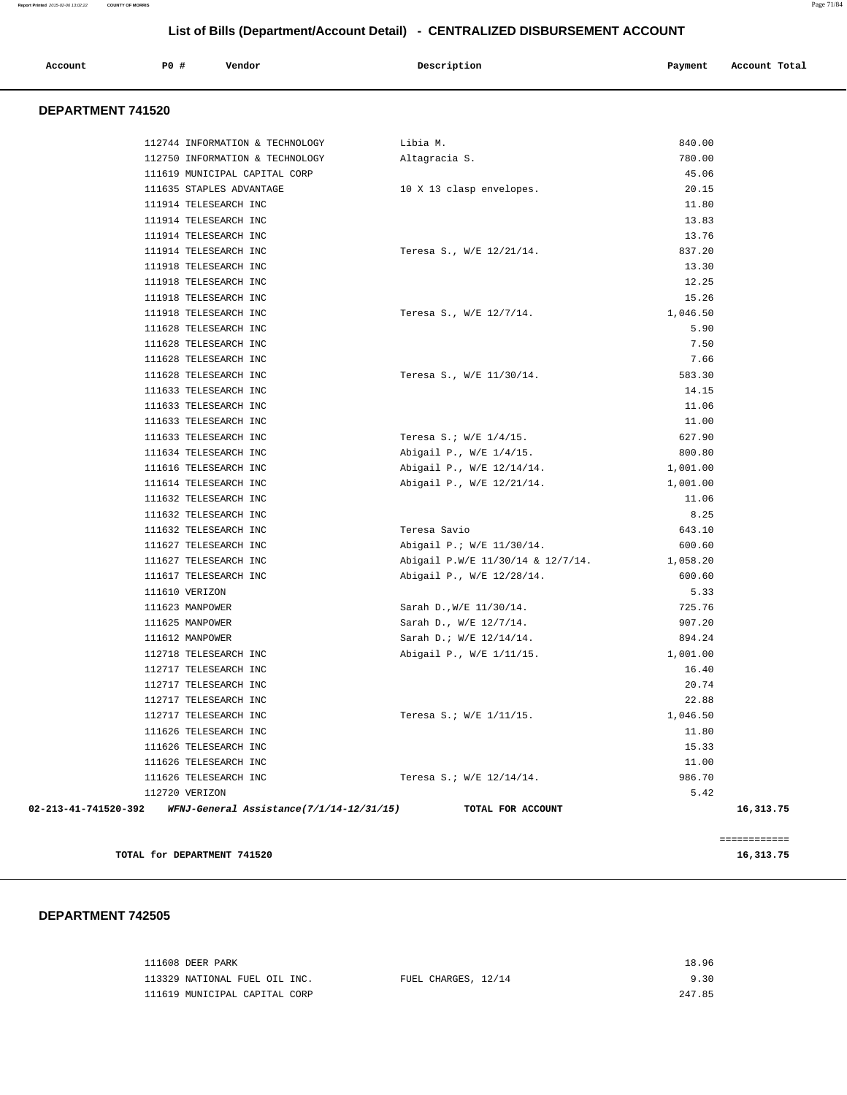|  | Account | P0 # | Vendor | Description | Payment | Account Total |
|--|---------|------|--------|-------------|---------|---------------|
|--|---------|------|--------|-------------|---------|---------------|

### **DEPARTMENT 741520**

|                      | 112744 INFORMATION & TECHNOLOGY          | Libia M.                          | 840.00   |              |
|----------------------|------------------------------------------|-----------------------------------|----------|--------------|
|                      | 112750 INFORMATION & TECHNOLOGY          | Altagracia S.                     | 780.00   |              |
|                      | 111619 MUNICIPAL CAPITAL CORP            |                                   | 45.06    |              |
|                      | 111635 STAPLES ADVANTAGE                 | 10 X 13 clasp envelopes.          | 20.15    |              |
|                      | 111914 TELESEARCH INC                    |                                   | 11.80    |              |
|                      | 111914 TELESEARCH INC                    |                                   | 13.83    |              |
|                      | 111914 TELESEARCH INC                    |                                   | 13.76    |              |
|                      | 111914 TELESEARCH INC                    | Teresa S., W/E 12/21/14.          | 837.20   |              |
|                      | 111918 TELESEARCH INC                    |                                   | 13.30    |              |
|                      | 111918 TELESEARCH INC                    |                                   | 12.25    |              |
|                      | 111918 TELESEARCH INC                    |                                   | 15.26    |              |
|                      | 111918 TELESEARCH INC                    | Teresa S., W/E 12/7/14.           | 1,046.50 |              |
|                      | 111628 TELESEARCH INC                    |                                   | 5.90     |              |
|                      | 111628 TELESEARCH INC                    |                                   | 7.50     |              |
|                      | 111628 TELESEARCH INC                    |                                   | 7.66     |              |
|                      | 111628 TELESEARCH INC                    | Teresa S., W/E 11/30/14.          | 583.30   |              |
|                      | 111633 TELESEARCH INC                    |                                   | 14.15    |              |
|                      | 111633 TELESEARCH INC                    |                                   | 11.06    |              |
|                      | 111633 TELESEARCH INC                    |                                   | 11.00    |              |
|                      | 111633 TELESEARCH INC                    | Teresa S.; $W/E$ 1/4/15.          | 627.90   |              |
|                      | 111634 TELESEARCH INC                    | Abigail P., W/E 1/4/15.           | 800.80   |              |
|                      | 111616 TELESEARCH INC                    | Abigail P., W/E 12/14/14.         | 1,001.00 |              |
|                      | 111614 TELESEARCH INC                    | Abigail P., W/E 12/21/14.         | 1,001.00 |              |
|                      | 111632 TELESEARCH INC                    |                                   | 11.06    |              |
|                      | 111632 TELESEARCH INC                    |                                   | 8.25     |              |
|                      | 111632 TELESEARCH INC                    | Teresa Savio                      | 643.10   |              |
|                      | 111627 TELESEARCH INC                    | Abigail P.; W/E 11/30/14.         | 600.60   |              |
|                      | 111627 TELESEARCH INC                    | Abigail P.W/E 11/30/14 & 12/7/14. | 1,058.20 |              |
|                      | 111617 TELESEARCH INC                    | Abigail P., W/E 12/28/14.         | 600.60   |              |
|                      | 111610 VERIZON                           |                                   | 5.33     |              |
|                      | 111623 MANPOWER                          | Sarah D., W/E 11/30/14.           | 725.76   |              |
|                      | 111625 MANPOWER                          | Sarah D., W/E 12/7/14.            | 907.20   |              |
|                      | 111612 MANPOWER                          | Sarah D.; W/E 12/14/14.           | 894.24   |              |
|                      | 112718 TELESEARCH INC                    | Abigail P., W/E 1/11/15.          | 1,001.00 |              |
|                      | 112717 TELESEARCH INC                    |                                   | 16.40    |              |
|                      | 112717 TELESEARCH INC                    |                                   | 20.74    |              |
|                      | 112717 TELESEARCH INC                    |                                   | 22.88    |              |
|                      | 112717 TELESEARCH INC                    | Teresa S.; W/E 1/11/15.           | 1,046.50 |              |
|                      | 111626 TELESEARCH INC                    |                                   | 11.80    |              |
|                      | 111626 TELESEARCH INC                    |                                   | 15.33    |              |
|                      | 111626 TELESEARCH INC                    |                                   | 11.00    |              |
|                      | 111626 TELESEARCH INC                    | Teresa S.; W/E 12/14/14.          | 986.70   |              |
| 112720 VERIZON       |                                          |                                   | 5.42     |              |
| 02-213-41-741520-392 | WFNJ-General Assistance(7/1/14-12/31/15) | TOTAL FOR ACCOUNT                 |          | 16,313.75    |
|                      |                                          |                                   |          | ============ |

**TOTAL for DEPARTMENT 741520** 16,313.75

### **DEPARTMENT 742505**

| 111608 DEER PARK              |                     | 18.96  |
|-------------------------------|---------------------|--------|
| 113329 NATIONAL FUEL OIL INC. | FUEL CHARGES, 12/14 | 9.30   |
| 111619 MUNICIPAL CAPITAL CORP |                     | 247.85 |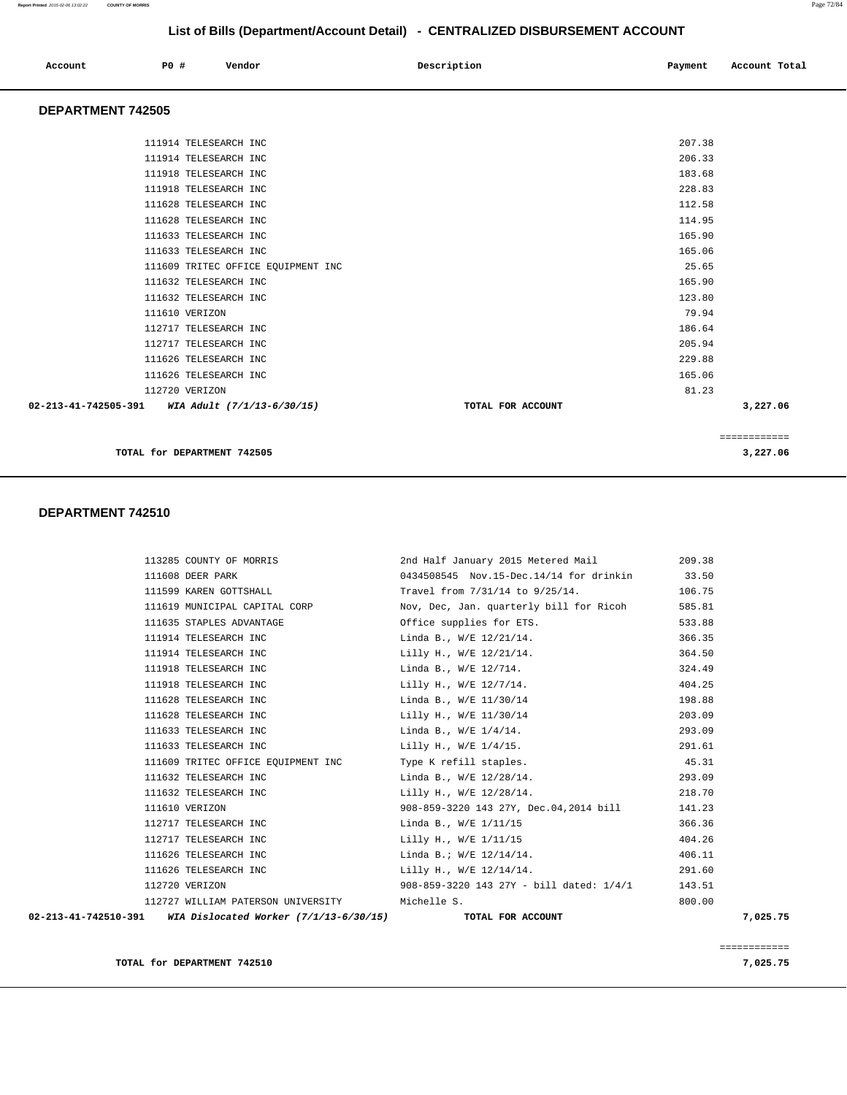| Account | P0 # | Vendor | Description | Payment | Account Total |
|---------|------|--------|-------------|---------|---------------|
|         |      |        |             |         |               |

### **DEPARTMENT 742505**

| TOTAL for DEPARTMENT 742505                     |                   | ============<br>3,227.06 |  |
|-------------------------------------------------|-------------------|--------------------------|--|
|                                                 |                   |                          |  |
| 02-213-41-742505-391 WIA Adult (7/1/13-6/30/15) | TOTAL FOR ACCOUNT | 3,227.06                 |  |
| 112720 VERIZON                                  |                   | 81.23                    |  |
| 111626 TELESEARCH INC                           |                   | 165.06                   |  |
| 111626 TELESEARCH INC                           |                   | 229.88                   |  |
| 112717 TELESEARCH INC                           |                   | 205.94                   |  |
| 112717 TELESEARCH INC                           |                   | 186.64                   |  |
| 111610 VERIZON                                  |                   | 79.94                    |  |
| 111632 TELESEARCH INC                           |                   | 123.80                   |  |
| 111632 TELESEARCH INC                           |                   | 165.90                   |  |
| 111609 TRITEC OFFICE EQUIPMENT INC              |                   | 25.65                    |  |
| 111633 TELESEARCH INC                           |                   | 165.06                   |  |
| 111633 TELESEARCH INC                           |                   | 165.90                   |  |
| 111628 TELESEARCH INC                           |                   | 114.95                   |  |
| 111628 TELESEARCH INC                           |                   | 112.58                   |  |
| 111918 TELESEARCH INC                           |                   | 228.83                   |  |
| 111918 TELESEARCH INC                           |                   | 183.68                   |  |
| 111914 TELESEARCH INC                           |                   | 206.33                   |  |
| 111914 TELESEARCH INC                           |                   | 207.38                   |  |
|                                                 |                   |                          |  |

### **DEPARTMENT 742510**

| 02-213-41-742510-391 WIA Dislocated Worker (7/1/13-6/30/15) |                                                | TOTAL FOR ACCOUNT                                                     | 7,025.75 |
|-------------------------------------------------------------|------------------------------------------------|-----------------------------------------------------------------------|----------|
|                                                             | 112727 WILLIAM PATERSON UNIVERSITY Michelle S. |                                                                       | 800.00   |
| 112720 VERIZON                                              |                                                | 908-859-3220 143 27Y - bill dated: 1/4/1                              | 143.51   |
| 111626 TELESEARCH INC                                       |                                                | Lilly H., W/E 12/14/14.                                               | 291.60   |
| 111626 TELESEARCH INC                                       |                                                | Linda B.; W/E 12/14/14.                                               | 406.11   |
| 112717 TELESEARCH INC                                       |                                                | Lilly H., W/E 1/11/15                                                 | 404.26   |
| 112717 TELESEARCH INC                                       |                                                | Linda B., W/E 1/11/15                                                 | 366.36   |
| 111610 VERIZON                                              |                                                | 908-859-3220 143 27Y, Dec.04,2014 bill                                | 141.23   |
| 111632 TELESEARCH INC                                       |                                                | Lilly H., W/E 12/28/14.                                               | 218.70   |
| 111632 TELESEARCH INC                                       |                                                | Linda B., W/E 12/28/14.                                               | 293.09   |
|                                                             |                                                | 111609 TRITEC OFFICE EQUIPMENT INC Type K refill staples.             | 45.31    |
| 111633 TELESEARCH INC                                       |                                                | Lilly H., W/E 1/4/15.                                                 | 291.61   |
| 111633 TELESEARCH INC                                       |                                                | Linda B., W/E 1/4/14.                                                 | 293.09   |
| 111628 TELESEARCH INC                                       |                                                | Lilly H., W/E 11/30/14                                                | 203.09   |
| 111628 TELESEARCH INC                                       |                                                | Linda B., W/E 11/30/14                                                | 198.88   |
| 111918 TELESEARCH INC                                       |                                                | Lilly H., W/E 12/7/14.                                                | 404.25   |
| 111918 TELESEARCH INC                                       |                                                | Linda B., W/E 12/714.                                                 | 324.49   |
| 111914 TELESEARCH INC                                       |                                                | Lilly H., W/E 12/21/14.                                               | 364.50   |
| 111914 TELESEARCH INC                                       |                                                | Linda B., W/E 12/21/14.                                               | 366.35   |
| 111635 STAPLES ADVANTAGE                                    |                                                | Office supplies for ETS.                                              | 533.88   |
|                                                             |                                                | 111619 MUNICIPAL CAPITAL CORP Nov, Dec, Jan. quarterly bill for Ricoh | 585.81   |
|                                                             | 111599 KAREN GOTTSHALL                         | Travel from 7/31/14 to 9/25/14.                                       | 106.75   |
| 111608 DEER PARK                                            |                                                | 0434508545 Nov.15-Dec.14/14 for drinkin 33.50                         |          |
|                                                             |                                                | 113285 COUNTY OF MORRIS 2nd Half January 2015 Metered Mail            | 209.38   |

============

**TOTAL for DEPARTMENT 742510** 7,025.75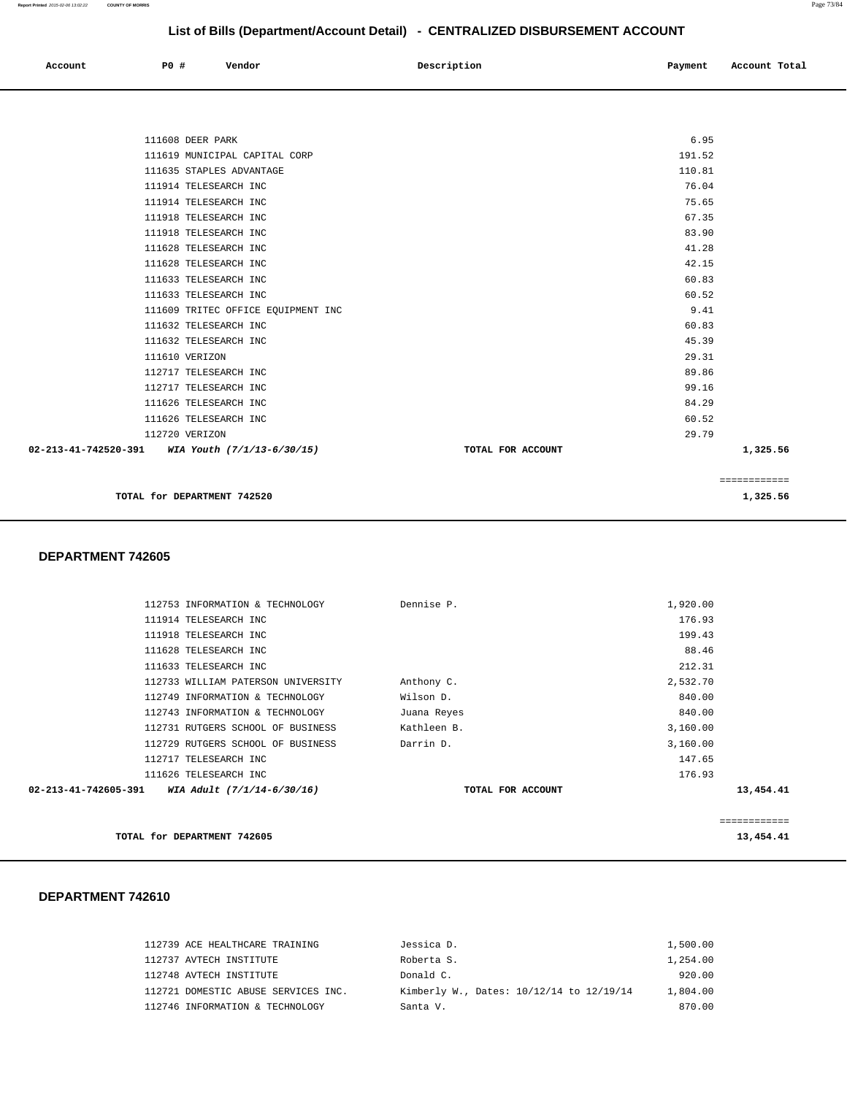| Account | P0 # | Vendor | Description | Payment | Account Total |
|---------|------|--------|-------------|---------|---------------|
|         |      |        |             |         |               |

| 111608 DEER PARK                                |                   | 6.95         |  |
|-------------------------------------------------|-------------------|--------------|--|
| 111619 MUNICIPAL CAPITAL CORP                   |                   | 191.52       |  |
| 111635 STAPLES ADVANTAGE                        |                   | 110.81       |  |
| 111914 TELESEARCH INC                           |                   | 76.04        |  |
| 111914 TELESEARCH INC                           |                   | 75.65        |  |
| 111918 TELESEARCH INC                           |                   | 67.35        |  |
| 111918 TELESEARCH INC                           |                   | 83.90        |  |
| 111628 TELESEARCH INC                           |                   | 41.28        |  |
| 111628 TELESEARCH INC                           |                   | 42.15        |  |
| 111633 TELESEARCH INC                           |                   | 60.83        |  |
| 111633 TELESEARCH INC                           |                   | 60.52        |  |
| 111609 TRITEC OFFICE EQUIPMENT INC              |                   | 9.41         |  |
| 111632 TELESEARCH INC                           |                   | 60.83        |  |
| 111632 TELESEARCH INC                           |                   | 45.39        |  |
| 111610 VERIZON                                  |                   | 29.31        |  |
| 112717 TELESEARCH INC                           |                   | 89.86        |  |
| 112717 TELESEARCH INC                           |                   | 99.16        |  |
| 111626 TELESEARCH INC                           |                   | 84.29        |  |
| 111626 TELESEARCH INC                           |                   | 60.52        |  |
| 112720 VERIZON                                  |                   | 29.79        |  |
| 02-213-41-742520-391 WIA Youth (7/1/13-6/30/15) | TOTAL FOR ACCOUNT | 1,325.56     |  |
|                                                 |                   |              |  |
|                                                 |                   | ============ |  |
| TOTAL for DEPARTMENT 742520                     |                   | 1,325.56     |  |

### **DEPARTMENT 742605**

|                      | 112753 INFORMATION & TECHNOLOGY    | Dennise P.        | 1,920.00 |              |
|----------------------|------------------------------------|-------------------|----------|--------------|
|                      | 111914 TELESEARCH INC              |                   | 176.93   |              |
|                      | 111918 TELESEARCH INC              |                   | 199.43   |              |
|                      | 111628 TELESEARCH INC              |                   | 88.46    |              |
|                      | 111633 TELESEARCH INC              |                   | 212.31   |              |
|                      | 112733 WILLIAM PATERSON UNIVERSITY | Anthony C.        | 2,532.70 |              |
|                      | 112749 INFORMATION & TECHNOLOGY    | Wilson D.         | 840.00   |              |
|                      | 112743 INFORMATION & TECHNOLOGY    | Juana Reyes       | 840.00   |              |
|                      | 112731 RUTGERS SCHOOL OF BUSINESS  | Kathleen B.       | 3,160.00 |              |
|                      | 112729 RUTGERS SCHOOL OF BUSINESS  | Darrin D.         | 3,160.00 |              |
|                      | 112717 TELESEARCH INC              |                   | 147.65   |              |
|                      | 111626 TELESEARCH INC              |                   | 176.93   |              |
| 02-213-41-742605-391 | WIA Adult (7/1/14-6/30/16)         | TOTAL FOR ACCOUNT |          | 13,454.41    |
|                      |                                    |                   |          |              |
|                      |                                    |                   |          | ============ |
|                      | TOTAL for DEPARTMENT 742605        |                   |          | 13,454.41    |

| 112739 ACE HEALTHCARE TRAINING      | Jessica D.                               | 1,500.00 |
|-------------------------------------|------------------------------------------|----------|
| 112737 AVTECH INSTITUTE             | Roberta S.                               | 1,254.00 |
| 112748 AVTECH INSTITUTE             | Donald C.                                | 920.00   |
| 112721 DOMESTIC ABUSE SERVICES INC. | Kimberly W., Dates: 10/12/14 to 12/19/14 | 1,804.00 |
| 112746 INFORMATION & TECHNOLOGY     | Santa V.                                 | 870.00   |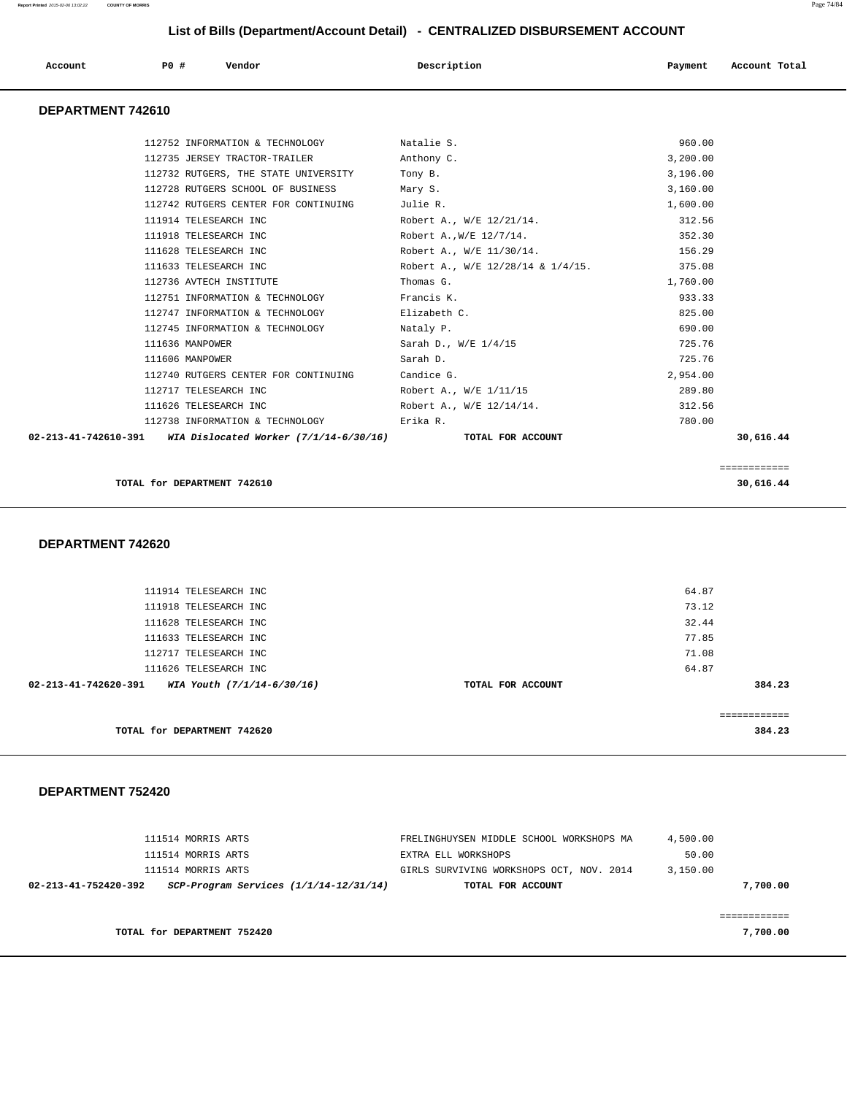| <b>PO #</b><br>Vendor<br>Description<br>Account<br>Payment<br>Account Total<br>DEPARTMENT 742610<br>960.00<br>112752 INFORMATION & TECHNOLOGY<br>Natalie S.<br>112735 JERSEY TRACTOR-TRAILER<br>Anthony C.<br>3,200.00<br>3,196.00<br>112732 RUTGERS, THE STATE UNIVERSITY<br>Tony B.<br>112728 RUTGERS SCHOOL OF BUSINESS<br>Mary S.<br>3,160.00<br>112742 RUTGERS CENTER FOR CONTINUING<br>Julie R.<br>1,600.00<br>111914 TELESEARCH INC<br>Robert A., W/E 12/21/14.<br>312.56<br>111918 TELESEARCH INC<br>Robert A., W/E 12/7/14.<br>352.30<br>111628 TELESEARCH INC<br>Robert A., W/E 11/30/14.<br>156.29<br>111633 TELESEARCH INC<br>Robert A., W/E 12/28/14 & 1/4/15.<br>375.08<br>112736 AVTECH INSTITUTE<br>1,760.00<br>Thomas G.<br>112751 INFORMATION & TECHNOLOGY<br>Francis K.<br>933.33<br>112747 INFORMATION & TECHNOLOGY<br>Elizabeth C.<br>825.00<br>112745 INFORMATION & TECHNOLOGY<br>Nataly P.<br>690.00<br>111636 MANPOWER<br>Sarah D., W/E 1/4/15<br>725.76<br>725.76<br>111606 MANPOWER<br>Sarah D.<br>112740 RUTGERS CENTER FOR CONTINUING<br>2,954.00<br>Candice G.<br>112717 TELESEARCH INC<br>Robert A., W/E 1/11/15<br>289.80<br>111626 TELESEARCH INC<br>Robert A., W/E 12/14/14.<br>312.56<br>780.00<br>112738 INFORMATION & TECHNOLOGY<br>Erika R.<br>02-213-41-742610-391<br>WIA Dislocated Worker $(7/1/14-6/30/16)$<br>TOTAL FOR ACCOUNT<br>30,616.44<br>============<br>TOTAL for DEPARTMENT 742610<br>30,616.44<br>DEPARTMENT 742620<br>64.87<br>111914 TELESEARCH INC<br>73.12<br>111918 TELESEARCH INC<br>111628 TELESEARCH INC<br>32.44<br>77.85<br>111633 TELESEARCH INC<br>71.08<br>112717 TELESEARCH INC<br>64.87<br>111626 TELESEARCH INC<br>02-213-41-742620-391<br>WIA Youth (7/1/14-6/30/16) |  | List of Dilis (DepartmentAccount Detail) - CLIVITALIZLD DISDONSLIVILIVI ACCOUNT |        |
|-------------------------------------------------------------------------------------------------------------------------------------------------------------------------------------------------------------------------------------------------------------------------------------------------------------------------------------------------------------------------------------------------------------------------------------------------------------------------------------------------------------------------------------------------------------------------------------------------------------------------------------------------------------------------------------------------------------------------------------------------------------------------------------------------------------------------------------------------------------------------------------------------------------------------------------------------------------------------------------------------------------------------------------------------------------------------------------------------------------------------------------------------------------------------------------------------------------------------------------------------------------------------------------------------------------------------------------------------------------------------------------------------------------------------------------------------------------------------------------------------------------------------------------------------------------------------------------------------------------------------------------------------------------------------------------------------------------------------------------------|--|---------------------------------------------------------------------------------|--------|
|                                                                                                                                                                                                                                                                                                                                                                                                                                                                                                                                                                                                                                                                                                                                                                                                                                                                                                                                                                                                                                                                                                                                                                                                                                                                                                                                                                                                                                                                                                                                                                                                                                                                                                                                           |  |                                                                                 |        |
|                                                                                                                                                                                                                                                                                                                                                                                                                                                                                                                                                                                                                                                                                                                                                                                                                                                                                                                                                                                                                                                                                                                                                                                                                                                                                                                                                                                                                                                                                                                                                                                                                                                                                                                                           |  |                                                                                 |        |
|                                                                                                                                                                                                                                                                                                                                                                                                                                                                                                                                                                                                                                                                                                                                                                                                                                                                                                                                                                                                                                                                                                                                                                                                                                                                                                                                                                                                                                                                                                                                                                                                                                                                                                                                           |  |                                                                                 |        |
|                                                                                                                                                                                                                                                                                                                                                                                                                                                                                                                                                                                                                                                                                                                                                                                                                                                                                                                                                                                                                                                                                                                                                                                                                                                                                                                                                                                                                                                                                                                                                                                                                                                                                                                                           |  |                                                                                 |        |
|                                                                                                                                                                                                                                                                                                                                                                                                                                                                                                                                                                                                                                                                                                                                                                                                                                                                                                                                                                                                                                                                                                                                                                                                                                                                                                                                                                                                                                                                                                                                                                                                                                                                                                                                           |  |                                                                                 |        |
|                                                                                                                                                                                                                                                                                                                                                                                                                                                                                                                                                                                                                                                                                                                                                                                                                                                                                                                                                                                                                                                                                                                                                                                                                                                                                                                                                                                                                                                                                                                                                                                                                                                                                                                                           |  |                                                                                 |        |
|                                                                                                                                                                                                                                                                                                                                                                                                                                                                                                                                                                                                                                                                                                                                                                                                                                                                                                                                                                                                                                                                                                                                                                                                                                                                                                                                                                                                                                                                                                                                                                                                                                                                                                                                           |  |                                                                                 |        |
|                                                                                                                                                                                                                                                                                                                                                                                                                                                                                                                                                                                                                                                                                                                                                                                                                                                                                                                                                                                                                                                                                                                                                                                                                                                                                                                                                                                                                                                                                                                                                                                                                                                                                                                                           |  |                                                                                 |        |
|                                                                                                                                                                                                                                                                                                                                                                                                                                                                                                                                                                                                                                                                                                                                                                                                                                                                                                                                                                                                                                                                                                                                                                                                                                                                                                                                                                                                                                                                                                                                                                                                                                                                                                                                           |  |                                                                                 |        |
|                                                                                                                                                                                                                                                                                                                                                                                                                                                                                                                                                                                                                                                                                                                                                                                                                                                                                                                                                                                                                                                                                                                                                                                                                                                                                                                                                                                                                                                                                                                                                                                                                                                                                                                                           |  |                                                                                 |        |
|                                                                                                                                                                                                                                                                                                                                                                                                                                                                                                                                                                                                                                                                                                                                                                                                                                                                                                                                                                                                                                                                                                                                                                                                                                                                                                                                                                                                                                                                                                                                                                                                                                                                                                                                           |  |                                                                                 |        |
|                                                                                                                                                                                                                                                                                                                                                                                                                                                                                                                                                                                                                                                                                                                                                                                                                                                                                                                                                                                                                                                                                                                                                                                                                                                                                                                                                                                                                                                                                                                                                                                                                                                                                                                                           |  |                                                                                 |        |
|                                                                                                                                                                                                                                                                                                                                                                                                                                                                                                                                                                                                                                                                                                                                                                                                                                                                                                                                                                                                                                                                                                                                                                                                                                                                                                                                                                                                                                                                                                                                                                                                                                                                                                                                           |  |                                                                                 |        |
|                                                                                                                                                                                                                                                                                                                                                                                                                                                                                                                                                                                                                                                                                                                                                                                                                                                                                                                                                                                                                                                                                                                                                                                                                                                                                                                                                                                                                                                                                                                                                                                                                                                                                                                                           |  |                                                                                 |        |
|                                                                                                                                                                                                                                                                                                                                                                                                                                                                                                                                                                                                                                                                                                                                                                                                                                                                                                                                                                                                                                                                                                                                                                                                                                                                                                                                                                                                                                                                                                                                                                                                                                                                                                                                           |  |                                                                                 |        |
|                                                                                                                                                                                                                                                                                                                                                                                                                                                                                                                                                                                                                                                                                                                                                                                                                                                                                                                                                                                                                                                                                                                                                                                                                                                                                                                                                                                                                                                                                                                                                                                                                                                                                                                                           |  |                                                                                 |        |
|                                                                                                                                                                                                                                                                                                                                                                                                                                                                                                                                                                                                                                                                                                                                                                                                                                                                                                                                                                                                                                                                                                                                                                                                                                                                                                                                                                                                                                                                                                                                                                                                                                                                                                                                           |  |                                                                                 |        |
|                                                                                                                                                                                                                                                                                                                                                                                                                                                                                                                                                                                                                                                                                                                                                                                                                                                                                                                                                                                                                                                                                                                                                                                                                                                                                                                                                                                                                                                                                                                                                                                                                                                                                                                                           |  |                                                                                 |        |
|                                                                                                                                                                                                                                                                                                                                                                                                                                                                                                                                                                                                                                                                                                                                                                                                                                                                                                                                                                                                                                                                                                                                                                                                                                                                                                                                                                                                                                                                                                                                                                                                                                                                                                                                           |  |                                                                                 |        |
|                                                                                                                                                                                                                                                                                                                                                                                                                                                                                                                                                                                                                                                                                                                                                                                                                                                                                                                                                                                                                                                                                                                                                                                                                                                                                                                                                                                                                                                                                                                                                                                                                                                                                                                                           |  |                                                                                 |        |
|                                                                                                                                                                                                                                                                                                                                                                                                                                                                                                                                                                                                                                                                                                                                                                                                                                                                                                                                                                                                                                                                                                                                                                                                                                                                                                                                                                                                                                                                                                                                                                                                                                                                                                                                           |  |                                                                                 |        |
|                                                                                                                                                                                                                                                                                                                                                                                                                                                                                                                                                                                                                                                                                                                                                                                                                                                                                                                                                                                                                                                                                                                                                                                                                                                                                                                                                                                                                                                                                                                                                                                                                                                                                                                                           |  |                                                                                 |        |
|                                                                                                                                                                                                                                                                                                                                                                                                                                                                                                                                                                                                                                                                                                                                                                                                                                                                                                                                                                                                                                                                                                                                                                                                                                                                                                                                                                                                                                                                                                                                                                                                                                                                                                                                           |  |                                                                                 |        |
|                                                                                                                                                                                                                                                                                                                                                                                                                                                                                                                                                                                                                                                                                                                                                                                                                                                                                                                                                                                                                                                                                                                                                                                                                                                                                                                                                                                                                                                                                                                                                                                                                                                                                                                                           |  |                                                                                 |        |
|                                                                                                                                                                                                                                                                                                                                                                                                                                                                                                                                                                                                                                                                                                                                                                                                                                                                                                                                                                                                                                                                                                                                                                                                                                                                                                                                                                                                                                                                                                                                                                                                                                                                                                                                           |  |                                                                                 |        |
|                                                                                                                                                                                                                                                                                                                                                                                                                                                                                                                                                                                                                                                                                                                                                                                                                                                                                                                                                                                                                                                                                                                                                                                                                                                                                                                                                                                                                                                                                                                                                                                                                                                                                                                                           |  |                                                                                 |        |
|                                                                                                                                                                                                                                                                                                                                                                                                                                                                                                                                                                                                                                                                                                                                                                                                                                                                                                                                                                                                                                                                                                                                                                                                                                                                                                                                                                                                                                                                                                                                                                                                                                                                                                                                           |  |                                                                                 |        |
|                                                                                                                                                                                                                                                                                                                                                                                                                                                                                                                                                                                                                                                                                                                                                                                                                                                                                                                                                                                                                                                                                                                                                                                                                                                                                                                                                                                                                                                                                                                                                                                                                                                                                                                                           |  |                                                                                 |        |
|                                                                                                                                                                                                                                                                                                                                                                                                                                                                                                                                                                                                                                                                                                                                                                                                                                                                                                                                                                                                                                                                                                                                                                                                                                                                                                                                                                                                                                                                                                                                                                                                                                                                                                                                           |  |                                                                                 |        |
|                                                                                                                                                                                                                                                                                                                                                                                                                                                                                                                                                                                                                                                                                                                                                                                                                                                                                                                                                                                                                                                                                                                                                                                                                                                                                                                                                                                                                                                                                                                                                                                                                                                                                                                                           |  |                                                                                 |        |
|                                                                                                                                                                                                                                                                                                                                                                                                                                                                                                                                                                                                                                                                                                                                                                                                                                                                                                                                                                                                                                                                                                                                                                                                                                                                                                                                                                                                                                                                                                                                                                                                                                                                                                                                           |  |                                                                                 |        |
|                                                                                                                                                                                                                                                                                                                                                                                                                                                                                                                                                                                                                                                                                                                                                                                                                                                                                                                                                                                                                                                                                                                                                                                                                                                                                                                                                                                                                                                                                                                                                                                                                                                                                                                                           |  | TOTAL FOR ACCOUNT                                                               | 384.23 |

**TOTAL for DEPARTMENT 742620 384.23**

### **DEPARTMENT 752420**

| 111514 MORRIS ARTS<br>111514 MORRIS ARTS                       | FRELINGHUYSEN MIDDLE SCHOOL WORKSHOPS MA<br>EXTRA ELL WORKSHOPS | 4,500.00<br>50.00 |
|----------------------------------------------------------------|-----------------------------------------------------------------|-------------------|
| 111514 MORRIS ARTS                                             | GIRLS SURVIVING WORKSHOPS OCT, NOV. 2014                        | 3,150.00          |
| SCP-Program Services (1/1/14-12/31/14)<br>02-213-41-752420-392 | TOTAL FOR ACCOUNT                                               | 7,700.00          |
|                                                                |                                                                 |                   |
| TOTAL for DEPARTMENT 752420                                    |                                                                 | 7,700.00          |

============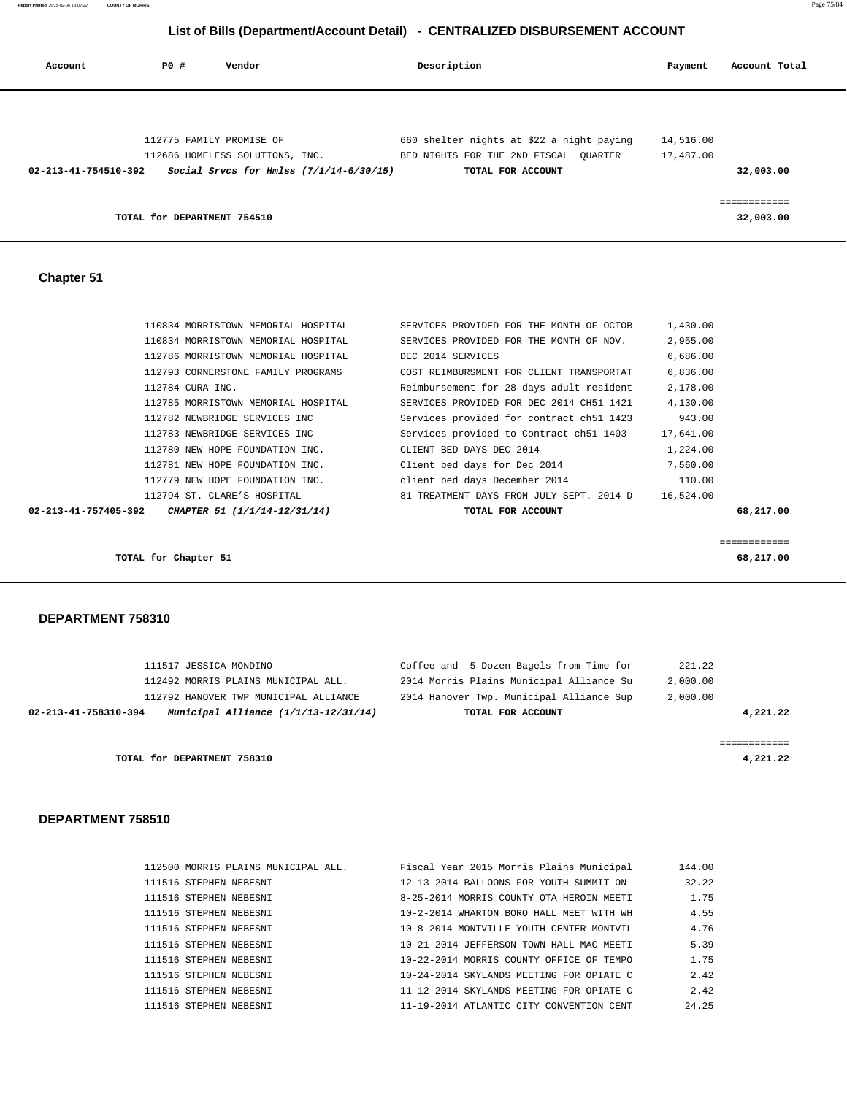|     |        | List of Bills (Department/Account Detail) - CENTRALIZED DISBURSEMENT ACCOUNT |     |
|-----|--------|------------------------------------------------------------------------------|-----|
| PO# | Vendor | Description                                                                  | Pay |

| Account              | PO# | Vendor                                                                                                 | Description                                                                                             | Payment                | Account Total             |
|----------------------|-----|--------------------------------------------------------------------------------------------------------|---------------------------------------------------------------------------------------------------------|------------------------|---------------------------|
| 02-213-41-754510-392 |     | 112775 FAMILY PROMISE OF<br>112686 HOMELESS SOLUTIONS, INC.<br>Social Srvcs for Hmlss (7/1/14-6/30/15) | 660 shelter nights at \$22 a night paying<br>BED NIGHTS FOR THE 2ND FISCAL OUARTER<br>TOTAL FOR ACCOUNT | 14,516.00<br>17,487.00 | 32,003.00                 |
|                      |     | TOTAL for DEPARTMENT 754510                                                                            |                                                                                                         |                        | ============<br>32,003.00 |
| <b>Chapter 51</b>    |     |                                                                                                        |                                                                                                         |                        |                           |
|                      |     | 110834 MORRISTOWN MEMORIAL HOSPITAL<br>110834 MORRISTOWN MEMORIAL HOSPITAL                             | SERVICES PROVIDED FOR THE MONTH OF OCTOB<br>SERVICES PROVIDED FOR THE MONTH OF NOV.                     | 1,430.00<br>2,955.00   |                           |
|                      |     | 112786 MORRISTOWN MEMORIAL HOSPITAL                                                                    | DEC 2014 SERVICES                                                                                       | 6,686.00               |                           |
|                      |     | 112793 CORNERSTONE FAMILY PROGRAMS                                                                     | COST REIMBURSMENT FOR CLIENT TRANSPORTAT                                                                | 6,836.00               |                           |
|                      |     | 112784 CURA INC.                                                                                       | Reimbursement for 28 days adult resident                                                                | 2,178.00               |                           |
|                      |     | 112785 MORRISTOWN MEMORIAL HOSPITAL                                                                    | SERVICES PROVIDED FOR DEC 2014 CH51 1421                                                                | 4,130.00               |                           |
|                      |     | 112782 NEWBRIDGE SERVICES INC                                                                          | Services provided for contract ch51 1423                                                                | 943.00                 |                           |
|                      |     | 112783 NEWBRIDGE SERVICES INC                                                                          | Services provided to Contract ch51 1403                                                                 | 17,641.00              |                           |
|                      |     | 112780 NEW HOPE FOUNDATION INC.                                                                        | CLIENT BED DAYS DEC 2014                                                                                | 1,224.00               |                           |
|                      |     | 112781 NEW HOPE FOUNDATION INC.                                                                        | Client bed days for Dec 2014                                                                            | 7,560.00               |                           |

| 111517 JESSICA MONDINO<br>112492 MORRIS PLAINS MUNICIPAL ALL.                                           | Coffee and 5 Dozen Bagels from Time for<br>2014 Morris Plains Municipal Alliance Su | 221.22<br>2,000.00   |
|---------------------------------------------------------------------------------------------------------|-------------------------------------------------------------------------------------|----------------------|
| 112792 HANOVER TWP MUNICIPAL ALLIANCE<br>Municipal Alliance $(1/1/13-12/31/14)$<br>02-213-41-758310-394 | 2014 Hanover Twp. Municipal Alliance Sup<br>TOTAL FOR ACCOUNT                       | 2,000.00<br>4,221.22 |
| TOTAL for DEPARTMENT 758310                                                                             |                                                                                     | 4,221.22             |

 112779 NEW HOPE FOUNDATION INC. client bed days December 2014 110.00 112794 ST. CLARE'S HOSPITAL 81 TREATMENT DAYS FROM JULY-SEPT. 2014 D 16,524.00

 **02-213-41-757405-392 CHAPTER 51 (1/1/14-12/31/14) TOTAL FOR ACCOUNT 68,217.00**

============

**TOTAL for Chapter 51** 68,217.00

| 112500 MORRIS PLAINS MUNICIPAL ALL. | Fiscal Year 2015 Morris Plains Municipal | 144.00 |
|-------------------------------------|------------------------------------------|--------|
| 111516 STEPHEN NEBESNI              | 12-13-2014 BALLOONS FOR YOUTH SUMMIT ON  | 32.22  |
| 111516 STEPHEN NEBESNI              | 8-25-2014 MORRIS COUNTY OTA HEROIN MEETI | 1.75   |
| 111516 STEPHEN NEBESNI              | 10-2-2014 WHARTON BORO HALL MEET WITH WH | 4.55   |
| 111516 STEPHEN NEBESNI              | 10-8-2014 MONTVILLE YOUTH CENTER MONTVIL | 4.76   |
| 111516 STEPHEN NEBESNI              | 10-21-2014 JEFFERSON TOWN HALL MAC MEETI | 5.39   |
| 111516 STEPHEN NEBESNI              | 10-22-2014 MORRIS COUNTY OFFICE OF TEMPO | 1.75   |
| 111516 STEPHEN NEBESNI              | 10-24-2014 SKYLANDS MEETING FOR OPIATE C | 2.42   |
| 111516 STEPHEN NEBESNI              | 11-12-2014 SKYLANDS MEETING FOR OPIATE C | 2.42   |
| 111516 STEPHEN NEBESNI              | 11-19-2014 ATLANTIC CITY CONVENTION CENT | 24.25  |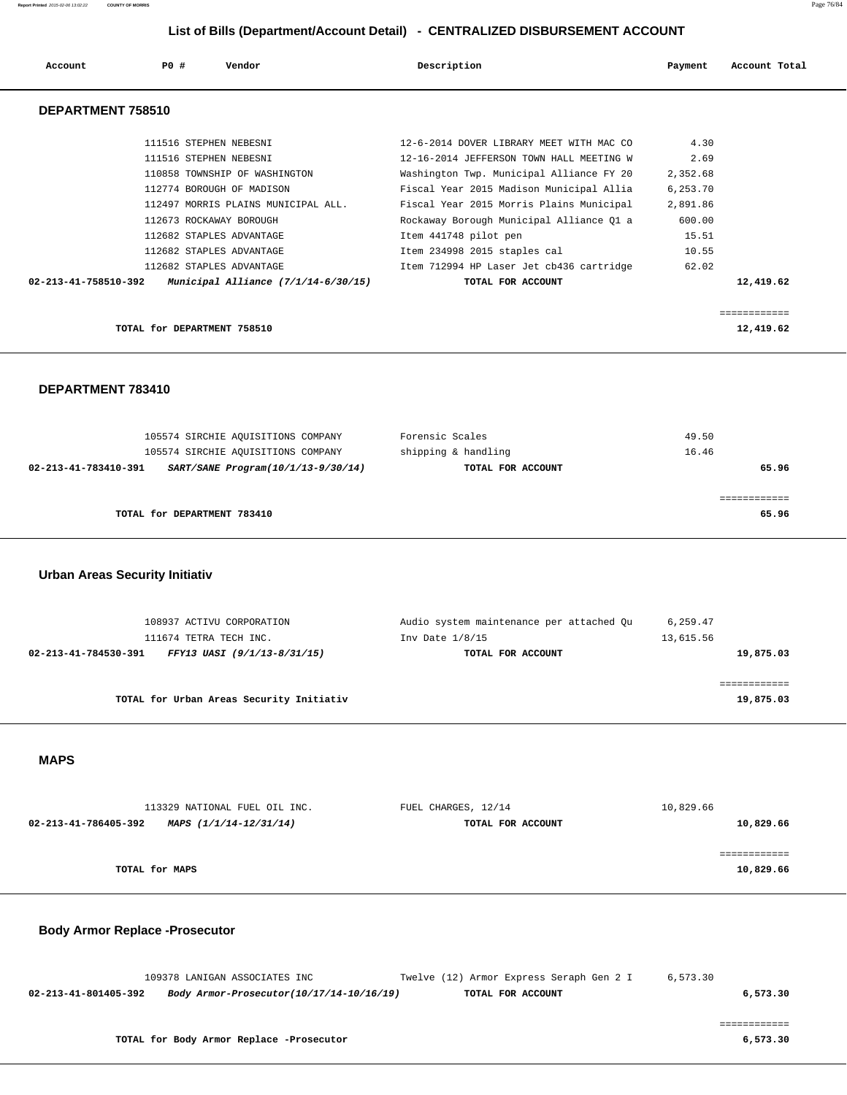| Account              | PO# | Vendor                                | Description                              | Payment  | Account Total |
|----------------------|-----|---------------------------------------|------------------------------------------|----------|---------------|
| DEPARTMENT 758510    |     |                                       |                                          |          |               |
|                      |     | 111516 STEPHEN NEBESNI                | 12-6-2014 DOVER LIBRARY MEET WITH MAC CO | 4.30     |               |
|                      |     | 111516 STEPHEN NEBESNI                | 12-16-2014 JEFFERSON TOWN HALL MEETING W | 2.69     |               |
|                      |     | 110858 TOWNSHIP OF WASHINGTON         | Washington Twp. Municipal Alliance FY 20 | 2,352.68 |               |
|                      |     | 112774 BOROUGH OF MADISON             | Fiscal Year 2015 Madison Municipal Allia | 6,253.70 |               |
|                      |     | 112497 MORRIS PLAINS MUNICIPAL ALL.   | Fiscal Year 2015 Morris Plains Municipal | 2,891.86 |               |
|                      |     | 112673 ROCKAWAY BOROUGH               | Rockaway Borough Municipal Alliance Q1 a | 600.00   |               |
|                      |     | 112682 STAPLES ADVANTAGE              | Item 441748 pilot pen                    | 15.51    |               |
|                      |     | 112682 STAPLES ADVANTAGE              | Item 234998 2015 staples cal             | 10.55    |               |
|                      |     | 112682 STAPLES ADVANTAGE              | Item 712994 HP Laser Jet cb436 cartridge | 62.02    |               |
| 02-213-41-758510-392 |     | Municipal Alliance $(7/1/14-6/30/15)$ | TOTAL FOR ACCOUNT                        |          | 12,419.62     |
|                      |     |                                       |                                          |          | ============  |
|                      |     | TOTAL for DEPARTMENT 758510           |                                          |          | 12,419.62     |

## **DEPARTMENT 783410**

| 105574 SIRCHIE AQUISITIONS COMPANY<br>105574 SIRCHIE AQUISITIONS COMPANY | Forensic Scales<br>shipping & handling | 49.50<br>16.46 |
|--------------------------------------------------------------------------|----------------------------------------|----------------|
| SART/SANE Program(10/1/13-9/30/14)<br>02-213-41-783410-391               | TOTAL FOR ACCOUNT                      | 65.96          |
| TOTAL for DEPARTMENT 783410                                              |                                        | 65.96          |

### **Urban Areas Security Initiativ**

| 108937 ACTIVU CORPORATION                           | Audio system maintenance per attached Qu | 6,259.47  |
|-----------------------------------------------------|------------------------------------------|-----------|
| 111674 TETRA TECH INC.                              | Inv Date $1/8/15$                        | 13,615.56 |
| FFY13 UASI (9/1/13-8/31/15)<br>02-213-41-784530-391 | TOTAL FOR ACCOUNT                        | 19,875.03 |
|                                                     |                                          |           |
|                                                     |                                          |           |
| TOTAL for Urban Areas Security Initiativ            |                                          | 19,875.03 |

#### **MAPS**

| 113329 NATIONAL FUEL OIL INC.                  | FUEL CHARGES, 12/14 | 10,829.66 |
|------------------------------------------------|---------------------|-----------|
| 02-213-41-786405-392<br>MAPS (1/1/14-12/31/14) | TOTAL FOR ACCOUNT   | 10,829.66 |
|                                                |                     |           |
|                                                |                     |           |
| TOTAL for MAPS                                 |                     | 10,829.66 |
|                                                |                     |           |

## **Body Armor Replace -Prosecutor**

|                      | 109378 LANIGAN ASSOCIATES INC            | Twelve (12) Armor Express Seraph Gen 2 I | 6.573.30 |
|----------------------|------------------------------------------|------------------------------------------|----------|
| 02-213-41-801405-392 | Body Armor-Prosecutor(10/17/14-10/16/19) | TOTAL FOR ACCOUNT                        | 6,573.30 |
|                      |                                          |                                          |          |

============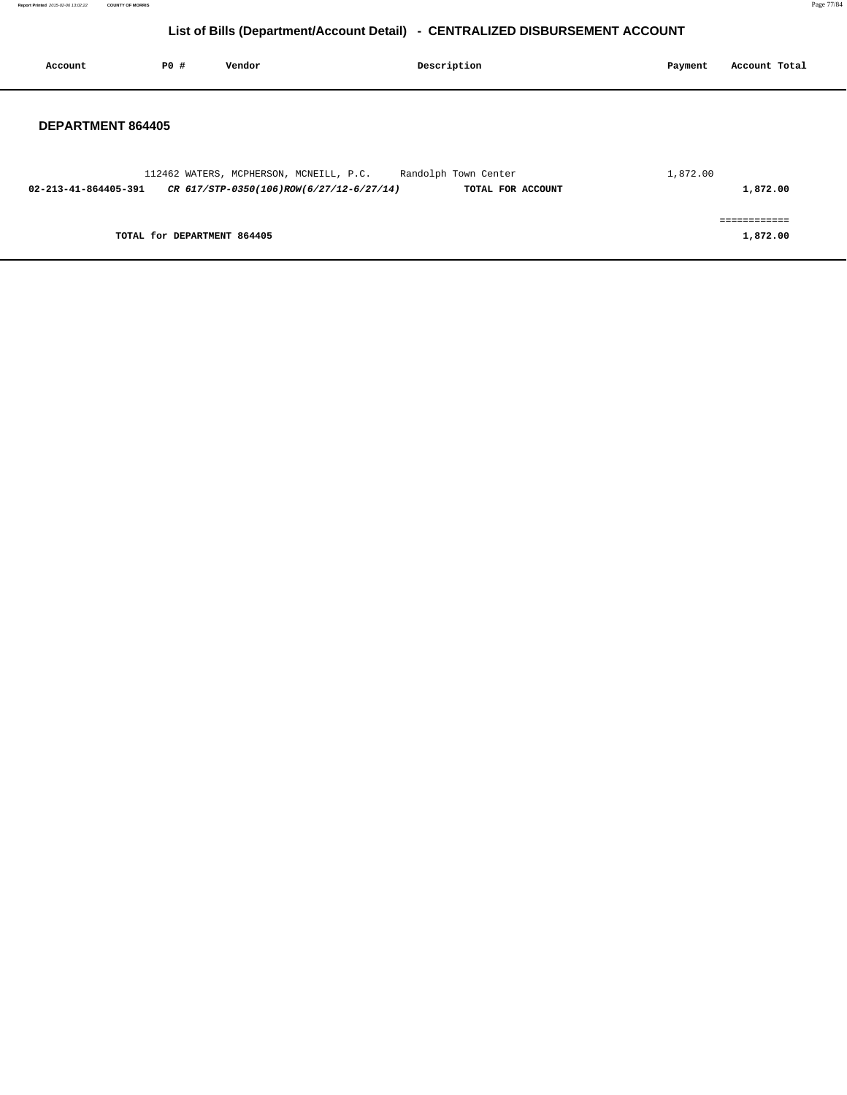**Report Printed** 2015-02-06 13:02:22 **COUNTY OF MORRIS** Page 77/84

# **List of Bills (Department/Account Detail) - CENTRALIZED DISBURSEMENT ACCOUNT**

| Account              | P0 #                        | Vendor                                                                              | Description          |                   | Payment  | Account Total            |
|----------------------|-----------------------------|-------------------------------------------------------------------------------------|----------------------|-------------------|----------|--------------------------|
| DEPARTMENT 864405    |                             |                                                                                     |                      |                   |          |                          |
| 02-213-41-864405-391 |                             | 112462 WATERS, MCPHERSON, MCNEILL, P.C.<br>CR 617/STP-0350(106)ROW(6/27/12-6/27/14) | Randolph Town Center | TOTAL FOR ACCOUNT | 1,872.00 | 1,872.00                 |
|                      | TOTAL for DEPARTMENT 864405 |                                                                                     |                      |                   |          | ============<br>1,872.00 |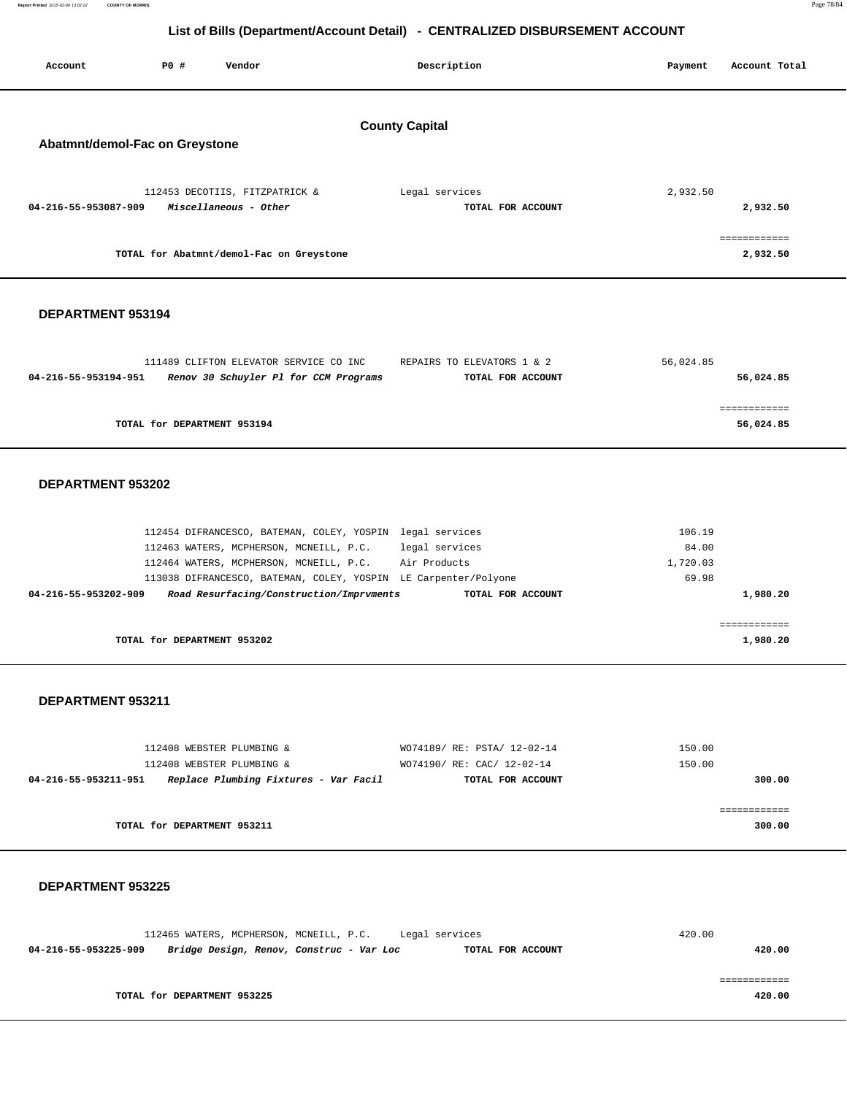**Report Printed** 2015-02-06 13:02:22 **COUNTY OF MORRIS** Page 78/84

# **List of Bills (Department/Account Detail) - CENTRALIZED DISBURSEMENT ACCOUNT**

|                          |                                |                                                                                                                                | List of Bills (Department/Account Detail) - CENTRALIZED DISBURSEMENT ACCOUNT                                                                                                        |                                      |                           |
|--------------------------|--------------------------------|--------------------------------------------------------------------------------------------------------------------------------|-------------------------------------------------------------------------------------------------------------------------------------------------------------------------------------|--------------------------------------|---------------------------|
| Account                  | <b>PO #</b>                    | Vendor                                                                                                                         | Description                                                                                                                                                                         | Payment                              | Account Total             |
|                          |                                |                                                                                                                                | <b>County Capital</b>                                                                                                                                                               |                                      |                           |
|                          | Abatmnt/demol-Fac on Greystone |                                                                                                                                |                                                                                                                                                                                     |                                      |                           |
| 04-216-55-953087-909     |                                | 112453 DECOTIIS, FITZPATRICK &<br>Miscellaneous - Other                                                                        | Legal services<br>TOTAL FOR ACCOUNT                                                                                                                                                 | 2,932.50                             | 2,932.50                  |
|                          |                                | TOTAL for Abatmnt/demol-Fac on Greystone                                                                                       |                                                                                                                                                                                     |                                      | ============<br>2,932.50  |
| DEPARTMENT 953194        |                                |                                                                                                                                |                                                                                                                                                                                     |                                      |                           |
| 04-216-55-953194-951     |                                | 111489 CLIFTON ELEVATOR SERVICE CO INC<br>Renov 30 Schuyler Pl for CCM Programs                                                | REPAIRS TO ELEVATORS 1 & 2<br>TOTAL FOR ACCOUNT                                                                                                                                     | 56,024.85                            | 56,024.85                 |
|                          | TOTAL for DEPARTMENT 953194    |                                                                                                                                |                                                                                                                                                                                     |                                      | ============<br>56,024.85 |
| DEPARTMENT 953202        |                                |                                                                                                                                |                                                                                                                                                                                     |                                      |                           |
| 04-216-55-953202-909     |                                | 112463 WATERS, MCPHERSON, MCNEILL, P.C.<br>112464 WATERS, MCPHERSON, MCNEILL, P.C.<br>Road Resurfacing/Construction/Imprvments | 112454 DIFRANCESCO, BATEMAN, COLEY, YOSPIN legal services<br>legal services<br>Air Products<br>113038 DIFRANCESCO, BATEMAN, COLEY, YOSPIN LE Carpenter/Polyone<br>TOTAL FOR ACCOUNT | 106.19<br>84.00<br>1,720.03<br>69.98 | 1,980.20                  |
|                          | TOTAL for DEPARTMENT 953202    |                                                                                                                                |                                                                                                                                                                                     |                                      | ============<br>1,980.20  |
| DEPARTMENT 953211        |                                |                                                                                                                                |                                                                                                                                                                                     |                                      |                           |
| 04-216-55-953211-951     |                                | 112408 WEBSTER PLUMBING &<br>112408 WEBSTER PLUMBING &<br>Replace Plumbing Fixtures - Var Facil                                | WO74189/ RE: PSTA/ 12-02-14<br>WO74190/ RE: CAC/ 12-02-14<br>TOTAL FOR ACCOUNT                                                                                                      | 150.00<br>150.00                     | 300.00                    |
|                          | TOTAL for DEPARTMENT 953211    |                                                                                                                                |                                                                                                                                                                                     |                                      | ============<br>300.00    |
| <b>DEPARTMENT 953225</b> |                                |                                                                                                                                |                                                                                                                                                                                     |                                      |                           |
| 04-216-55-953225-909     |                                | 112465 WATERS, MCPHERSON, MCNEILL, P.C.<br>Bridge Design, Renov, Construc - Var Loc                                            | Legal services<br>TOTAL FOR ACCOUNT                                                                                                                                                 | 420.00                               | 420.00                    |

 ============ **TOTAL for DEPARTMENT 953225 420.00**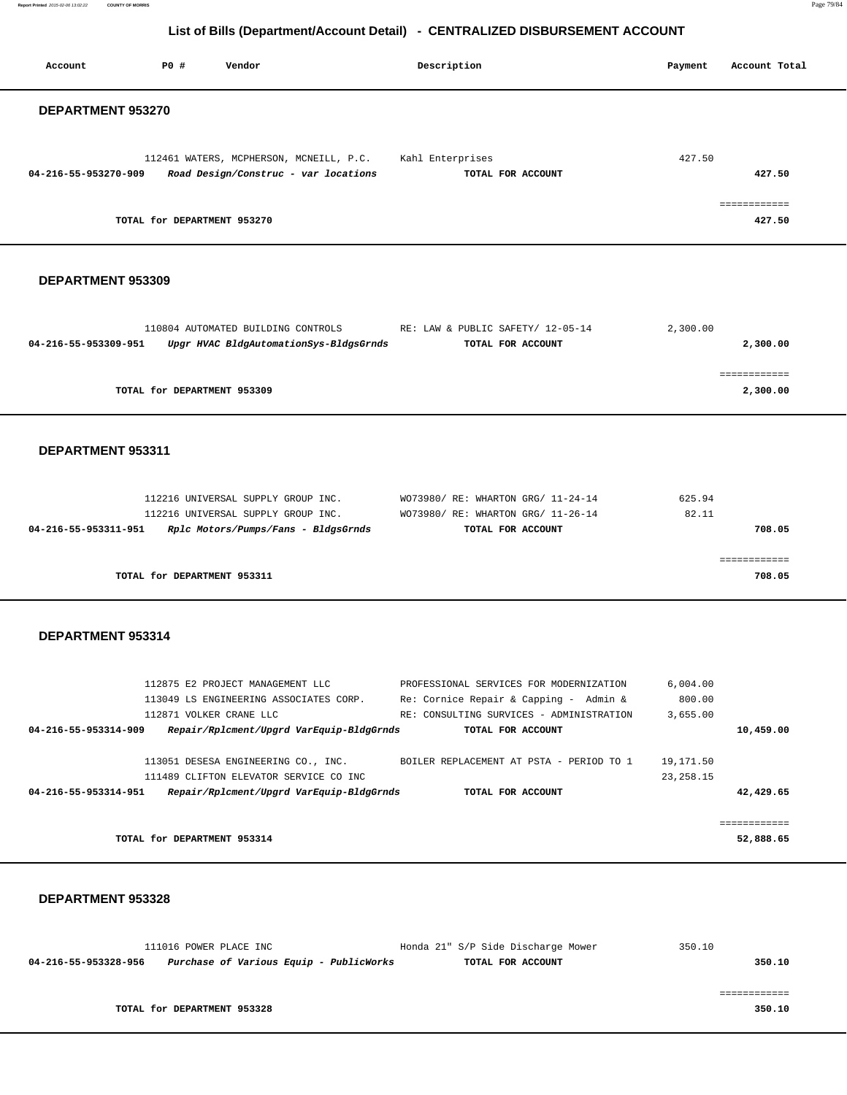**Report Printed** 2015-02-06 13:02:22 **COUNTY OF MORRIS** Page 79/84

# **List of Bills (Department/Account Detail) - CENTRALIZED DISBURSEMENT ACCOUNT**

Account **PO #** Vendor **Description Description Payment** Account Total

| DEPARTMENT 953270                                                                     |             |              |
|---------------------------------------------------------------------------------------|-------------|--------------|
|                                                                                       |             |              |
| 112461 WATERS, MCPHERSON, MCNEILL, P.C. Kahl Enterprises                              | 427.50      |              |
| 04-216-55-953270-909<br>Road Design/Construc - var locations<br>TOTAL FOR ACCOUNT     |             | 427.50       |
|                                                                                       |             |              |
|                                                                                       |             | ============ |
| TOTAL for DEPARTMENT 953270                                                           |             | 427.50       |
|                                                                                       |             |              |
|                                                                                       |             |              |
| DEPARTMENT 953309                                                                     |             |              |
|                                                                                       |             |              |
|                                                                                       |             |              |
| 110804 AUTOMATED BUILDING CONTROLS<br>RE: LAW & PUBLIC SAFETY/ 12-05-14               | 2,300.00    |              |
| 04-216-55-953309-951<br>Upgr HVAC BldgAutomationSys-BldgsGrnds<br>TOTAL FOR ACCOUNT   |             | 2,300.00     |
|                                                                                       |             |              |
|                                                                                       |             | ============ |
| TOTAL for DEPARTMENT 953309                                                           |             | 2,300.00     |
|                                                                                       |             |              |
|                                                                                       |             |              |
| DEPARTMENT 953311                                                                     |             |              |
|                                                                                       |             |              |
|                                                                                       |             |              |
| 112216 UNIVERSAL SUPPLY GROUP INC.<br>WO73980/ RE: WHARTON GRG/ 11-24-14              | 625.94      |              |
| 112216 UNIVERSAL SUPPLY GROUP INC.<br>WO73980/ RE: WHARTON GRG/ 11-26-14              | 82.11       |              |
| 04-216-55-953311-951  Rplc Motors/Pumps/Fans - BldgsGrnds<br>TOTAL FOR ACCOUNT        |             | 708.05       |
|                                                                                       |             |              |
|                                                                                       |             | ============ |
| TOTAL for DEPARTMENT 953311                                                           |             | 708.05       |
|                                                                                       |             |              |
|                                                                                       |             |              |
| DEPARTMENT 953314                                                                     |             |              |
|                                                                                       |             |              |
|                                                                                       |             |              |
| 112875 E2 PROJECT MANAGEMENT LLC<br>PROFESSIONAL SERVICES FOR MODERNIZATION           | 6,004.00    |              |
|                                                                                       |             |              |
| Re: Cornice Repair & Capping - Admin &<br>113049 LS ENGINEERING ASSOCIATES CORP.      | 800.00      |              |
| 112871 VOLKER CRANE LLC<br>RE: CONSULTING SURVICES - ADMINISTRATION                   | 3,655.00    |              |
| Repair/Rplcment/Upgrd VarEquip-BldgGrnds<br>04-216-55-953314-909<br>TOTAL FOR ACCOUNT |             | 10,459.00    |
| 113051 DESESA ENGINEERING CO., INC.<br>BOILER REPLACEMENT AT PSTA - PERIOD TO 1       | 19,171.50   |              |
| 111489 CLIFTON ELEVATOR SERVICE CO INC                                                | 23, 258. 15 |              |
| Repair/Rplcment/Upgrd VarEquip-BldgGrnds<br>04-216-55-953314-951<br>TOTAL FOR ACCOUNT |             | 42,429.65    |
|                                                                                       |             |              |
|                                                                                       |             | ============ |
| TOTAL for DEPARTMENT 953314                                                           |             | 52,888.65    |
|                                                                                       |             |              |
|                                                                                       |             |              |
| DEPARTMENT 953328                                                                     |             |              |
|                                                                                       |             |              |
|                                                                                       |             |              |
| 111016 POWER PLACE INC<br>Honda 21" S/P Side Discharge Mower                          | 350.10      |              |
| 04-216-55-953328-956 Purchase of Various Equip - PublicWorks<br>TOTAL FOR ACCOUNT     |             | 350.10       |
|                                                                                       |             |              |
|                                                                                       |             | ============ |
| TOTAL for DEPARTMENT 953328                                                           |             | 350.10       |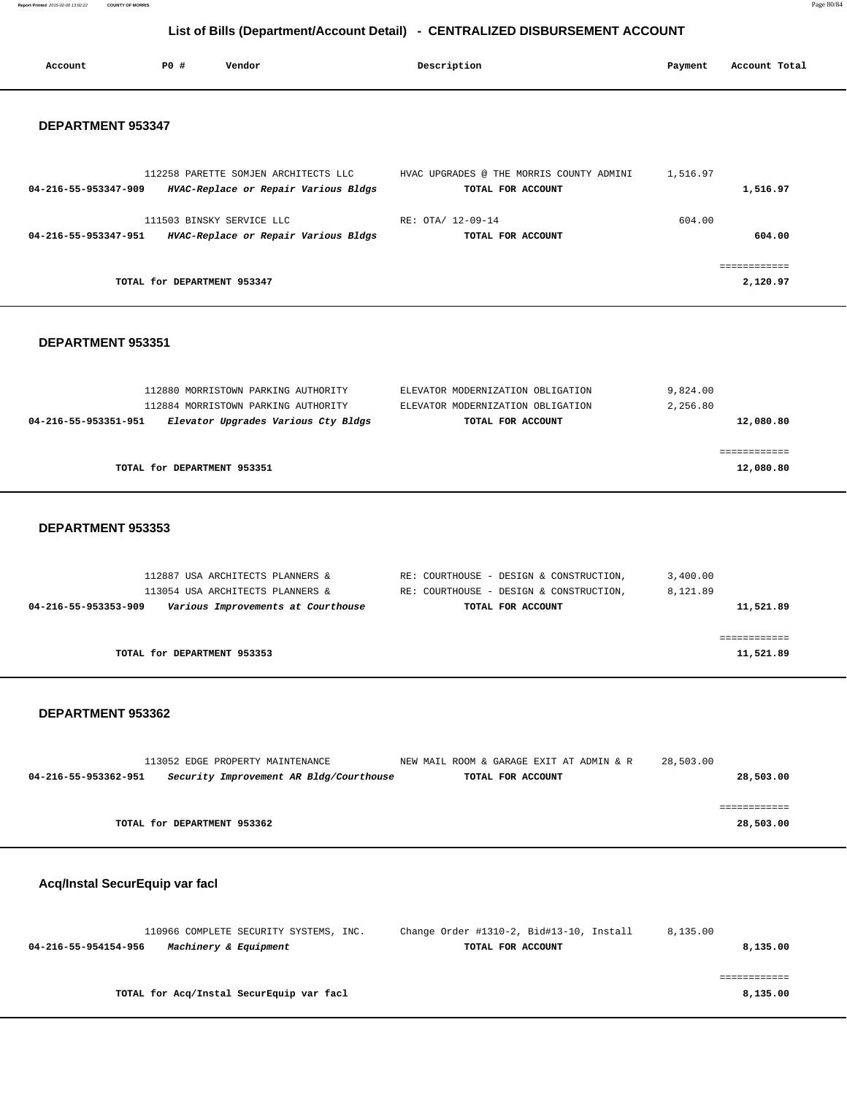**Report Printed** 2015-02-06 13:02:22 **COUNTY OF MORRIS** Page 80/84

# **List of Bills (Department/Account Detail) - CENTRALIZED DISBURSEMENT ACCOUNT**

| Account              | PO#                         | Vendor                                                                       | Description                                                   | Payment  | Account Total            |
|----------------------|-----------------------------|------------------------------------------------------------------------------|---------------------------------------------------------------|----------|--------------------------|
| DEPARTMENT 953347    |                             |                                                                              |                                                               |          |                          |
| 04-216-55-953347-909 |                             | 112258 PARETTE SOMJEN ARCHITECTS LLC<br>HVAC-Replace or Repair Various Bldgs | HVAC UPGRADES @ THE MORRIS COUNTY ADMINI<br>TOTAL FOR ACCOUNT | 1,516.97 | 1,516.97                 |
| 04-216-55-953347-951 |                             | 111503 BINSKY SERVICE LLC<br>HVAC-Replace or Repair Various Bldgs            | RE: OTA/ 12-09-14<br>TOTAL FOR ACCOUNT                        | 604.00   | 604.00                   |
|                      | TOTAL for DEPARTMENT 953347 |                                                                              |                                                               |          | ============<br>2,120.97 |

## **DEPARTMENT 953351**

| 112880 MORRISTOWN PARKING AUTHORITY                         | ELEVATOR MODERNIZATION OBLIGATION | 9,824.00  |
|-------------------------------------------------------------|-----------------------------------|-----------|
| 112884 MORRISTOWN PARKING AUTHORITY                         | ELEVATOR MODERNIZATION OBLIGATION | 2,256.80  |
| Elevator Upgrades Various Cty Bldgs<br>04-216-55-953351-951 | TOTAL FOR ACCOUNT                 | 12,080.80 |
|                                                             |                                   |           |
|                                                             |                                   |           |
| TOTAL for DEPARTMENT 953351                                 |                                   | 12,080.80 |
|                                                             |                                   |           |

## **DEPARTMENT 953353**

| 112887 USA ARCHITECTS PLANNERS &                           | RE: COURTHOUSE - DESIGN & CONSTRUCTION, | 3,400.00  |
|------------------------------------------------------------|-----------------------------------------|-----------|
| 113054 USA ARCHITECTS PLANNERS &                           | RE: COURTHOUSE - DESIGN & CONSTRUCTION. | 8,121.89  |
| Various Improvements at Courthouse<br>04-216-55-953353-909 | TOTAL FOR ACCOUNT                       | 11,521.89 |
|                                                            |                                         |           |
|                                                            |                                         |           |
| TOTAL for DEPARTMENT 953353                                |                                         | 11,521.89 |

#### **DEPARTMENT 953362**

|                      |                             | 113052 EDGE PROPERTY MAINTENANCE        | NEW MAIL ROOM & GARAGE EXIT AT ADMIN & R | 28,503.00 |           |
|----------------------|-----------------------------|-----------------------------------------|------------------------------------------|-----------|-----------|
| 04-216-55-953362-951 |                             | Security Improvement AR Bldg/Courthouse | TOTAL FOR ACCOUNT                        |           | 28,503.00 |
|                      |                             |                                         |                                          |           |           |
|                      |                             |                                         |                                          |           |           |
|                      | TOTAL for DEPARTMENT 953362 |                                         |                                          |           | 28,503.00 |
|                      |                             |                                         |                                          |           |           |

# **Acq/Instal SecurEquip var facl**

|                                               | 110966 COMPLETE SECURITY SYSTEMS, INC. | Change Order #1310-2, Bid#13-10, Install | 8,135.00 |
|-----------------------------------------------|----------------------------------------|------------------------------------------|----------|
| Machinery & Equipment<br>04-216-55-954154-956 |                                        | TOTAL FOR ACCOUNT                        | 8,135.00 |
|                                               |                                        |                                          |          |
|                                               |                                        |                                          |          |
| TOTAL for Acq/Instal SecurEquip var facl      |                                        |                                          | 8,135.00 |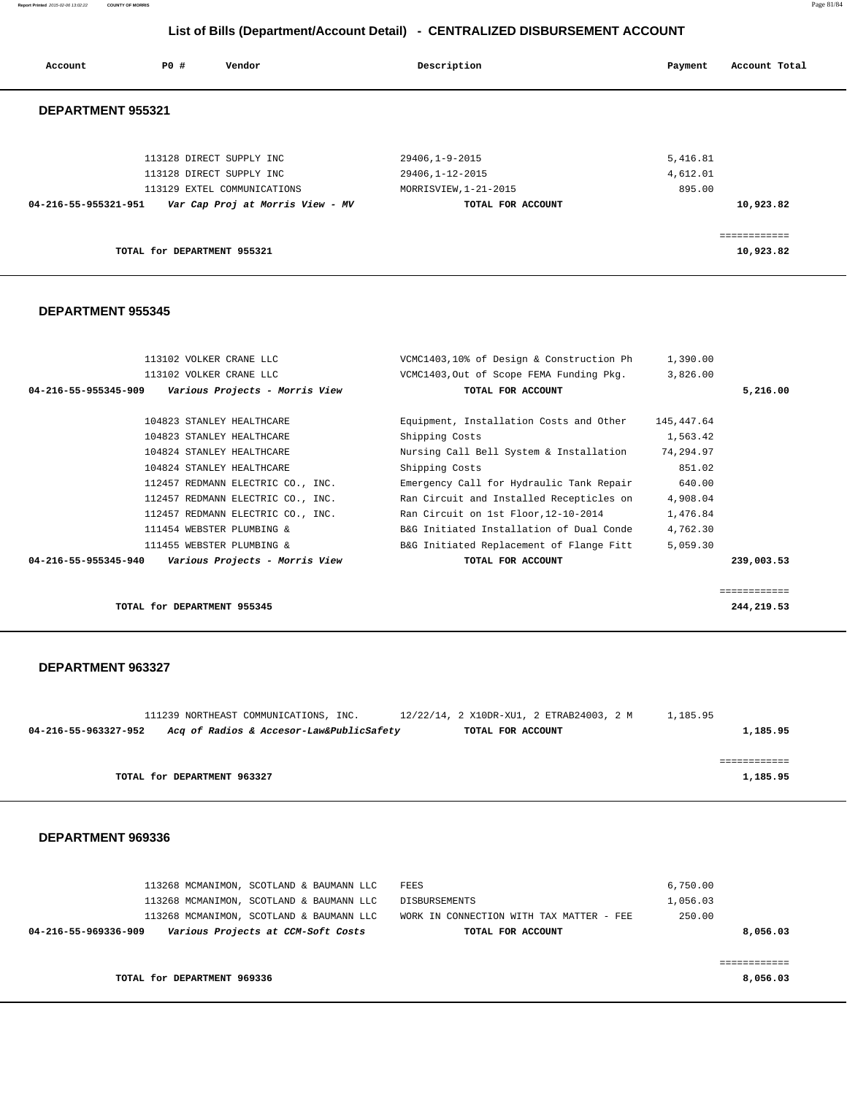**Report Printed** 2015-02-06 13:02:22 **COUNTY OF MORRIS** Page 81/84

# **List of Bills (Department/Account Detail) - CENTRALIZED DISBURSEMENT ACCOUNT**

| Account              | PO#                         | Vendor                           | Description           | Account Total<br>Payment |  |
|----------------------|-----------------------------|----------------------------------|-----------------------|--------------------------|--|
| DEPARTMENT 955321    |                             |                                  |                       |                          |  |
|                      |                             | 113128 DIRECT SUPPLY INC         | 29406,1-9-2015        | 5,416.81                 |  |
|                      |                             | 113128 DIRECT SUPPLY INC         | 29406,1-12-2015       | 4,612.01                 |  |
|                      |                             | 113129 EXTEL COMMUNICATIONS      | MORRISVIEW, 1-21-2015 | 895.00                   |  |
| 04-216-55-955321-951 |                             | Var Cap Proj at Morris View - MV | TOTAL FOR ACCOUNT     | 10,923.82                |  |
|                      |                             |                                  |                       |                          |  |
|                      |                             |                                  |                       | ============             |  |
|                      | TOTAL for DEPARTMENT 955321 |                                  |                       | 10,923.82                |  |
|                      |                             |                                  |                       |                          |  |

## **DEPARTMENT 955345**

| 113102 VOLKER CRANE LLC                                | VCMC1403,10% of Design & Construction Ph | 1,390.00   |              |
|--------------------------------------------------------|------------------------------------------|------------|--------------|
| 113102 VOLKER CRANE LLC                                | VCMC1403, Out of Scope FEMA Funding Pkg. | 3,826.00   |              |
| 04-216-55-955345-909<br>Various Projects - Morris View | TOTAL FOR ACCOUNT                        |            | 5,216.00     |
|                                                        |                                          |            |              |
| 104823 STANLEY HEALTHCARE                              | Equipment, Installation Costs and Other  | 145,447.64 |              |
| 104823 STANLEY HEALTHCARE                              | Shipping Costs                           | 1,563.42   |              |
| 104824 STANLEY HEALTHCARE                              | Nursing Call Bell System & Installation  | 74,294.97  |              |
| 104824 STANLEY HEALTHCARE                              | Shipping Costs                           | 851.02     |              |
| 112457 REDMANN ELECTRIC CO., INC.                      | Emergency Call for Hydraulic Tank Repair | 640.00     |              |
| 112457 REDMANN ELECTRIC CO., INC.                      | Ran Circuit and Installed Recepticles on | 4,908.04   |              |
| 112457 REDMANN ELECTRIC CO., INC.                      | Ran Circuit on 1st Floor, 12-10-2014     | 1,476.84   |              |
| 111454 WEBSTER PLUMBING &                              | B&G Initiated Installation of Dual Conde | 4,762.30   |              |
| 111455 WEBSTER PLUMBING &                              | B&G Initiated Replacement of Flange Fitt | 5,059.30   |              |
| Various Projects - Morris View<br>04-216-55-955345-940 | TOTAL FOR ACCOUNT                        |            | 239,003.53   |
|                                                        |                                          |            |              |
|                                                        |                                          |            | ============ |
| TOTAL for DEPARTMENT 955345                            |                                          |            | 244,219.53   |

#### **DEPARTMENT 963327**

|  |                             |                                       |                                          |                   |                                          | 1,185.95 |
|--|-----------------------------|---------------------------------------|------------------------------------------|-------------------|------------------------------------------|----------|
|  |                             |                                       |                                          |                   |                                          |          |
|  |                             |                                       |                                          |                   |                                          |          |
|  |                             |                                       |                                          |                   |                                          | 1,185.95 |
|  | TOTAL for DEPARTMENT 963327 | 111239 NORTHEAST COMMUNICATIONS, INC. | Acq of Radios & Accesor-Law&PublicSafety | TOTAL FOR ACCOUNT | 12/22/14, 2 X10DR-XU1, 2 ETRAB24003, 2 M | 1,185.95 |

|                      |                             | 113268 MCMANIMON, SCOTLAND & BAUMANN LLC | FEES                                     | 6,750.00 |          |
|----------------------|-----------------------------|------------------------------------------|------------------------------------------|----------|----------|
|                      |                             | 113268 MCMANIMON, SCOTLAND & BAUMANN LLC | DISBURSEMENTS                            | 1,056.03 |          |
|                      |                             | 113268 MCMANIMON, SCOTLAND & BAUMANN LLC | WORK IN CONNECTION WITH TAX MATTER - FEE | 250.00   |          |
| 04-216-55-969336-909 |                             | Various Projects at CCM-Soft Costs       | TOTAL FOR ACCOUNT                        |          | 8,056.03 |
|                      |                             |                                          |                                          |          |          |
|                      |                             |                                          |                                          |          |          |
|                      | TOTAL for DEPARTMENT 969336 |                                          |                                          |          | 8,056.03 |
|                      |                             |                                          |                                          |          |          |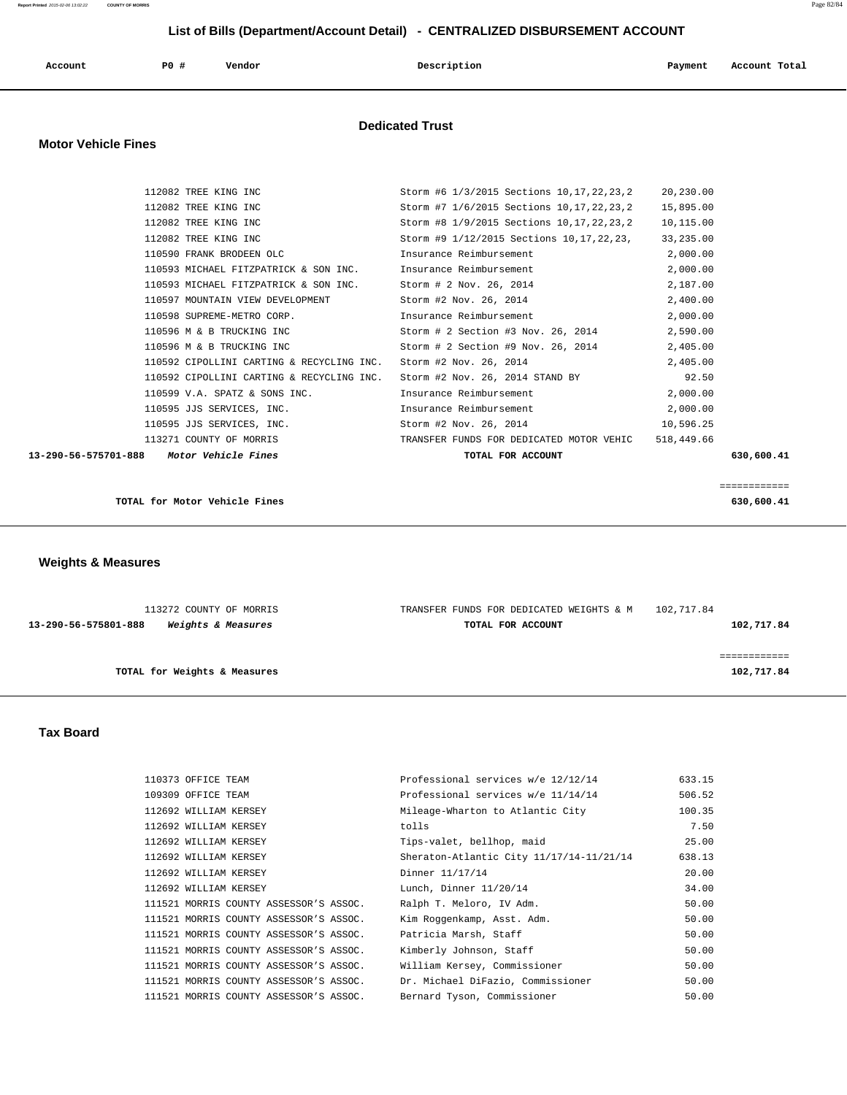| Account                    | P0 # | Vendor | Description            | Account Total<br>Payment |
|----------------------------|------|--------|------------------------|--------------------------|
| <b>Motor Vehicle Fines</b> |      |        | <b>Dedicated Trust</b> |                          |

| 13-290-56-575701-888 | Motor Vehicle Fines                       | TOTAL FOR ACCOUNT                            |            | 630,600.41 |
|----------------------|-------------------------------------------|----------------------------------------------|------------|------------|
|                      | 113271 COUNTY OF MORRIS                   | TRANSFER FUNDS FOR DEDICATED MOTOR VEHIC     | 518,449.66 |            |
|                      | 110595 JJS SERVICES, INC.                 | Storm #2 Nov. 26, 2014                       | 10,596.25  |            |
|                      | 110595 JJS SERVICES, INC.                 | Insurance Reimbursement                      | 2,000.00   |            |
|                      | 110599 V.A. SPATZ & SONS INC.             | Insurance Reimbursement                      | 2,000.00   |            |
|                      | 110592 CIPOLLINI CARTING & RECYCLING INC. | Storm #2 Nov. 26, 2014 STAND BY              | 92.50      |            |
|                      | 110592 CIPOLLINI CARTING & RECYCLING INC. | Storm #2 Nov. 26, 2014                       | 2,405.00   |            |
|                      | 110596 M & B TRUCKING INC                 | Storm # 2 Section #9 Nov. 26, 2014           | 2,405.00   |            |
|                      | 110596 M & B TRUCKING INC                 | Storm # 2 Section #3 Nov. 26, 2014           | 2,590.00   |            |
|                      | 110598 SUPREME-METRO CORP.                | Insurance Reimbursement                      | 2,000.00   |            |
|                      | 110597 MOUNTAIN VIEW DEVELOPMENT          | Storm #2 Nov. 26, 2014                       | 2,400.00   |            |
|                      | 110593 MICHAEL FITZPATRICK & SON INC.     | Storm # 2 Nov. 26, 2014                      | 2,187.00   |            |
|                      | 110593 MICHAEL FITZPATRICK & SON INC.     | Insurance Reimbursement                      | 2,000.00   |            |
|                      | 110590 FRANK BRODEEN OLC                  | Insurance Reimbursement                      | 2,000.00   |            |
|                      | 112082 TREE KING INC                      | Storm #9 1/12/2015 Sections 10, 17, 22, 23,  | 33,235.00  |            |
|                      | 112082 TREE KING INC                      | Storm #8 1/9/2015 Sections 10, 17, 22, 23, 2 | 10,115.00  |            |
|                      | 112082 TREE KING INC                      | Storm #7 1/6/2015 Sections 10, 17, 22, 23, 2 | 15,895.00  |            |
|                      | 112082 TREE KING INC                      | Storm #6 1/3/2015 Sections 10,17,22,23,2     | 20,230.00  |            |

**TOTAL for Motor Vehicle Fines 630,600.41**

 **Weights & Measures** 

| 113272 COUNTY OF MORRIS                    | TRANSFER FUNDS FOR DEDICATED WEIGHTS & M | 102,717.84 |
|--------------------------------------------|------------------------------------------|------------|
| Weights & Measures<br>13-290-56-575801-888 | TOTAL FOR ACCOUNT                        | 102,717.84 |
|                                            |                                          |            |
|                                            |                                          |            |
| TOTAL for Weights & Measures               |                                          | 102,717.84 |
|                                            |                                          |            |

============

### **Tax Board**

| 110373 OFFICE TEAM                     | Professional services w/e 12/12/14       | 633.15 |
|----------------------------------------|------------------------------------------|--------|
| 109309 OFFICE TEAM                     | Professional services w/e 11/14/14       | 506.52 |
| 112692 WILLIAM KERSEY                  | Mileage-Wharton to Atlantic City         | 100.35 |
| 112692 WILLIAM KERSEY                  | tolls                                    | 7.50   |
| 112692 WILLIAM KERSEY                  | Tips-valet, bellhop, maid                | 25.00  |
| 112692 WILLIAM KERSEY                  | Sheraton-Atlantic City 11/17/14-11/21/14 | 638.13 |
| 112692 WILLIAM KERSEY                  | Dinner 11/17/14                          | 20.00  |
| 112692 WILLIAM KERSEY                  | Lunch, Dinner 11/20/14                   | 34.00  |
| 111521 MORRIS COUNTY ASSESSOR'S ASSOC. | Ralph T. Meloro, IV Adm.                 | 50.00  |
| 111521 MORRIS COUNTY ASSESSOR'S ASSOC. | Kim Roqqenkamp, Asst. Adm.               | 50.00  |
| 111521 MORRIS COUNTY ASSESSOR'S ASSOC. | Patricia Marsh, Staff                    | 50.00  |
| 111521 MORRIS COUNTY ASSESSOR'S ASSOC. | Kimberly Johnson, Staff                  | 50.00  |
| 111521 MORRIS COUNTY ASSESSOR'S ASSOC. | William Kersey, Commissioner             | 50.00  |
| 111521 MORRIS COUNTY ASSESSOR'S ASSOC. | Dr. Michael DiFazio, Commissioner        | 50.00  |
| 111521 MORRIS COUNTY ASSESSOR'S ASSOC. | Bernard Tyson, Commissioner              | 50.00  |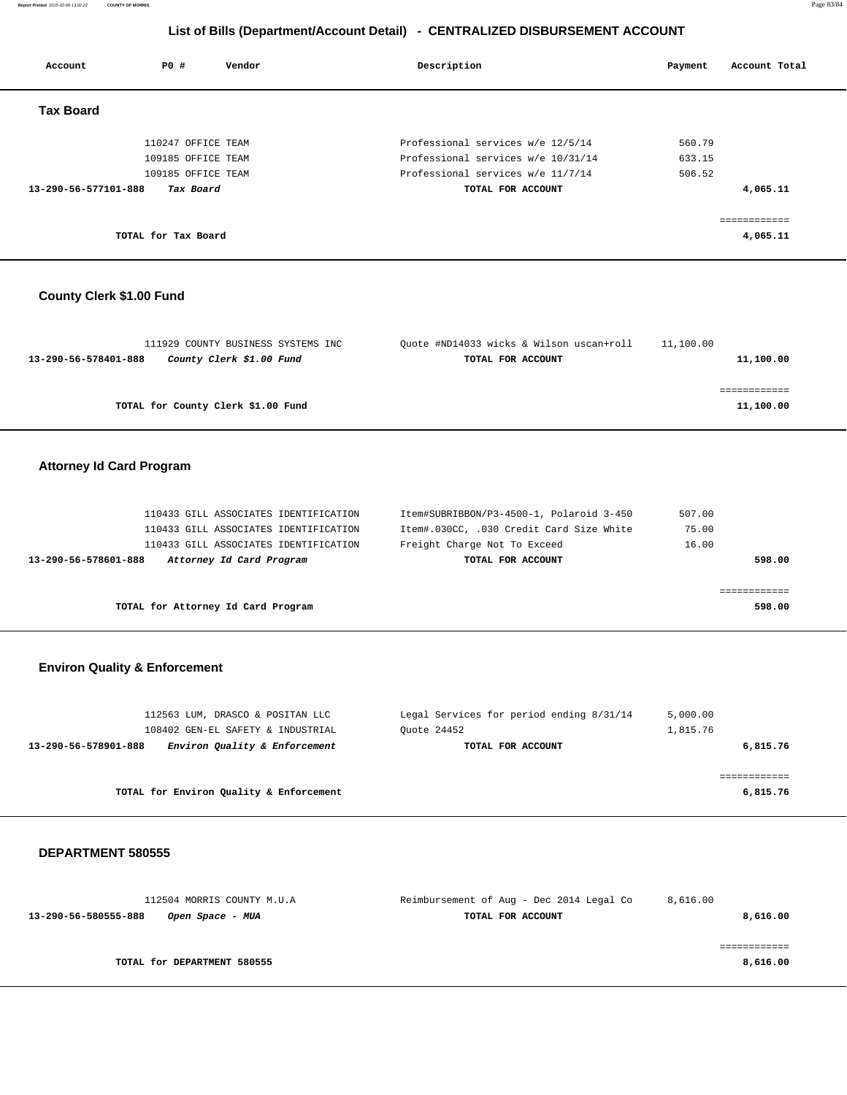**Report Printed** 2015-02-06 13:02:22 **COUNTY OF MORRIS** Page 83/84

# **List of Bills (Department/Account Detail) - CENTRALIZED DISBURSEMENT ACCOUNT**

| Account              | PO#                                      | Vendor | Description                                                             | Payment          | Account Total            |
|----------------------|------------------------------------------|--------|-------------------------------------------------------------------------|------------------|--------------------------|
| <b>Tax Board</b>     |                                          |        |                                                                         |                  |                          |
|                      | 110247 OFFICE TEAM<br>109185 OFFICE TEAM |        | Professional services w/e 12/5/14<br>Professional services w/e 10/31/14 | 560.79<br>633.15 |                          |
|                      | 109185 OFFICE TEAM                       |        | Professional services w/e 11/7/14                                       | 506.52           |                          |
| 13-290-56-577101-888 | Tax Board                                |        | TOTAL FOR ACCOUNT                                                       |                  | 4,065.11                 |
|                      | TOTAL for Tax Board                      |        |                                                                         |                  | ============<br>4,065.11 |

## **County Clerk \$1.00 Fund**

| 111929 COUNTY BUSINESS SYSTEMS INC               | Ouote #ND14033 wicks & Wilson uscan+roll | 11,100.00 |
|--------------------------------------------------|------------------------------------------|-----------|
| County Clerk \$1.00 Fund<br>13-290-56-578401-888 | TOTAL FOR ACCOUNT                        | 11,100.00 |
|                                                  |                                          |           |
|                                                  |                                          |           |
| TOTAL for County Clerk \$1.00 Fund               |                                          | 11,100.00 |
|                                                  |                                          |           |

## **Attorney Id Card Program**

| 110433 GILL ASSOCIATES IDENTIFICATION            | Item#SUBRIBBON/P3-4500-1, Polaroid 3-450 | 507.00 |
|--------------------------------------------------|------------------------------------------|--------|
| 110433 GILL ASSOCIATES IDENTIFICATION            | Item#.030CC, .030 Credit Card Size White | 75.00  |
| 110433 GILL ASSOCIATES IDENTIFICATION            | Freight Charge Not To Exceed             | 16.00  |
| Attorney Id Card Program<br>13-290-56-578601-888 | TOTAL FOR ACCOUNT                        | 598.00 |
|                                                  |                                          |        |
|                                                  |                                          |        |
| TOTAL for Attorney Id Card Program               |                                          | 598.00 |

## **Environ Quality & Enforcement**

| 112563 LUM, DRASCO & POSITAN LLC<br>108402 GEN-EL SAFETY & INDUSTRIAL | Legal Services for period ending 8/31/14<br>Ouote 24452 | 5,000.00<br>1,815.76 |
|-----------------------------------------------------------------------|---------------------------------------------------------|----------------------|
| Environ Quality & Enforcement<br>13-290-56-578901-888                 | TOTAL FOR ACCOUNT                                       | 6,815.76             |
| TOTAL for Environ Quality & Enforcement                               |                                                         | 6,815.76             |

| 112504 MORRIS COUNTY M.U.A               | Reimbursement of Aug - Dec 2014 Legal Co | 8,616.00 |
|------------------------------------------|------------------------------------------|----------|
| 13-290-56-580555-888<br>Open Space - MUA | TOTAL FOR ACCOUNT                        | 8,616.00 |
|                                          |                                          |          |
|                                          |                                          |          |
| TOTAL for DEPARTMENT 580555              |                                          | 8,616.00 |
|                                          |                                          |          |